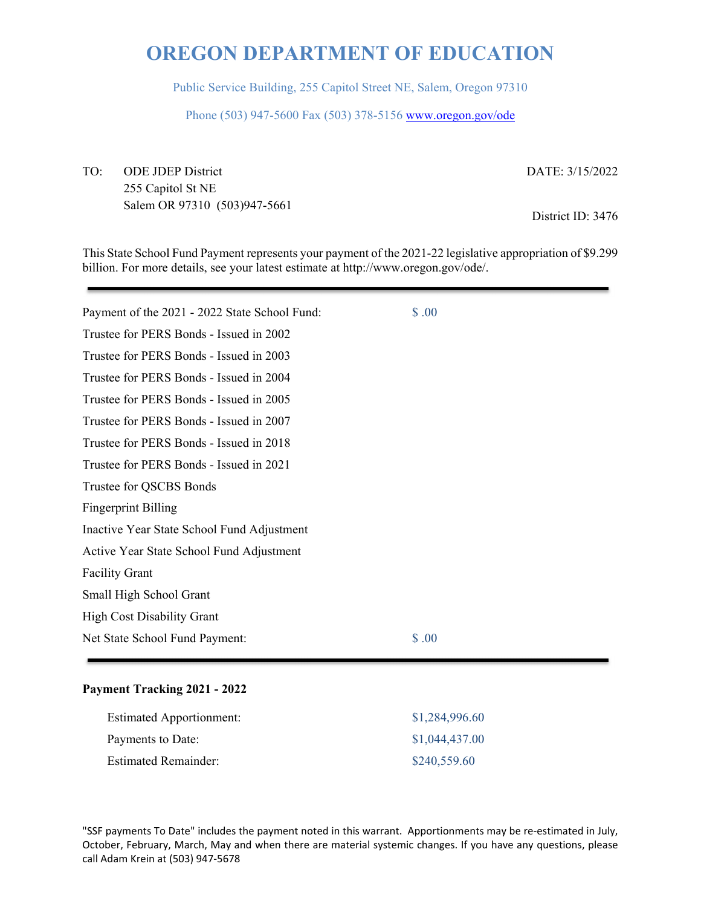Public Service Building, 255 Capitol Street NE, Salem, Oregon 97310

Phone (503) 947-5600 Fax (503) 378-5156 www.oregon.gov/ode

TO: ODE JDEP District 255 Capitol St NE Salem OR 97310 (503)947-5661 DATE: 3/15/2022

District ID: 3476

This State School Fund Payment represents your payment of the 2021-22 legislative appropriation of \$9.299 billion. For more details, see your latest estimate at http://www.oregon.gov/ode/.

| Payment of the 2021 - 2022 State School Fund: | \$.00 |
|-----------------------------------------------|-------|
| Trustee for PERS Bonds - Issued in 2002       |       |
| Trustee for PERS Bonds - Issued in 2003       |       |
| Trustee for PERS Bonds - Issued in 2004       |       |
| Trustee for PERS Bonds - Issued in 2005       |       |
| Trustee for PERS Bonds - Issued in 2007       |       |
| Trustee for PERS Bonds - Issued in 2018       |       |
| Trustee for PERS Bonds - Issued in 2021       |       |
| Trustee for QSCBS Bonds                       |       |
| <b>Fingerprint Billing</b>                    |       |
| Inactive Year State School Fund Adjustment    |       |
| Active Year State School Fund Adjustment      |       |
| <b>Facility Grant</b>                         |       |
| Small High School Grant                       |       |
| <b>High Cost Disability Grant</b>             |       |
| Net State School Fund Payment:                | \$.00 |
|                                               |       |

## **Payment Tracking 2021 - 2022**

| <b>Estimated Apportionment:</b> | \$1,284,996.60 |
|---------------------------------|----------------|
| Payments to Date:               | \$1,044,437.00 |
| <b>Estimated Remainder:</b>     | \$240,559.60   |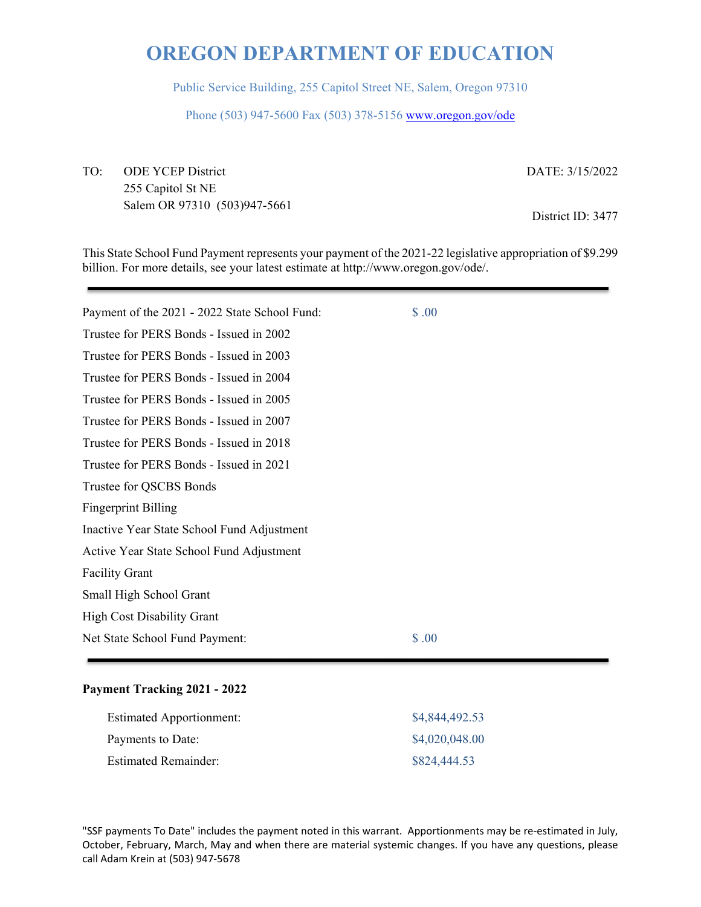Public Service Building, 255 Capitol Street NE, Salem, Oregon 97310

Phone (503) 947-5600 Fax (503) 378-5156 www.oregon.gov/ode

TO: ODE YCEP District 255 Capitol St NE Salem OR 97310 (503)947-5661 DATE: 3/15/2022

District ID: 3477

This State School Fund Payment represents your payment of the 2021-22 legislative appropriation of \$9.299 billion. For more details, see your latest estimate at http://www.oregon.gov/ode/.

| Payment of the 2021 - 2022 State School Fund: | \$.00 |  |
|-----------------------------------------------|-------|--|
| Trustee for PERS Bonds - Issued in 2002       |       |  |
| Trustee for PERS Bonds - Issued in 2003       |       |  |
| Trustee for PERS Bonds - Issued in 2004       |       |  |
| Trustee for PERS Bonds - Issued in 2005       |       |  |
| Trustee for PERS Bonds - Issued in 2007       |       |  |
| Trustee for PERS Bonds - Issued in 2018       |       |  |
| Trustee for PERS Bonds - Issued in 2021       |       |  |
| Trustee for QSCBS Bonds                       |       |  |
| <b>Fingerprint Billing</b>                    |       |  |
| Inactive Year State School Fund Adjustment    |       |  |
| Active Year State School Fund Adjustment      |       |  |
| <b>Facility Grant</b>                         |       |  |
| Small High School Grant                       |       |  |
| <b>High Cost Disability Grant</b>             |       |  |
| Net State School Fund Payment:                | \$.00 |  |
|                                               |       |  |

## **Payment Tracking 2021 - 2022**

| <b>Estimated Apportionment:</b> | \$4,844,492.53 |
|---------------------------------|----------------|
| Payments to Date:               | \$4,020,048.00 |
| <b>Estimated Remainder:</b>     | \$824,444.53   |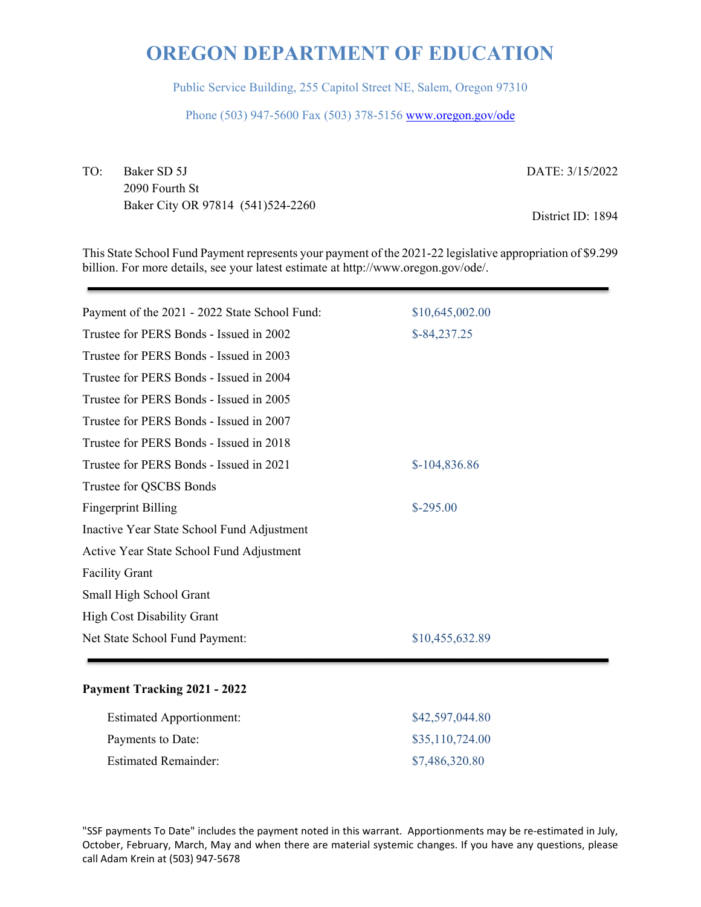Public Service Building, 255 Capitol Street NE, Salem, Oregon 97310

Phone (503) 947-5600 Fax (503) 378-5156 www.oregon.gov/ode

TO: Baker SD 5J 2090 Fourth St Baker City OR 97814 (541)524-2260 DATE: 3/15/2022

District ID: 1894

This State School Fund Payment represents your payment of the 2021-22 legislative appropriation of \$9.299 billion. For more details, see your latest estimate at http://www.oregon.gov/ode/.

| Payment of the 2021 - 2022 State School Fund: | \$10,645,002.00 |
|-----------------------------------------------|-----------------|
| Trustee for PERS Bonds - Issued in 2002       | $$-84,237.25$   |
| Trustee for PERS Bonds - Issued in 2003       |                 |
| Trustee for PERS Bonds - Issued in 2004       |                 |
| Trustee for PERS Bonds - Issued in 2005       |                 |
| Trustee for PERS Bonds - Issued in 2007       |                 |
| Trustee for PERS Bonds - Issued in 2018       |                 |
| Trustee for PERS Bonds - Issued in 2021       | $$-104,836.86$  |
| Trustee for QSCBS Bonds                       |                 |
| <b>Fingerprint Billing</b>                    | $$-295.00$      |
| Inactive Year State School Fund Adjustment    |                 |
| Active Year State School Fund Adjustment      |                 |
| <b>Facility Grant</b>                         |                 |
| Small High School Grant                       |                 |
| <b>High Cost Disability Grant</b>             |                 |
| Net State School Fund Payment:                | \$10,455,632.89 |
|                                               |                 |

## **Payment Tracking 2021 - 2022**

| <b>Estimated Apportionment:</b> | \$42,597,044.80 |
|---------------------------------|-----------------|
| Payments to Date:               | \$35,110,724.00 |
| <b>Estimated Remainder:</b>     | \$7,486,320.80  |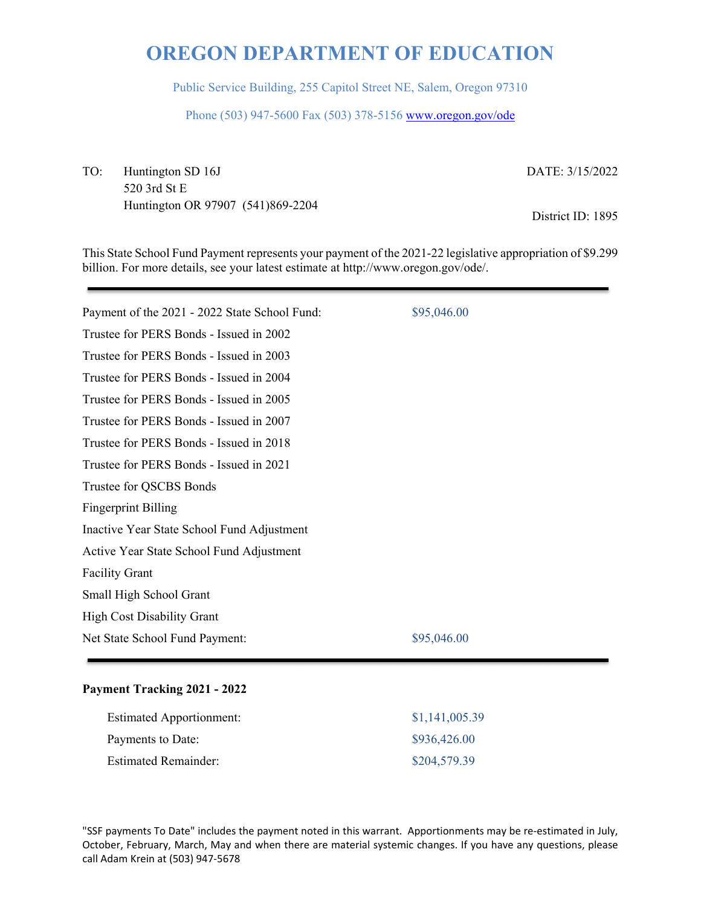Public Service Building, 255 Capitol Street NE, Salem, Oregon 97310

Phone (503) 947-5600 Fax (503) 378-5156 www.oregon.gov/ode

TO: Huntington SD 16J 520 3rd St E Huntington OR 97907 (541)869-2204 DATE: 3/15/2022

District ID: 1895

This State School Fund Payment represents your payment of the 2021-22 legislative appropriation of \$9.299 billion. For more details, see your latest estimate at http://www.oregon.gov/ode/.

| Payment of the 2021 - 2022 State School Fund: | \$95,046.00 |
|-----------------------------------------------|-------------|
| Trustee for PERS Bonds - Issued in 2002       |             |
| Trustee for PERS Bonds - Issued in 2003       |             |
| Trustee for PERS Bonds - Issued in 2004       |             |
| Trustee for PERS Bonds - Issued in 2005       |             |
| Trustee for PERS Bonds - Issued in 2007       |             |
| Trustee for PERS Bonds - Issued in 2018       |             |
| Trustee for PERS Bonds - Issued in 2021       |             |
| Trustee for QSCBS Bonds                       |             |
| <b>Fingerprint Billing</b>                    |             |
| Inactive Year State School Fund Adjustment    |             |
| Active Year State School Fund Adjustment      |             |
| <b>Facility Grant</b>                         |             |
| Small High School Grant                       |             |
| <b>High Cost Disability Grant</b>             |             |
| Net State School Fund Payment:                | \$95,046.00 |
|                                               |             |

## **Payment Tracking 2021 - 2022**

| <b>Estimated Apportionment:</b> | \$1,141,005.39 |
|---------------------------------|----------------|
| Payments to Date:               | \$936,426.00   |
| Estimated Remainder:            | \$204,579.39   |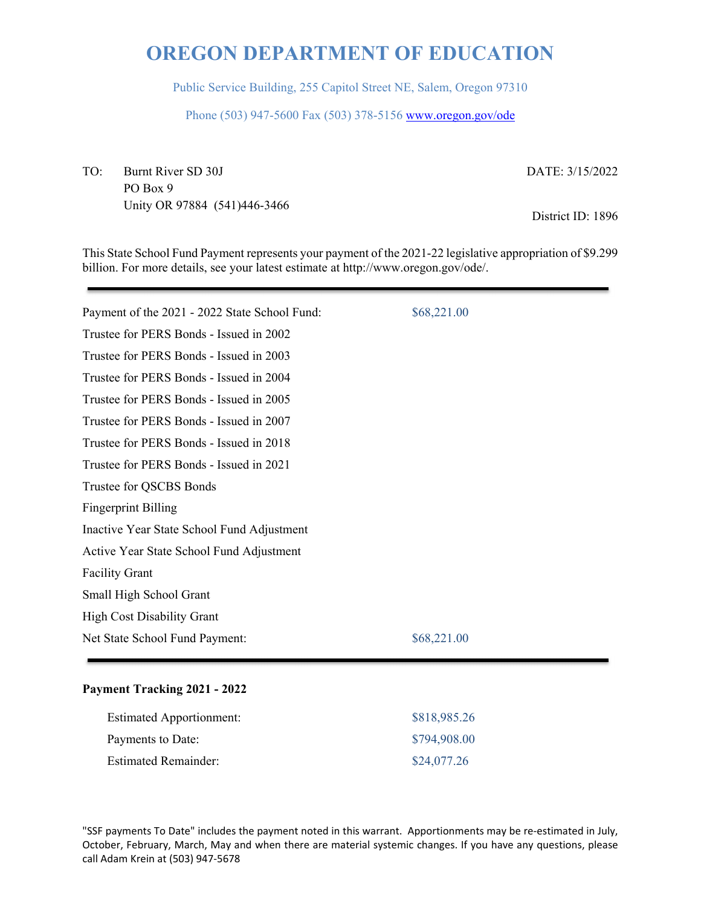Public Service Building, 255 Capitol Street NE, Salem, Oregon 97310

Phone (503) 947-5600 Fax (503) 378-5156 www.oregon.gov/ode

TO: Burnt River SD 30J PO Box 9 Unity OR 97884 (541)446-3466 DATE: 3/15/2022

District ID: 1896

This State School Fund Payment represents your payment of the 2021-22 legislative appropriation of \$9.299 billion. For more details, see your latest estimate at http://www.oregon.gov/ode/.

| Payment of the 2021 - 2022 State School Fund: | \$68,221.00 |
|-----------------------------------------------|-------------|
| Trustee for PERS Bonds - Issued in 2002       |             |
| Trustee for PERS Bonds - Issued in 2003       |             |
| Trustee for PERS Bonds - Issued in 2004       |             |
| Trustee for PERS Bonds - Issued in 2005       |             |
| Trustee for PERS Bonds - Issued in 2007       |             |
| Trustee for PERS Bonds - Issued in 2018       |             |
| Trustee for PERS Bonds - Issued in 2021       |             |
| Trustee for QSCBS Bonds                       |             |
| <b>Fingerprint Billing</b>                    |             |
| Inactive Year State School Fund Adjustment    |             |
| Active Year State School Fund Adjustment      |             |
| <b>Facility Grant</b>                         |             |
| Small High School Grant                       |             |
| <b>High Cost Disability Grant</b>             |             |
| Net State School Fund Payment:                | \$68,221.00 |
|                                               |             |

## **Payment Tracking 2021 - 2022**

| <b>Estimated Apportionment:</b> | \$818,985.26 |
|---------------------------------|--------------|
| Payments to Date:               | \$794,908.00 |
| <b>Estimated Remainder:</b>     | \$24,077.26  |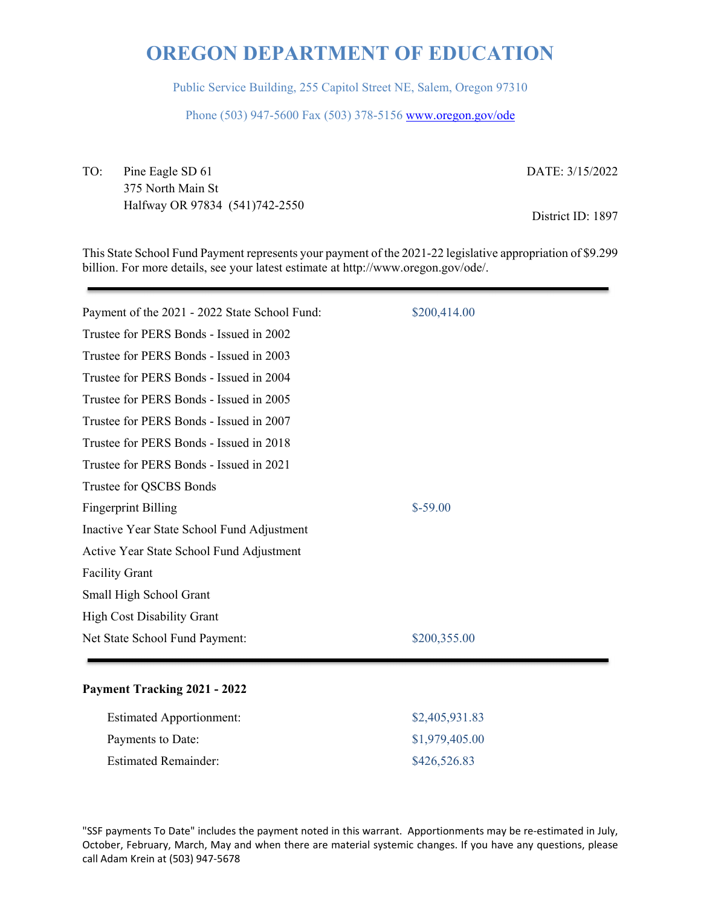Public Service Building, 255 Capitol Street NE, Salem, Oregon 97310

Phone (503) 947-5600 Fax (503) 378-5156 www.oregon.gov/ode

TO: Pine Eagle SD 61 375 North Main St Halfway OR 97834 (541)742-2550 DATE: 3/15/2022

District ID: 1897

This State School Fund Payment represents your payment of the 2021-22 legislative appropriation of \$9.299 billion. For more details, see your latest estimate at http://www.oregon.gov/ode/.

| Payment of the 2021 - 2022 State School Fund: | \$200,414.00 |
|-----------------------------------------------|--------------|
| Trustee for PERS Bonds - Issued in 2002       |              |
| Trustee for PERS Bonds - Issued in 2003       |              |
| Trustee for PERS Bonds - Issued in 2004       |              |
| Trustee for PERS Bonds - Issued in 2005       |              |
| Trustee for PERS Bonds - Issued in 2007       |              |
| Trustee for PERS Bonds - Issued in 2018       |              |
| Trustee for PERS Bonds - Issued in 2021       |              |
| Trustee for QSCBS Bonds                       |              |
| <b>Fingerprint Billing</b>                    | $$-59.00$    |
| Inactive Year State School Fund Adjustment    |              |
| Active Year State School Fund Adjustment      |              |
| <b>Facility Grant</b>                         |              |
| Small High School Grant                       |              |
| <b>High Cost Disability Grant</b>             |              |
| Net State School Fund Payment:                | \$200,355.00 |
|                                               |              |

## **Payment Tracking 2021 - 2022**

| <b>Estimated Apportionment:</b> | \$2,405,931.83 |
|---------------------------------|----------------|
| Payments to Date:               | \$1,979,405.00 |
| <b>Estimated Remainder:</b>     | \$426,526.83   |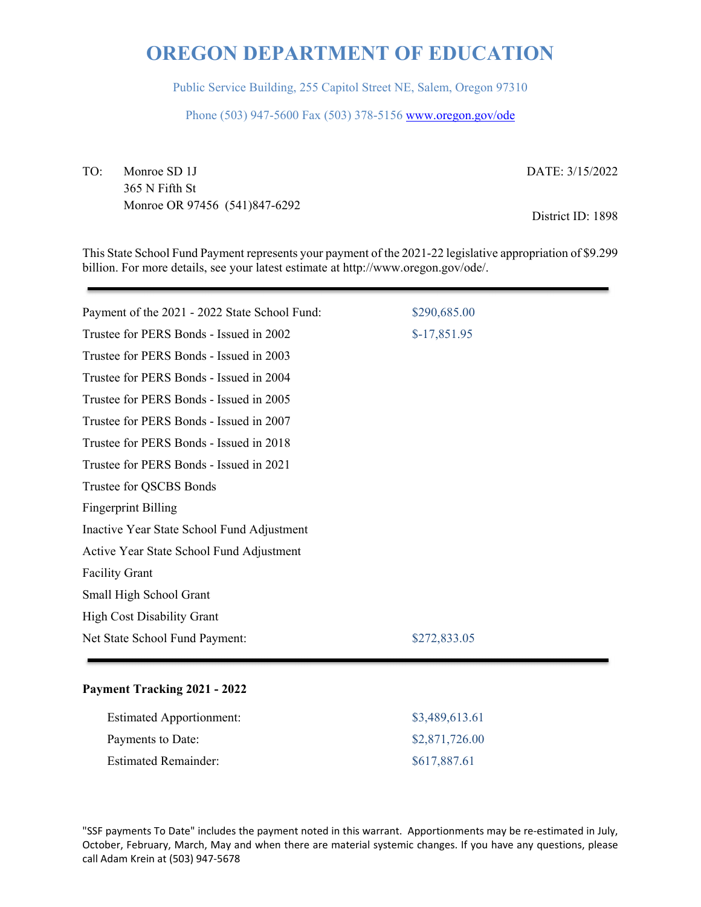Public Service Building, 255 Capitol Street NE, Salem, Oregon 97310

Phone (503) 947-5600 Fax (503) 378-5156 www.oregon.gov/ode

TO: Monroe SD 1J 365 N Fifth St Monroe OR 97456 (541)847-6292 DATE: 3/15/2022

District ID: 1898

This State School Fund Payment represents your payment of the 2021-22 legislative appropriation of \$9.299 billion. For more details, see your latest estimate at http://www.oregon.gov/ode/.

| Payment of the 2021 - 2022 State School Fund: | \$290,685.00  |
|-----------------------------------------------|---------------|
| Trustee for PERS Bonds - Issued in 2002       | $$-17,851.95$ |
| Trustee for PERS Bonds - Issued in 2003       |               |
| Trustee for PERS Bonds - Issued in 2004       |               |
| Trustee for PERS Bonds - Issued in 2005       |               |
| Trustee for PERS Bonds - Issued in 2007       |               |
| Trustee for PERS Bonds - Issued in 2018       |               |
| Trustee for PERS Bonds - Issued in 2021       |               |
| Trustee for QSCBS Bonds                       |               |
| <b>Fingerprint Billing</b>                    |               |
| Inactive Year State School Fund Adjustment    |               |
| Active Year State School Fund Adjustment      |               |
| <b>Facility Grant</b>                         |               |
| Small High School Grant                       |               |
| <b>High Cost Disability Grant</b>             |               |
| Net State School Fund Payment:                | \$272,833.05  |
|                                               |               |

## **Payment Tracking 2021 - 2022**

| <b>Estimated Apportionment:</b> | \$3,489,613.61 |
|---------------------------------|----------------|
| Payments to Date:               | \$2,871,726.00 |
| <b>Estimated Remainder:</b>     | \$617,887.61   |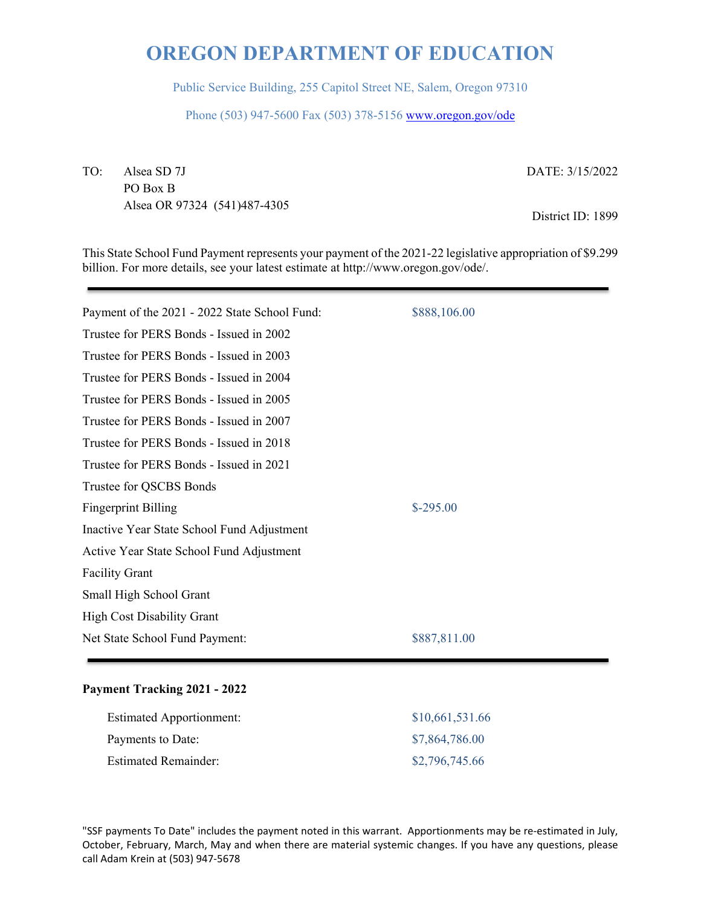Public Service Building, 255 Capitol Street NE, Salem, Oregon 97310

Phone (503) 947-5600 Fax (503) 378-5156 www.oregon.gov/ode

TO: Alsea SD 7J PO Box B Alsea OR 97324 (541)487-4305 DATE: 3/15/2022

District ID: 1899

This State School Fund Payment represents your payment of the 2021-22 legislative appropriation of \$9.299 billion. For more details, see your latest estimate at http://www.oregon.gov/ode/.

| Payment of the 2021 - 2022 State School Fund: | \$888,106.00 |
|-----------------------------------------------|--------------|
| Trustee for PERS Bonds - Issued in 2002       |              |
| Trustee for PERS Bonds - Issued in 2003       |              |
| Trustee for PERS Bonds - Issued in 2004       |              |
| Trustee for PERS Bonds - Issued in 2005       |              |
| Trustee for PERS Bonds - Issued in 2007       |              |
| Trustee for PERS Bonds - Issued in 2018       |              |
| Trustee for PERS Bonds - Issued in 2021       |              |
| Trustee for QSCBS Bonds                       |              |
| <b>Fingerprint Billing</b>                    | $$-295.00$   |
| Inactive Year State School Fund Adjustment    |              |
| Active Year State School Fund Adjustment      |              |
| <b>Facility Grant</b>                         |              |
| Small High School Grant                       |              |
| <b>High Cost Disability Grant</b>             |              |
| Net State School Fund Payment:                | \$887,811.00 |
|                                               |              |

## **Payment Tracking 2021 - 2022**

| <b>Estimated Apportionment:</b> | \$10,661,531.66 |
|---------------------------------|-----------------|
| Payments to Date:               | \$7,864,786.00  |
| <b>Estimated Remainder:</b>     | \$2,796,745.66  |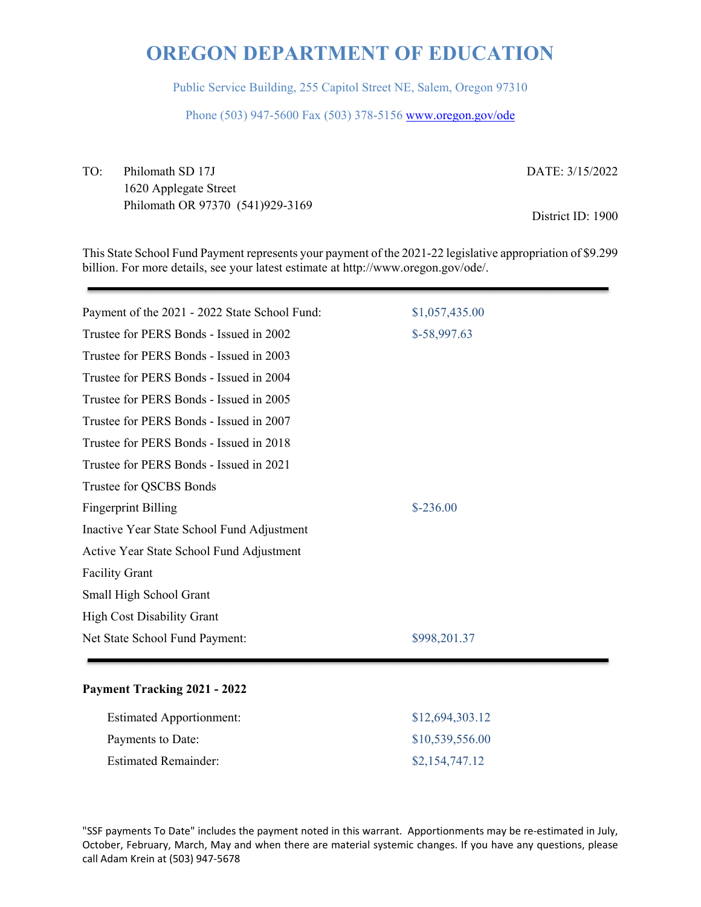Public Service Building, 255 Capitol Street NE, Salem, Oregon 97310

Phone (503) 947-5600 Fax (503) 378-5156 www.oregon.gov/ode

TO: Philomath SD 17J 1620 Applegate Street Philomath OR 97370 (541)929-3169 DATE: 3/15/2022

District ID: 1900

This State School Fund Payment represents your payment of the 2021-22 legislative appropriation of \$9.299 billion. For more details, see your latest estimate at http://www.oregon.gov/ode/.

| Payment of the 2021 - 2022 State School Fund: | \$1,057,435.00 |
|-----------------------------------------------|----------------|
| Trustee for PERS Bonds - Issued in 2002       | $$-58,997.63$  |
| Trustee for PERS Bonds - Issued in 2003       |                |
| Trustee for PERS Bonds - Issued in 2004       |                |
| Trustee for PERS Bonds - Issued in 2005       |                |
| Trustee for PERS Bonds - Issued in 2007       |                |
| Trustee for PERS Bonds - Issued in 2018       |                |
| Trustee for PERS Bonds - Issued in 2021       |                |
| Trustee for QSCBS Bonds                       |                |
| <b>Fingerprint Billing</b>                    | $$-236.00$     |
| Inactive Year State School Fund Adjustment    |                |
| Active Year State School Fund Adjustment      |                |
| <b>Facility Grant</b>                         |                |
| Small High School Grant                       |                |
| <b>High Cost Disability Grant</b>             |                |
| Net State School Fund Payment:                | \$998,201.37   |
|                                               |                |

## **Payment Tracking 2021 - 2022**

| <b>Estimated Apportionment:</b> | \$12,694,303.12 |
|---------------------------------|-----------------|
| Payments to Date:               | \$10,539,556.00 |
| <b>Estimated Remainder:</b>     | \$2,154,747.12  |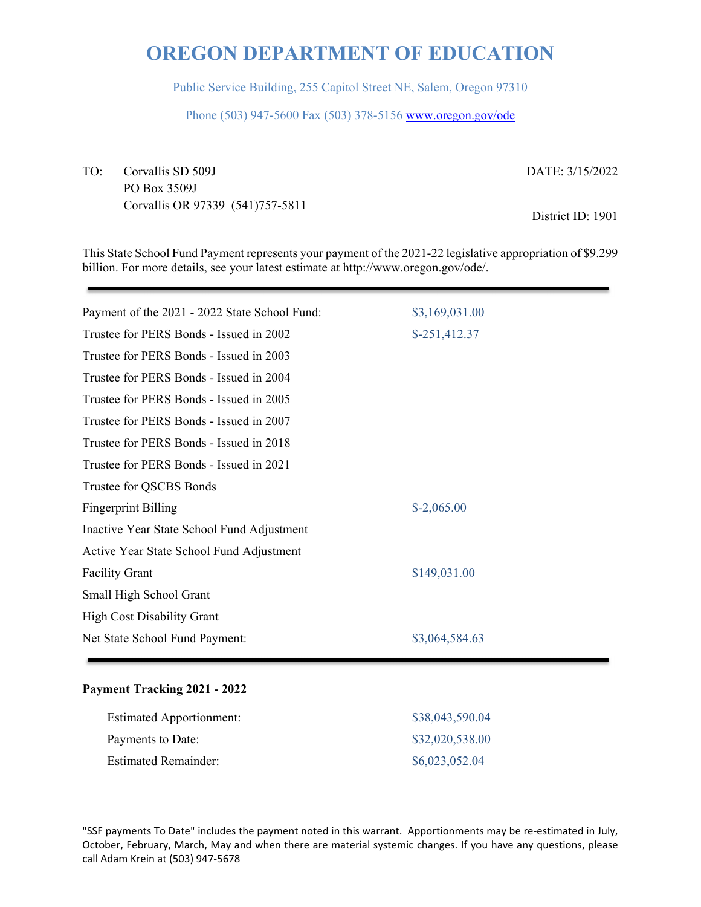Public Service Building, 255 Capitol Street NE, Salem, Oregon 97310

Phone (503) 947-5600 Fax (503) 378-5156 www.oregon.gov/ode

TO: Corvallis SD 509J PO Box 3509J Corvallis OR 97339 (541)757-5811 DATE: 3/15/2022

District ID: 1901

This State School Fund Payment represents your payment of the 2021-22 legislative appropriation of \$9.299 billion. For more details, see your latest estimate at http://www.oregon.gov/ode/.

| Payment of the 2021 - 2022 State School Fund: | \$3,169,031.00 |
|-----------------------------------------------|----------------|
| Trustee for PERS Bonds - Issued in 2002       | $$-251,412.37$ |
| Trustee for PERS Bonds - Issued in 2003       |                |
| Trustee for PERS Bonds - Issued in 2004       |                |
| Trustee for PERS Bonds - Issued in 2005       |                |
| Trustee for PERS Bonds - Issued in 2007       |                |
| Trustee for PERS Bonds - Issued in 2018       |                |
| Trustee for PERS Bonds - Issued in 2021       |                |
| Trustee for QSCBS Bonds                       |                |
| <b>Fingerprint Billing</b>                    | $$-2,065.00$   |
| Inactive Year State School Fund Adjustment    |                |
| Active Year State School Fund Adjustment      |                |
| <b>Facility Grant</b>                         | \$149,031.00   |
| Small High School Grant                       |                |
| <b>High Cost Disability Grant</b>             |                |
| Net State School Fund Payment:                | \$3,064,584.63 |
|                                               |                |

## **Payment Tracking 2021 - 2022**

| <b>Estimated Apportionment:</b> | \$38,043,590.04 |
|---------------------------------|-----------------|
| Payments to Date:               | \$32,020,538.00 |
| <b>Estimated Remainder:</b>     | \$6,023,052.04  |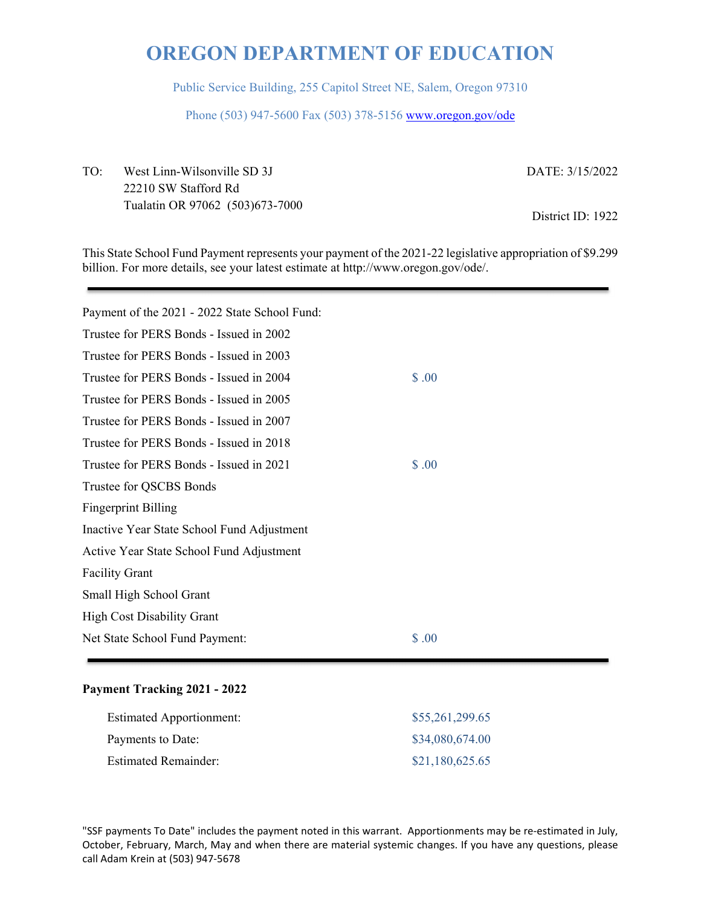Public Service Building, 255 Capitol Street NE, Salem, Oregon 97310

Phone (503) 947-5600 Fax (503) 378-5156 www.oregon.gov/ode

TO: West Linn-Wilsonville SD 3J 22210 SW Stafford Rd Tualatin OR 97062 (503)673-7000 DATE: 3/15/2022

District ID: 1922

This State School Fund Payment represents your payment of the 2021-22 legislative appropriation of \$9.299 billion. For more details, see your latest estimate at http://www.oregon.gov/ode/.

| Payment of the 2021 - 2022 State School Fund: |       |
|-----------------------------------------------|-------|
| Trustee for PERS Bonds - Issued in 2002       |       |
| Trustee for PERS Bonds - Issued in 2003       |       |
| Trustee for PERS Bonds - Issued in 2004       | \$.00 |
| Trustee for PERS Bonds - Issued in 2005       |       |
| Trustee for PERS Bonds - Issued in 2007       |       |
| Trustee for PERS Bonds - Issued in 2018       |       |
| Trustee for PERS Bonds - Issued in 2021       | \$.00 |
| Trustee for QSCBS Bonds                       |       |
| <b>Fingerprint Billing</b>                    |       |
| Inactive Year State School Fund Adjustment    |       |
| Active Year State School Fund Adjustment      |       |
| <b>Facility Grant</b>                         |       |
| Small High School Grant                       |       |
| <b>High Cost Disability Grant</b>             |       |
| Net State School Fund Payment:                | \$.00 |
|                                               |       |

## **Payment Tracking 2021 - 2022**

| <b>Estimated Apportionment:</b> | \$55,261,299.65 |
|---------------------------------|-----------------|
| Payments to Date:               | \$34,080,674.00 |
| <b>Estimated Remainder:</b>     | \$21,180,625.65 |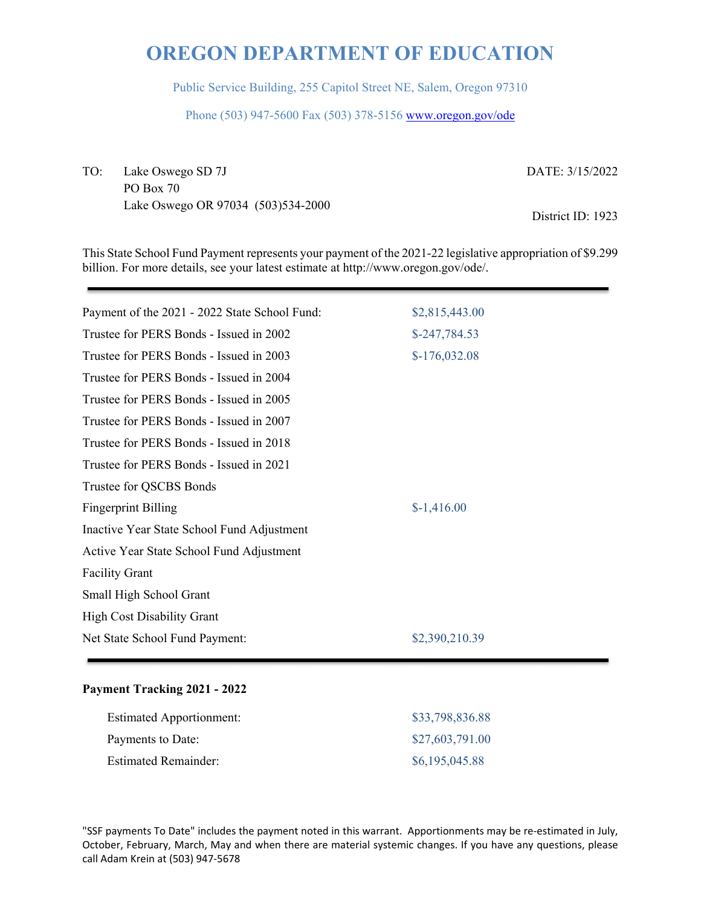Public Service Building, 255 Capitol Street NE, Salem, Oregon 97310

Phone (503) 947-5600 Fax (503) 378-5156 www.oregon.gov/ode

TO: Lake Oswego SD 7J PO Box 70 Lake Oswego OR 97034 (503)534-2000 DATE: 3/15/2022

District ID: 1923

This State School Fund Payment represents your payment of the 2021-22 legislative appropriation of \$9.299 billion. For more details, see your latest estimate at http://www.oregon.gov/ode/.

| Payment of the 2021 - 2022 State School Fund: | \$2,815,443.00 |
|-----------------------------------------------|----------------|
| Trustee for PERS Bonds - Issued in 2002       | $$-247,784.53$ |
| Trustee for PERS Bonds - Issued in 2003       | $$-176,032.08$ |
| Trustee for PERS Bonds - Issued in 2004       |                |
| Trustee for PERS Bonds - Issued in 2005       |                |
| Trustee for PERS Bonds - Issued in 2007       |                |
| Trustee for PERS Bonds - Issued in 2018       |                |
| Trustee for PERS Bonds - Issued in 2021       |                |
| Trustee for QSCBS Bonds                       |                |
| <b>Fingerprint Billing</b>                    | $$-1,416.00$   |
| Inactive Year State School Fund Adjustment    |                |
| Active Year State School Fund Adjustment      |                |
| <b>Facility Grant</b>                         |                |
| Small High School Grant                       |                |
| <b>High Cost Disability Grant</b>             |                |
| Net State School Fund Payment:                | \$2,390,210.39 |
|                                               |                |

## **Payment Tracking 2021 - 2022**

| <b>Estimated Apportionment:</b> | \$33,798,836.88 |
|---------------------------------|-----------------|
| Payments to Date:               | \$27,603,791.00 |
| <b>Estimated Remainder:</b>     | \$6,195,045.88  |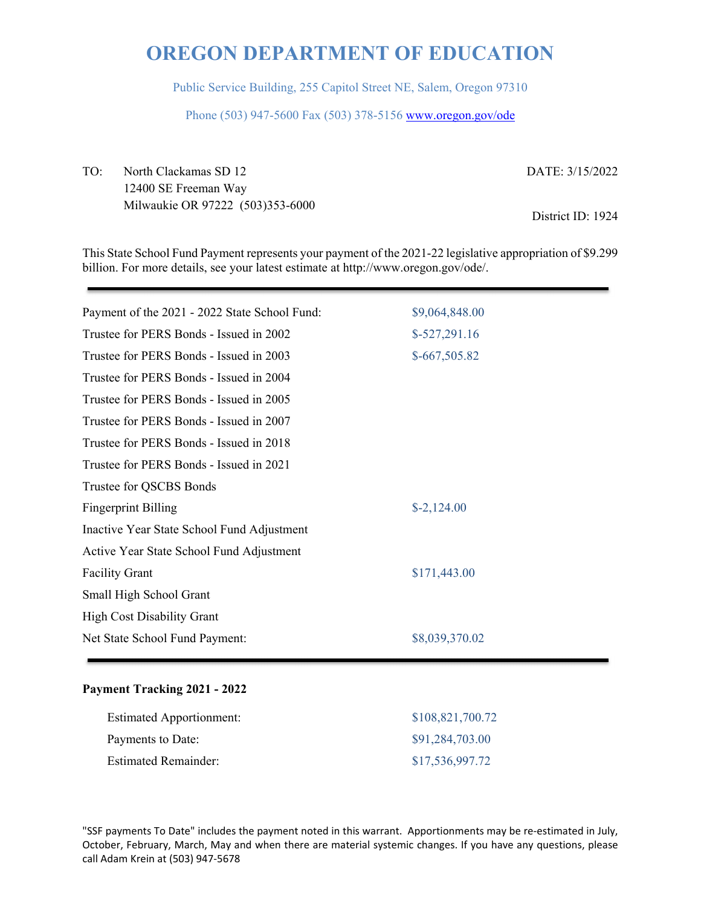Public Service Building, 255 Capitol Street NE, Salem, Oregon 97310

Phone (503) 947-5600 Fax (503) 378-5156 www.oregon.gov/ode

TO: North Clackamas SD 12 12400 SE Freeman Way Milwaukie OR 97222 (503)353-6000 DATE: 3/15/2022

District ID: 1924

This State School Fund Payment represents your payment of the 2021-22 legislative appropriation of \$9.299 billion. For more details, see your latest estimate at http://www.oregon.gov/ode/.

| Payment of the 2021 - 2022 State School Fund: | \$9,064,848.00       |
|-----------------------------------------------|----------------------|
| Trustee for PERS Bonds - Issued in 2002       | $$-527,291.16$       |
| Trustee for PERS Bonds - Issued in 2003       | $$-667,505.82$       |
| Trustee for PERS Bonds - Issued in 2004       |                      |
| Trustee for PERS Bonds - Issued in 2005       |                      |
| Trustee for PERS Bonds - Issued in 2007       |                      |
| Trustee for PERS Bonds - Issued in 2018       |                      |
| Trustee for PERS Bonds - Issued in 2021       |                      |
| Trustee for QSCBS Bonds                       |                      |
| <b>Fingerprint Billing</b>                    | $\text{\$-2,124.00}$ |
| Inactive Year State School Fund Adjustment    |                      |
| Active Year State School Fund Adjustment      |                      |
| <b>Facility Grant</b>                         | \$171,443.00         |
| Small High School Grant                       |                      |
| <b>High Cost Disability Grant</b>             |                      |
| Net State School Fund Payment:                | \$8,039,370.02       |
|                                               |                      |

## **Payment Tracking 2021 - 2022**

| <b>Estimated Apportionment:</b> | \$108,821,700.72 |
|---------------------------------|------------------|
| Payments to Date:               | \$91,284,703.00  |
| <b>Estimated Remainder:</b>     | \$17,536,997.72  |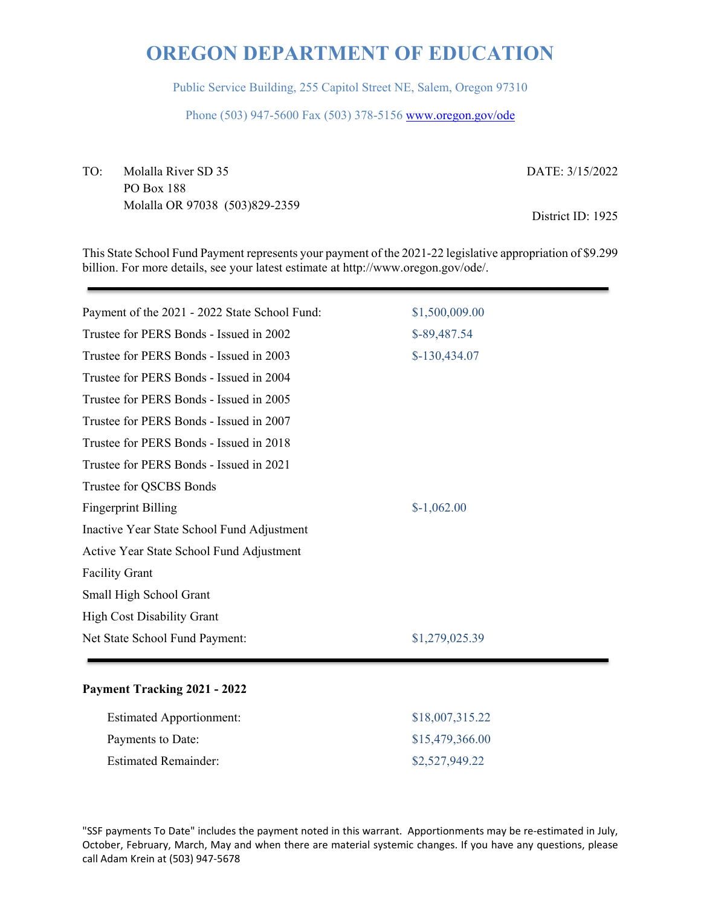Public Service Building, 255 Capitol Street NE, Salem, Oregon 97310

Phone (503) 947-5600 Fax (503) 378-5156 www.oregon.gov/ode

TO: Molalla River SD 35 PO Box 188 Molalla OR 97038 (503)829-2359 DATE: 3/15/2022

District ID: 1925

This State School Fund Payment represents your payment of the 2021-22 legislative appropriation of \$9.299 billion. For more details, see your latest estimate at http://www.oregon.gov/ode/.

| Payment of the 2021 - 2022 State School Fund: | \$1,500,009.00 |
|-----------------------------------------------|----------------|
| Trustee for PERS Bonds - Issued in 2002       | \$-89,487.54   |
| Trustee for PERS Bonds - Issued in 2003       | $$-130,434.07$ |
| Trustee for PERS Bonds - Issued in 2004       |                |
| Trustee for PERS Bonds - Issued in 2005       |                |
| Trustee for PERS Bonds - Issued in 2007       |                |
| Trustee for PERS Bonds - Issued in 2018       |                |
| Trustee for PERS Bonds - Issued in 2021       |                |
| Trustee for QSCBS Bonds                       |                |
| <b>Fingerprint Billing</b>                    | $$-1,062.00$   |
| Inactive Year State School Fund Adjustment    |                |
| Active Year State School Fund Adjustment      |                |
| <b>Facility Grant</b>                         |                |
| Small High School Grant                       |                |
| <b>High Cost Disability Grant</b>             |                |
| Net State School Fund Payment:                | \$1,279,025.39 |
|                                               |                |

#### **Payment Tracking 2021 - 2022**

| <b>Estimated Apportionment:</b> | \$18,007,315.22 |
|---------------------------------|-----------------|
| Payments to Date:               | \$15,479,366.00 |
| <b>Estimated Remainder:</b>     | \$2,527,949.22  |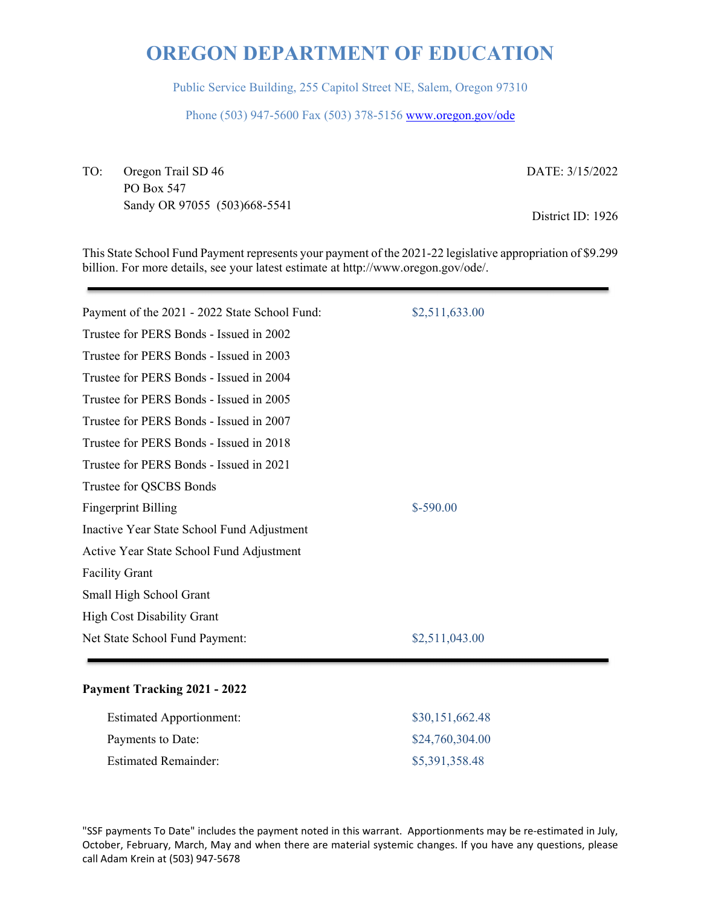Public Service Building, 255 Capitol Street NE, Salem, Oregon 97310

Phone (503) 947-5600 Fax (503) 378-5156 www.oregon.gov/ode

TO: Oregon Trail SD 46 PO Box 547 Sandy OR 97055 (503)668-5541 DATE: 3/15/2022

District ID: 1926

This State School Fund Payment represents your payment of the 2021-22 legislative appropriation of \$9.299 billion. For more details, see your latest estimate at http://www.oregon.gov/ode/.

| Payment of the 2021 - 2022 State School Fund: | \$2,511,633.00 |
|-----------------------------------------------|----------------|
| Trustee for PERS Bonds - Issued in 2002       |                |
| Trustee for PERS Bonds - Issued in 2003       |                |
| Trustee for PERS Bonds - Issued in 2004       |                |
| Trustee for PERS Bonds - Issued in 2005       |                |
| Trustee for PERS Bonds - Issued in 2007       |                |
| Trustee for PERS Bonds - Issued in 2018       |                |
| Trustee for PERS Bonds - Issued in 2021       |                |
| Trustee for QSCBS Bonds                       |                |
| <b>Fingerprint Billing</b>                    | $$-590.00$     |
| Inactive Year State School Fund Adjustment    |                |
| Active Year State School Fund Adjustment      |                |
| <b>Facility Grant</b>                         |                |
| Small High School Grant                       |                |
| <b>High Cost Disability Grant</b>             |                |
| Net State School Fund Payment:                | \$2,511,043.00 |
|                                               |                |

## **Payment Tracking 2021 - 2022**

| <b>Estimated Apportionment:</b> | \$30,151,662.48 |
|---------------------------------|-----------------|
| Payments to Date:               | \$24,760,304.00 |
| <b>Estimated Remainder:</b>     | \$5,391,358.48  |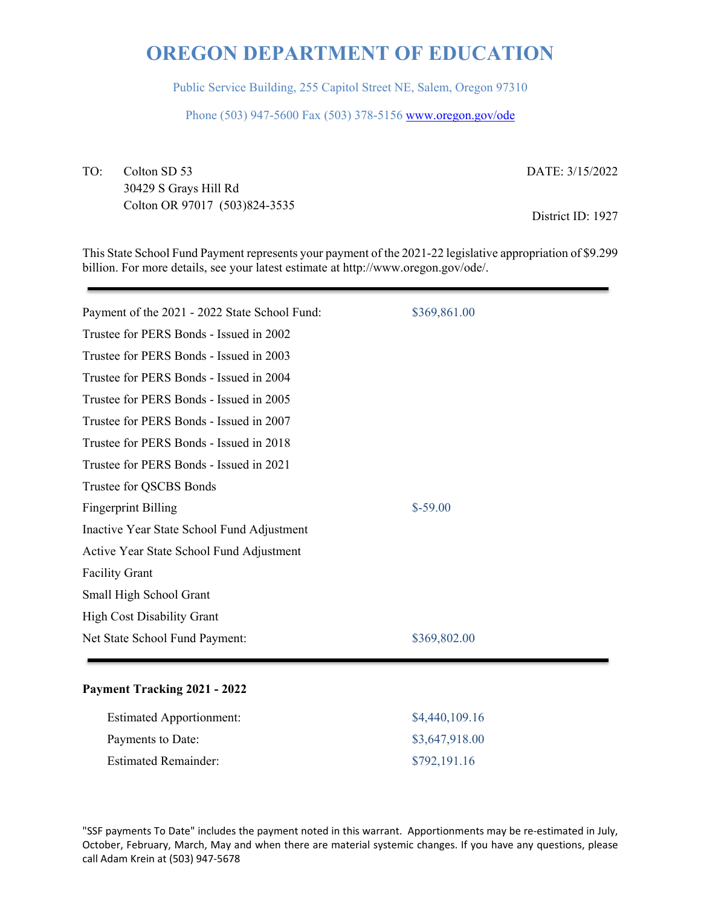Public Service Building, 255 Capitol Street NE, Salem, Oregon 97310

Phone (503) 947-5600 Fax (503) 378-5156 www.oregon.gov/ode

TO: Colton SD 53 30429 S Grays Hill Rd Colton OR 97017 (503)824-3535 DATE: 3/15/2022

District ID: 1927

This State School Fund Payment represents your payment of the 2021-22 legislative appropriation of \$9.299 billion. For more details, see your latest estimate at http://www.oregon.gov/ode/.

| Payment of the 2021 - 2022 State School Fund: | \$369,861.00 |
|-----------------------------------------------|--------------|
| Trustee for PERS Bonds - Issued in 2002       |              |
| Trustee for PERS Bonds - Issued in 2003       |              |
| Trustee for PERS Bonds - Issued in 2004       |              |
| Trustee for PERS Bonds - Issued in 2005       |              |
| Trustee for PERS Bonds - Issued in 2007       |              |
| Trustee for PERS Bonds - Issued in 2018       |              |
| Trustee for PERS Bonds - Issued in 2021       |              |
| Trustee for QSCBS Bonds                       |              |
| <b>Fingerprint Billing</b>                    | $$-59.00$    |
| Inactive Year State School Fund Adjustment    |              |
| Active Year State School Fund Adjustment      |              |
| <b>Facility Grant</b>                         |              |
| Small High School Grant                       |              |
| <b>High Cost Disability Grant</b>             |              |
| Net State School Fund Payment:                | \$369,802.00 |
|                                               |              |

## **Payment Tracking 2021 - 2022**

| <b>Estimated Apportionment:</b> | \$4,440,109.16 |
|---------------------------------|----------------|
| Payments to Date:               | \$3,647,918.00 |
| <b>Estimated Remainder:</b>     | \$792,191.16   |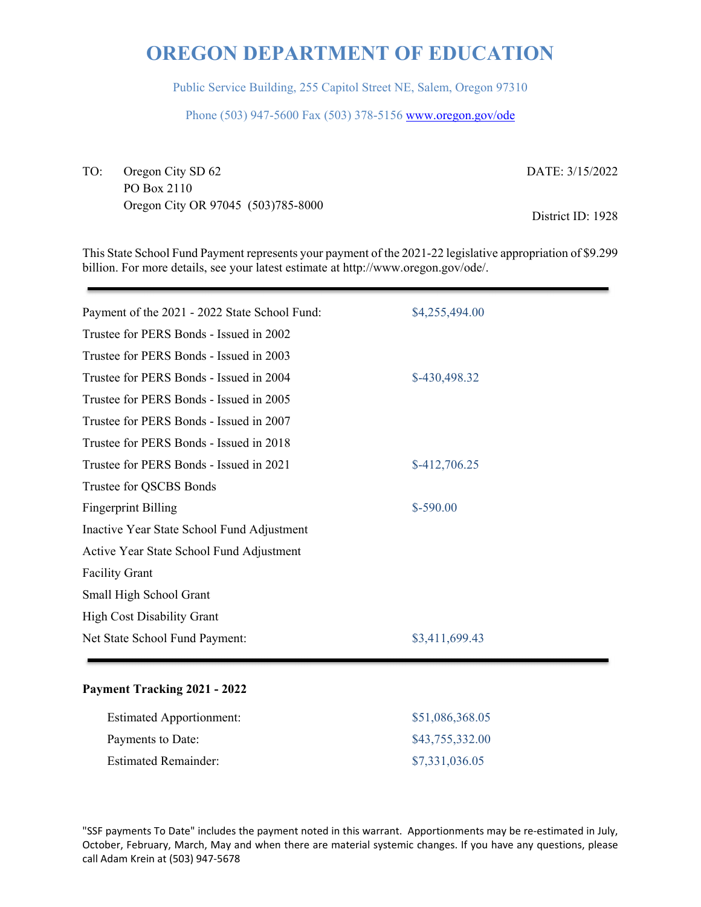Public Service Building, 255 Capitol Street NE, Salem, Oregon 97310

Phone (503) 947-5600 Fax (503) 378-5156 www.oregon.gov/ode

TO: Oregon City SD 62 PO Box 2110 Oregon City OR 97045 (503)785-8000 DATE: 3/15/2022

District ID: 1928

This State School Fund Payment represents your payment of the 2021-22 legislative appropriation of \$9.299 billion. For more details, see your latest estimate at http://www.oregon.gov/ode/.

| Payment of the 2021 - 2022 State School Fund: | \$4,255,494.00 |
|-----------------------------------------------|----------------|
| Trustee for PERS Bonds - Issued in 2002       |                |
| Trustee for PERS Bonds - Issued in 2003       |                |
| Trustee for PERS Bonds - Issued in 2004       | \$-430,498.32  |
| Trustee for PERS Bonds - Issued in 2005       |                |
| Trustee for PERS Bonds - Issued in 2007       |                |
| Trustee for PERS Bonds - Issued in 2018       |                |
| Trustee for PERS Bonds - Issued in 2021       | $$-412,706.25$ |
| Trustee for QSCBS Bonds                       |                |
| <b>Fingerprint Billing</b>                    | $$-590.00$     |
| Inactive Year State School Fund Adjustment    |                |
| Active Year State School Fund Adjustment      |                |
| <b>Facility Grant</b>                         |                |
| Small High School Grant                       |                |
| <b>High Cost Disability Grant</b>             |                |
| Net State School Fund Payment:                | \$3,411,699.43 |
|                                               |                |

## **Payment Tracking 2021 - 2022**

| <b>Estimated Apportionment:</b> | \$51,086,368.05 |
|---------------------------------|-----------------|
| Payments to Date:               | \$43,755,332.00 |
| <b>Estimated Remainder:</b>     | \$7,331,036.05  |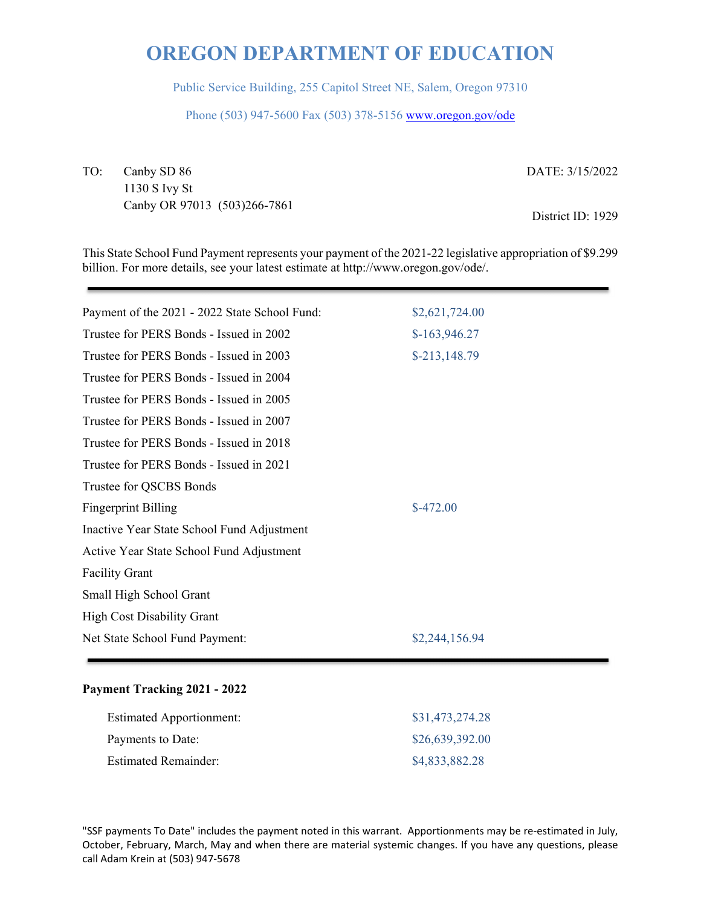Public Service Building, 255 Capitol Street NE, Salem, Oregon 97310

Phone (503) 947-5600 Fax (503) 378-5156 www.oregon.gov/ode

TO: Canby SD 86 1130 S Ivy St Canby OR 97013 (503)266-7861 DATE: 3/15/2022

District ID: 1929

This State School Fund Payment represents your payment of the 2021-22 legislative appropriation of \$9.299 billion. For more details, see your latest estimate at http://www.oregon.gov/ode/.

| Payment of the 2021 - 2022 State School Fund: | \$2,621,724.00 |
|-----------------------------------------------|----------------|
| Trustee for PERS Bonds - Issued in 2002       | $$-163,946.27$ |
| Trustee for PERS Bonds - Issued in 2003       | $$-213,148.79$ |
| Trustee for PERS Bonds - Issued in 2004       |                |
| Trustee for PERS Bonds - Issued in 2005       |                |
| Trustee for PERS Bonds - Issued in 2007       |                |
| Trustee for PERS Bonds - Issued in 2018       |                |
| Trustee for PERS Bonds - Issued in 2021       |                |
| Trustee for QSCBS Bonds                       |                |
| <b>Fingerprint Billing</b>                    | $$-472.00$     |
| Inactive Year State School Fund Adjustment    |                |
| Active Year State School Fund Adjustment      |                |
| <b>Facility Grant</b>                         |                |
| Small High School Grant                       |                |
| <b>High Cost Disability Grant</b>             |                |
| Net State School Fund Payment:                | \$2,244,156.94 |
|                                               |                |

## **Payment Tracking 2021 - 2022**

| <b>Estimated Apportionment:</b> | \$31,473,274.28 |
|---------------------------------|-----------------|
| Payments to Date:               | \$26,639,392.00 |
| <b>Estimated Remainder:</b>     | \$4,833,882.28  |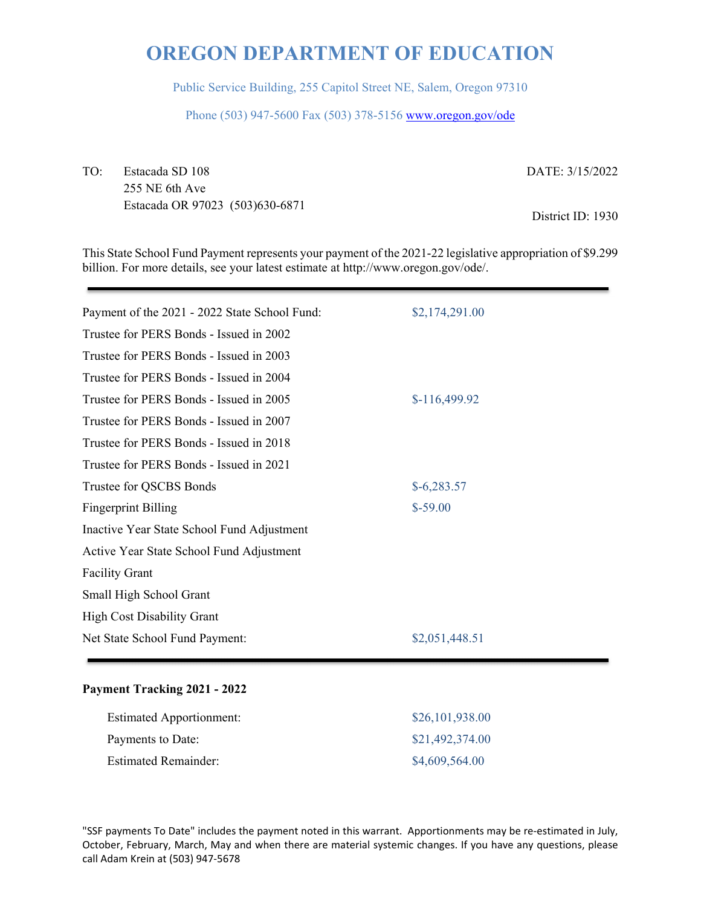Public Service Building, 255 Capitol Street NE, Salem, Oregon 97310

Phone (503) 947-5600 Fax (503) 378-5156 www.oregon.gov/ode

TO: Estacada SD 108 255 NE 6th Ave Estacada OR 97023 (503)630-6871

DATE: 3/15/2022

District ID: 1930

This State School Fund Payment represents your payment of the 2021-22 legislative appropriation of \$9.299 billion. For more details, see your latest estimate at http://www.oregon.gov/ode/.

| Payment of the 2021 - 2022 State School Fund: | \$2,174,291.00 |
|-----------------------------------------------|----------------|
| Trustee for PERS Bonds - Issued in 2002       |                |
| Trustee for PERS Bonds - Issued in 2003       |                |
| Trustee for PERS Bonds - Issued in 2004       |                |
| Trustee for PERS Bonds - Issued in 2005       | $$-116,499.92$ |
| Trustee for PERS Bonds - Issued in 2007       |                |
| Trustee for PERS Bonds - Issued in 2018       |                |
| Trustee for PERS Bonds - Issued in 2021       |                |
| Trustee for QSCBS Bonds                       | $$-6,283.57$   |
| <b>Fingerprint Billing</b>                    | $$-59.00$      |
| Inactive Year State School Fund Adjustment    |                |
| Active Year State School Fund Adjustment      |                |
| <b>Facility Grant</b>                         |                |
| Small High School Grant                       |                |
| <b>High Cost Disability Grant</b>             |                |
| Net State School Fund Payment:                | \$2,051,448.51 |
|                                               |                |

#### **Payment Tracking 2021 - 2022**

| <b>Estimated Apportionment:</b> | \$26,101,938.00 |
|---------------------------------|-----------------|
| Payments to Date:               | \$21,492,374.00 |
| <b>Estimated Remainder:</b>     | \$4,609,564.00  |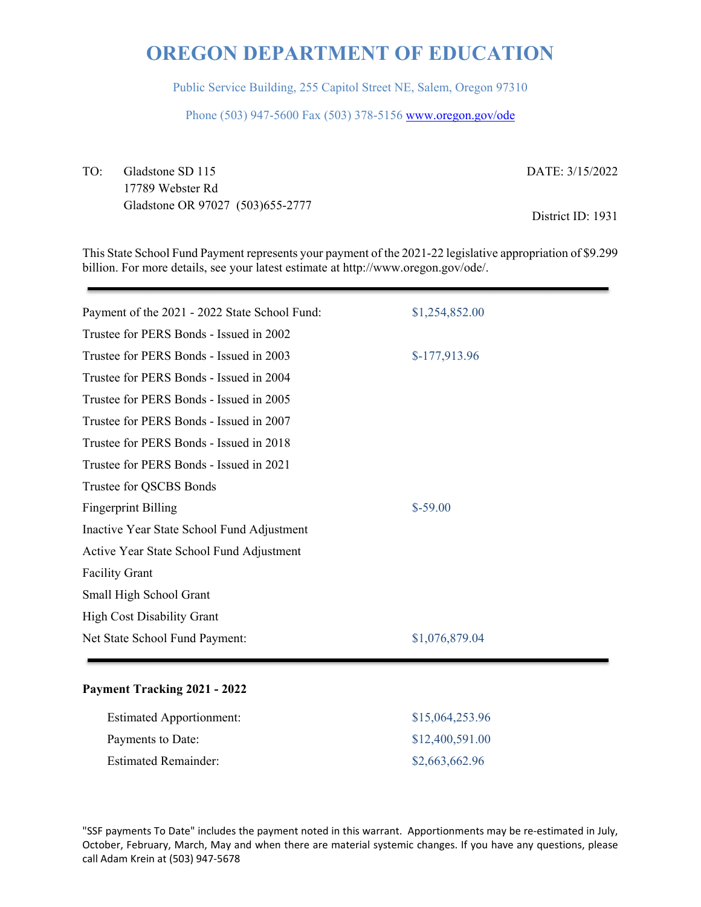Public Service Building, 255 Capitol Street NE, Salem, Oregon 97310

Phone (503) 947-5600 Fax (503) 378-5156 www.oregon.gov/ode

TO: Gladstone SD 115 17789 Webster Rd Gladstone OR 97027 (503)655-2777 DATE: 3/15/2022

District ID: 1931

This State School Fund Payment represents your payment of the 2021-22 legislative appropriation of \$9.299 billion. For more details, see your latest estimate at http://www.oregon.gov/ode/.

| Payment of the 2021 - 2022 State School Fund: | \$1,254,852.00 |
|-----------------------------------------------|----------------|
| Trustee for PERS Bonds - Issued in 2002       |                |
| Trustee for PERS Bonds - Issued in 2003       | $$-177,913.96$ |
| Trustee for PERS Bonds - Issued in 2004       |                |
| Trustee for PERS Bonds - Issued in 2005       |                |
| Trustee for PERS Bonds - Issued in 2007       |                |
| Trustee for PERS Bonds - Issued in 2018       |                |
| Trustee for PERS Bonds - Issued in 2021       |                |
| Trustee for QSCBS Bonds                       |                |
| <b>Fingerprint Billing</b>                    | $$-59.00$      |
| Inactive Year State School Fund Adjustment    |                |
| Active Year State School Fund Adjustment      |                |
| <b>Facility Grant</b>                         |                |
| Small High School Grant                       |                |
| <b>High Cost Disability Grant</b>             |                |
| Net State School Fund Payment:                | \$1,076,879.04 |
|                                               |                |

#### **Payment Tracking 2021 - 2022**

| <b>Estimated Apportionment:</b> | \$15,064,253.96 |
|---------------------------------|-----------------|
| Payments to Date:               | \$12,400,591.00 |
| <b>Estimated Remainder:</b>     | \$2,663,662.96  |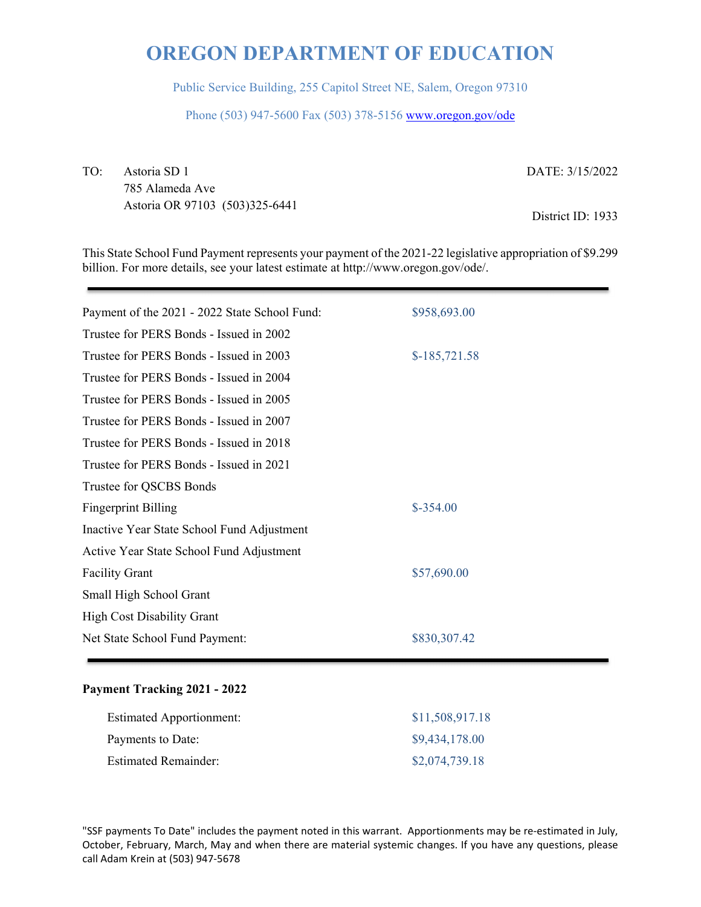Public Service Building, 255 Capitol Street NE, Salem, Oregon 97310

Phone (503) 947-5600 Fax (503) 378-5156 www.oregon.gov/ode

TO: Astoria SD 1 785 Alameda Ave Astoria OR 97103 (503)325-6441 DATE: 3/15/2022

District ID: 1933

This State School Fund Payment represents your payment of the 2021-22 legislative appropriation of \$9.299 billion. For more details, see your latest estimate at http://www.oregon.gov/ode/.

| Payment of the 2021 - 2022 State School Fund: | \$958,693.00   |
|-----------------------------------------------|----------------|
| Trustee for PERS Bonds - Issued in 2002       |                |
| Trustee for PERS Bonds - Issued in 2003       | $$-185,721.58$ |
| Trustee for PERS Bonds - Issued in 2004       |                |
| Trustee for PERS Bonds - Issued in 2005       |                |
| Trustee for PERS Bonds - Issued in 2007       |                |
| Trustee for PERS Bonds - Issued in 2018       |                |
| Trustee for PERS Bonds - Issued in 2021       |                |
| Trustee for QSCBS Bonds                       |                |
| <b>Fingerprint Billing</b>                    | $$-354.00$     |
| Inactive Year State School Fund Adjustment    |                |
| Active Year State School Fund Adjustment      |                |
| <b>Facility Grant</b>                         | \$57,690.00    |
| Small High School Grant                       |                |
| <b>High Cost Disability Grant</b>             |                |
| Net State School Fund Payment:                | \$830,307.42   |
|                                               |                |

## **Payment Tracking 2021 - 2022**

| <b>Estimated Apportionment:</b> | \$11,508,917.18 |
|---------------------------------|-----------------|
| Payments to Date:               | \$9,434,178.00  |
| <b>Estimated Remainder:</b>     | \$2,074,739.18  |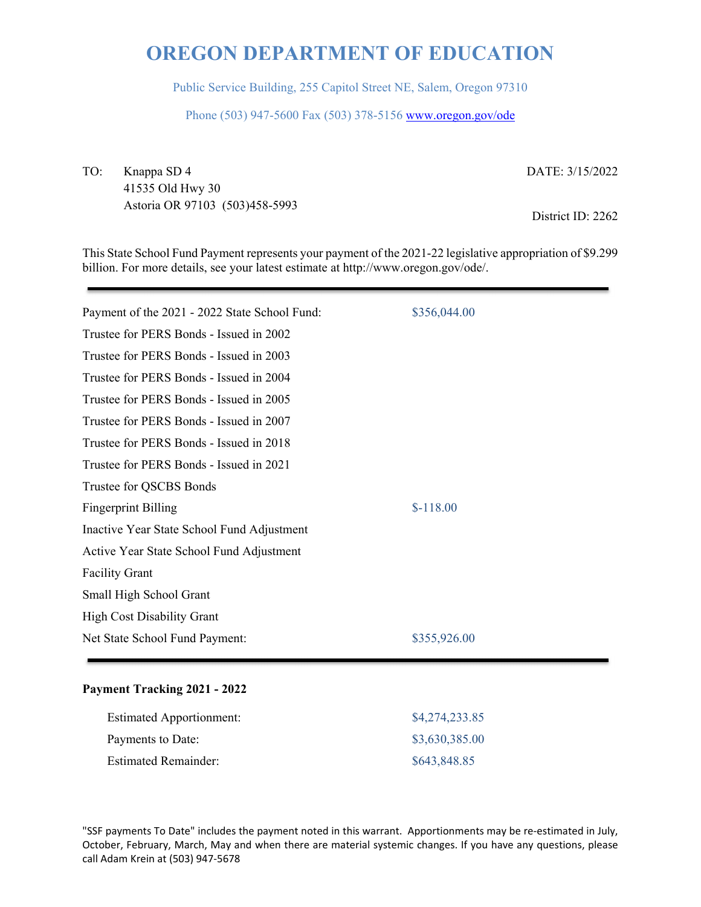Public Service Building, 255 Capitol Street NE, Salem, Oregon 97310

Phone (503) 947-5600 Fax (503) 378-5156 www.oregon.gov/ode

TO: Knappa SD 4

41535 Old Hwy 30 Astoria OR 97103 (503)458-5993 DATE: 3/15/2022

District ID: 2262

This State School Fund Payment represents your payment of the 2021-22 legislative appropriation of \$9.299 billion. For more details, see your latest estimate at http://www.oregon.gov/ode/.

| Payment of the 2021 - 2022 State School Fund: | \$356,044.00 |
|-----------------------------------------------|--------------|
| Trustee for PERS Bonds - Issued in 2002       |              |
| Trustee for PERS Bonds - Issued in 2003       |              |
| Trustee for PERS Bonds - Issued in 2004       |              |
| Trustee for PERS Bonds - Issued in 2005       |              |
| Trustee for PERS Bonds - Issued in 2007       |              |
| Trustee for PERS Bonds - Issued in 2018       |              |
| Trustee for PERS Bonds - Issued in 2021       |              |
| Trustee for QSCBS Bonds                       |              |
| <b>Fingerprint Billing</b>                    | $$-118.00$   |
| Inactive Year State School Fund Adjustment    |              |
| Active Year State School Fund Adjustment      |              |
| <b>Facility Grant</b>                         |              |
| Small High School Grant                       |              |
| <b>High Cost Disability Grant</b>             |              |
| Net State School Fund Payment:                | \$355,926.00 |
|                                               |              |

## **Payment Tracking 2021 - 2022**

| <b>Estimated Apportionment:</b> | \$4,274,233.85 |
|---------------------------------|----------------|
| Payments to Date:               | \$3,630,385.00 |
| <b>Estimated Remainder:</b>     | \$643,848.85   |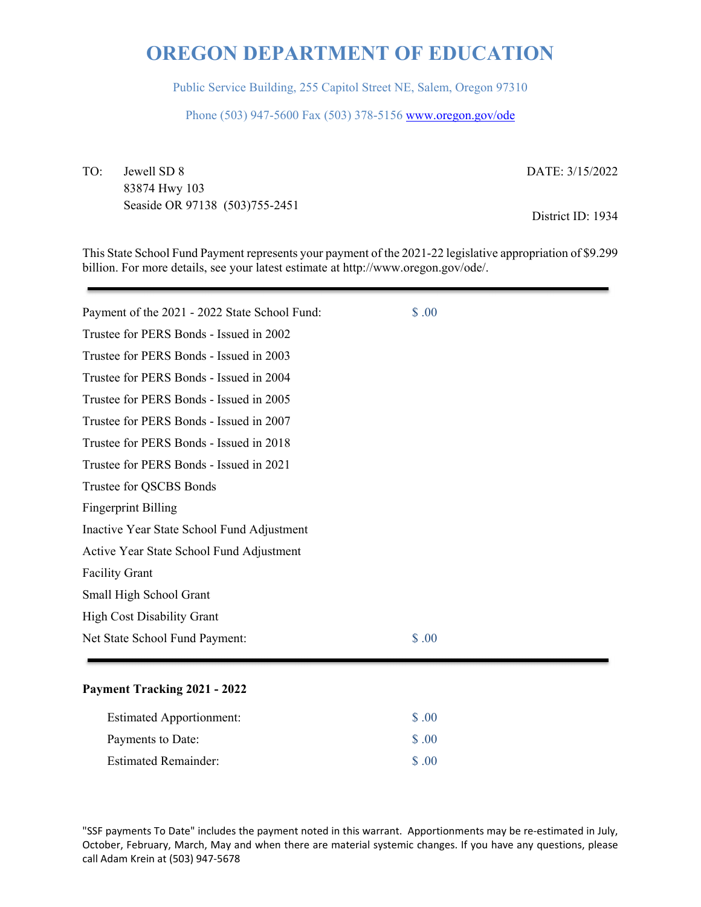Public Service Building, 255 Capitol Street NE, Salem, Oregon 97310

Phone (503) 947-5600 Fax (503) 378-5156 www.oregon.gov/ode

TO: Jewell SD 8 83874 Hwy 103 Seaside OR 97138 (503)755-2451 DATE: 3/15/2022

District ID: 1934

This State School Fund Payment represents your payment of the 2021-22 legislative appropriation of \$9.299 billion. For more details, see your latest estimate at http://www.oregon.gov/ode/.

| \$.00 |  |
|-------|--|
|       |  |
|       |  |
|       |  |
|       |  |
|       |  |
|       |  |
|       |  |
|       |  |
|       |  |
|       |  |
|       |  |
|       |  |
|       |  |
|       |  |
| \$.00 |  |
|       |  |

## **Payment Tracking 2021 - 2022**

| <b>Estimated Apportionment:</b> | \$ .00            |
|---------------------------------|-------------------|
| Payments to Date:               | $\Omega$ $\Omega$ |
| <b>Estimated Remainder:</b>     | $\sqrt{8}$ .00    |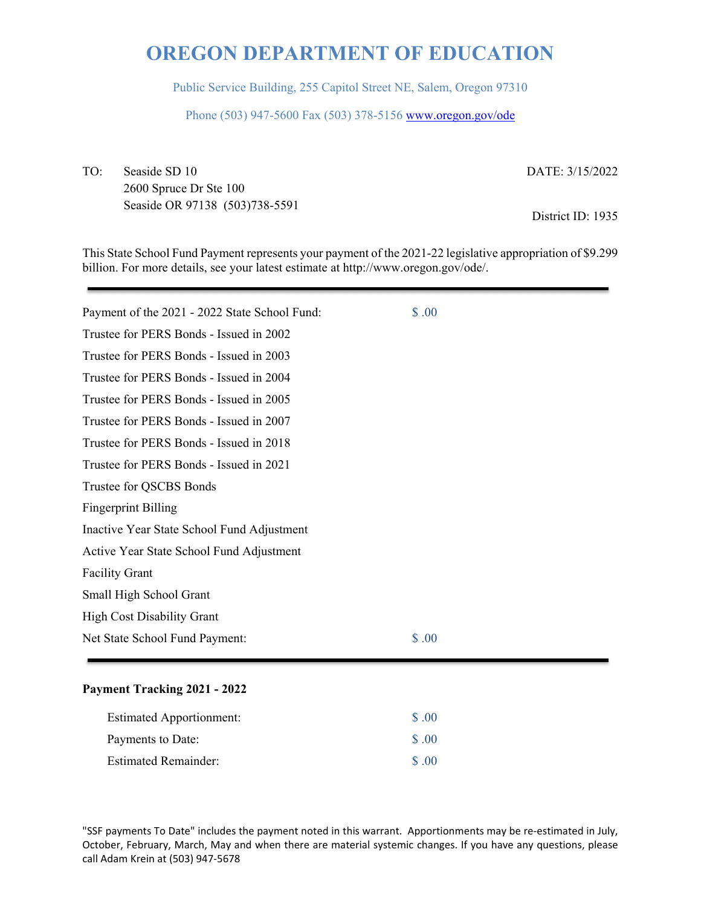Public Service Building, 255 Capitol Street NE, Salem, Oregon 97310

Phone (503) 947-5600 Fax (503) 378-5156 www.oregon.gov/ode

TO: Seaside SD 10 2600 Spruce Dr Ste 100 Seaside OR 97138 (503)738-5591 DATE: 3/15/2022

District ID: 1935

This State School Fund Payment represents your payment of the 2021-22 legislative appropriation of \$9.299 billion. For more details, see your latest estimate at http://www.oregon.gov/ode/.

| Payment of the 2021 - 2022 State School Fund: | \$.00 |
|-----------------------------------------------|-------|
| Trustee for PERS Bonds - Issued in 2002       |       |
| Trustee for PERS Bonds - Issued in 2003       |       |
| Trustee for PERS Bonds - Issued in 2004       |       |
| Trustee for PERS Bonds - Issued in 2005       |       |
| Trustee for PERS Bonds - Issued in 2007       |       |
| Trustee for PERS Bonds - Issued in 2018       |       |
| Trustee for PERS Bonds - Issued in 2021       |       |
| Trustee for QSCBS Bonds                       |       |
| <b>Fingerprint Billing</b>                    |       |
| Inactive Year State School Fund Adjustment    |       |
| Active Year State School Fund Adjustment      |       |
| <b>Facility Grant</b>                         |       |
| Small High School Grant                       |       |
| <b>High Cost Disability Grant</b>             |       |
| Net State School Fund Payment:                | \$.00 |
|                                               |       |

## **Payment Tracking 2021 - 2022**

| <b>Estimated Apportionment:</b> | \$ .00             |
|---------------------------------|--------------------|
| Payments to Date:               | $\text{\$\S$}$ .00 |
| <b>Estimated Remainder:</b>     | $\Omega$ $\Omega$  |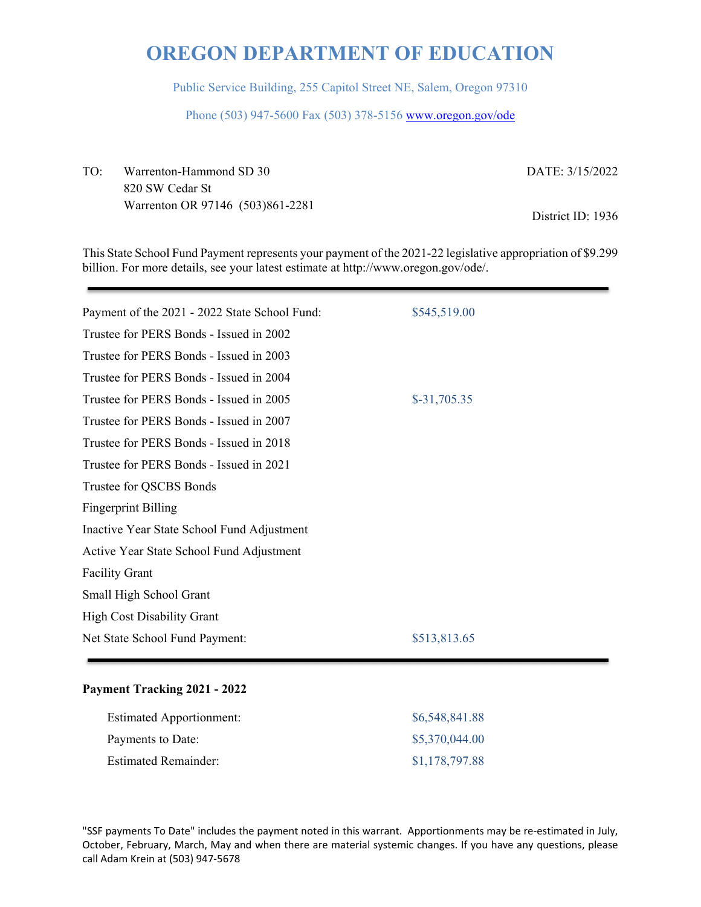Public Service Building, 255 Capitol Street NE, Salem, Oregon 97310

Phone (503) 947-5600 Fax (503) 378-5156 www.oregon.gov/ode

TO: Warrenton-Hammond SD 30 820 SW Cedar St Warrenton OR 97146 (503)861-2281 DATE: 3/15/2022

District ID: 1936

This State School Fund Payment represents your payment of the 2021-22 legislative appropriation of \$9.299 billion. For more details, see your latest estimate at http://www.oregon.gov/ode/.

| Payment of the 2021 - 2022 State School Fund: | \$545,519.00  |
|-----------------------------------------------|---------------|
| Trustee for PERS Bonds - Issued in 2002       |               |
| Trustee for PERS Bonds - Issued in 2003       |               |
| Trustee for PERS Bonds - Issued in 2004       |               |
| Trustee for PERS Bonds - Issued in 2005       | $$-31,705.35$ |
| Trustee for PERS Bonds - Issued in 2007       |               |
| Trustee for PERS Bonds - Issued in 2018       |               |
| Trustee for PERS Bonds - Issued in 2021       |               |
| Trustee for QSCBS Bonds                       |               |
| <b>Fingerprint Billing</b>                    |               |
| Inactive Year State School Fund Adjustment    |               |
| Active Year State School Fund Adjustment      |               |
| <b>Facility Grant</b>                         |               |
| Small High School Grant                       |               |
| <b>High Cost Disability Grant</b>             |               |
| Net State School Fund Payment:                | \$513,813.65  |
|                                               |               |

#### **Payment Tracking 2021 - 2022**

| <b>Estimated Apportionment:</b> | \$6,548,841.88 |
|---------------------------------|----------------|
| Payments to Date:               | \$5,370,044.00 |
| <b>Estimated Remainder:</b>     | \$1,178,797.88 |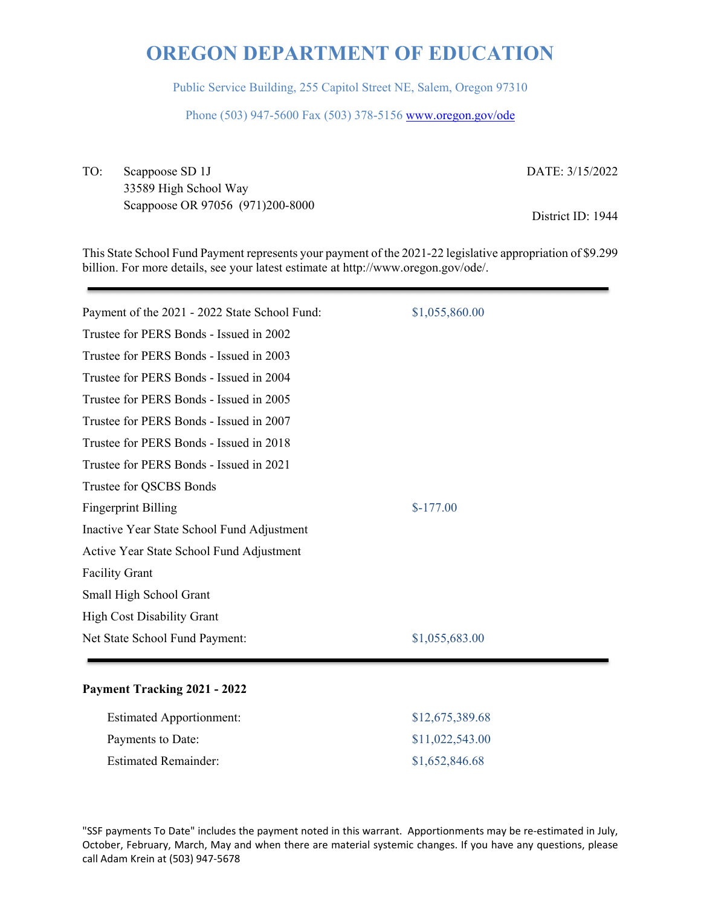Public Service Building, 255 Capitol Street NE, Salem, Oregon 97310

Phone (503) 947-5600 Fax (503) 378-5156 www.oregon.gov/ode

TO: Scappoose SD 1J 33589 High School Way Scappoose OR 97056 (971)200-8000 DATE: 3/15/2022

District ID: 1944

This State School Fund Payment represents your payment of the 2021-22 legislative appropriation of \$9.299 billion. For more details, see your latest estimate at http://www.oregon.gov/ode/.

| Payment of the 2021 - 2022 State School Fund: | \$1,055,860.00 |
|-----------------------------------------------|----------------|
| Trustee for PERS Bonds - Issued in 2002       |                |
| Trustee for PERS Bonds - Issued in 2003       |                |
| Trustee for PERS Bonds - Issued in 2004       |                |
| Trustee for PERS Bonds - Issued in 2005       |                |
| Trustee for PERS Bonds - Issued in 2007       |                |
| Trustee for PERS Bonds - Issued in 2018       |                |
| Trustee for PERS Bonds - Issued in 2021       |                |
| Trustee for QSCBS Bonds                       |                |
| <b>Fingerprint Billing</b>                    | $$-177.00$     |
| Inactive Year State School Fund Adjustment    |                |
| Active Year State School Fund Adjustment      |                |
| <b>Facility Grant</b>                         |                |
| Small High School Grant                       |                |
| <b>High Cost Disability Grant</b>             |                |
| Net State School Fund Payment:                | \$1,055,683.00 |
|                                               |                |

## **Payment Tracking 2021 - 2022**

| <b>Estimated Apportionment:</b> | \$12,675,389.68 |
|---------------------------------|-----------------|
| Payments to Date:               | \$11,022,543.00 |
| <b>Estimated Remainder:</b>     | \$1,652,846.68  |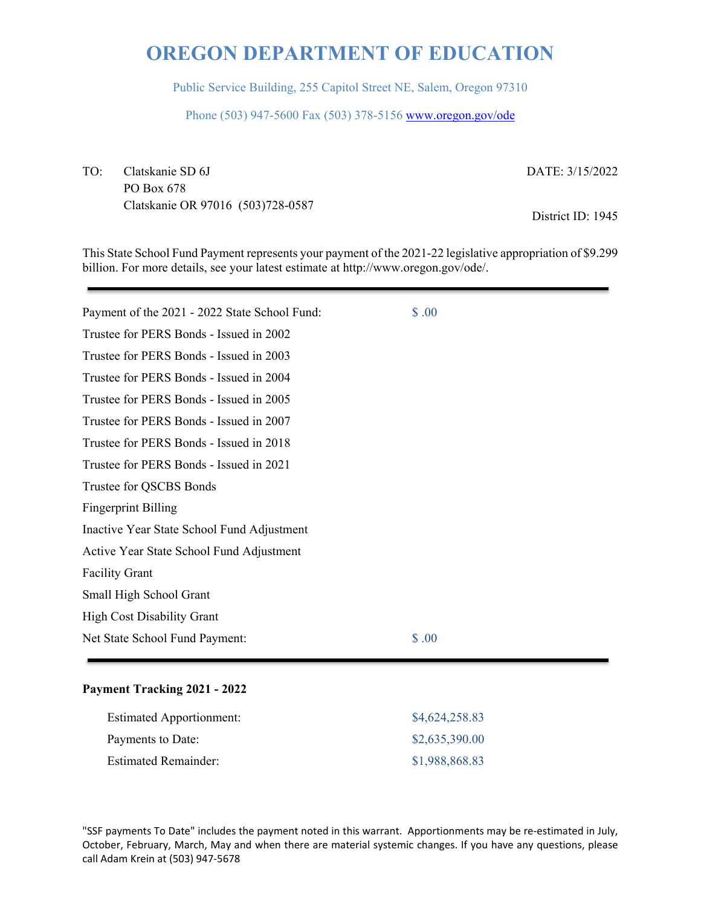Public Service Building, 255 Capitol Street NE, Salem, Oregon 97310

Phone (503) 947-5600 Fax (503) 378-5156 www.oregon.gov/ode

TO: Clatskanie SD 6J PO Box 678 Clatskanie OR 97016 (503)728-0587 DATE: 3/15/2022

District ID: 1945

This State School Fund Payment represents your payment of the 2021-22 legislative appropriation of \$9.299 billion. For more details, see your latest estimate at http://www.oregon.gov/ode/.

| Payment of the 2021 - 2022 State School Fund: | \$.00 |  |
|-----------------------------------------------|-------|--|
| Trustee for PERS Bonds - Issued in 2002       |       |  |
| Trustee for PERS Bonds - Issued in 2003       |       |  |
| Trustee for PERS Bonds - Issued in 2004       |       |  |
| Trustee for PERS Bonds - Issued in 2005       |       |  |
| Trustee for PERS Bonds - Issued in 2007       |       |  |
| Trustee for PERS Bonds - Issued in 2018       |       |  |
| Trustee for PERS Bonds - Issued in 2021       |       |  |
| Trustee for QSCBS Bonds                       |       |  |
| <b>Fingerprint Billing</b>                    |       |  |
| Inactive Year State School Fund Adjustment    |       |  |
| Active Year State School Fund Adjustment      |       |  |
| <b>Facility Grant</b>                         |       |  |
| Small High School Grant                       |       |  |
| <b>High Cost Disability Grant</b>             |       |  |
| Net State School Fund Payment:                | \$.00 |  |
|                                               |       |  |

## **Payment Tracking 2021 - 2022**

| <b>Estimated Apportionment:</b> | \$4,624,258.83 |
|---------------------------------|----------------|
| Payments to Date:               | \$2,635,390.00 |
| <b>Estimated Remainder:</b>     | \$1,988,868.83 |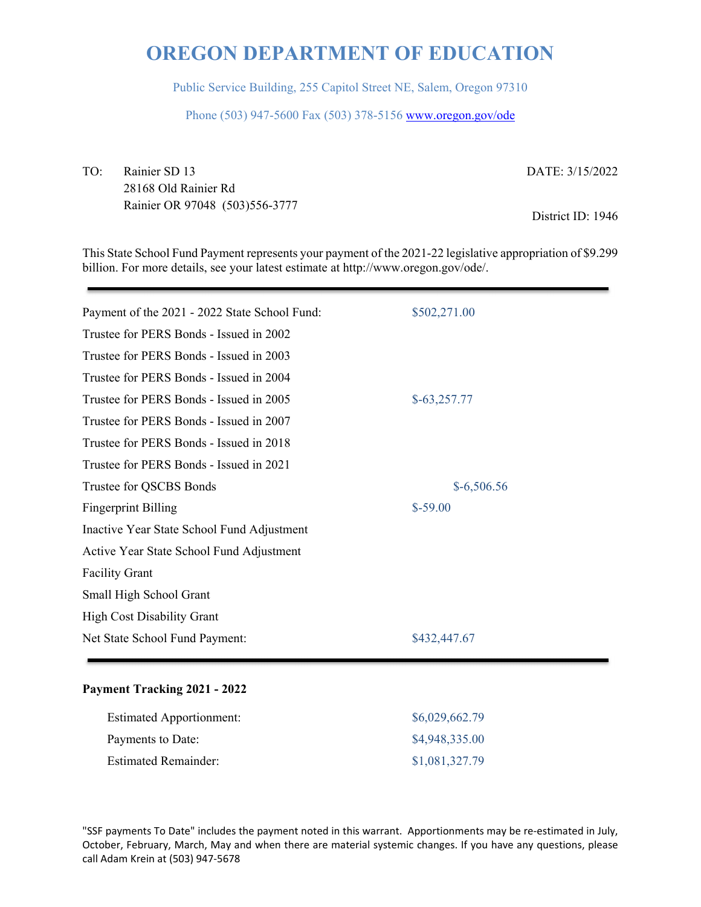Public Service Building, 255 Capitol Street NE, Salem, Oregon 97310

Phone (503) 947-5600 Fax (503) 378-5156 www.oregon.gov/ode

TO: Rainier SD 13 28168 Old Rainier Rd Rainier OR 97048 (503)556-3777 DATE: 3/15/2022

District ID: 1946

This State School Fund Payment represents your payment of the 2021-22 legislative appropriation of \$9.299 billion. For more details, see your latest estimate at http://www.oregon.gov/ode/.

| Payment of the 2021 - 2022 State School Fund: | \$502,271.00  |
|-----------------------------------------------|---------------|
| Trustee for PERS Bonds - Issued in 2002       |               |
| Trustee for PERS Bonds - Issued in 2003       |               |
| Trustee for PERS Bonds - Issued in 2004       |               |
| Trustee for PERS Bonds - Issued in 2005       | $$-63,257.77$ |
| Trustee for PERS Bonds - Issued in 2007       |               |
| Trustee for PERS Bonds - Issued in 2018       |               |
| Trustee for PERS Bonds - Issued in 2021       |               |
| Trustee for QSCBS Bonds                       | $$-6,506.56$  |
| <b>Fingerprint Billing</b>                    | $$-59.00$     |
| Inactive Year State School Fund Adjustment    |               |
| Active Year State School Fund Adjustment      |               |
| <b>Facility Grant</b>                         |               |
| Small High School Grant                       |               |
| <b>High Cost Disability Grant</b>             |               |
| Net State School Fund Payment:                | \$432,447.67  |
|                                               |               |

## **Payment Tracking 2021 - 2022**

| <b>Estimated Apportionment:</b> | \$6,029,662.79 |
|---------------------------------|----------------|
| Payments to Date:               | \$4,948,335.00 |
| <b>Estimated Remainder:</b>     | \$1,081,327.79 |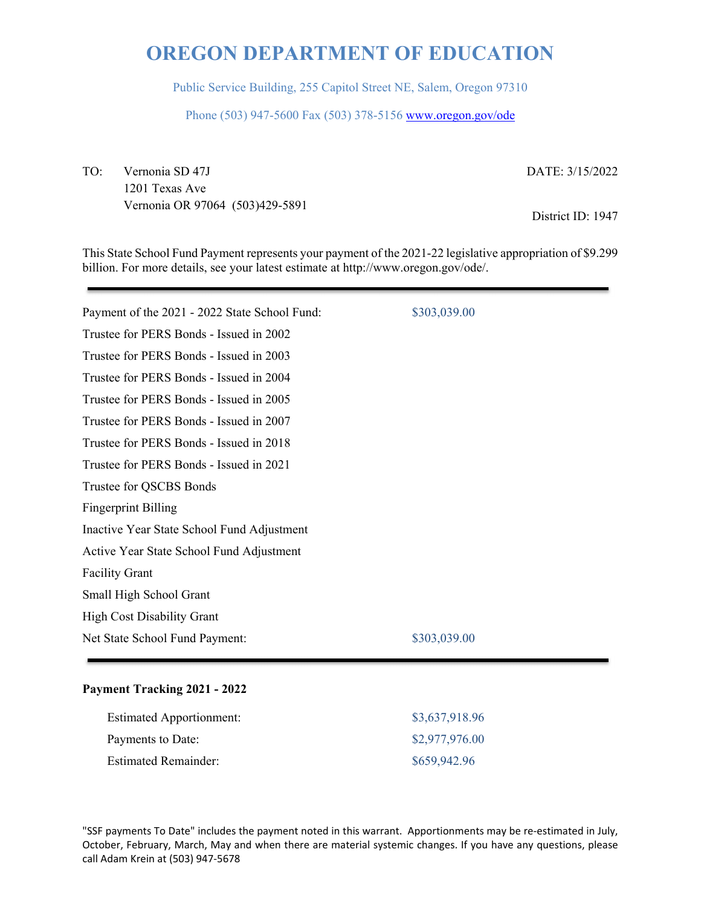Public Service Building, 255 Capitol Street NE, Salem, Oregon 97310

Phone (503) 947-5600 Fax (503) 378-5156 www.oregon.gov/ode

TO: Vernonia SD 47J 1201 Texas Ave Vernonia OR 97064 (503)429-5891 DATE: 3/15/2022

District ID: 1947

This State School Fund Payment represents your payment of the 2021-22 legislative appropriation of \$9.299 billion. For more details, see your latest estimate at http://www.oregon.gov/ode/.

| Payment of the 2021 - 2022 State School Fund: | \$303,039.00 |
|-----------------------------------------------|--------------|
| Trustee for PERS Bonds - Issued in 2002       |              |
| Trustee for PERS Bonds - Issued in 2003       |              |
| Trustee for PERS Bonds - Issued in 2004       |              |
| Trustee for PERS Bonds - Issued in 2005       |              |
| Trustee for PERS Bonds - Issued in 2007       |              |
| Trustee for PERS Bonds - Issued in 2018       |              |
| Trustee for PERS Bonds - Issued in 2021       |              |
| Trustee for QSCBS Bonds                       |              |
| <b>Fingerprint Billing</b>                    |              |
| Inactive Year State School Fund Adjustment    |              |
| Active Year State School Fund Adjustment      |              |
| <b>Facility Grant</b>                         |              |
| Small High School Grant                       |              |
| <b>High Cost Disability Grant</b>             |              |
| Net State School Fund Payment:                | \$303,039.00 |
|                                               |              |

## **Payment Tracking 2021 - 2022**

| <b>Estimated Apportionment:</b> | \$3,637,918.96 |
|---------------------------------|----------------|
| Payments to Date:               | \$2,977,976.00 |
| <b>Estimated Remainder:</b>     | \$659,942.96   |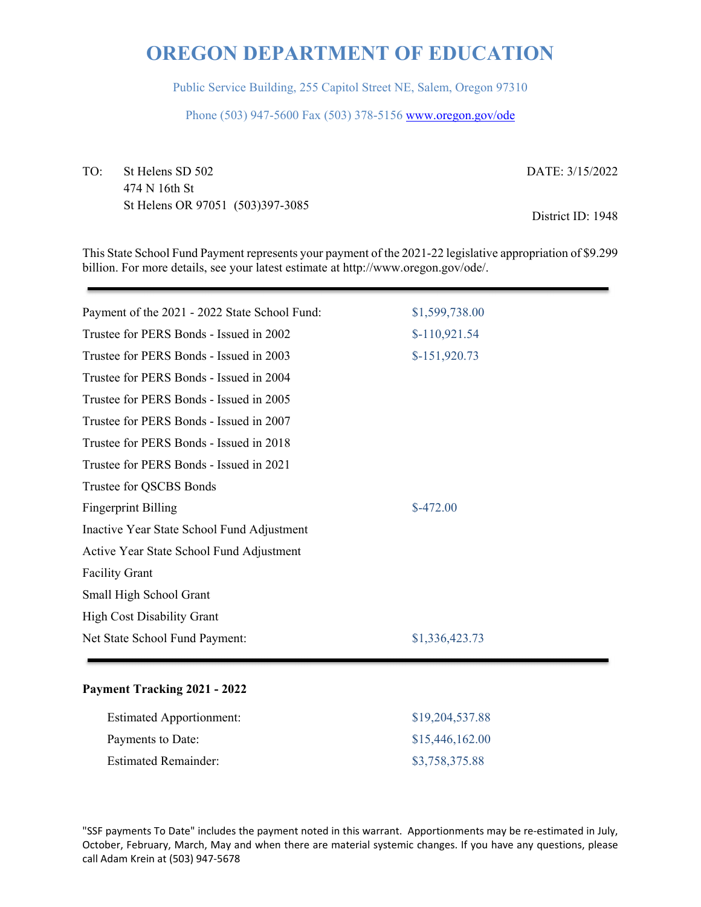Public Service Building, 255 Capitol Street NE, Salem, Oregon 97310

Phone (503) 947-5600 Fax (503) 378-5156 www.oregon.gov/ode

TO: St Helens SD 502 474 N 16th St St Helens OR 97051 (503)397-3085 DATE: 3/15/2022

District ID: 1948

This State School Fund Payment represents your payment of the 2021-22 legislative appropriation of \$9.299 billion. For more details, see your latest estimate at http://www.oregon.gov/ode/.

| Payment of the 2021 - 2022 State School Fund: | \$1,599,738.00 |
|-----------------------------------------------|----------------|
| Trustee for PERS Bonds - Issued in 2002       | $$-110,921.54$ |
| Trustee for PERS Bonds - Issued in 2003       | $$-151,920.73$ |
| Trustee for PERS Bonds - Issued in 2004       |                |
| Trustee for PERS Bonds - Issued in 2005       |                |
| Trustee for PERS Bonds - Issued in 2007       |                |
| Trustee for PERS Bonds - Issued in 2018       |                |
| Trustee for PERS Bonds - Issued in 2021       |                |
| Trustee for QSCBS Bonds                       |                |
| <b>Fingerprint Billing</b>                    | $$-472.00$     |
| Inactive Year State School Fund Adjustment    |                |
| Active Year State School Fund Adjustment      |                |
| <b>Facility Grant</b>                         |                |
| Small High School Grant                       |                |
| <b>High Cost Disability Grant</b>             |                |
| Net State School Fund Payment:                | \$1,336,423.73 |
|                                               |                |

#### **Payment Tracking 2021 - 2022**

| <b>Estimated Apportionment:</b> | \$19,204,537.88 |
|---------------------------------|-----------------|
| Payments to Date:               | \$15,446,162.00 |
| <b>Estimated Remainder:</b>     | \$3,758,375.88  |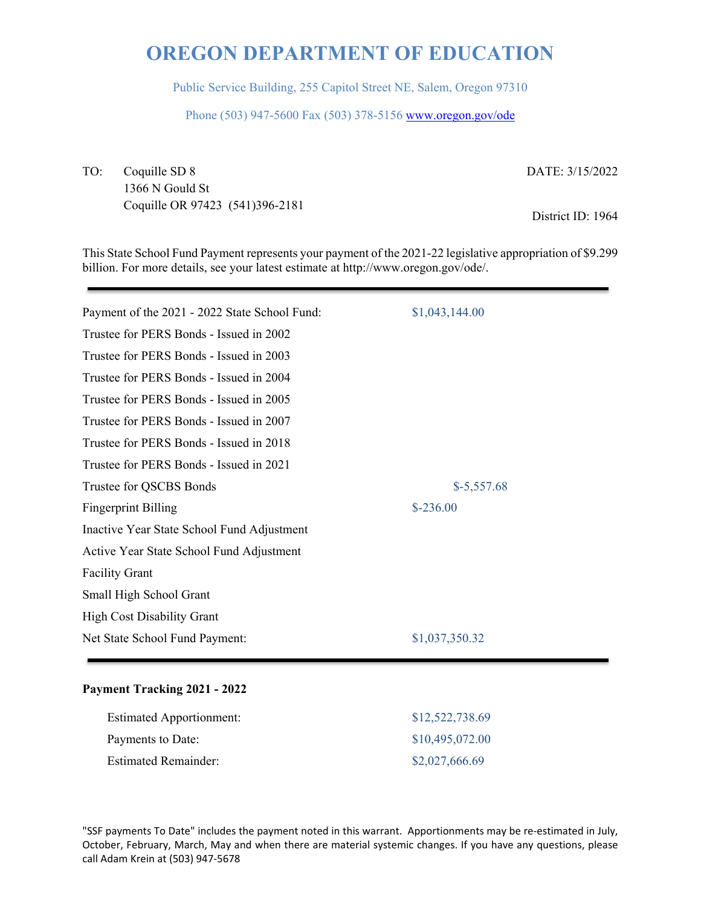Public Service Building, 255 Capitol Street NE, Salem, Oregon 97310

Phone (503) 947-5600 Fax (503) 378-5156 www.oregon.gov/ode

TO: Coquille SD 8 1366 N Gould St Coquille OR 97423 (541)396-2181 DATE: 3/15/2022

District ID: 1964

This State School Fund Payment represents your payment of the 2021-22 legislative appropriation of \$9.299 billion. For more details, see your latest estimate at http://www.oregon.gov/ode/.

| Payment of the 2021 - 2022 State School Fund: | \$1,043,144.00 |
|-----------------------------------------------|----------------|
| Trustee for PERS Bonds - Issued in 2002       |                |
| Trustee for PERS Bonds - Issued in 2003       |                |
| Trustee for PERS Bonds - Issued in 2004       |                |
| Trustee for PERS Bonds - Issued in 2005       |                |
| Trustee for PERS Bonds - Issued in 2007       |                |
| Trustee for PERS Bonds - Issued in 2018       |                |
| Trustee for PERS Bonds - Issued in 2021       |                |
| Trustee for QSCBS Bonds                       | $$-5,557.68$   |
| <b>Fingerprint Billing</b>                    | $$-236.00$     |
| Inactive Year State School Fund Adjustment    |                |
| Active Year State School Fund Adjustment      |                |
| <b>Facility Grant</b>                         |                |
| Small High School Grant                       |                |
| <b>High Cost Disability Grant</b>             |                |
| Net State School Fund Payment:                | \$1,037,350.32 |
|                                               |                |

## **Payment Tracking 2021 - 2022**

| <b>Estimated Apportionment:</b> | \$12,522,738.69 |
|---------------------------------|-----------------|
| Payments to Date:               | \$10,495,072.00 |
| <b>Estimated Remainder:</b>     | \$2,027,666.69  |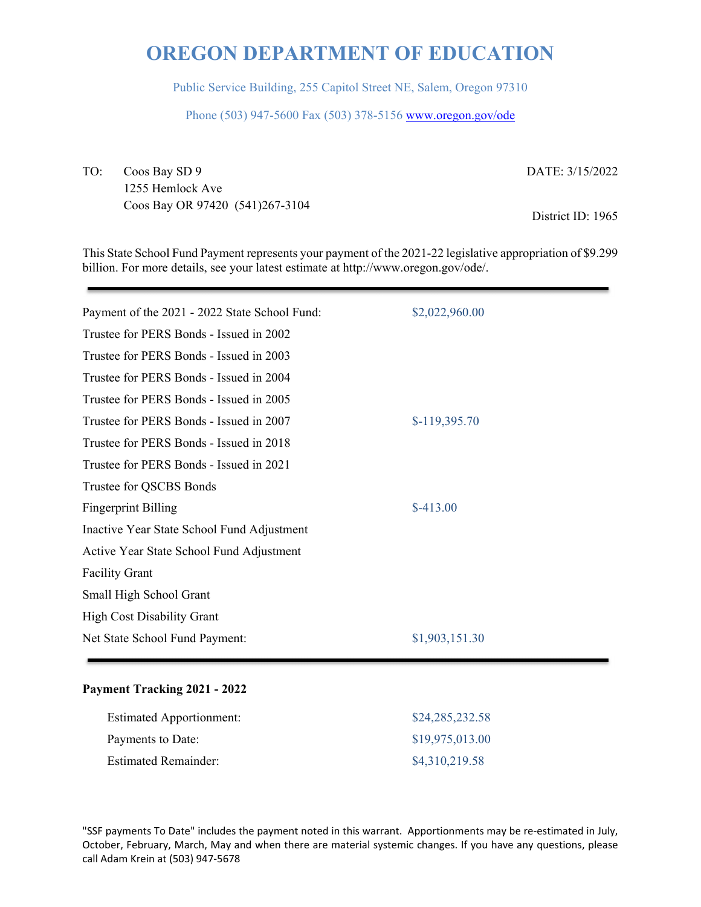Public Service Building, 255 Capitol Street NE, Salem, Oregon 97310

Phone (503) 947-5600 Fax (503) 378-5156 www.oregon.gov/ode

TO: Coos Bay SD 9 1255 Hemlock Ave Coos Bay OR 97420 (541)267-3104 DATE: 3/15/2022

District ID: 1965

This State School Fund Payment represents your payment of the 2021-22 legislative appropriation of \$9.299 billion. For more details, see your latest estimate at http://www.oregon.gov/ode/.

| Payment of the 2021 - 2022 State School Fund: | \$2,022,960.00 |
|-----------------------------------------------|----------------|
| Trustee for PERS Bonds - Issued in 2002       |                |
| Trustee for PERS Bonds - Issued in 2003       |                |
| Trustee for PERS Bonds - Issued in 2004       |                |
| Trustee for PERS Bonds - Issued in 2005       |                |
| Trustee for PERS Bonds - Issued in 2007       | $$-119,395.70$ |
| Trustee for PERS Bonds - Issued in 2018       |                |
| Trustee for PERS Bonds - Issued in 2021       |                |
| Trustee for QSCBS Bonds                       |                |
| <b>Fingerprint Billing</b>                    | $$-413.00$     |
| Inactive Year State School Fund Adjustment    |                |
| Active Year State School Fund Adjustment      |                |
| <b>Facility Grant</b>                         |                |
| Small High School Grant                       |                |
| <b>High Cost Disability Grant</b>             |                |
| Net State School Fund Payment:                | \$1,903,151.30 |
|                                               |                |

## **Payment Tracking 2021 - 2022**

| <b>Estimated Apportionment:</b> | \$24,285,232.58 |
|---------------------------------|-----------------|
| Payments to Date:               | \$19,975,013.00 |
| <b>Estimated Remainder:</b>     | \$4,310,219.58  |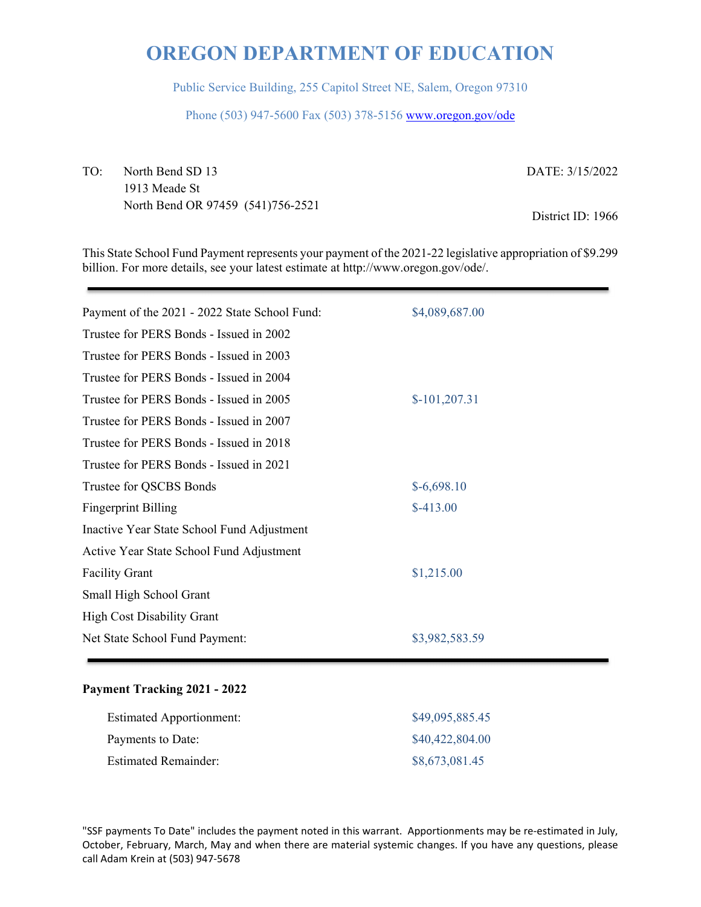Public Service Building, 255 Capitol Street NE, Salem, Oregon 97310

Phone (503) 947-5600 Fax (503) 378-5156 www.oregon.gov/ode

TO: North Bend SD 13 1913 Meade St North Bend OR 97459 (541)756-2521 DATE: 3/15/2022

District ID: 1966

This State School Fund Payment represents your payment of the 2021-22 legislative appropriation of \$9.299 billion. For more details, see your latest estimate at http://www.oregon.gov/ode/.

| Payment of the 2021 - 2022 State School Fund: | \$4,089,687.00 |
|-----------------------------------------------|----------------|
| Trustee for PERS Bonds - Issued in 2002       |                |
| Trustee for PERS Bonds - Issued in 2003       |                |
| Trustee for PERS Bonds - Issued in 2004       |                |
| Trustee for PERS Bonds - Issued in 2005       | $$-101,207.31$ |
| Trustee for PERS Bonds - Issued in 2007       |                |
| Trustee for PERS Bonds - Issued in 2018       |                |
| Trustee for PERS Bonds - Issued in 2021       |                |
| Trustee for QSCBS Bonds                       | $$-6,698.10$   |
| <b>Fingerprint Billing</b>                    | $$-413.00$     |
| Inactive Year State School Fund Adjustment    |                |
| Active Year State School Fund Adjustment      |                |
| <b>Facility Grant</b>                         | \$1,215.00     |
| Small High School Grant                       |                |
| <b>High Cost Disability Grant</b>             |                |
| Net State School Fund Payment:                | \$3,982,583.59 |
|                                               |                |

## **Payment Tracking 2021 - 2022**

| <b>Estimated Apportionment:</b> | \$49,095,885.45 |
|---------------------------------|-----------------|
| Payments to Date:               | \$40,422,804.00 |
| <b>Estimated Remainder:</b>     | \$8,673,081.45  |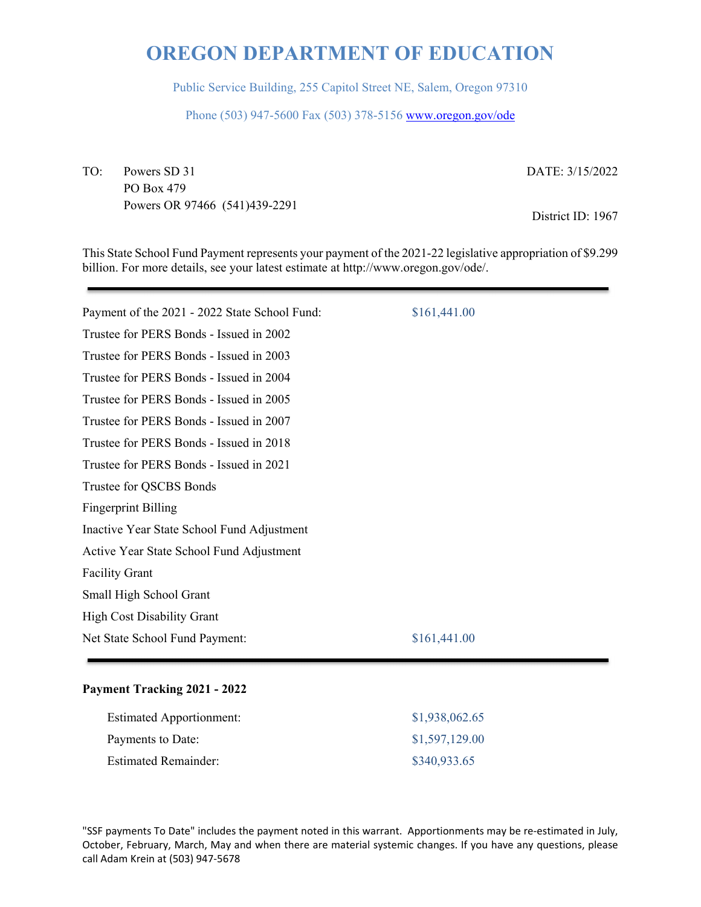Public Service Building, 255 Capitol Street NE, Salem, Oregon 97310

Phone (503) 947-5600 Fax (503) 378-5156 www.oregon.gov/ode

TO: Powers SD 31 PO Box 479 Powers OR 97466 (541)439-2291 DATE: 3/15/2022

District ID: 1967

This State School Fund Payment represents your payment of the 2021-22 legislative appropriation of \$9.299 billion. For more details, see your latest estimate at http://www.oregon.gov/ode/.

| Payment of the 2021 - 2022 State School Fund: | \$161,441.00 |
|-----------------------------------------------|--------------|
| Trustee for PERS Bonds - Issued in 2002       |              |
| Trustee for PERS Bonds - Issued in 2003       |              |
| Trustee for PERS Bonds - Issued in 2004       |              |
| Trustee for PERS Bonds - Issued in 2005       |              |
| Trustee for PERS Bonds - Issued in 2007       |              |
| Trustee for PERS Bonds - Issued in 2018       |              |
| Trustee for PERS Bonds - Issued in 2021       |              |
| Trustee for QSCBS Bonds                       |              |
| <b>Fingerprint Billing</b>                    |              |
| Inactive Year State School Fund Adjustment    |              |
| Active Year State School Fund Adjustment      |              |
| <b>Facility Grant</b>                         |              |
| Small High School Grant                       |              |
| <b>High Cost Disability Grant</b>             |              |
| Net State School Fund Payment:                | \$161,441.00 |
|                                               |              |

## **Payment Tracking 2021 - 2022**

| <b>Estimated Apportionment:</b> | \$1,938,062.65 |
|---------------------------------|----------------|
| Payments to Date:               | \$1,597,129.00 |
| <b>Estimated Remainder:</b>     | \$340,933.65   |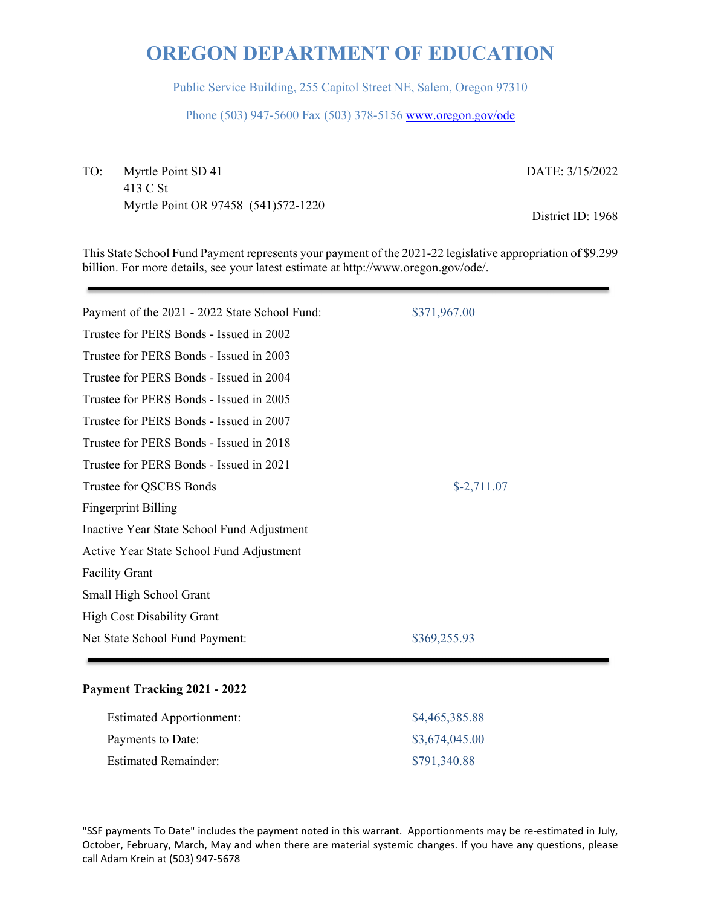Public Service Building, 255 Capitol Street NE, Salem, Oregon 97310

Phone (503) 947-5600 Fax (503) 378-5156 www.oregon.gov/ode

TO: Myrtle Point SD 41 413 C St Myrtle Point OR 97458 (541)572-1220 DATE: 3/15/2022

District ID: 1968

This State School Fund Payment represents your payment of the 2021-22 legislative appropriation of \$9.299 billion. For more details, see your latest estimate at http://www.oregon.gov/ode/.

| Payment of the 2021 - 2022 State School Fund: | \$371,967.00 |  |
|-----------------------------------------------|--------------|--|
| Trustee for PERS Bonds - Issued in 2002       |              |  |
| Trustee for PERS Bonds - Issued in 2003       |              |  |
| Trustee for PERS Bonds - Issued in 2004       |              |  |
| Trustee for PERS Bonds - Issued in 2005       |              |  |
| Trustee for PERS Bonds - Issued in 2007       |              |  |
| Trustee for PERS Bonds - Issued in 2018       |              |  |
| Trustee for PERS Bonds - Issued in 2021       |              |  |
| Trustee for QSCBS Bonds                       | $$-2,711.07$ |  |
| <b>Fingerprint Billing</b>                    |              |  |
| Inactive Year State School Fund Adjustment    |              |  |
| Active Year State School Fund Adjustment      |              |  |
| <b>Facility Grant</b>                         |              |  |
| Small High School Grant                       |              |  |
| <b>High Cost Disability Grant</b>             |              |  |
| Net State School Fund Payment:                | \$369,255.93 |  |
|                                               |              |  |

## **Payment Tracking 2021 - 2022**

| <b>Estimated Apportionment:</b> | \$4,465,385.88 |
|---------------------------------|----------------|
| Payments to Date:               | \$3,674,045.00 |
| <b>Estimated Remainder:</b>     | \$791,340.88   |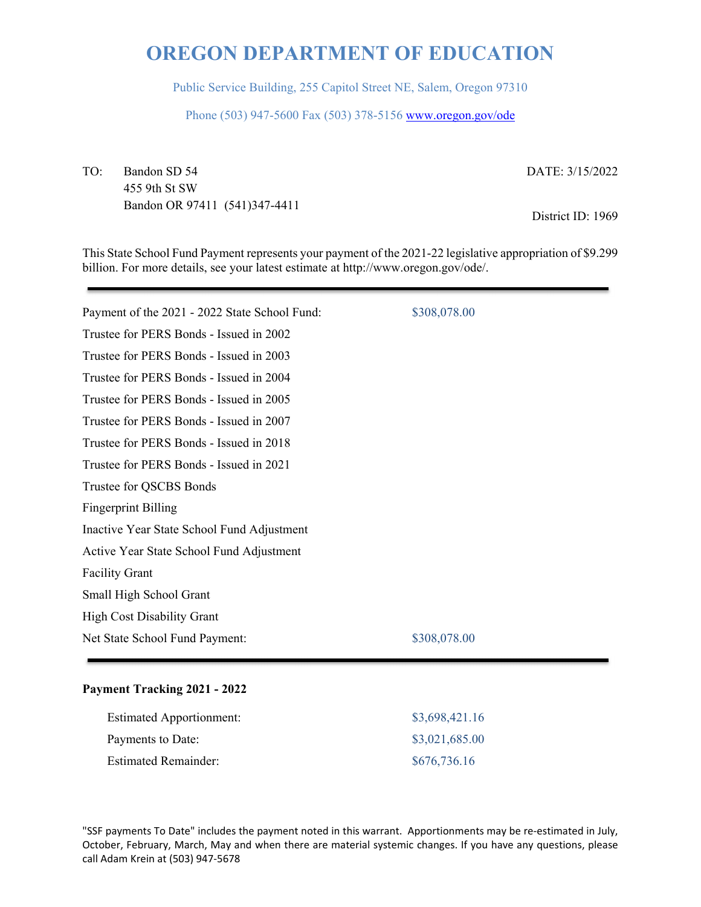Public Service Building, 255 Capitol Street NE, Salem, Oregon 97310

Phone (503) 947-5600 Fax (503) 378-5156 www.oregon.gov/ode

TO: Bandon SD 54 455 9th St SW Bandon OR 97411 (541)347-4411 DATE: 3/15/2022

District ID: 1969

This State School Fund Payment represents your payment of the 2021-22 legislative appropriation of \$9.299 billion. For more details, see your latest estimate at http://www.oregon.gov/ode/.

| Payment of the 2021 - 2022 State School Fund: | \$308,078.00 |
|-----------------------------------------------|--------------|
| Trustee for PERS Bonds - Issued in 2002       |              |
| Trustee for PERS Bonds - Issued in 2003       |              |
| Trustee for PERS Bonds - Issued in 2004       |              |
| Trustee for PERS Bonds - Issued in 2005       |              |
| Trustee for PERS Bonds - Issued in 2007       |              |
| Trustee for PERS Bonds - Issued in 2018       |              |
| Trustee for PERS Bonds - Issued in 2021       |              |
| Trustee for QSCBS Bonds                       |              |
| <b>Fingerprint Billing</b>                    |              |
| Inactive Year State School Fund Adjustment    |              |
| Active Year State School Fund Adjustment      |              |
| <b>Facility Grant</b>                         |              |
| Small High School Grant                       |              |
| <b>High Cost Disability Grant</b>             |              |
| Net State School Fund Payment:                | \$308,078.00 |
|                                               |              |

## **Payment Tracking 2021 - 2022**

| <b>Estimated Apportionment:</b> | \$3,698,421.16 |
|---------------------------------|----------------|
| Payments to Date:               | \$3,021,685.00 |
| <b>Estimated Remainder:</b>     | \$676,736.16   |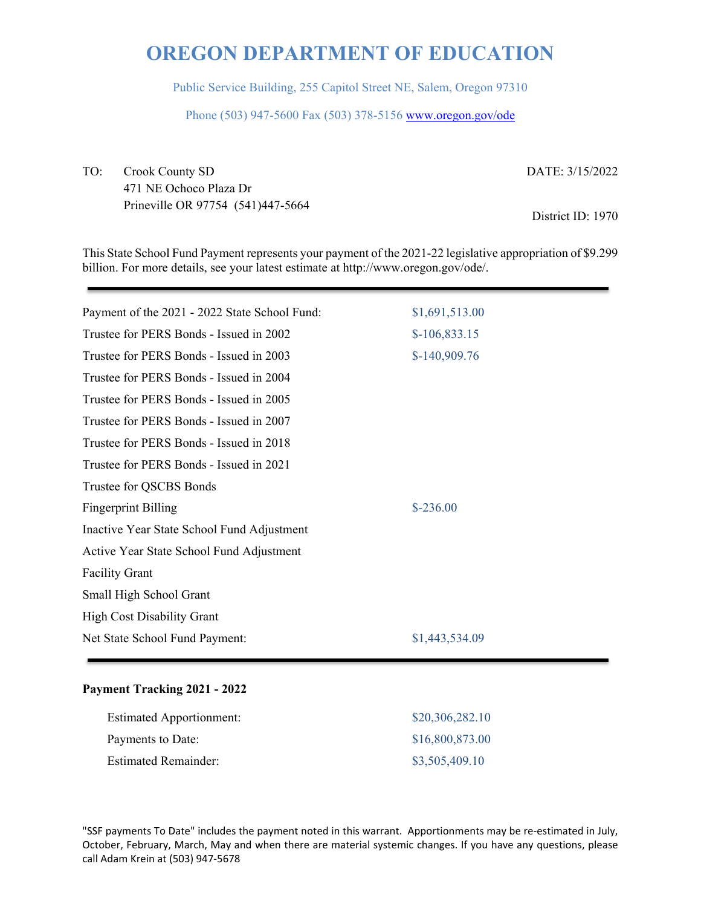Public Service Building, 255 Capitol Street NE, Salem, Oregon 97310

Phone (503) 947-5600 Fax (503) 378-5156 www.oregon.gov/ode

TO: Crook County SD 471 NE Ochoco Plaza Dr Prineville OR 97754 (541)447-5664 DATE: 3/15/2022

District ID: 1970

This State School Fund Payment represents your payment of the 2021-22 legislative appropriation of \$9.299 billion. For more details, see your latest estimate at http://www.oregon.gov/ode/.

| Payment of the 2021 - 2022 State School Fund: | \$1,691,513.00 |  |
|-----------------------------------------------|----------------|--|
| Trustee for PERS Bonds - Issued in 2002       | $$-106,833.15$ |  |
| Trustee for PERS Bonds - Issued in 2003       | $$-140,909.76$ |  |
| Trustee for PERS Bonds - Issued in 2004       |                |  |
| Trustee for PERS Bonds - Issued in 2005       |                |  |
| Trustee for PERS Bonds - Issued in 2007       |                |  |
| Trustee for PERS Bonds - Issued in 2018       |                |  |
| Trustee for PERS Bonds - Issued in 2021       |                |  |
| Trustee for QSCBS Bonds                       |                |  |
| <b>Fingerprint Billing</b>                    | $$-236.00$     |  |
| Inactive Year State School Fund Adjustment    |                |  |
| Active Year State School Fund Adjustment      |                |  |
| <b>Facility Grant</b>                         |                |  |
| Small High School Grant                       |                |  |
| <b>High Cost Disability Grant</b>             |                |  |
| Net State School Fund Payment:                | \$1,443,534.09 |  |
|                                               |                |  |

### **Payment Tracking 2021 - 2022**

| <b>Estimated Apportionment:</b> | \$20,306,282.10 |
|---------------------------------|-----------------|
| Payments to Date:               | \$16,800,873.00 |
| <b>Estimated Remainder:</b>     | \$3,505,409.10  |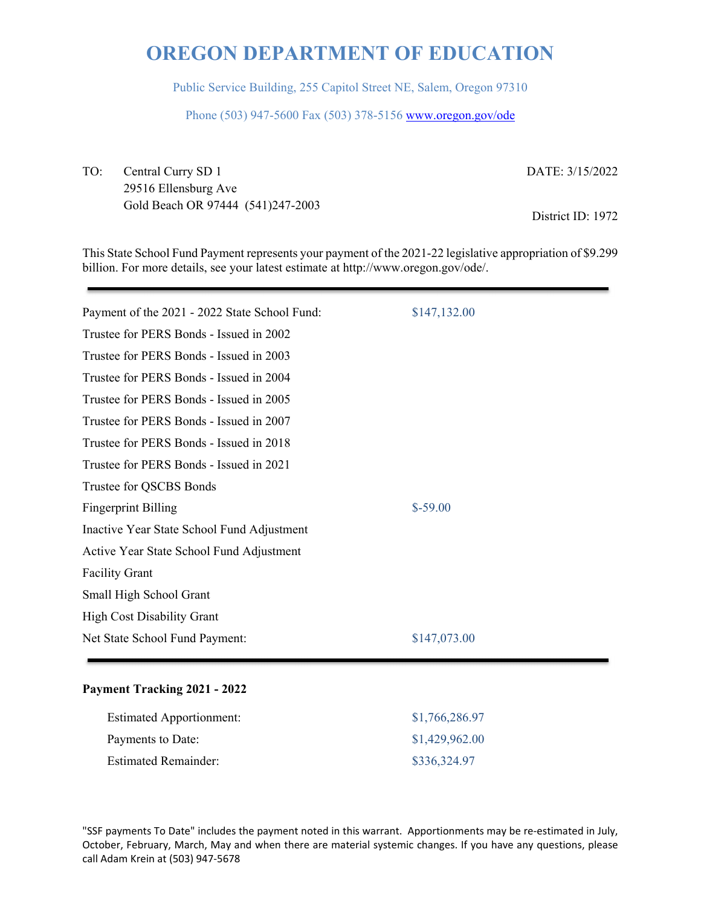Public Service Building, 255 Capitol Street NE, Salem, Oregon 97310

Phone (503) 947-5600 Fax (503) 378-5156 www.oregon.gov/ode

TO: Central Curry SD 1 29516 Ellensburg Ave Gold Beach OR 97444 (541)247-2003 DATE: 3/15/2022

District ID: 1972

This State School Fund Payment represents your payment of the 2021-22 legislative appropriation of \$9.299 billion. For more details, see your latest estimate at http://www.oregon.gov/ode/.

| Payment of the 2021 - 2022 State School Fund: | \$147,132.00 |
|-----------------------------------------------|--------------|
| Trustee for PERS Bonds - Issued in 2002       |              |
| Trustee for PERS Bonds - Issued in 2003       |              |
| Trustee for PERS Bonds - Issued in 2004       |              |
| Trustee for PERS Bonds - Issued in 2005       |              |
| Trustee for PERS Bonds - Issued in 2007       |              |
| Trustee for PERS Bonds - Issued in 2018       |              |
| Trustee for PERS Bonds - Issued in 2021       |              |
| Trustee for QSCBS Bonds                       |              |
| <b>Fingerprint Billing</b>                    | $$-59.00$    |
| Inactive Year State School Fund Adjustment    |              |
| Active Year State School Fund Adjustment      |              |
| <b>Facility Grant</b>                         |              |
| Small High School Grant                       |              |
| <b>High Cost Disability Grant</b>             |              |
| Net State School Fund Payment:                | \$147,073.00 |
|                                               |              |

### **Payment Tracking 2021 - 2022**

| <b>Estimated Apportionment:</b> | \$1,766,286.97 |
|---------------------------------|----------------|
| Payments to Date:               | \$1,429,962.00 |
| <b>Estimated Remainder:</b>     | \$336,324.97   |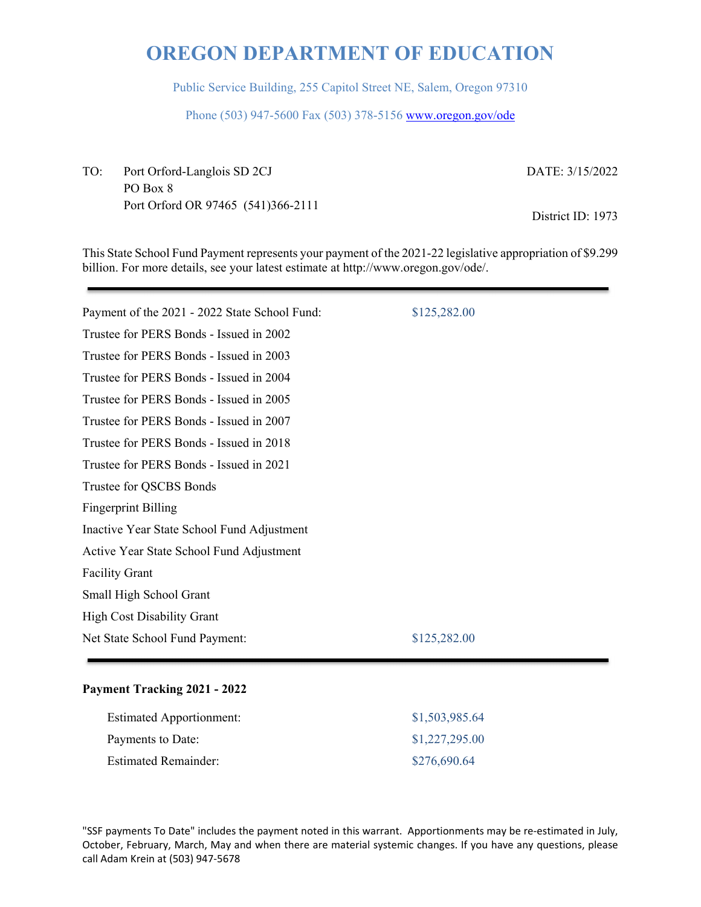Public Service Building, 255 Capitol Street NE, Salem, Oregon 97310

Phone (503) 947-5600 Fax (503) 378-5156 www.oregon.gov/ode

TO: Port Orford-Langlois SD 2CJ PO Box 8 Port Orford OR 97465 (541)366-2111 DATE: 3/15/2022

District ID: 1973

This State School Fund Payment represents your payment of the 2021-22 legislative appropriation of \$9.299 billion. For more details, see your latest estimate at http://www.oregon.gov/ode/.

| Payment of the 2021 - 2022 State School Fund: | \$125,282.00 |
|-----------------------------------------------|--------------|
| Trustee for PERS Bonds - Issued in 2002       |              |
| Trustee for PERS Bonds - Issued in 2003       |              |
| Trustee for PERS Bonds - Issued in 2004       |              |
| Trustee for PERS Bonds - Issued in 2005       |              |
| Trustee for PERS Bonds - Issued in 2007       |              |
| Trustee for PERS Bonds - Issued in 2018       |              |
| Trustee for PERS Bonds - Issued in 2021       |              |
| Trustee for QSCBS Bonds                       |              |
| <b>Fingerprint Billing</b>                    |              |
| Inactive Year State School Fund Adjustment    |              |
| Active Year State School Fund Adjustment      |              |
| <b>Facility Grant</b>                         |              |
| Small High School Grant                       |              |
| <b>High Cost Disability Grant</b>             |              |
| Net State School Fund Payment:                | \$125,282.00 |
|                                               |              |

### **Payment Tracking 2021 - 2022**

| <b>Estimated Apportionment:</b> | \$1,503,985.64 |
|---------------------------------|----------------|
| Payments to Date:               | \$1,227,295.00 |
| <b>Estimated Remainder:</b>     | \$276,690.64   |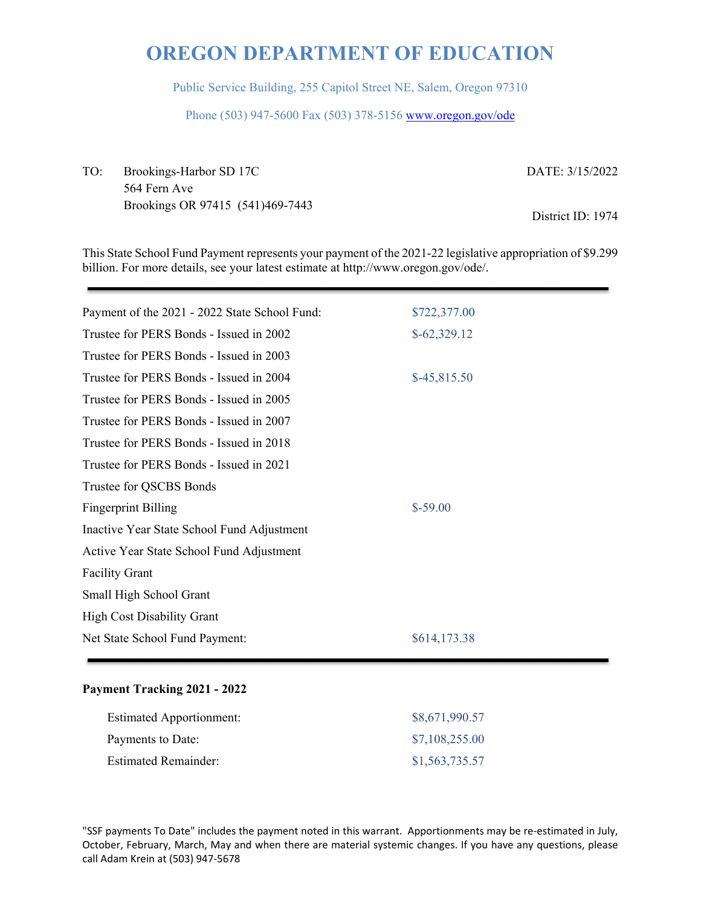Public Service Building, 255 Capitol Street NE, Salem, Oregon 97310

Phone (503) 947-5600 Fax (503) 378-5156 www.oregon.gov/ode

TO: Brookings-Harbor SD 17C 564 Fern Ave Brookings OR 97415 (541)469-7443 DATE: 3/15/2022 District ID: 1974

This State School Fund Payment represents your payment of the 2021-22 legislative appropriation of \$9.299 billion. For more details, see your latest estimate at http://www.oregon.gov/ode/.

| Payment of the 2021 - 2022 State School Fund: | \$722,377.00  |
|-----------------------------------------------|---------------|
| Trustee for PERS Bonds - Issued in 2002       | $$-62,329.12$ |
| Trustee for PERS Bonds - Issued in 2003       |               |
| Trustee for PERS Bonds - Issued in 2004       | $$-45,815.50$ |
| Trustee for PERS Bonds - Issued in 2005       |               |
| Trustee for PERS Bonds - Issued in 2007       |               |
| Trustee for PERS Bonds - Issued in 2018       |               |
| Trustee for PERS Bonds - Issued in 2021       |               |
| Trustee for QSCBS Bonds                       |               |
| <b>Fingerprint Billing</b>                    | $$-59.00$     |
| Inactive Year State School Fund Adjustment    |               |
| Active Year State School Fund Adjustment      |               |
| <b>Facility Grant</b>                         |               |
| Small High School Grant                       |               |
| <b>High Cost Disability Grant</b>             |               |
| Net State School Fund Payment:                | \$614,173.38  |
|                                               |               |

### **Payment Tracking 2021 - 2022**

| <b>Estimated Apportionment:</b> | \$8,671,990.57 |
|---------------------------------|----------------|
| Payments to Date:               | \$7,108,255.00 |
| <b>Estimated Remainder:</b>     | \$1,563,735.57 |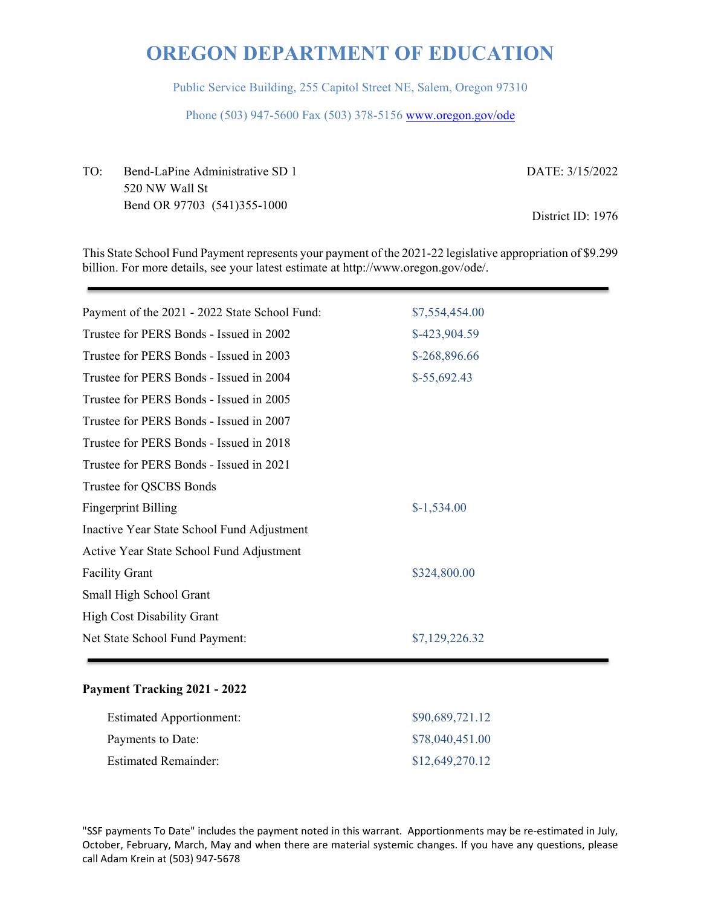Public Service Building, 255 Capitol Street NE, Salem, Oregon 97310

Phone (503) 947-5600 Fax (503) 378-5156 www.oregon.gov/ode

TO: Bend-LaPine Administrative SD 1 520 NW Wall St Bend OR 97703 (541)355-1000 DATE: 3/15/2022 District ID: 1976

This State School Fund Payment represents your payment of the 2021-22 legislative appropriation of \$9.299 billion. For more details, see your latest estimate at http://www.oregon.gov/ode/.

| Payment of the 2021 - 2022 State School Fund: | \$7,554,454.00 |
|-----------------------------------------------|----------------|
| Trustee for PERS Bonds - Issued in 2002       | \$-423,904.59  |
| Trustee for PERS Bonds - Issued in 2003       | \$-268,896.66  |
| Trustee for PERS Bonds - Issued in 2004       | $$-55,692.43$  |
| Trustee for PERS Bonds - Issued in 2005       |                |
| Trustee for PERS Bonds - Issued in 2007       |                |
| Trustee for PERS Bonds - Issued in 2018       |                |
| Trustee for PERS Bonds - Issued in 2021       |                |
| Trustee for QSCBS Bonds                       |                |
| <b>Fingerprint Billing</b>                    | $$-1,534.00$   |
| Inactive Year State School Fund Adjustment    |                |
| Active Year State School Fund Adjustment      |                |
| <b>Facility Grant</b>                         | \$324,800.00   |
| Small High School Grant                       |                |
| <b>High Cost Disability Grant</b>             |                |
| Net State School Fund Payment:                | \$7,129,226.32 |
|                                               |                |

### **Payment Tracking 2021 - 2022**

| <b>Estimated Apportionment:</b> | \$90,689,721.12 |
|---------------------------------|-----------------|
| Payments to Date:               | \$78,040,451.00 |
| Estimated Remainder:            | \$12,649,270.12 |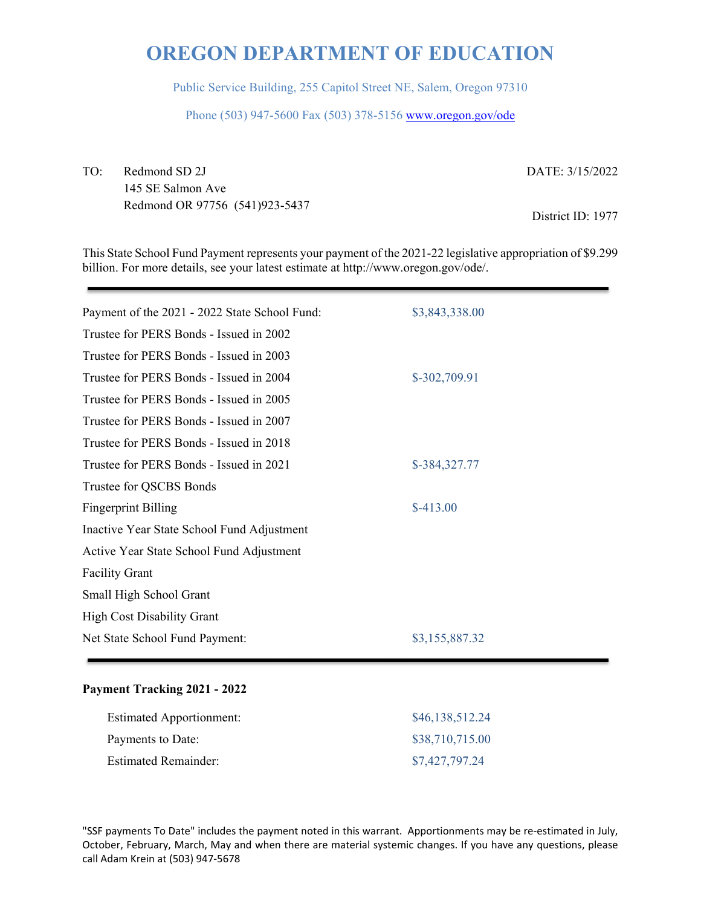Public Service Building, 255 Capitol Street NE, Salem, Oregon 97310

Phone (503) 947-5600 Fax (503) 378-5156 www.oregon.gov/ode

TO: Redmond SD 2J 145 SE Salmon Ave Redmond OR 97756 (541)923-5437 DATE: 3/15/2022 District ID: 1977

This State School Fund Payment represents your payment of the 2021-22 legislative appropriation of \$9.299 billion. For more details, see your latest estimate at http://www.oregon.gov/ode/.

| Payment of the 2021 - 2022 State School Fund: | \$3,843,338.00 |
|-----------------------------------------------|----------------|
| Trustee for PERS Bonds - Issued in 2002       |                |
| Trustee for PERS Bonds - Issued in 2003       |                |
| Trustee for PERS Bonds - Issued in 2004       | \$-302,709.91  |
| Trustee for PERS Bonds - Issued in 2005       |                |
| Trustee for PERS Bonds - Issued in 2007       |                |
| Trustee for PERS Bonds - Issued in 2018       |                |
| Trustee for PERS Bonds - Issued in 2021       | \$-384,327.77  |
| Trustee for QSCBS Bonds                       |                |
| <b>Fingerprint Billing</b>                    | $$-413.00$     |
| Inactive Year State School Fund Adjustment    |                |
| Active Year State School Fund Adjustment      |                |
| <b>Facility Grant</b>                         |                |
| Small High School Grant                       |                |
| <b>High Cost Disability Grant</b>             |                |
| Net State School Fund Payment:                | \$3,155,887.32 |
|                                               |                |

### **Payment Tracking 2021 - 2022**

| <b>Estimated Apportionment:</b> | \$46,138,512.24 |
|---------------------------------|-----------------|
| Payments to Date:               | \$38,710,715.00 |
| <b>Estimated Remainder:</b>     | \$7,427,797.24  |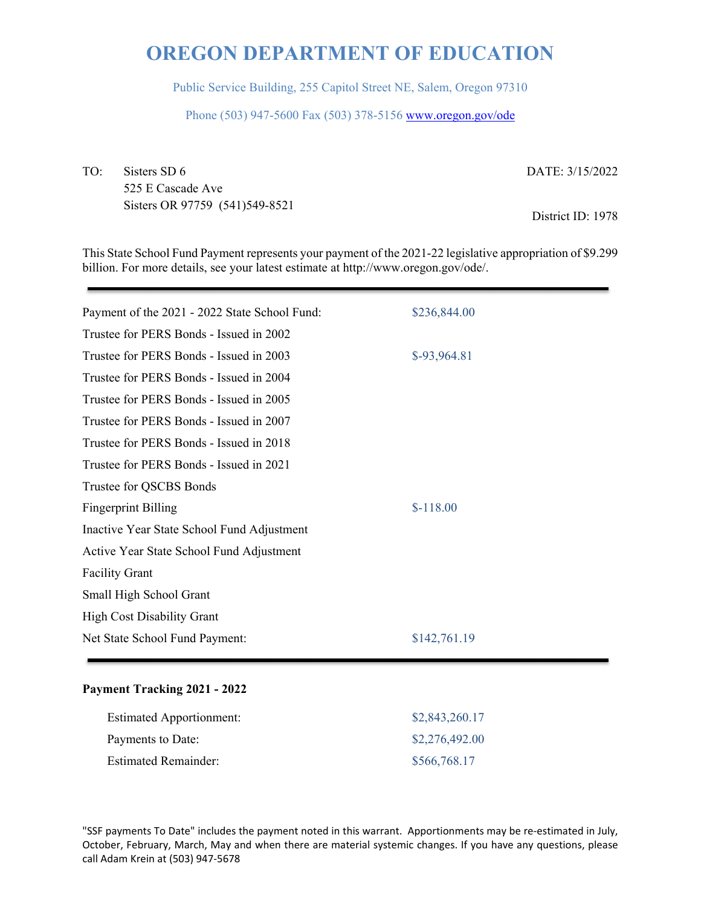Public Service Building, 255 Capitol Street NE, Salem, Oregon 97310

Phone (503) 947-5600 Fax (503) 378-5156 www.oregon.gov/ode

TO: Sisters SD 6 525 E Cascade Ave Sisters OR 97759 (541)549-8521

DATE: 3/15/2022

District ID: 1978

This State School Fund Payment represents your payment of the 2021-22 legislative appropriation of \$9.299 billion. For more details, see your latest estimate at http://www.oregon.gov/ode/.

| Payment of the 2021 - 2022 State School Fund: | \$236,844.00  |
|-----------------------------------------------|---------------|
| Trustee for PERS Bonds - Issued in 2002       |               |
| Trustee for PERS Bonds - Issued in 2003       | $$-93,964.81$ |
| Trustee for PERS Bonds - Issued in 2004       |               |
| Trustee for PERS Bonds - Issued in 2005       |               |
| Trustee for PERS Bonds - Issued in 2007       |               |
| Trustee for PERS Bonds - Issued in 2018       |               |
| Trustee for PERS Bonds - Issued in 2021       |               |
| Trustee for QSCBS Bonds                       |               |
| <b>Fingerprint Billing</b>                    | $$-118.00$    |
| Inactive Year State School Fund Adjustment    |               |
| Active Year State School Fund Adjustment      |               |
| <b>Facility Grant</b>                         |               |
| Small High School Grant                       |               |
| <b>High Cost Disability Grant</b>             |               |
| Net State School Fund Payment:                | \$142,761.19  |
|                                               |               |

### **Payment Tracking 2021 - 2022**

| <b>Estimated Apportionment:</b> | \$2,843,260.17 |
|---------------------------------|----------------|
| Payments to Date:               | \$2,276,492.00 |
| <b>Estimated Remainder:</b>     | \$566,768.17   |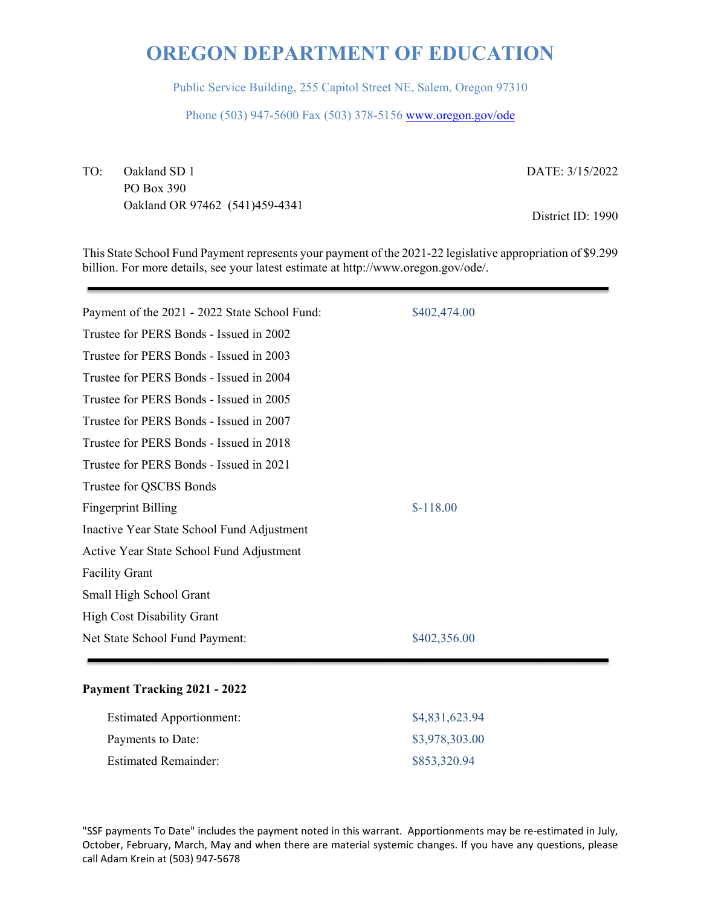Public Service Building, 255 Capitol Street NE, Salem, Oregon 97310

Phone (503) 947-5600 Fax (503) 378-5156 www.oregon.gov/ode

TO: Oakland SD 1 PO Box 390 Oakland OR 97462 (541)459-4341 DATE: 3/15/2022

District ID: 1990

This State School Fund Payment represents your payment of the 2021-22 legislative appropriation of \$9.299 billion. For more details, see your latest estimate at http://www.oregon.gov/ode/.

| Payment of the 2021 - 2022 State School Fund: | \$402,474.00 |
|-----------------------------------------------|--------------|
| Trustee for PERS Bonds - Issued in 2002       |              |
| Trustee for PERS Bonds - Issued in 2003       |              |
| Trustee for PERS Bonds - Issued in 2004       |              |
| Trustee for PERS Bonds - Issued in 2005       |              |
| Trustee for PERS Bonds - Issued in 2007       |              |
| Trustee for PERS Bonds - Issued in 2018       |              |
| Trustee for PERS Bonds - Issued in 2021       |              |
| Trustee for QSCBS Bonds                       |              |
| <b>Fingerprint Billing</b>                    | $$-118.00$   |
| Inactive Year State School Fund Adjustment    |              |
| Active Year State School Fund Adjustment      |              |
| <b>Facility Grant</b>                         |              |
| Small High School Grant                       |              |
| High Cost Disability Grant                    |              |
| Net State School Fund Payment:                | \$402,356.00 |
|                                               |              |

### **Payment Tracking 2021 - 2022**

| <b>Estimated Apportionment:</b> | \$4,831,623.94 |
|---------------------------------|----------------|
| Payments to Date:               | \$3,978,303.00 |
| <b>Estimated Remainder:</b>     | \$853,320.94   |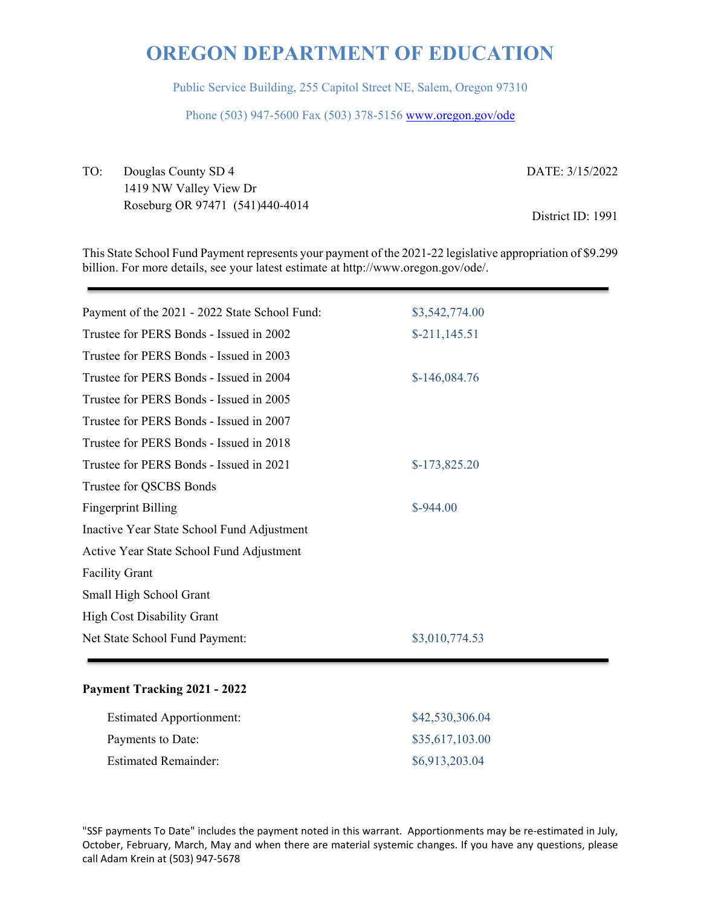Public Service Building, 255 Capitol Street NE, Salem, Oregon 97310

Phone (503) 947-5600 Fax (503) 378-5156 www.oregon.gov/ode

TO: Douglas County SD 4 1419 NW Valley View Dr Roseburg OR 97471 (541)440-4014 DATE: 3/15/2022 District ID: 1991

This State School Fund Payment represents your payment of the 2021-22 legislative appropriation of \$9.299 billion. For more details, see your latest estimate at http://www.oregon.gov/ode/.

| Payment of the 2021 - 2022 State School Fund: | \$3,542,774.00 |
|-----------------------------------------------|----------------|
| Trustee for PERS Bonds - Issued in 2002       | $$-211,145.51$ |
| Trustee for PERS Bonds - Issued in 2003       |                |
| Trustee for PERS Bonds - Issued in 2004       | $$-146,084.76$ |
| Trustee for PERS Bonds - Issued in 2005       |                |
| Trustee for PERS Bonds - Issued in 2007       |                |
| Trustee for PERS Bonds - Issued in 2018       |                |
| Trustee for PERS Bonds - Issued in 2021       | $$-173,825.20$ |
| Trustee for QSCBS Bonds                       |                |
| <b>Fingerprint Billing</b>                    | $$-944.00$     |
| Inactive Year State School Fund Adjustment    |                |
| Active Year State School Fund Adjustment      |                |
| <b>Facility Grant</b>                         |                |
| Small High School Grant                       |                |
| <b>High Cost Disability Grant</b>             |                |
| Net State School Fund Payment:                | \$3,010,774.53 |

### **Payment Tracking 2021 - 2022**

| <b>Estimated Apportionment:</b> | \$42,530,306.04 |
|---------------------------------|-----------------|
| Payments to Date:               | \$35,617,103.00 |
| <b>Estimated Remainder:</b>     | \$6,913,203.04  |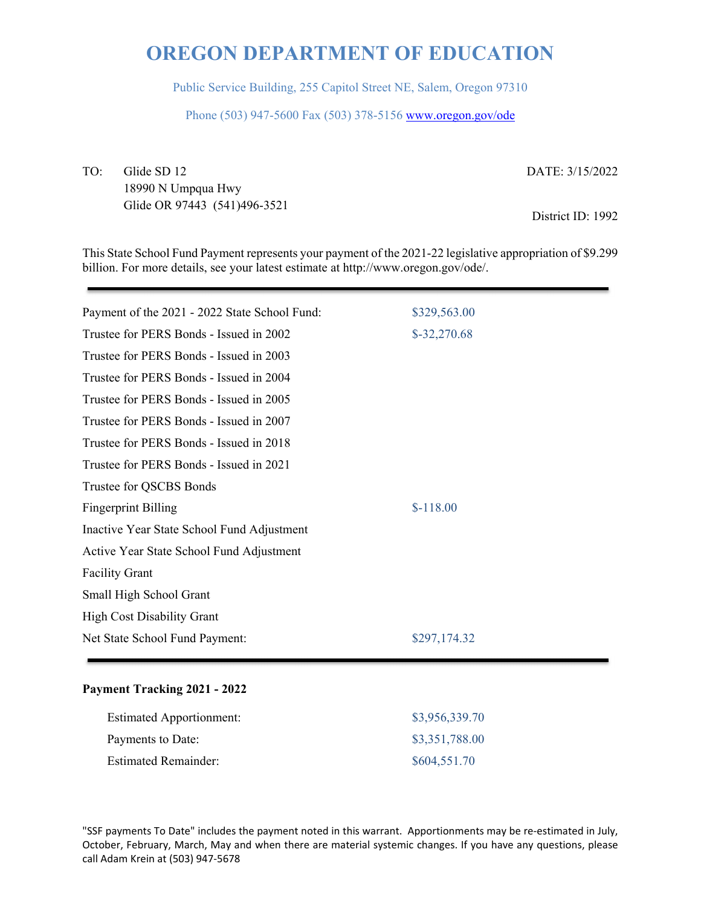Public Service Building, 255 Capitol Street NE, Salem, Oregon 97310

Phone (503) 947-5600 Fax (503) 378-5156 www.oregon.gov/ode

TO: Glide SD 12 18990 N Umpqua Hwy Glide OR 97443 (541)496-3521 DATE: 3/15/2022

District ID: 1992

This State School Fund Payment represents your payment of the 2021-22 legislative appropriation of \$9.299 billion. For more details, see your latest estimate at http://www.oregon.gov/ode/.

| Payment of the 2021 - 2022 State School Fund: | \$329,563.00  |
|-----------------------------------------------|---------------|
| Trustee for PERS Bonds - Issued in 2002       | $$-32,270.68$ |
| Trustee for PERS Bonds - Issued in 2003       |               |
| Trustee for PERS Bonds - Issued in 2004       |               |
| Trustee for PERS Bonds - Issued in 2005       |               |
| Trustee for PERS Bonds - Issued in 2007       |               |
| Trustee for PERS Bonds - Issued in 2018       |               |
| Trustee for PERS Bonds - Issued in 2021       |               |
| Trustee for QSCBS Bonds                       |               |
| <b>Fingerprint Billing</b>                    | $$-118.00$    |
| Inactive Year State School Fund Adjustment    |               |
| Active Year State School Fund Adjustment      |               |
| <b>Facility Grant</b>                         |               |
| Small High School Grant                       |               |
| <b>High Cost Disability Grant</b>             |               |
| Net State School Fund Payment:                | \$297,174.32  |
|                                               |               |

### **Payment Tracking 2021 - 2022**

| <b>Estimated Apportionment:</b> | \$3,956,339.70 |
|---------------------------------|----------------|
| Payments to Date:               | \$3,351,788.00 |
| <b>Estimated Remainder:</b>     | \$604,551.70   |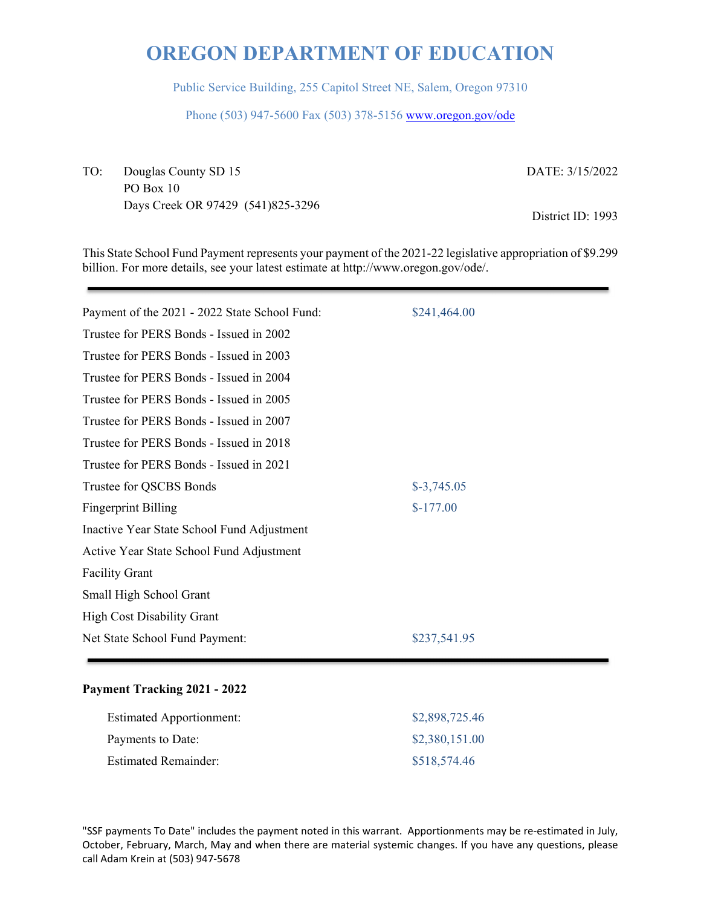Public Service Building, 255 Capitol Street NE, Salem, Oregon 97310

Phone (503) 947-5600 Fax (503) 378-5156 www.oregon.gov/ode

TO: Douglas County SD 15 PO Box 10 Days Creek OR 97429 (541)825-3296 DATE: 3/15/2022

District ID: 1993

This State School Fund Payment represents your payment of the 2021-22 legislative appropriation of \$9.299 billion. For more details, see your latest estimate at http://www.oregon.gov/ode/.

| Payment of the 2021 - 2022 State School Fund: | \$241,464.00 |
|-----------------------------------------------|--------------|
| Trustee for PERS Bonds - Issued in 2002       |              |
| Trustee for PERS Bonds - Issued in 2003       |              |
| Trustee for PERS Bonds - Issued in 2004       |              |
| Trustee for PERS Bonds - Issued in 2005       |              |
| Trustee for PERS Bonds - Issued in 2007       |              |
| Trustee for PERS Bonds - Issued in 2018       |              |
| Trustee for PERS Bonds - Issued in 2021       |              |
| Trustee for QSCBS Bonds                       | $$-3,745.05$ |
| <b>Fingerprint Billing</b>                    | $$-177.00$   |
| Inactive Year State School Fund Adjustment    |              |
| Active Year State School Fund Adjustment      |              |
| <b>Facility Grant</b>                         |              |
| Small High School Grant                       |              |
| <b>High Cost Disability Grant</b>             |              |
| Net State School Fund Payment:                | \$237,541.95 |
|                                               |              |

### **Payment Tracking 2021 - 2022**

| <b>Estimated Apportionment:</b> | \$2,898,725.46 |
|---------------------------------|----------------|
| Payments to Date:               | \$2,380,151.00 |
| <b>Estimated Remainder:</b>     | \$518,574.46   |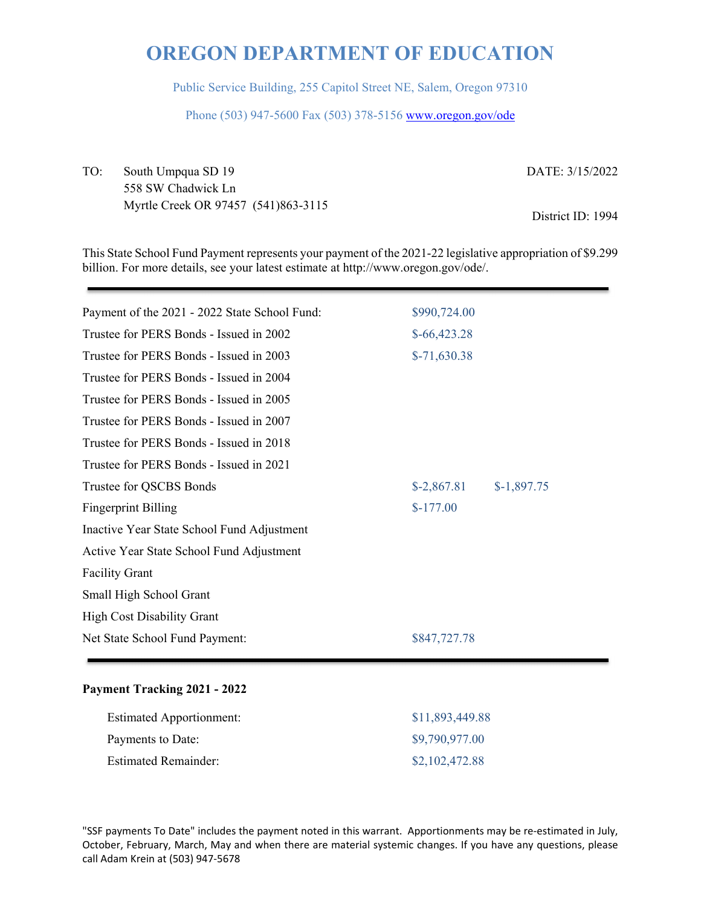Public Service Building, 255 Capitol Street NE, Salem, Oregon 97310

Phone (503) 947-5600 Fax (503) 378-5156 www.oregon.gov/ode

TO: South Umpqua SD 19 558 SW Chadwick Ln Myrtle Creek OR 97457 (541)863-3115 DATE: 3/15/2022

District ID: 1994

This State School Fund Payment represents your payment of the 2021-22 legislative appropriation of \$9.299 billion. For more details, see your latest estimate at http://www.oregon.gov/ode/.

| Payment of the 2021 - 2022 State School Fund: | \$990,724.00  |              |  |
|-----------------------------------------------|---------------|--------------|--|
| Trustee for PERS Bonds - Issued in 2002       | $$-66,423.28$ |              |  |
| Trustee for PERS Bonds - Issued in 2003       | $$-71,630.38$ |              |  |
| Trustee for PERS Bonds - Issued in 2004       |               |              |  |
| Trustee for PERS Bonds - Issued in 2005       |               |              |  |
| Trustee for PERS Bonds - Issued in 2007       |               |              |  |
| Trustee for PERS Bonds - Issued in 2018       |               |              |  |
| Trustee for PERS Bonds - Issued in 2021       |               |              |  |
| Trustee for QSCBS Bonds                       | $$-2,867.81$  | $$-1,897.75$ |  |
| <b>Fingerprint Billing</b>                    | $$-177.00$    |              |  |
| Inactive Year State School Fund Adjustment    |               |              |  |
| Active Year State School Fund Adjustment      |               |              |  |
| <b>Facility Grant</b>                         |               |              |  |
| Small High School Grant                       |               |              |  |
| <b>High Cost Disability Grant</b>             |               |              |  |
| Net State School Fund Payment:                | \$847,727.78  |              |  |
|                                               |               |              |  |

#### **Payment Tracking 2021 - 2022**

| <b>Estimated Apportionment:</b> | \$11,893,449.88 |
|---------------------------------|-----------------|
| Payments to Date:               | \$9,790,977.00  |
| <b>Estimated Remainder:</b>     | \$2,102,472.88  |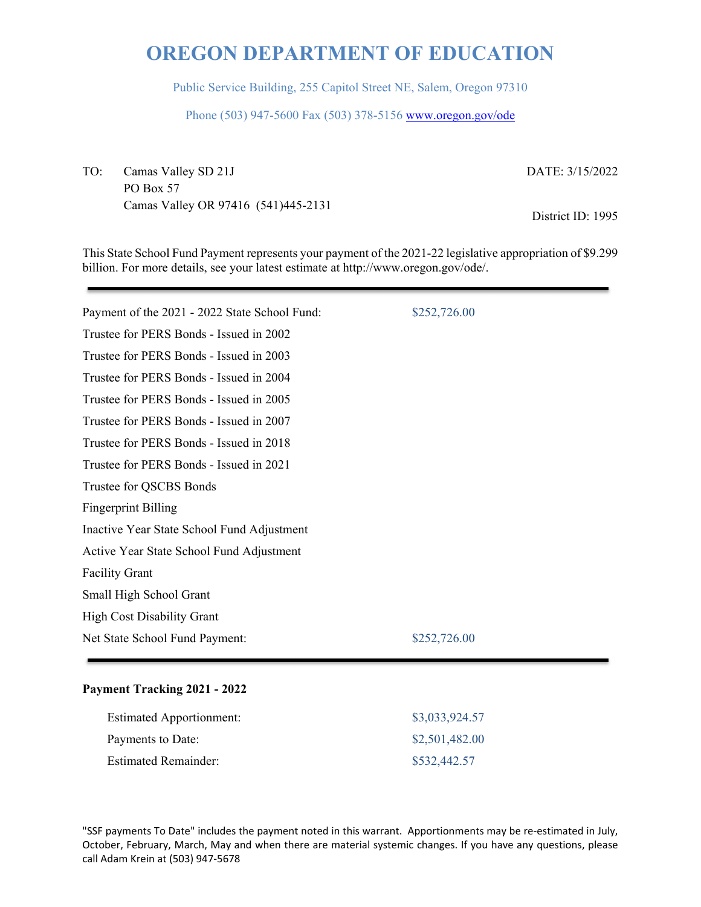Public Service Building, 255 Capitol Street NE, Salem, Oregon 97310

Phone (503) 947-5600 Fax (503) 378-5156 www.oregon.gov/ode

TO: Camas Valley SD 21J PO Box 57 Camas Valley OR 97416 (541)445-2131 DATE: 3/15/2022

District ID: 1995

This State School Fund Payment represents your payment of the 2021-22 legislative appropriation of \$9.299 billion. For more details, see your latest estimate at http://www.oregon.gov/ode/.

| Payment of the 2021 - 2022 State School Fund: | \$252,726.00 |
|-----------------------------------------------|--------------|
| Trustee for PERS Bonds - Issued in 2002       |              |
| Trustee for PERS Bonds - Issued in 2003       |              |
| Trustee for PERS Bonds - Issued in 2004       |              |
| Trustee for PERS Bonds - Issued in 2005       |              |
| Trustee for PERS Bonds - Issued in 2007       |              |
| Trustee for PERS Bonds - Issued in 2018       |              |
| Trustee for PERS Bonds - Issued in 2021       |              |
| Trustee for QSCBS Bonds                       |              |
| <b>Fingerprint Billing</b>                    |              |
| Inactive Year State School Fund Adjustment    |              |
| Active Year State School Fund Adjustment      |              |
| <b>Facility Grant</b>                         |              |
| Small High School Grant                       |              |
| <b>High Cost Disability Grant</b>             |              |
| Net State School Fund Payment:                | \$252,726.00 |
|                                               |              |

### **Payment Tracking 2021 - 2022**

| <b>Estimated Apportionment:</b> | \$3,033,924.57 |
|---------------------------------|----------------|
| Payments to Date:               | \$2,501,482.00 |
| <b>Estimated Remainder:</b>     | \$532,442.57   |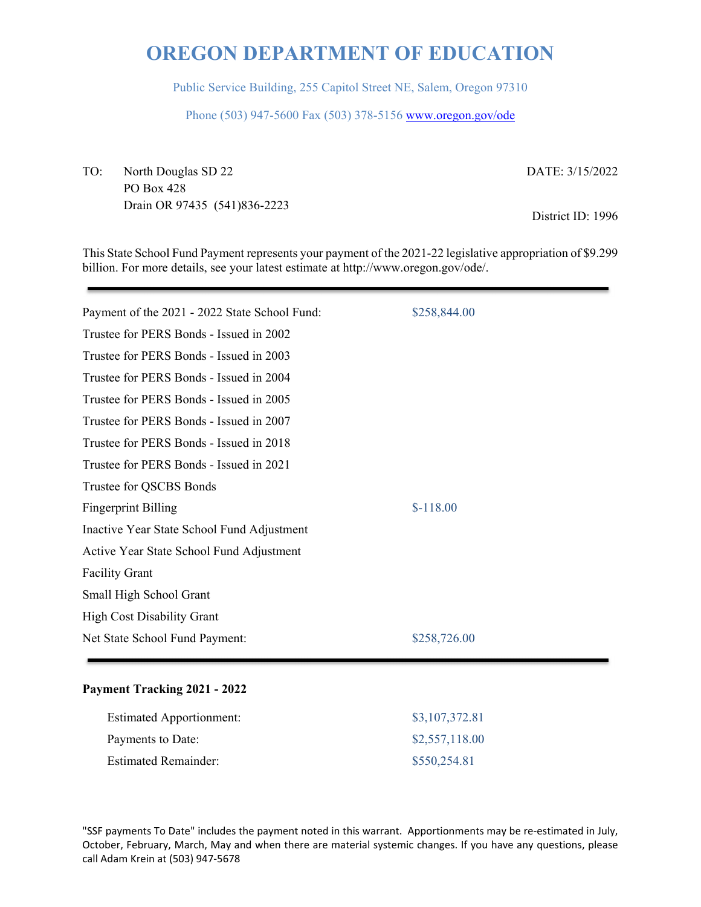Public Service Building, 255 Capitol Street NE, Salem, Oregon 97310

Phone (503) 947-5600 Fax (503) 378-5156 www.oregon.gov/ode

TO: North Douglas SD 22 PO Box 428 Drain OR 97435 (541)836-2223 DATE: 3/15/2022

District ID: 1996

This State School Fund Payment represents your payment of the 2021-22 legislative appropriation of \$9.299 billion. For more details, see your latest estimate at http://www.oregon.gov/ode/.

| Payment of the 2021 - 2022 State School Fund: | \$258,844.00 |
|-----------------------------------------------|--------------|
| Trustee for PERS Bonds - Issued in 2002       |              |
| Trustee for PERS Bonds - Issued in 2003       |              |
| Trustee for PERS Bonds - Issued in 2004       |              |
| Trustee for PERS Bonds - Issued in 2005       |              |
| Trustee for PERS Bonds - Issued in 2007       |              |
| Trustee for PERS Bonds - Issued in 2018       |              |
| Trustee for PERS Bonds - Issued in 2021       |              |
| Trustee for QSCBS Bonds                       |              |
| <b>Fingerprint Billing</b>                    | $$-118.00$   |
| Inactive Year State School Fund Adjustment    |              |
| Active Year State School Fund Adjustment      |              |
| <b>Facility Grant</b>                         |              |
| Small High School Grant                       |              |
| High Cost Disability Grant                    |              |
| Net State School Fund Payment:                | \$258,726.00 |
|                                               |              |

### **Payment Tracking 2021 - 2022**

| <b>Estimated Apportionment:</b> | \$3,107,372.81 |
|---------------------------------|----------------|
| Payments to Date:               | \$2,557,118.00 |
| <b>Estimated Remainder:</b>     | \$550,254.81   |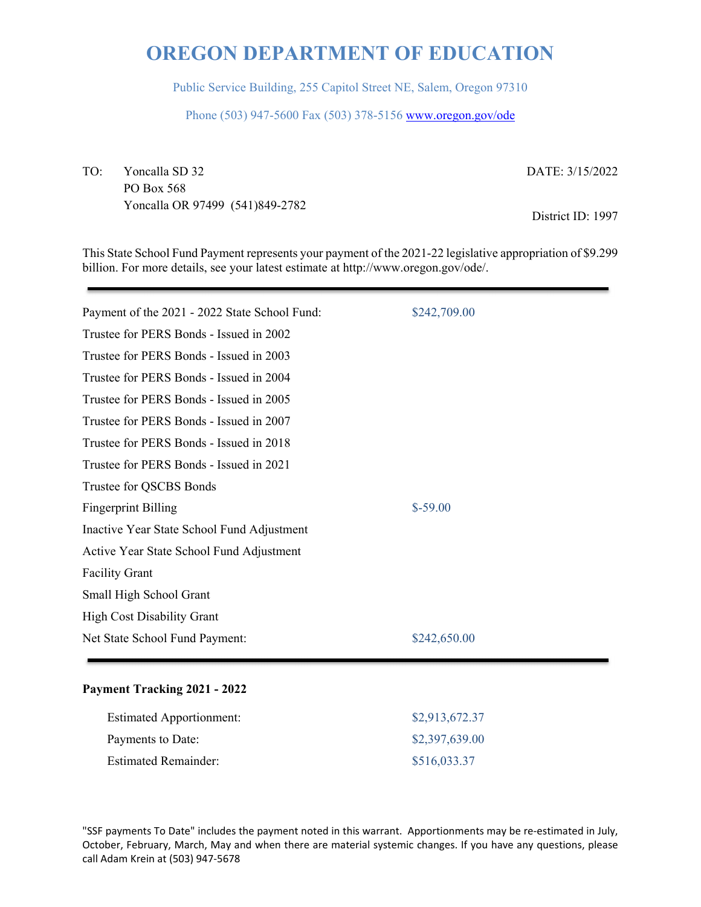Public Service Building, 255 Capitol Street NE, Salem, Oregon 97310

Phone (503) 947-5600 Fax (503) 378-5156 www.oregon.gov/ode

TO: Yoncalla SD 32 PO Box 568 Yoncalla OR 97499 (541)849-2782 DATE: 3/15/2022

District ID: 1997

This State School Fund Payment represents your payment of the 2021-22 legislative appropriation of \$9.299 billion. For more details, see your latest estimate at http://www.oregon.gov/ode/.

| Payment of the 2021 - 2022 State School Fund: | \$242,709.00 |
|-----------------------------------------------|--------------|
| Trustee for PERS Bonds - Issued in 2002       |              |
| Trustee for PERS Bonds - Issued in 2003       |              |
| Trustee for PERS Bonds - Issued in 2004       |              |
| Trustee for PERS Bonds - Issued in 2005       |              |
| Trustee for PERS Bonds - Issued in 2007       |              |
| Trustee for PERS Bonds - Issued in 2018       |              |
| Trustee for PERS Bonds - Issued in 2021       |              |
| Trustee for QSCBS Bonds                       |              |
| <b>Fingerprint Billing</b>                    | $$-59.00$    |
| Inactive Year State School Fund Adjustment    |              |
| Active Year State School Fund Adjustment      |              |
| <b>Facility Grant</b>                         |              |
| Small High School Grant                       |              |
| <b>High Cost Disability Grant</b>             |              |
| Net State School Fund Payment:                | \$242,650.00 |
|                                               |              |

### **Payment Tracking 2021 - 2022**

| <b>Estimated Apportionment:</b> | \$2,913,672.37 |
|---------------------------------|----------------|
| Payments to Date:               | \$2,397,639.00 |
| <b>Estimated Remainder:</b>     | \$516,033.37   |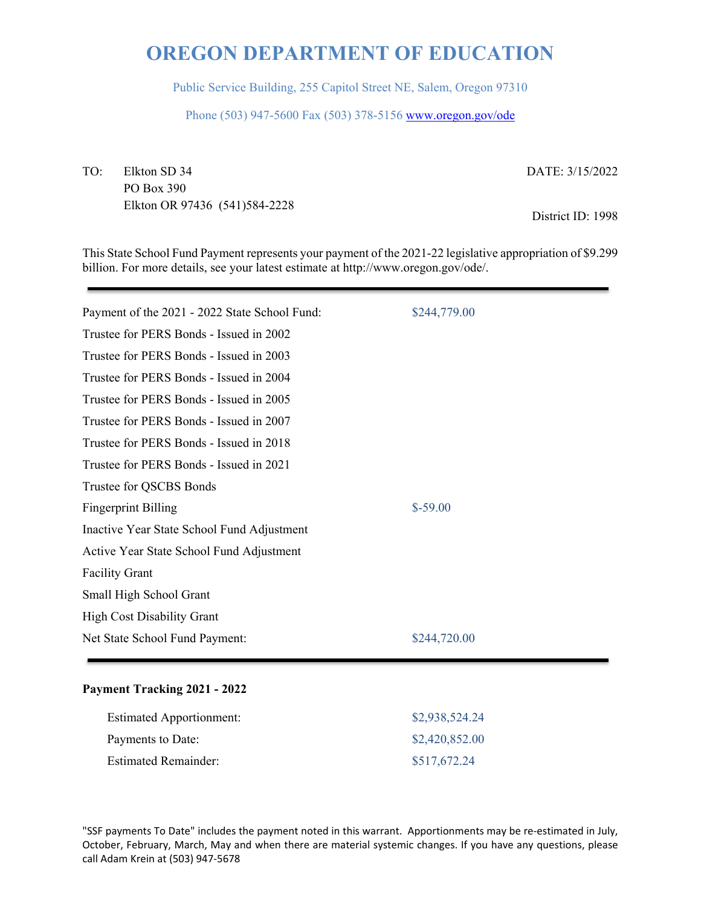Public Service Building, 255 Capitol Street NE, Salem, Oregon 97310

Phone (503) 947-5600 Fax (503) 378-5156 www.oregon.gov/ode

TO: Elkton SD 34 PO Box 390 Elkton OR 97436 (541)584-2228 DATE: 3/15/2022

District ID: 1998

This State School Fund Payment represents your payment of the 2021-22 legislative appropriation of \$9.299 billion. For more details, see your latest estimate at http://www.oregon.gov/ode/.

| Payment of the 2021 - 2022 State School Fund: | \$244,779.00 |
|-----------------------------------------------|--------------|
| Trustee for PERS Bonds - Issued in 2002       |              |
| Trustee for PERS Bonds - Issued in 2003       |              |
| Trustee for PERS Bonds - Issued in 2004       |              |
| Trustee for PERS Bonds - Issued in 2005       |              |
| Trustee for PERS Bonds - Issued in 2007       |              |
| Trustee for PERS Bonds - Issued in 2018       |              |
| Trustee for PERS Bonds - Issued in 2021       |              |
| Trustee for QSCBS Bonds                       |              |
| <b>Fingerprint Billing</b>                    | $$-59.00$    |
| Inactive Year State School Fund Adjustment    |              |
| Active Year State School Fund Adjustment      |              |
| <b>Facility Grant</b>                         |              |
| Small High School Grant                       |              |
| <b>High Cost Disability Grant</b>             |              |
| Net State School Fund Payment:                | \$244,720.00 |
|                                               |              |

### **Payment Tracking 2021 - 2022**

| <b>Estimated Apportionment:</b> | \$2,938,524.24 |
|---------------------------------|----------------|
| Payments to Date:               | \$2,420,852.00 |
| <b>Estimated Remainder:</b>     | \$517,672.24   |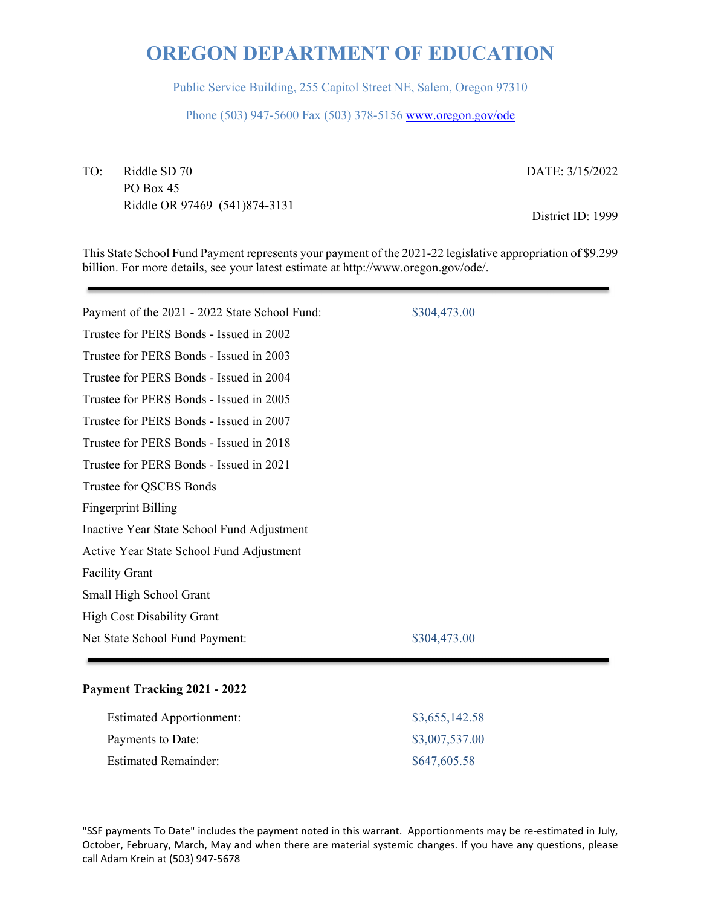Public Service Building, 255 Capitol Street NE, Salem, Oregon 97310

Phone (503) 947-5600 Fax (503) 378-5156 www.oregon.gov/ode

TO: Riddle SD 70 PO Box 45 Riddle OR 97469 (541)874-3131 DATE: 3/15/2022

District ID: 1999

This State School Fund Payment represents your payment of the 2021-22 legislative appropriation of \$9.299 billion. For more details, see your latest estimate at http://www.oregon.gov/ode/.

| Payment of the 2021 - 2022 State School Fund: | \$304,473.00 |
|-----------------------------------------------|--------------|
| Trustee for PERS Bonds - Issued in 2002       |              |
| Trustee for PERS Bonds - Issued in 2003       |              |
| Trustee for PERS Bonds - Issued in 2004       |              |
| Trustee for PERS Bonds - Issued in 2005       |              |
| Trustee for PERS Bonds - Issued in 2007       |              |
| Trustee for PERS Bonds - Issued in 2018       |              |
| Trustee for PERS Bonds - Issued in 2021       |              |
| Trustee for QSCBS Bonds                       |              |
| <b>Fingerprint Billing</b>                    |              |
| Inactive Year State School Fund Adjustment    |              |
| Active Year State School Fund Adjustment      |              |
| <b>Facility Grant</b>                         |              |
| Small High School Grant                       |              |
| <b>High Cost Disability Grant</b>             |              |
| Net State School Fund Payment:                | \$304,473.00 |
|                                               |              |

### **Payment Tracking 2021 - 2022**

| <b>Estimated Apportionment:</b> | \$3,655,142.58 |
|---------------------------------|----------------|
| Payments to Date:               | \$3,007,537.00 |
| <b>Estimated Remainder:</b>     | \$647,605.58   |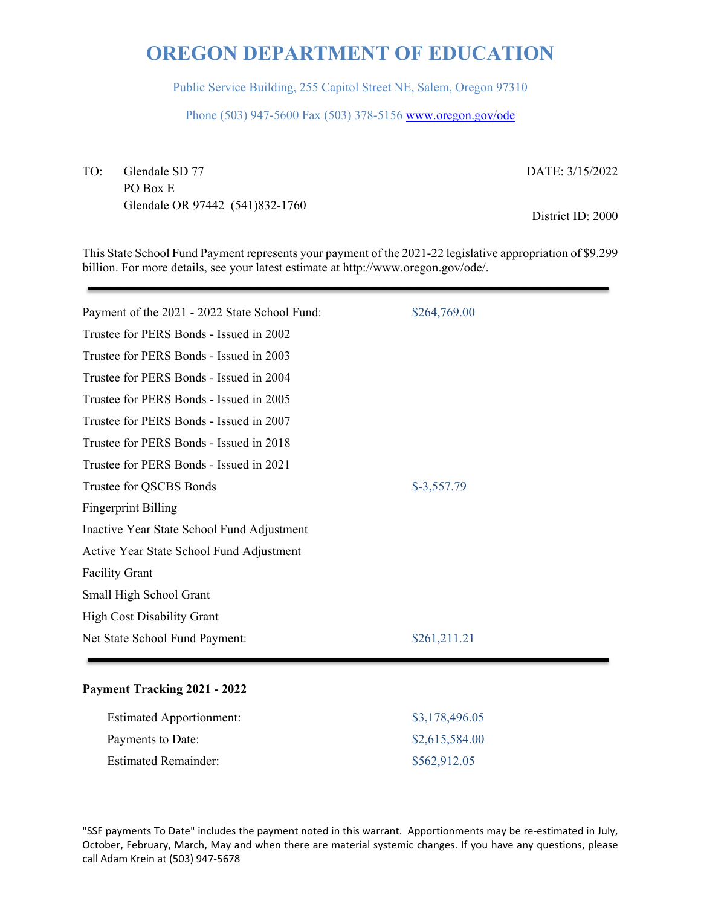Public Service Building, 255 Capitol Street NE, Salem, Oregon 97310

Phone (503) 947-5600 Fax (503) 378-5156 www.oregon.gov/ode

TO: Glendale SD 77 PO Box E Glendale OR 97442 (541)832-1760 DATE: 3/15/2022

District ID: 2000

This State School Fund Payment represents your payment of the 2021-22 legislative appropriation of \$9.299 billion. For more details, see your latest estimate at http://www.oregon.gov/ode/.

| Payment of the 2021 - 2022 State School Fund: | \$264,769.00 |
|-----------------------------------------------|--------------|
| Trustee for PERS Bonds - Issued in 2002       |              |
| Trustee for PERS Bonds - Issued in 2003       |              |
| Trustee for PERS Bonds - Issued in 2004       |              |
| Trustee for PERS Bonds - Issued in 2005       |              |
| Trustee for PERS Bonds - Issued in 2007       |              |
| Trustee for PERS Bonds - Issued in 2018       |              |
| Trustee for PERS Bonds - Issued in 2021       |              |
| Trustee for QSCBS Bonds                       | $$-3,557.79$ |
| <b>Fingerprint Billing</b>                    |              |
| Inactive Year State School Fund Adjustment    |              |
| Active Year State School Fund Adjustment      |              |
| <b>Facility Grant</b>                         |              |
| Small High School Grant                       |              |
| <b>High Cost Disability Grant</b>             |              |
| Net State School Fund Payment:                | \$261,211.21 |
|                                               |              |

### **Payment Tracking 2021 - 2022**

| <b>Estimated Apportionment:</b> | \$3,178,496.05 |
|---------------------------------|----------------|
| Payments to Date:               | \$2,615,584.00 |
| <b>Estimated Remainder:</b>     | \$562,912.05   |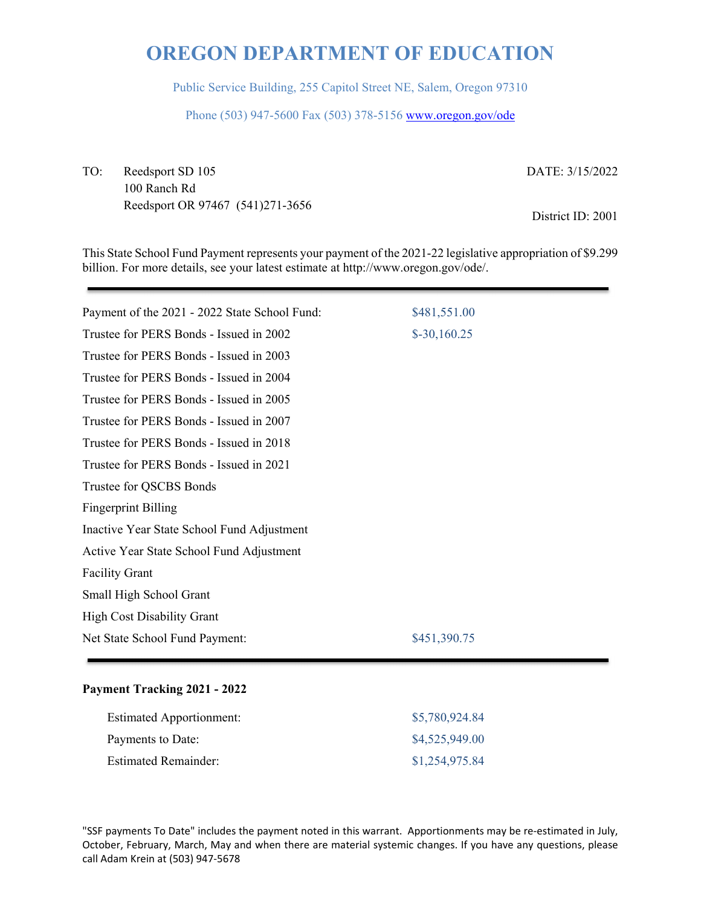Public Service Building, 255 Capitol Street NE, Salem, Oregon 97310

Phone (503) 947-5600 Fax (503) 378-5156 www.oregon.gov/ode

TO: Reedsport SD 105 100 Ranch Rd Reedsport OR 97467 (541)271-3656 DATE: 3/15/2022

District ID: 2001

This State School Fund Payment represents your payment of the 2021-22 legislative appropriation of \$9.299 billion. For more details, see your latest estimate at http://www.oregon.gov/ode/.

| Payment of the 2021 - 2022 State School Fund: | \$481,551.00  |
|-----------------------------------------------|---------------|
| Trustee for PERS Bonds - Issued in 2002       | $$-30,160.25$ |
| Trustee for PERS Bonds - Issued in 2003       |               |
| Trustee for PERS Bonds - Issued in 2004       |               |
| Trustee for PERS Bonds - Issued in 2005       |               |
| Trustee for PERS Bonds - Issued in 2007       |               |
| Trustee for PERS Bonds - Issued in 2018       |               |
| Trustee for PERS Bonds - Issued in 2021       |               |
| Trustee for QSCBS Bonds                       |               |
| <b>Fingerprint Billing</b>                    |               |
| Inactive Year State School Fund Adjustment    |               |
| Active Year State School Fund Adjustment      |               |
| <b>Facility Grant</b>                         |               |
| Small High School Grant                       |               |
| High Cost Disability Grant                    |               |
| Net State School Fund Payment:                | \$451,390.75  |
|                                               |               |

### **Payment Tracking 2021 - 2022**

| <b>Estimated Apportionment:</b> | \$5,780,924.84 |
|---------------------------------|----------------|
| Payments to Date:               | \$4,525,949.00 |
| <b>Estimated Remainder:</b>     | \$1,254,975.84 |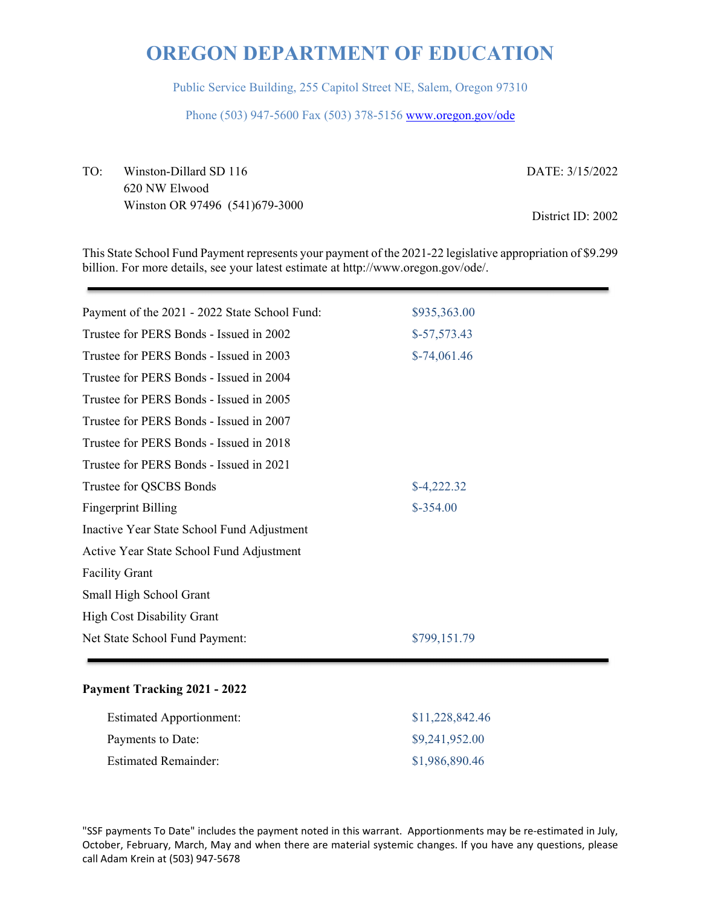Public Service Building, 255 Capitol Street NE, Salem, Oregon 97310

Phone (503) 947-5600 Fax (503) 378-5156 www.oregon.gov/ode

TO: Winston-Dillard SD 116 620 NW Elwood Winston OR 97496 (541)679-3000 DATE: 3/15/2022 District ID: 2002

This State School Fund Payment represents your payment of the 2021-22 legislative appropriation of \$9.299 billion. For more details, see your latest estimate at http://www.oregon.gov/ode/.

| \$935,363.00  |
|---------------|
| $$-57,573.43$ |
| $$-74,061.46$ |
|               |
|               |
|               |
|               |
|               |
| $$-4,222.32$  |
| $$-354.00$    |
|               |
|               |
|               |
|               |
|               |
| \$799,151.79  |
|               |

### **Payment Tracking 2021 - 2022**

| <b>Estimated Apportionment:</b> | \$11,228,842.46 |
|---------------------------------|-----------------|
| Payments to Date:               | \$9,241,952.00  |
| <b>Estimated Remainder:</b>     | \$1,986,890.46  |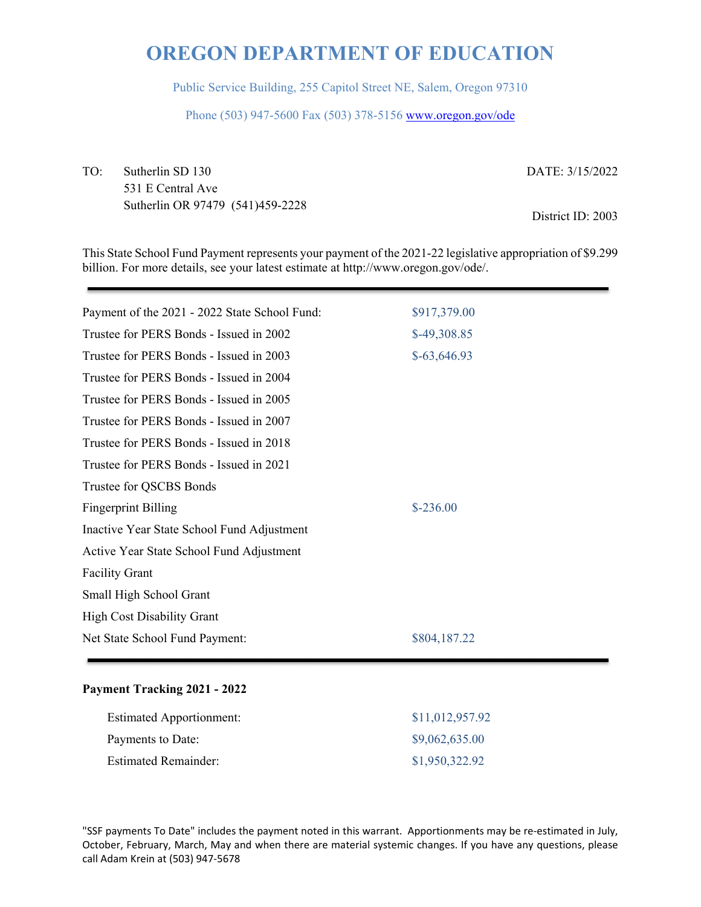Public Service Building, 255 Capitol Street NE, Salem, Oregon 97310

Phone (503) 947-5600 Fax (503) 378-5156 www.oregon.gov/ode

TO: Sutherlin SD 130 531 E Central Ave Sutherlin OR 97479 (541)459-2228 DATE: 3/15/2022

District ID: 2003

This State School Fund Payment represents your payment of the 2021-22 legislative appropriation of \$9.299 billion. For more details, see your latest estimate at http://www.oregon.gov/ode/.

| Payment of the 2021 - 2022 State School Fund: | \$917,379.00  |
|-----------------------------------------------|---------------|
| Trustee for PERS Bonds - Issued in 2002       | $$-49,308.85$ |
| Trustee for PERS Bonds - Issued in 2003       | $$-63,646.93$ |
| Trustee for PERS Bonds - Issued in 2004       |               |
| Trustee for PERS Bonds - Issued in 2005       |               |
| Trustee for PERS Bonds - Issued in 2007       |               |
| Trustee for PERS Bonds - Issued in 2018       |               |
| Trustee for PERS Bonds - Issued in 2021       |               |
| Trustee for QSCBS Bonds                       |               |
| <b>Fingerprint Billing</b>                    | $$-236.00$    |
| Inactive Year State School Fund Adjustment    |               |
| Active Year State School Fund Adjustment      |               |
| <b>Facility Grant</b>                         |               |
| Small High School Grant                       |               |
| <b>High Cost Disability Grant</b>             |               |
| Net State School Fund Payment:                | \$804,187.22  |
|                                               |               |

#### **Payment Tracking 2021 - 2022**

| <b>Estimated Apportionment:</b> | \$11,012,957.92 |
|---------------------------------|-----------------|
| Payments to Date:               | \$9,062,635.00  |
| <b>Estimated Remainder:</b>     | \$1,950,322.92  |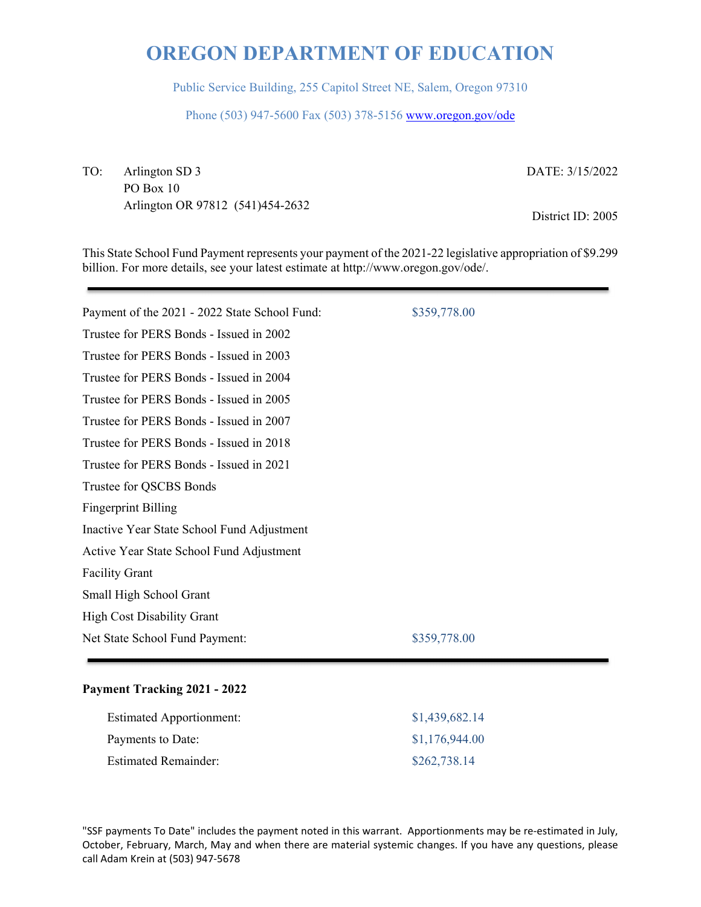Public Service Building, 255 Capitol Street NE, Salem, Oregon 97310

Phone (503) 947-5600 Fax (503) 378-5156 www.oregon.gov/ode

TO: Arlington SD 3 PO Box 10 Arlington OR 97812 (541)454-2632 DATE: 3/15/2022

District ID: 2005

This State School Fund Payment represents your payment of the 2021-22 legislative appropriation of \$9.299 billion. For more details, see your latest estimate at http://www.oregon.gov/ode/.

| Payment of the 2021 - 2022 State School Fund: | \$359,778.00 |
|-----------------------------------------------|--------------|
| Trustee for PERS Bonds - Issued in 2002       |              |
| Trustee for PERS Bonds - Issued in 2003       |              |
| Trustee for PERS Bonds - Issued in 2004       |              |
| Trustee for PERS Bonds - Issued in 2005       |              |
| Trustee for PERS Bonds - Issued in 2007       |              |
| Trustee for PERS Bonds - Issued in 2018       |              |
| Trustee for PERS Bonds - Issued in 2021       |              |
| Trustee for QSCBS Bonds                       |              |
| <b>Fingerprint Billing</b>                    |              |
| Inactive Year State School Fund Adjustment    |              |
| Active Year State School Fund Adjustment      |              |
| <b>Facility Grant</b>                         |              |
| Small High School Grant                       |              |
| <b>High Cost Disability Grant</b>             |              |
| Net State School Fund Payment:                | \$359,778.00 |
|                                               |              |

### **Payment Tracking 2021 - 2022**

| <b>Estimated Apportionment:</b> | \$1,439,682.14 |
|---------------------------------|----------------|
| Payments to Date:               | \$1,176,944.00 |
| <b>Estimated Remainder:</b>     | \$262,738.14   |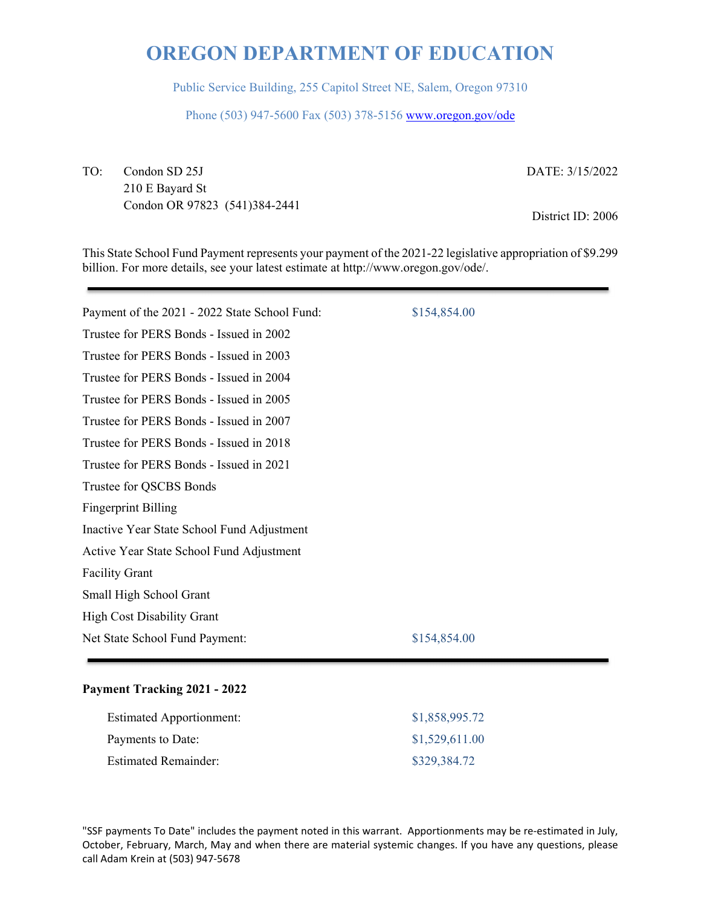Public Service Building, 255 Capitol Street NE, Salem, Oregon 97310

Phone (503) 947-5600 Fax (503) 378-5156 www.oregon.gov/ode

TO: Condon SD 25J 210 E Bayard St Condon OR 97823 (541)384-2441 DATE: 3/15/2022

District ID: 2006

This State School Fund Payment represents your payment of the 2021-22 legislative appropriation of \$9.299 billion. For more details, see your latest estimate at http://www.oregon.gov/ode/.

| Payment of the 2021 - 2022 State School Fund: | \$154,854.00 |
|-----------------------------------------------|--------------|
| Trustee for PERS Bonds - Issued in 2002       |              |
| Trustee for PERS Bonds - Issued in 2003       |              |
| Trustee for PERS Bonds - Issued in 2004       |              |
| Trustee for PERS Bonds - Issued in 2005       |              |
| Trustee for PERS Bonds - Issued in 2007       |              |
| Trustee for PERS Bonds - Issued in 2018       |              |
| Trustee for PERS Bonds - Issued in 2021       |              |
| Trustee for QSCBS Bonds                       |              |
| <b>Fingerprint Billing</b>                    |              |
| Inactive Year State School Fund Adjustment    |              |
| Active Year State School Fund Adjustment      |              |
| <b>Facility Grant</b>                         |              |
| Small High School Grant                       |              |
| <b>High Cost Disability Grant</b>             |              |
| Net State School Fund Payment:                | \$154,854.00 |
|                                               |              |

### **Payment Tracking 2021 - 2022**

| <b>Estimated Apportionment:</b> | \$1,858,995.72 |
|---------------------------------|----------------|
| Payments to Date:               | \$1,529,611.00 |
| <b>Estimated Remainder:</b>     | \$329,384.72   |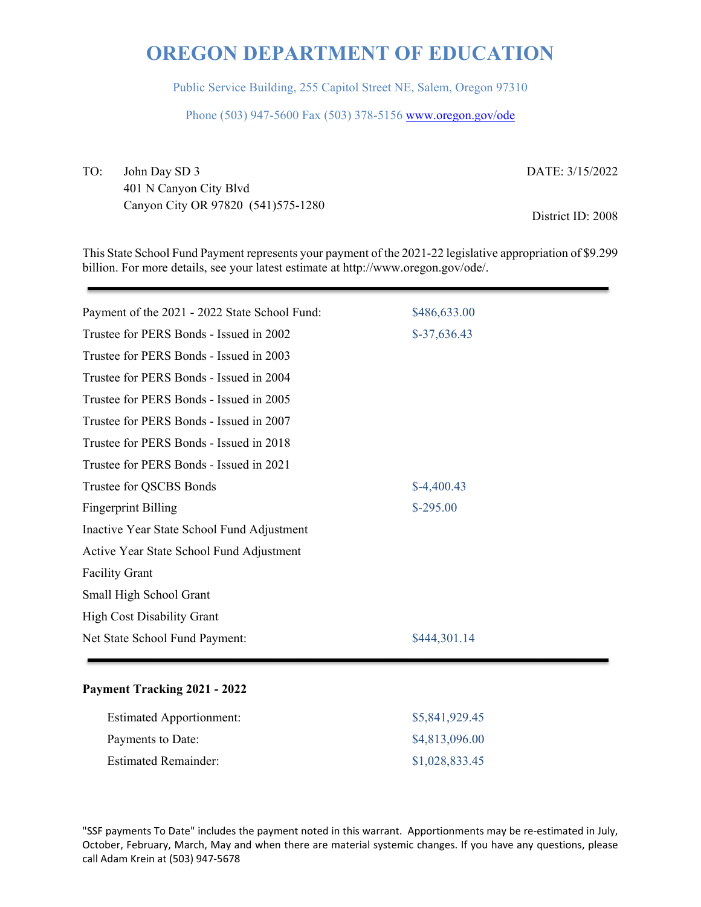Public Service Building, 255 Capitol Street NE, Salem, Oregon 97310

Phone (503) 947-5600 Fax (503) 378-5156 www.oregon.gov/ode

TO: John Day SD 3 401 N Canyon City Blvd Canyon City OR 97820 (541)575-1280 DATE: 3/15/2022

District ID: 2008

This State School Fund Payment represents your payment of the 2021-22 legislative appropriation of \$9.299 billion. For more details, see your latest estimate at http://www.oregon.gov/ode/.

| Payment of the 2021 - 2022 State School Fund: | \$486,633.00  |
|-----------------------------------------------|---------------|
| Trustee for PERS Bonds - Issued in 2002       | $$-37,636.43$ |
| Trustee for PERS Bonds - Issued in 2003       |               |
| Trustee for PERS Bonds - Issued in 2004       |               |
| Trustee for PERS Bonds - Issued in 2005       |               |
| Trustee for PERS Bonds - Issued in 2007       |               |
| Trustee for PERS Bonds - Issued in 2018       |               |
| Trustee for PERS Bonds - Issued in 2021       |               |
| Trustee for QSCBS Bonds                       | $$-4,400.43$  |
| <b>Fingerprint Billing</b>                    | $$-295.00$    |
| Inactive Year State School Fund Adjustment    |               |
| Active Year State School Fund Adjustment      |               |
| <b>Facility Grant</b>                         |               |
| Small High School Grant                       |               |
| <b>High Cost Disability Grant</b>             |               |
| Net State School Fund Payment:                | \$444,301.14  |

### **Payment Tracking 2021 - 2022**

| <b>Estimated Apportionment:</b> | \$5,841,929.45 |
|---------------------------------|----------------|
| Payments to Date:               | \$4,813,096.00 |
| <b>Estimated Remainder:</b>     | \$1,028,833.45 |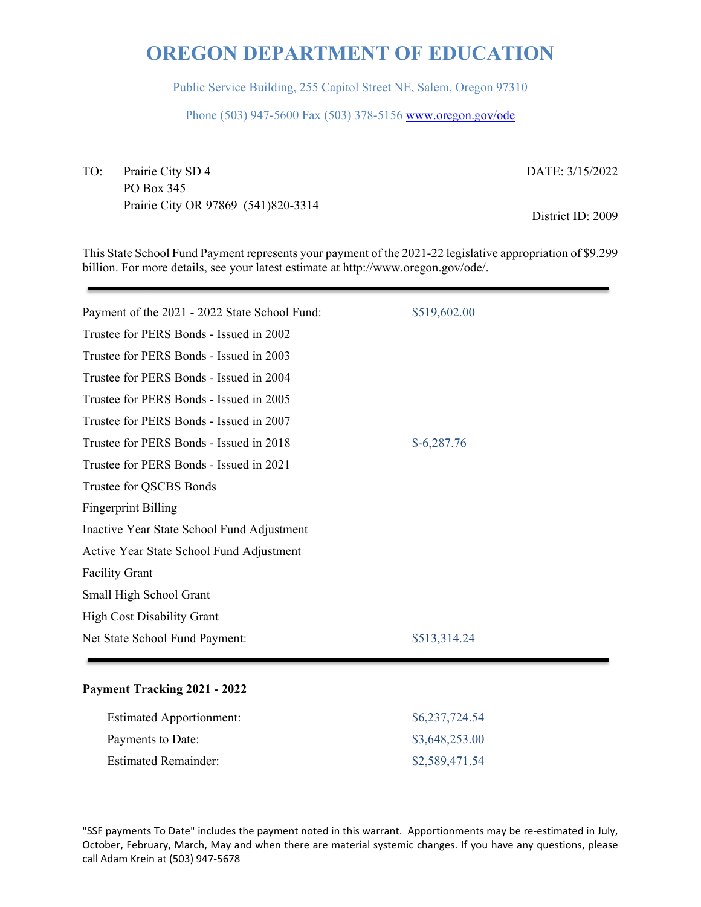Public Service Building, 255 Capitol Street NE, Salem, Oregon 97310

Phone (503) 947-5600 Fax (503) 378-5156 www.oregon.gov/ode

TO: Prairie City SD 4 PO Box 345 Prairie City OR 97869 (541)820-3314 DATE: 3/15/2022

District ID: 2009

This State School Fund Payment represents your payment of the 2021-22 legislative appropriation of \$9.299 billion. For more details, see your latest estimate at http://www.oregon.gov/ode/.

| Payment of the 2021 - 2022 State School Fund: | \$519,602.00 |
|-----------------------------------------------|--------------|
| Trustee for PERS Bonds - Issued in 2002       |              |
| Trustee for PERS Bonds - Issued in 2003       |              |
| Trustee for PERS Bonds - Issued in 2004       |              |
| Trustee for PERS Bonds - Issued in 2005       |              |
| Trustee for PERS Bonds - Issued in 2007       |              |
| Trustee for PERS Bonds - Issued in 2018       | $$-6,287.76$ |
| Trustee for PERS Bonds - Issued in 2021       |              |
| Trustee for QSCBS Bonds                       |              |
| <b>Fingerprint Billing</b>                    |              |
| Inactive Year State School Fund Adjustment    |              |
| Active Year State School Fund Adjustment      |              |
| <b>Facility Grant</b>                         |              |
| Small High School Grant                       |              |
| <b>High Cost Disability Grant</b>             |              |
| Net State School Fund Payment:                | \$513,314.24 |
|                                               |              |

### **Payment Tracking 2021 - 2022**

| <b>Estimated Apportionment:</b> | \$6,237,724.54 |
|---------------------------------|----------------|
| Payments to Date:               | \$3,648,253.00 |
| <b>Estimated Remainder:</b>     | \$2,589,471.54 |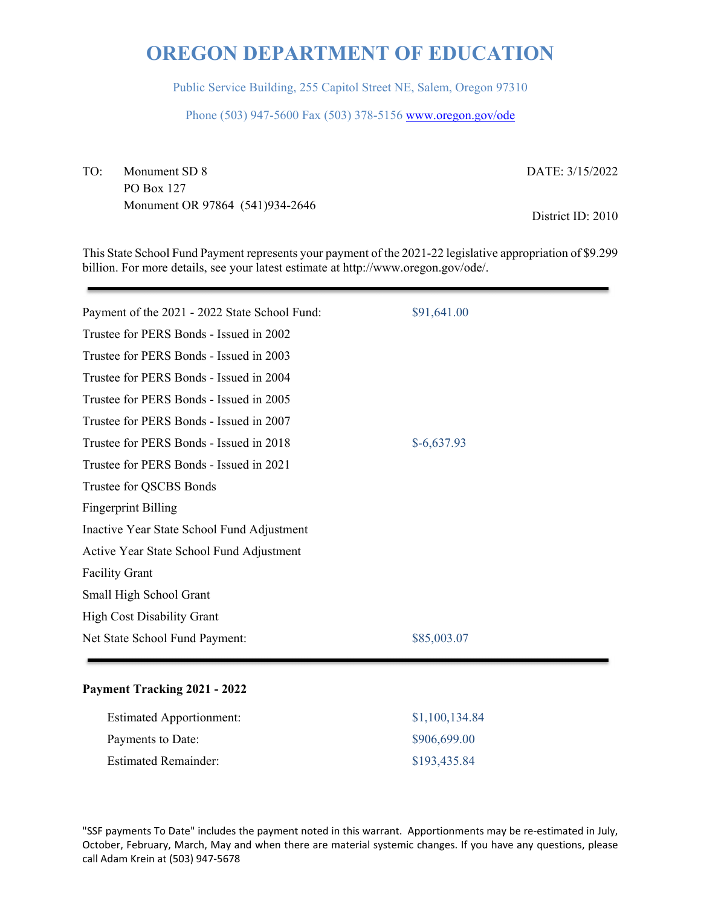Public Service Building, 255 Capitol Street NE, Salem, Oregon 97310

Phone (503) 947-5600 Fax (503) 378-5156 www.oregon.gov/ode

TO: Monument SD 8 PO Box 127 Monument OR 97864 (541)934-2646 DATE: 3/15/2022

District ID: 2010

This State School Fund Payment represents your payment of the 2021-22 legislative appropriation of \$9.299 billion. For more details, see your latest estimate at http://www.oregon.gov/ode/.

| Payment of the 2021 - 2022 State School Fund: | \$91,641.00  |
|-----------------------------------------------|--------------|
| Trustee for PERS Bonds - Issued in 2002       |              |
| Trustee for PERS Bonds - Issued in 2003       |              |
| Trustee for PERS Bonds - Issued in 2004       |              |
| Trustee for PERS Bonds - Issued in 2005       |              |
| Trustee for PERS Bonds - Issued in 2007       |              |
| Trustee for PERS Bonds - Issued in 2018       | $$-6,637.93$ |
| Trustee for PERS Bonds - Issued in 2021       |              |
| Trustee for QSCBS Bonds                       |              |
| <b>Fingerprint Billing</b>                    |              |
| Inactive Year State School Fund Adjustment    |              |
| Active Year State School Fund Adjustment      |              |
| <b>Facility Grant</b>                         |              |
| Small High School Grant                       |              |
| <b>High Cost Disability Grant</b>             |              |
| Net State School Fund Payment:                | \$85,003.07  |
|                                               |              |

### **Payment Tracking 2021 - 2022**

| <b>Estimated Apportionment:</b> | \$1,100,134.84 |
|---------------------------------|----------------|
| Payments to Date:               | \$906,699.00   |
| Estimated Remainder:            | \$193,435.84   |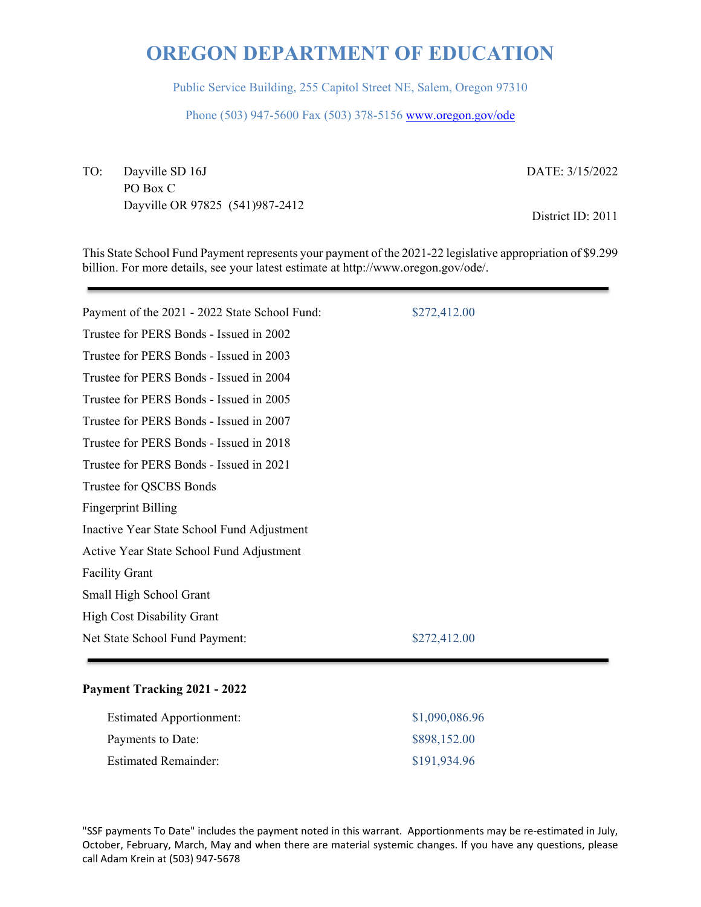Public Service Building, 255 Capitol Street NE, Salem, Oregon 97310

Phone (503) 947-5600 Fax (503) 378-5156 www.oregon.gov/ode

TO: Dayville SD 16J PO Box C Dayville OR 97825 (541)987-2412 DATE: 3/15/2022

District ID: 2011

This State School Fund Payment represents your payment of the 2021-22 legislative appropriation of \$9.299 billion. For more details, see your latest estimate at http://www.oregon.gov/ode/.

| Payment of the 2021 - 2022 State School Fund: | \$272,412.00 |
|-----------------------------------------------|--------------|
| Trustee for PERS Bonds - Issued in 2002       |              |
| Trustee for PERS Bonds - Issued in 2003       |              |
| Trustee for PERS Bonds - Issued in 2004       |              |
| Trustee for PERS Bonds - Issued in 2005       |              |
| Trustee for PERS Bonds - Issued in 2007       |              |
| Trustee for PERS Bonds - Issued in 2018       |              |
| Trustee for PERS Bonds - Issued in 2021       |              |
| Trustee for QSCBS Bonds                       |              |
| <b>Fingerprint Billing</b>                    |              |
| Inactive Year State School Fund Adjustment    |              |
| Active Year State School Fund Adjustment      |              |
| <b>Facility Grant</b>                         |              |
| Small High School Grant                       |              |
| <b>High Cost Disability Grant</b>             |              |
| Net State School Fund Payment:                | \$272,412.00 |
|                                               |              |

### **Payment Tracking 2021 - 2022**

| <b>Estimated Apportionment:</b> | \$1,090,086.96 |
|---------------------------------|----------------|
| Payments to Date:               | \$898,152.00   |
| Estimated Remainder:            | \$191,934.96   |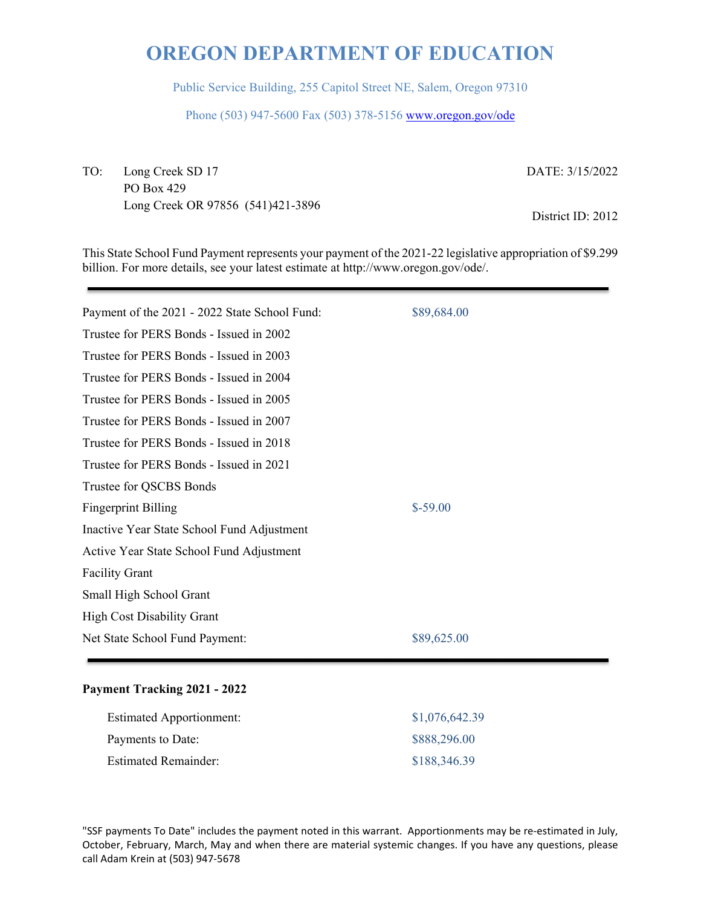Public Service Building, 255 Capitol Street NE, Salem, Oregon 97310

Phone (503) 947-5600 Fax (503) 378-5156 www.oregon.gov/ode

TO: Long Creek SD 17 PO Box 429 Long Creek OR 97856 (541)421-3896 DATE: 3/15/2022

District ID: 2012

This State School Fund Payment represents your payment of the 2021-22 legislative appropriation of \$9.299 billion. For more details, see your latest estimate at http://www.oregon.gov/ode/.

| Payment of the 2021 - 2022 State School Fund: | \$89,684.00 |
|-----------------------------------------------|-------------|
| Trustee for PERS Bonds - Issued in 2002       |             |
| Trustee for PERS Bonds - Issued in 2003       |             |
| Trustee for PERS Bonds - Issued in 2004       |             |
| Trustee for PERS Bonds - Issued in 2005       |             |
| Trustee for PERS Bonds - Issued in 2007       |             |
| Trustee for PERS Bonds - Issued in 2018       |             |
| Trustee for PERS Bonds - Issued in 2021       |             |
| Trustee for QSCBS Bonds                       |             |
| <b>Fingerprint Billing</b>                    | $$-59.00$   |
| Inactive Year State School Fund Adjustment    |             |
| Active Year State School Fund Adjustment      |             |
| <b>Facility Grant</b>                         |             |
| Small High School Grant                       |             |
| <b>High Cost Disability Grant</b>             |             |
| Net State School Fund Payment:                | \$89,625.00 |
|                                               |             |

### **Payment Tracking 2021 - 2022**

| <b>Estimated Apportionment:</b> | \$1,076,642.39 |
|---------------------------------|----------------|
| Payments to Date:               | \$888,296.00   |
| Estimated Remainder:            | \$188,346.39   |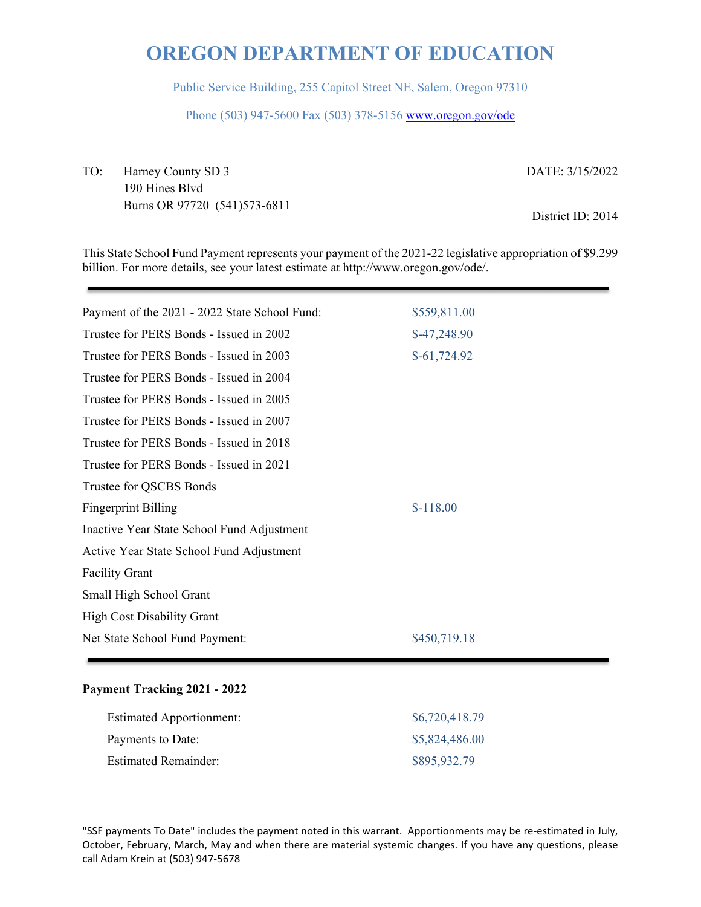Public Service Building, 255 Capitol Street NE, Salem, Oregon 97310

Phone (503) 947-5600 Fax (503) 378-5156 www.oregon.gov/ode

TO: Harney County SD 3 190 Hines Blvd Burns OR 97720 (541)573-6811 DATE: 3/15/2022 District ID: 2014

This State School Fund Payment represents your payment of the 2021-22 legislative appropriation of \$9.299 billion. For more details, see your latest estimate at http://www.oregon.gov/ode/.

| Payment of the 2021 - 2022 State School Fund: | \$559,811.00  |
|-----------------------------------------------|---------------|
| Trustee for PERS Bonds - Issued in 2002       | $$-47,248.90$ |
| Trustee for PERS Bonds - Issued in 2003       | $$-61,724.92$ |
| Trustee for PERS Bonds - Issued in 2004       |               |
| Trustee for PERS Bonds - Issued in 2005       |               |
| Trustee for PERS Bonds - Issued in 2007       |               |
| Trustee for PERS Bonds - Issued in 2018       |               |
| Trustee for PERS Bonds - Issued in 2021       |               |
| Trustee for QSCBS Bonds                       |               |
| <b>Fingerprint Billing</b>                    | $$-118.00$    |
| Inactive Year State School Fund Adjustment    |               |
| Active Year State School Fund Adjustment      |               |
| <b>Facility Grant</b>                         |               |
| Small High School Grant                       |               |
| <b>High Cost Disability Grant</b>             |               |
| Net State School Fund Payment:                | \$450,719.18  |
|                                               |               |

### **Payment Tracking 2021 - 2022**

| <b>Estimated Apportionment:</b> | \$6,720,418.79 |
|---------------------------------|----------------|
| Payments to Date:               | \$5,824,486.00 |
| <b>Estimated Remainder:</b>     | \$895,932.79   |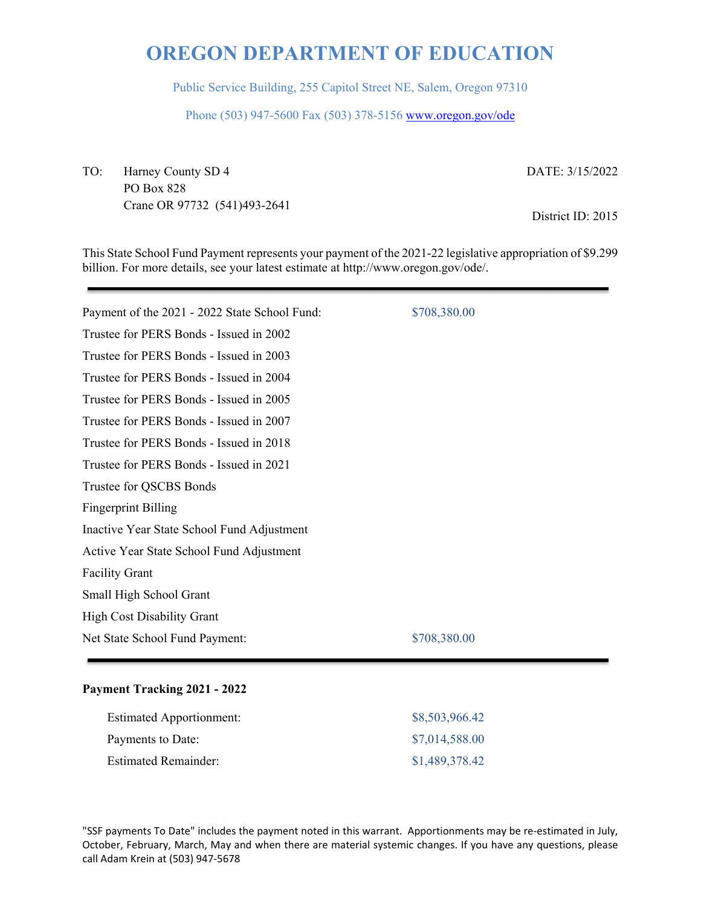Public Service Building, 255 Capitol Street NE, Salem, Oregon 97310

Phone (503) 947-5600 Fax (503) 378-5156 www.oregon.gov/ode

TO: Harney County SD 4 PO Box 828 Crane OR 97732 (541)493-2641 DATE: 3/15/2022

District ID: 2015

This State School Fund Payment represents your payment of the 2021-22 legislative appropriation of \$9.299 billion. For more details, see your latest estimate at http://www.oregon.gov/ode/.

Payment of the 2021 - 2022 State School Fund: \$708,380.00 Trustee for PERS Bonds - Issued in 2002 Trustee for PERS Bonds - Issued in 2003 Trustee for PERS Bonds - Issued in 2004 Trustee for PERS Bonds - Issued in 2005 Trustee for PERS Bonds - Issued in 2007 Trustee for PERS Bonds - Issued in 2018 Trustee for PERS Bonds - Issued in 2021 Trustee for QSCBS Bonds Fingerprint Billing Inactive Year State School Fund Adjustment Active Year State School Fund Adjustment Facility Grant Small High School Grant High Cost Disability Grant Net State School Fund Payment:  $$708,380.00$ 

#### **Payment Tracking 2021 - 2022**

| <b>Estimated Apportionment:</b> | \$8,503,966.42 |
|---------------------------------|----------------|
| Payments to Date:               | \$7,014,588.00 |
| <b>Estimated Remainder:</b>     | \$1,489,378.42 |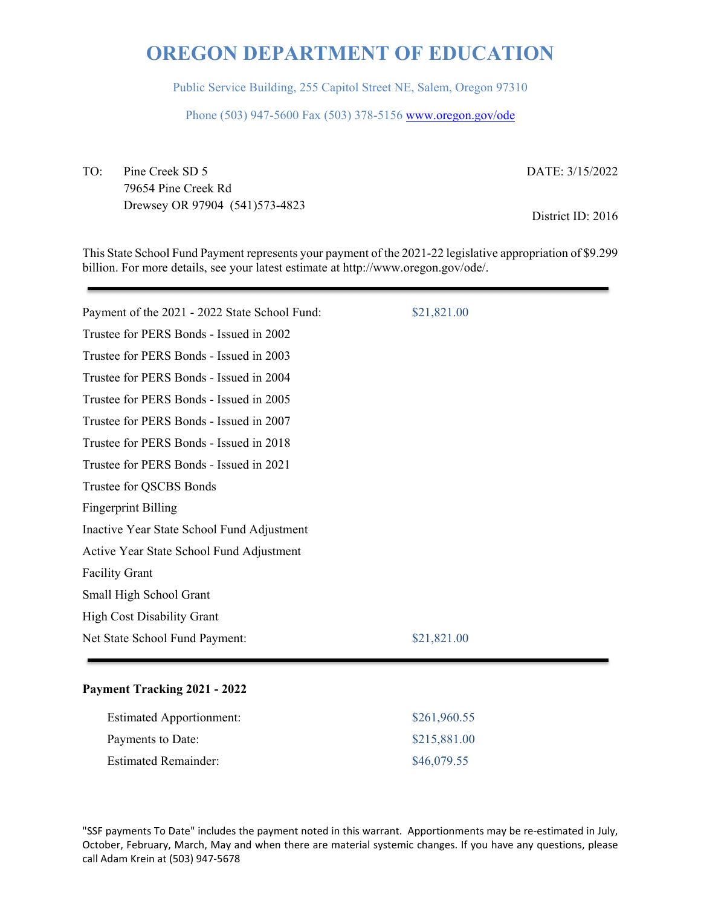Public Service Building, 255 Capitol Street NE, Salem, Oregon 97310

Phone (503) 947-5600 Fax (503) 378-5156 www.oregon.gov/ode

TO: Pine Creek SD 5 79654 Pine Creek Rd Drewsey OR 97904 (541)573-4823 DATE: 3/15/2022

District ID: 2016

This State School Fund Payment represents your payment of the 2021-22 legislative appropriation of \$9.299 billion. For more details, see your latest estimate at http://www.oregon.gov/ode/.

| Payment of the 2021 - 2022 State School Fund: | \$21,821.00 |
|-----------------------------------------------|-------------|
| Trustee for PERS Bonds - Issued in 2002       |             |
| Trustee for PERS Bonds - Issued in 2003       |             |
| Trustee for PERS Bonds - Issued in 2004       |             |
| Trustee for PERS Bonds - Issued in 2005       |             |
| Trustee for PERS Bonds - Issued in 2007       |             |
| Trustee for PERS Bonds - Issued in 2018       |             |
| Trustee for PERS Bonds - Issued in 2021       |             |
| Trustee for QSCBS Bonds                       |             |
| <b>Fingerprint Billing</b>                    |             |
| Inactive Year State School Fund Adjustment    |             |
| Active Year State School Fund Adjustment      |             |
| <b>Facility Grant</b>                         |             |
| Small High School Grant                       |             |
| <b>High Cost Disability Grant</b>             |             |
| Net State School Fund Payment:                | \$21,821.00 |
|                                               |             |

### **Payment Tracking 2021 - 2022**

| <b>Estimated Apportionment:</b> | \$261,960.55 |
|---------------------------------|--------------|
| Payments to Date:               | \$215,881.00 |
| <b>Estimated Remainder:</b>     | \$46,079.55  |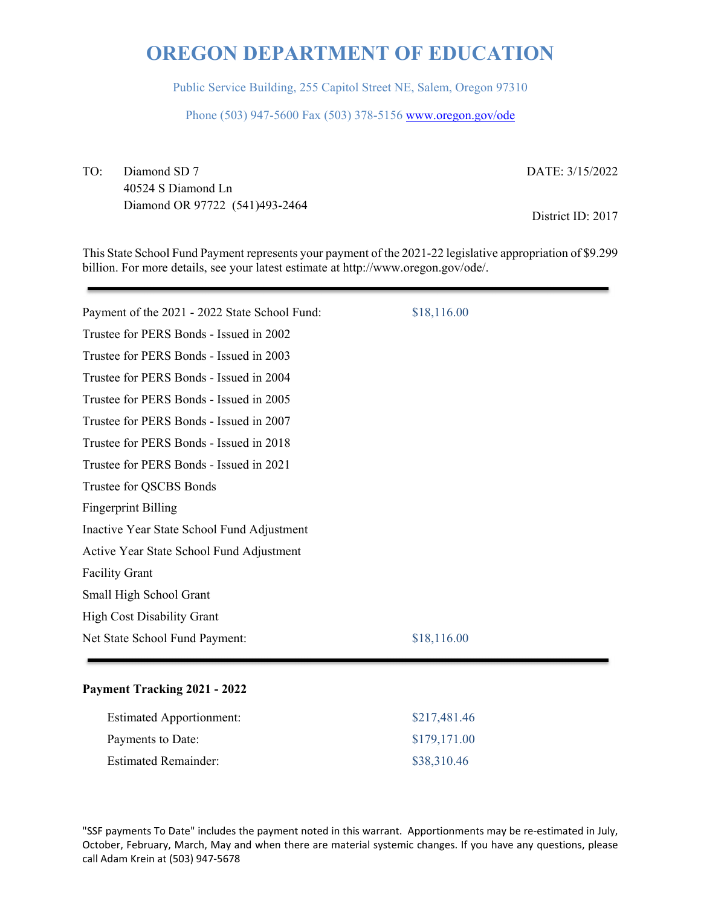Public Service Building, 255 Capitol Street NE, Salem, Oregon 97310

Phone (503) 947-5600 Fax (503) 378-5156 www.oregon.gov/ode

TO: Diamond SD 7 40524 S Diamond Ln Diamond OR 97722 (541)493-2464 DATE: 3/15/2022

District ID: 2017

This State School Fund Payment represents your payment of the 2021-22 legislative appropriation of \$9.299 billion. For more details, see your latest estimate at http://www.oregon.gov/ode/.

| Payment of the 2021 - 2022 State School Fund: | \$18,116.00 |
|-----------------------------------------------|-------------|
| Trustee for PERS Bonds - Issued in 2002       |             |
| Trustee for PERS Bonds - Issued in 2003       |             |
| Trustee for PERS Bonds - Issued in 2004       |             |
| Trustee for PERS Bonds - Issued in 2005       |             |
| Trustee for PERS Bonds - Issued in 2007       |             |
| Trustee for PERS Bonds - Issued in 2018       |             |
| Trustee for PERS Bonds - Issued in 2021       |             |
| Trustee for QSCBS Bonds                       |             |
| <b>Fingerprint Billing</b>                    |             |
| Inactive Year State School Fund Adjustment    |             |
| Active Year State School Fund Adjustment      |             |
| <b>Facility Grant</b>                         |             |
| Small High School Grant                       |             |
| <b>High Cost Disability Grant</b>             |             |
| Net State School Fund Payment:                | \$18,116.00 |
|                                               |             |

#### **Payment Tracking 2021 - 2022**

| <b>Estimated Apportionment:</b> | \$217,481.46 |
|---------------------------------|--------------|
| Payments to Date:               | \$179,171.00 |
| <b>Estimated Remainder:</b>     | \$38,310.46  |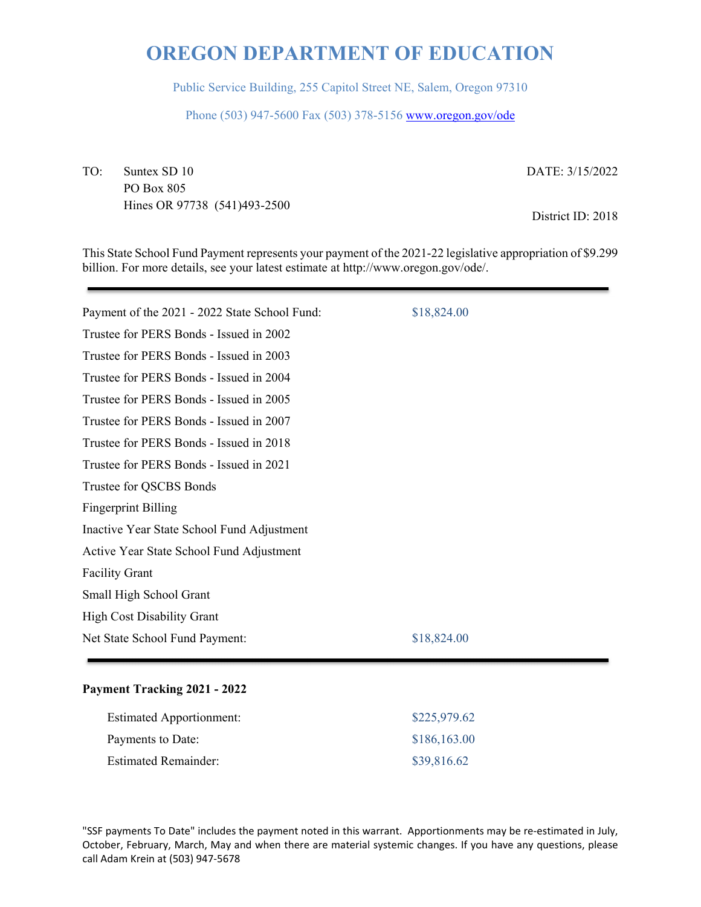Public Service Building, 255 Capitol Street NE, Salem, Oregon 97310

Phone (503) 947-5600 Fax (503) 378-5156 www.oregon.gov/ode

TO: Suntex SD 10 PO Box 805 Hines OR 97738 (541)493-2500 DATE: 3/15/2022

District ID: 2018

This State School Fund Payment represents your payment of the 2021-22 legislative appropriation of \$9.299 billion. For more details, see your latest estimate at http://www.oregon.gov/ode/.

| Payment of the 2021 - 2022 State School Fund: | \$18,824.00 |
|-----------------------------------------------|-------------|
| Trustee for PERS Bonds - Issued in 2002       |             |
| Trustee for PERS Bonds - Issued in 2003       |             |
| Trustee for PERS Bonds - Issued in 2004       |             |
| Trustee for PERS Bonds - Issued in 2005       |             |
| Trustee for PERS Bonds - Issued in 2007       |             |
| Trustee for PERS Bonds - Issued in 2018       |             |
| Trustee for PERS Bonds - Issued in 2021       |             |
| Trustee for QSCBS Bonds                       |             |
| <b>Fingerprint Billing</b>                    |             |
| Inactive Year State School Fund Adjustment    |             |
| Active Year State School Fund Adjustment      |             |
| <b>Facility Grant</b>                         |             |
| Small High School Grant                       |             |
| <b>High Cost Disability Grant</b>             |             |
| Net State School Fund Payment:                | \$18,824.00 |
|                                               |             |

### **Payment Tracking 2021 - 2022**

| <b>Estimated Apportionment:</b> | \$225,979.62 |
|---------------------------------|--------------|
| Payments to Date:               | \$186,163.00 |
| <b>Estimated Remainder:</b>     | \$39,816.62  |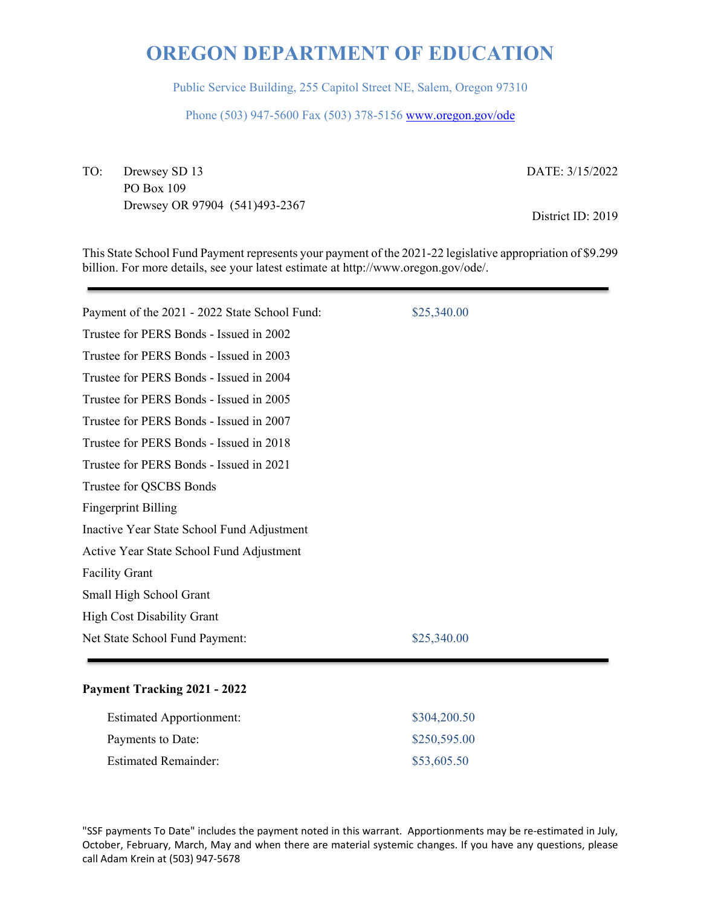Public Service Building, 255 Capitol Street NE, Salem, Oregon 97310

Phone (503) 947-5600 Fax (503) 378-5156 www.oregon.gov/ode

TO: Drewsey SD 13 PO Box 109 Drewsey OR 97904 (541)493-2367 DATE: 3/15/2022

District ID: 2019

This State School Fund Payment represents your payment of the 2021-22 legislative appropriation of \$9.299 billion. For more details, see your latest estimate at http://www.oregon.gov/ode/.

| Payment of the 2021 - 2022 State School Fund: | \$25,340.00 |
|-----------------------------------------------|-------------|
| Trustee for PERS Bonds - Issued in 2002       |             |
| Trustee for PERS Bonds - Issued in 2003       |             |
| Trustee for PERS Bonds - Issued in 2004       |             |
| Trustee for PERS Bonds - Issued in 2005       |             |
| Trustee for PERS Bonds - Issued in 2007       |             |
| Trustee for PERS Bonds - Issued in 2018       |             |
| Trustee for PERS Bonds - Issued in 2021       |             |
| Trustee for QSCBS Bonds                       |             |
| <b>Fingerprint Billing</b>                    |             |
| Inactive Year State School Fund Adjustment    |             |
| Active Year State School Fund Adjustment      |             |
| <b>Facility Grant</b>                         |             |
| Small High School Grant                       |             |
| <b>High Cost Disability Grant</b>             |             |
| Net State School Fund Payment:                | \$25,340.00 |
|                                               |             |

#### **Payment Tracking 2021 - 2022**

| <b>Estimated Apportionment:</b> | \$304,200.50 |
|---------------------------------|--------------|
| Payments to Date:               | \$250,595.00 |
| <b>Estimated Remainder:</b>     | \$53,605.50  |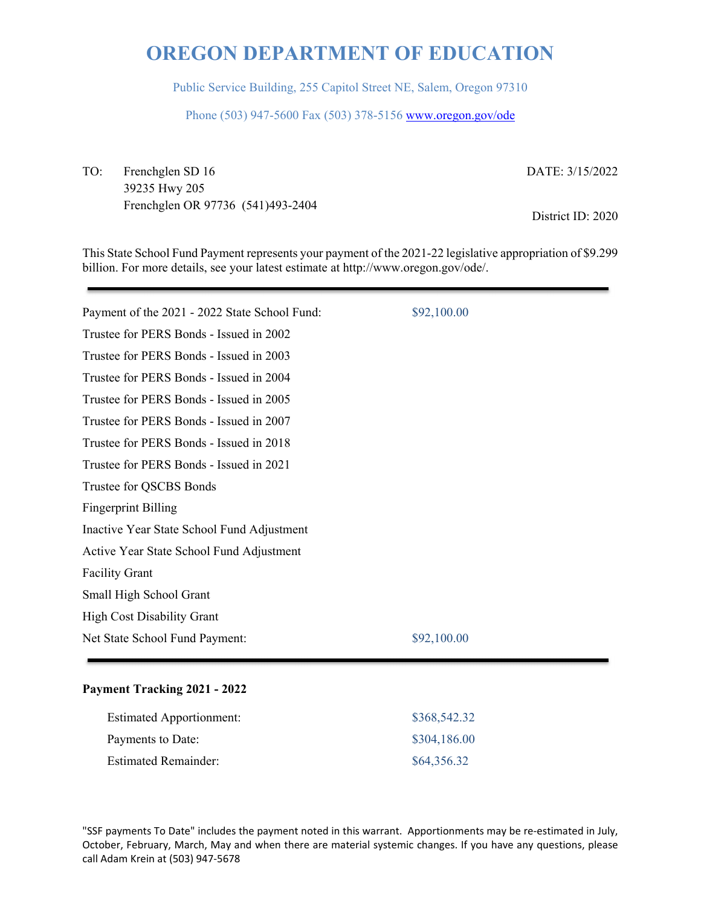Public Service Building, 255 Capitol Street NE, Salem, Oregon 97310

Phone (503) 947-5600 Fax (503) 378-5156 www.oregon.gov/ode

TO: Frenchglen SD 16 39235 Hwy 205 Frenchglen OR 97736 (541)493-2404 DATE: 3/15/2022

District ID: 2020

This State School Fund Payment represents your payment of the 2021-22 legislative appropriation of \$9.299 billion. For more details, see your latest estimate at http://www.oregon.gov/ode/.

| Payment of the 2021 - 2022 State School Fund: | \$92,100.00 |
|-----------------------------------------------|-------------|
| Trustee for PERS Bonds - Issued in 2002       |             |
| Trustee for PERS Bonds - Issued in 2003       |             |
| Trustee for PERS Bonds - Issued in 2004       |             |
| Trustee for PERS Bonds - Issued in 2005       |             |
| Trustee for PERS Bonds - Issued in 2007       |             |
| Trustee for PERS Bonds - Issued in 2018       |             |
| Trustee for PERS Bonds - Issued in 2021       |             |
| Trustee for QSCBS Bonds                       |             |
| <b>Fingerprint Billing</b>                    |             |
| Inactive Year State School Fund Adjustment    |             |
| Active Year State School Fund Adjustment      |             |
| <b>Facility Grant</b>                         |             |
| Small High School Grant                       |             |
| <b>High Cost Disability Grant</b>             |             |
| Net State School Fund Payment:                | \$92,100.00 |
|                                               |             |

### **Payment Tracking 2021 - 2022**

| <b>Estimated Apportionment:</b> | \$368,542.32 |
|---------------------------------|--------------|
| Payments to Date:               | \$304,186.00 |
| <b>Estimated Remainder:</b>     | \$64,356.32  |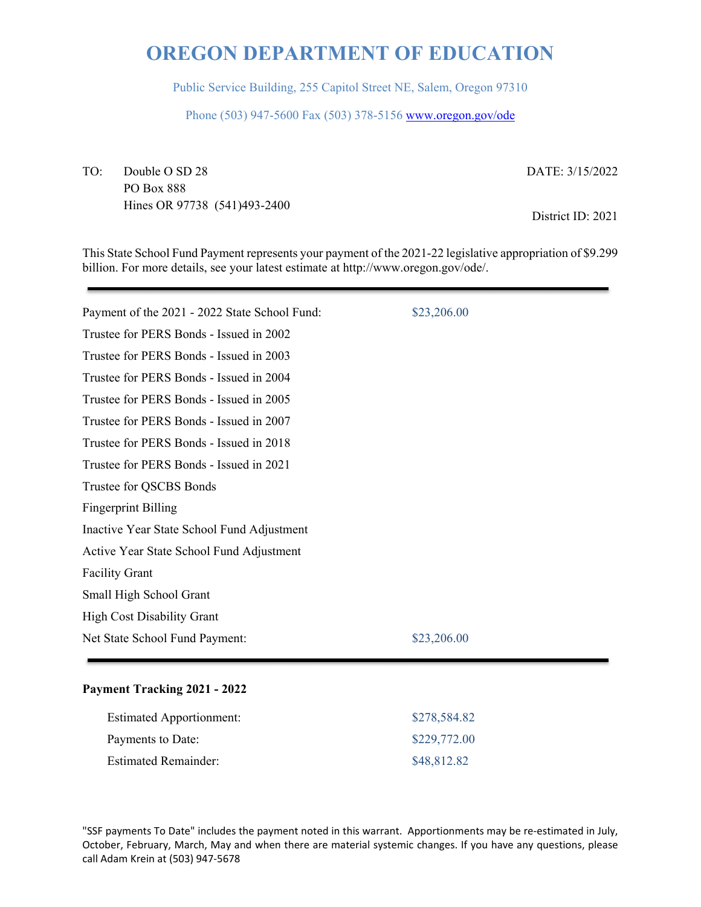Public Service Building, 255 Capitol Street NE, Salem, Oregon 97310

Phone (503) 947-5600 Fax (503) 378-5156 www.oregon.gov/ode

TO: Double O SD 28 PO Box 888 Hines OR 97738 (541)493-2400 DATE: 3/15/2022

District ID: 2021

This State School Fund Payment represents your payment of the 2021-22 legislative appropriation of \$9.299 billion. For more details, see your latest estimate at http://www.oregon.gov/ode/.

| Payment of the 2021 - 2022 State School Fund: | \$23,206.00 |
|-----------------------------------------------|-------------|
| Trustee for PERS Bonds - Issued in 2002       |             |
| Trustee for PERS Bonds - Issued in 2003       |             |
| Trustee for PERS Bonds - Issued in 2004       |             |
| Trustee for PERS Bonds - Issued in 2005       |             |
| Trustee for PERS Bonds - Issued in 2007       |             |
| Trustee for PERS Bonds - Issued in 2018       |             |
| Trustee for PERS Bonds - Issued in 2021       |             |
| Trustee for QSCBS Bonds                       |             |
| <b>Fingerprint Billing</b>                    |             |
| Inactive Year State School Fund Adjustment    |             |
| Active Year State School Fund Adjustment      |             |
| <b>Facility Grant</b>                         |             |
| Small High School Grant                       |             |
| <b>High Cost Disability Grant</b>             |             |
| Net State School Fund Payment:                | \$23,206.00 |
|                                               |             |

### **Payment Tracking 2021 - 2022**

| <b>Estimated Apportionment:</b> | \$278,584.82 |
|---------------------------------|--------------|
| Payments to Date:               | \$229,772.00 |
| <b>Estimated Remainder:</b>     | \$48,812.82  |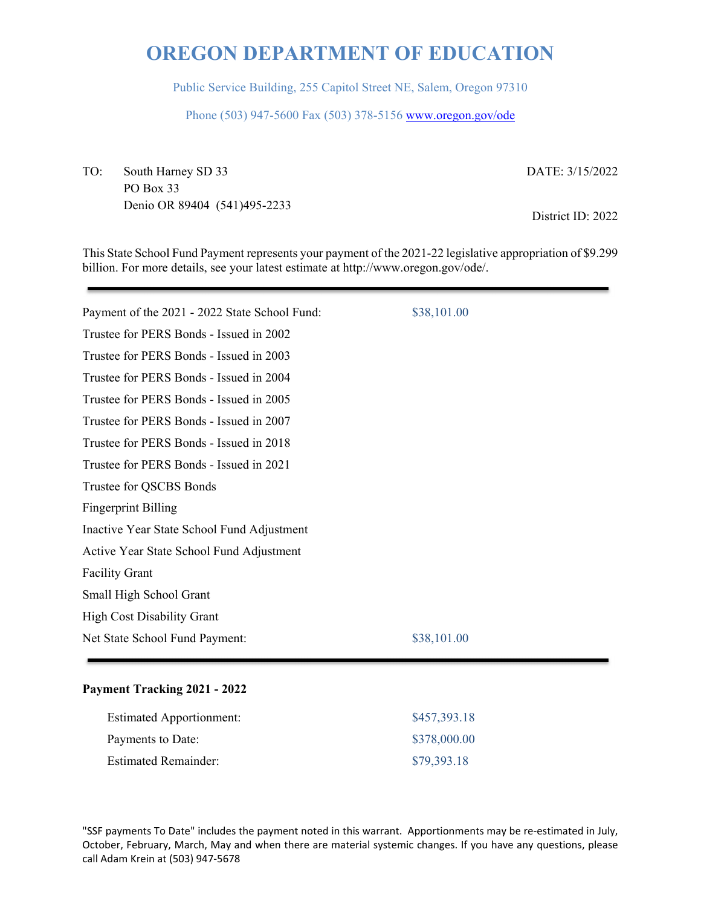Public Service Building, 255 Capitol Street NE, Salem, Oregon 97310

Phone (503) 947-5600 Fax (503) 378-5156 www.oregon.gov/ode

TO: South Harney SD 33 PO Box 33 Denio OR 89404 (541)495-2233 DATE: 3/15/2022

District ID: 2022

This State School Fund Payment represents your payment of the 2021-22 legislative appropriation of \$9.299 billion. For more details, see your latest estimate at http://www.oregon.gov/ode/.

| Payment of the 2021 - 2022 State School Fund: | \$38,101.00 |
|-----------------------------------------------|-------------|
| Trustee for PERS Bonds - Issued in 2002       |             |
| Trustee for PERS Bonds - Issued in 2003       |             |
| Trustee for PERS Bonds - Issued in 2004       |             |
| Trustee for PERS Bonds - Issued in 2005       |             |
| Trustee for PERS Bonds - Issued in 2007       |             |
| Trustee for PERS Bonds - Issued in 2018       |             |
| Trustee for PERS Bonds - Issued in 2021       |             |
| Trustee for QSCBS Bonds                       |             |
| <b>Fingerprint Billing</b>                    |             |
| Inactive Year State School Fund Adjustment    |             |
| Active Year State School Fund Adjustment      |             |
| <b>Facility Grant</b>                         |             |
| Small High School Grant                       |             |
| <b>High Cost Disability Grant</b>             |             |
| Net State School Fund Payment:                | \$38,101.00 |
|                                               |             |

### **Payment Tracking 2021 - 2022**

| <b>Estimated Apportionment:</b> | \$457,393.18 |
|---------------------------------|--------------|
| Payments to Date:               | \$378,000.00 |
| Estimated Remainder:            | \$79,393.18  |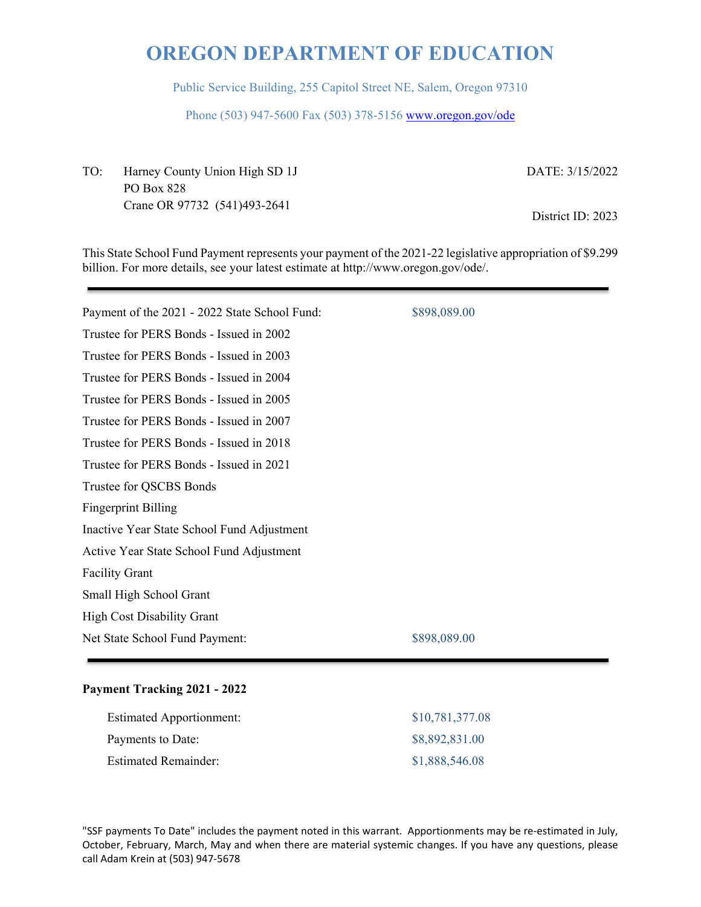Public Service Building, 255 Capitol Street NE, Salem, Oregon 97310

Phone (503) 947-5600 Fax (503) 378-5156 www.oregon.gov/ode

TO: Harney County Union High SD 1J PO Box 828 Crane OR 97732 (541)493-2641

DATE: 3/15/2022

District ID: 2023

This State School Fund Payment represents your payment of the 2021-22 legislative appropriation of \$9.299 billion. For more details, see your latest estimate at http://www.oregon.gov/ode/.

| Payment of the 2021 - 2022 State School Fund: | \$898,089.00 |
|-----------------------------------------------|--------------|
| Trustee for PERS Bonds - Issued in 2002       |              |
| Trustee for PERS Bonds - Issued in 2003       |              |
| Trustee for PERS Bonds - Issued in 2004       |              |
| Trustee for PERS Bonds - Issued in 2005       |              |
| Trustee for PERS Bonds - Issued in 2007       |              |
| Trustee for PERS Bonds - Issued in 2018       |              |
| Trustee for PERS Bonds - Issued in 2021       |              |
| Trustee for QSCBS Bonds                       |              |
| <b>Fingerprint Billing</b>                    |              |
| Inactive Year State School Fund Adjustment    |              |
| Active Year State School Fund Adjustment      |              |
| <b>Facility Grant</b>                         |              |
| Small High School Grant                       |              |
| <b>High Cost Disability Grant</b>             |              |
| Net State School Fund Payment:                | \$898,089.00 |
|                                               |              |

### **Payment Tracking 2021 - 2022**

| <b>Estimated Apportionment:</b> | \$10,781,377.08 |
|---------------------------------|-----------------|
| Payments to Date:               | \$8,892,831.00  |
| <b>Estimated Remainder:</b>     | \$1,888,546.08  |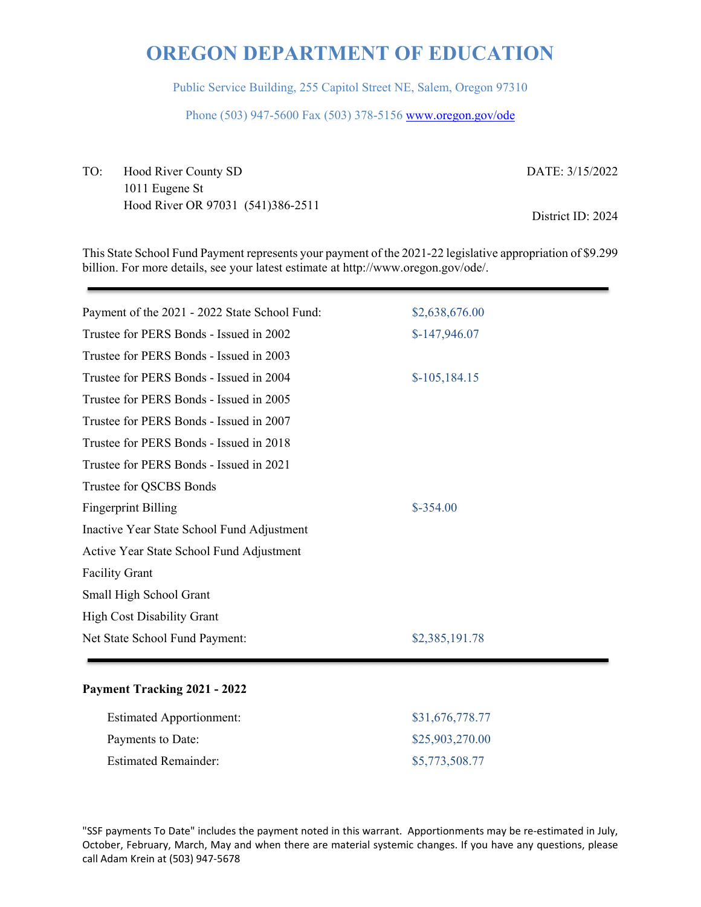Public Service Building, 255 Capitol Street NE, Salem, Oregon 97310

Phone (503) 947-5600 Fax (503) 378-5156 www.oregon.gov/ode

TO: Hood River County SD 1011 Eugene St Hood River OR 97031 (541)386-2511 DATE: 3/15/2022 District ID: 2024

This State School Fund Payment represents your payment of the 2021-22 legislative appropriation of \$9.299 billion. For more details, see your latest estimate at http://www.oregon.gov/ode/.

| Payment of the 2021 - 2022 State School Fund: | \$2,638,676.00 |
|-----------------------------------------------|----------------|
| Trustee for PERS Bonds - Issued in 2002       | $$-147,946.07$ |
| Trustee for PERS Bonds - Issued in 2003       |                |
| Trustee for PERS Bonds - Issued in 2004       | $$-105,184.15$ |
| Trustee for PERS Bonds - Issued in 2005       |                |
| Trustee for PERS Bonds - Issued in 2007       |                |
| Trustee for PERS Bonds - Issued in 2018       |                |
| Trustee for PERS Bonds - Issued in 2021       |                |
| Trustee for QSCBS Bonds                       |                |
| <b>Fingerprint Billing</b>                    | $$-354.00$     |
| Inactive Year State School Fund Adjustment    |                |
| Active Year State School Fund Adjustment      |                |
| <b>Facility Grant</b>                         |                |
| Small High School Grant                       |                |
| <b>High Cost Disability Grant</b>             |                |
| Net State School Fund Payment:                | \$2,385,191.78 |
|                                               |                |

### **Payment Tracking 2021 - 2022**

| <b>Estimated Apportionment:</b> | \$31,676,778.77 |
|---------------------------------|-----------------|
| Payments to Date:               | \$25,903,270.00 |
| <b>Estimated Remainder:</b>     | \$5,773,508.77  |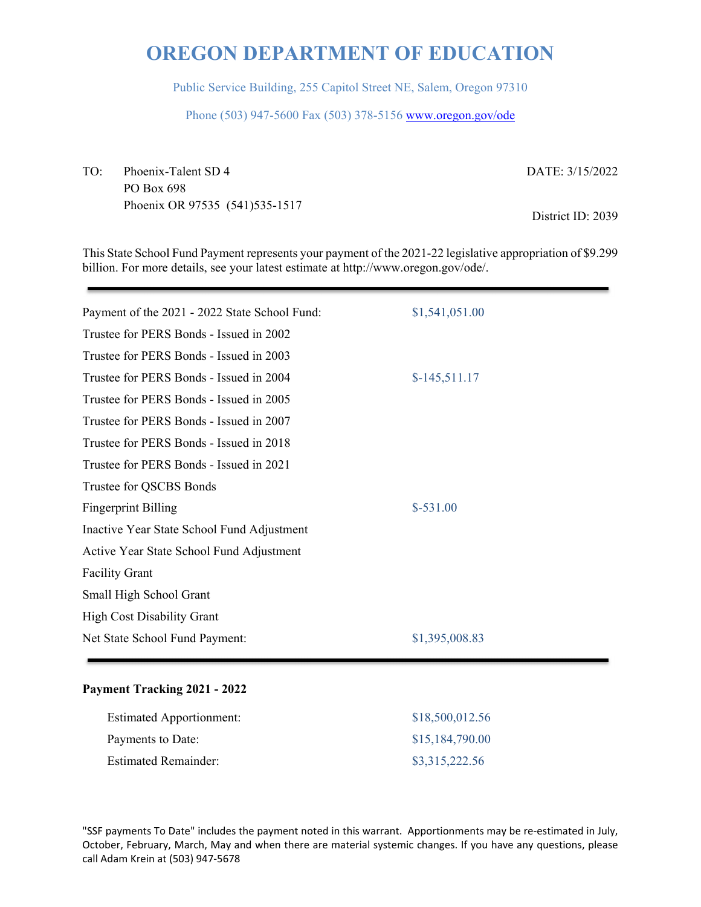Public Service Building, 255 Capitol Street NE, Salem, Oregon 97310

Phone (503) 947-5600 Fax (503) 378-5156 www.oregon.gov/ode

TO: Phoenix-Talent SD 4 PO Box 698 Phoenix OR 97535 (541)535-1517 DATE: 3/15/2022 District ID: 2039

This State School Fund Payment represents your payment of the 2021-22 legislative appropriation of \$9.299 billion. For more details, see your latest estimate at http://www.oregon.gov/ode/.

| Payment of the 2021 - 2022 State School Fund: | \$1,541,051.00 |
|-----------------------------------------------|----------------|
| Trustee for PERS Bonds - Issued in 2002       |                |
| Trustee for PERS Bonds - Issued in 2003       |                |
| Trustee for PERS Bonds - Issued in 2004       | $$-145,511.17$ |
| Trustee for PERS Bonds - Issued in 2005       |                |
| Trustee for PERS Bonds - Issued in 2007       |                |
| Trustee for PERS Bonds - Issued in 2018       |                |
| Trustee for PERS Bonds - Issued in 2021       |                |
| Trustee for QSCBS Bonds                       |                |
| <b>Fingerprint Billing</b>                    | $$-531.00$     |
| Inactive Year State School Fund Adjustment    |                |
| Active Year State School Fund Adjustment      |                |
| <b>Facility Grant</b>                         |                |
| Small High School Grant                       |                |
| <b>High Cost Disability Grant</b>             |                |
| Net State School Fund Payment:                | \$1,395,008.83 |
|                                               |                |

### **Payment Tracking 2021 - 2022**

| <b>Estimated Apportionment:</b> | \$18,500,012.56 |
|---------------------------------|-----------------|
| Payments to Date:               | \$15,184,790.00 |
| <b>Estimated Remainder:</b>     | \$3,315,222.56  |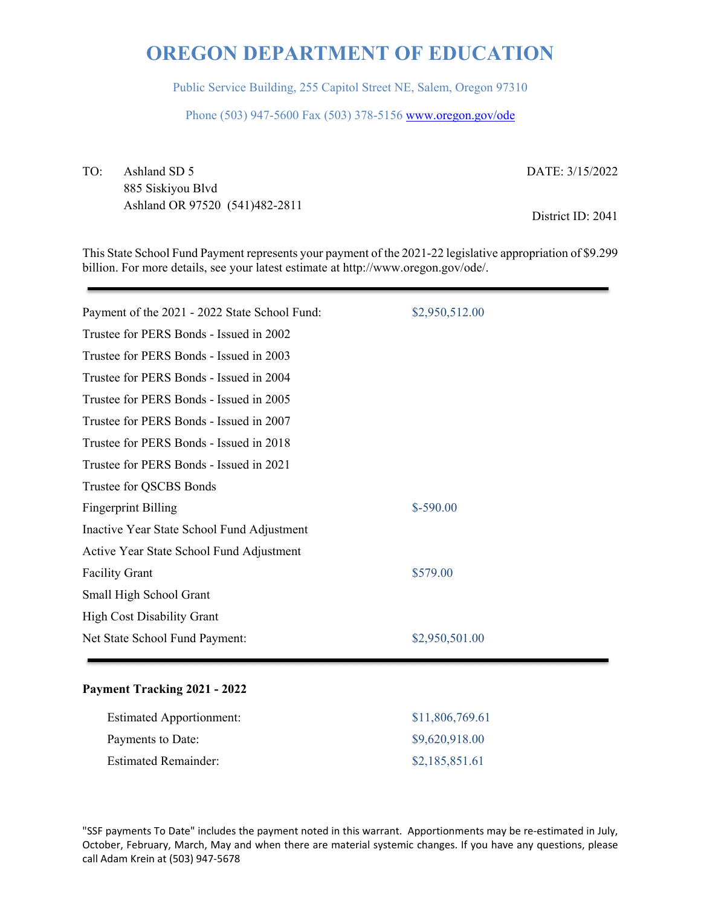Public Service Building, 255 Capitol Street NE, Salem, Oregon 97310

Phone (503) 947-5600 Fax (503) 378-5156 www.oregon.gov/ode

TO: Ashland SD 5 885 Siskiyou Blvd Ashland OR 97520 (541)482-2811 DATE: 3/15/2022

District ID: 2041

This State School Fund Payment represents your payment of the 2021-22 legislative appropriation of \$9.299 billion. For more details, see your latest estimate at http://www.oregon.gov/ode/.

| Payment of the 2021 - 2022 State School Fund: | \$2,950,512.00 |
|-----------------------------------------------|----------------|
| Trustee for PERS Bonds - Issued in 2002       |                |
| Trustee for PERS Bonds - Issued in 2003       |                |
| Trustee for PERS Bonds - Issued in 2004       |                |
| Trustee for PERS Bonds - Issued in 2005       |                |
| Trustee for PERS Bonds - Issued in 2007       |                |
| Trustee for PERS Bonds - Issued in 2018       |                |
| Trustee for PERS Bonds - Issued in 2021       |                |
| Trustee for QSCBS Bonds                       |                |
| <b>Fingerprint Billing</b>                    | $$-590.00$     |
| Inactive Year State School Fund Adjustment    |                |
| Active Year State School Fund Adjustment      |                |
| <b>Facility Grant</b>                         | \$579.00       |
| Small High School Grant                       |                |
| <b>High Cost Disability Grant</b>             |                |
| Net State School Fund Payment:                | \$2,950,501.00 |
|                                               |                |

### **Payment Tracking 2021 - 2022**

| <b>Estimated Apportionment:</b> | \$11,806,769.61 |
|---------------------------------|-----------------|
| Payments to Date:               | \$9,620,918.00  |
| <b>Estimated Remainder:</b>     | \$2,185,851.61  |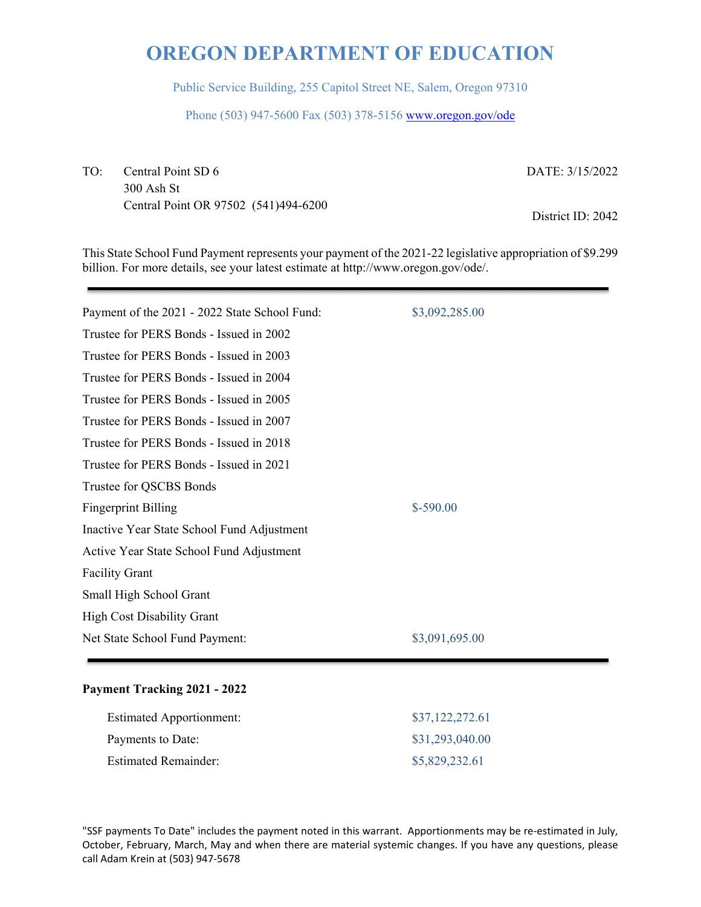Public Service Building, 255 Capitol Street NE, Salem, Oregon 97310

Phone (503) 947-5600 Fax (503) 378-5156 www.oregon.gov/ode

TO: Central Point SD 6 300 Ash St Central Point OR 97502 (541)494-6200 DATE: 3/15/2022

District ID: 2042

This State School Fund Payment represents your payment of the 2021-22 legislative appropriation of \$9.299 billion. For more details, see your latest estimate at http://www.oregon.gov/ode/.

| Payment of the 2021 - 2022 State School Fund: | \$3,092,285.00 |
|-----------------------------------------------|----------------|
| Trustee for PERS Bonds - Issued in 2002       |                |
| Trustee for PERS Bonds - Issued in 2003       |                |
| Trustee for PERS Bonds - Issued in 2004       |                |
| Trustee for PERS Bonds - Issued in 2005       |                |
| Trustee for PERS Bonds - Issued in 2007       |                |
| Trustee for PERS Bonds - Issued in 2018       |                |
| Trustee for PERS Bonds - Issued in 2021       |                |
| Trustee for QSCBS Bonds                       |                |
| <b>Fingerprint Billing</b>                    | $$-590.00$     |
| Inactive Year State School Fund Adjustment    |                |
| Active Year State School Fund Adjustment      |                |
| <b>Facility Grant</b>                         |                |
| Small High School Grant                       |                |
| <b>High Cost Disability Grant</b>             |                |
| Net State School Fund Payment:                | \$3,091,695.00 |
|                                               |                |

### **Payment Tracking 2021 - 2022**

| <b>Estimated Apportionment:</b> | \$37,122,272.61 |
|---------------------------------|-----------------|
| Payments to Date:               | \$31,293,040.00 |
| <b>Estimated Remainder:</b>     | \$5,829,232.61  |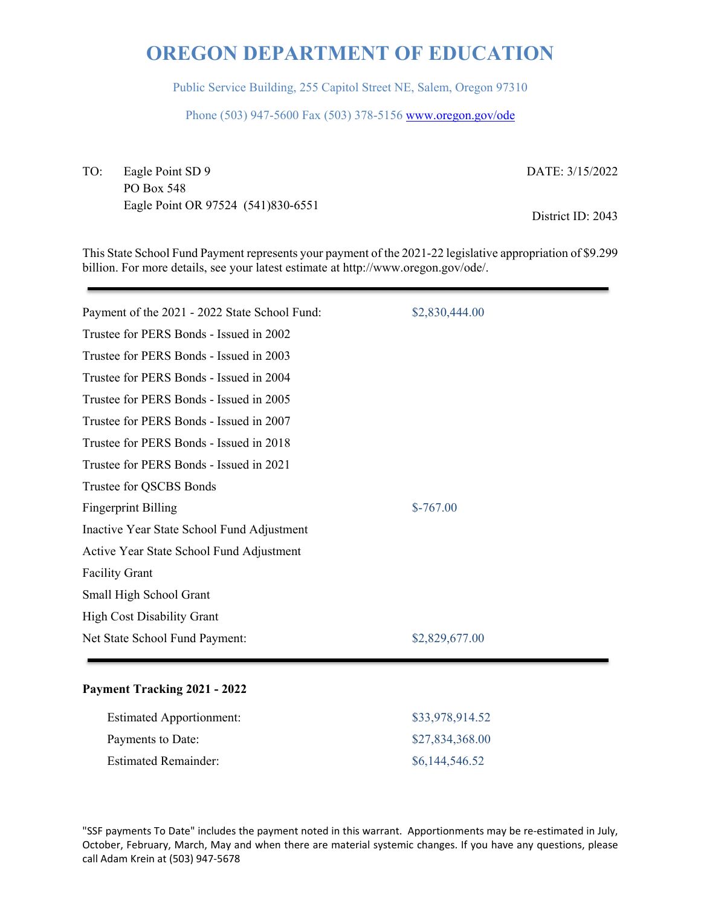Public Service Building, 255 Capitol Street NE, Salem, Oregon 97310

Phone (503) 947-5600 Fax (503) 378-5156 www.oregon.gov/ode

TO: Eagle Point SD 9 PO Box 548 Eagle Point OR 97524 (541)830-6551 DATE: 3/15/2022

District ID: 2043

This State School Fund Payment represents your payment of the 2021-22 legislative appropriation of \$9.299 billion. For more details, see your latest estimate at http://www.oregon.gov/ode/.

| Payment of the 2021 - 2022 State School Fund: | \$2,830,444.00 |
|-----------------------------------------------|----------------|
| Trustee for PERS Bonds - Issued in 2002       |                |
| Trustee for PERS Bonds - Issued in 2003       |                |
| Trustee for PERS Bonds - Issued in 2004       |                |
| Trustee for PERS Bonds - Issued in 2005       |                |
| Trustee for PERS Bonds - Issued in 2007       |                |
| Trustee for PERS Bonds - Issued in 2018       |                |
| Trustee for PERS Bonds - Issued in 2021       |                |
| Trustee for QSCBS Bonds                       |                |
| <b>Fingerprint Billing</b>                    | $$-767.00$     |
| Inactive Year State School Fund Adjustment    |                |
| Active Year State School Fund Adjustment      |                |
| <b>Facility Grant</b>                         |                |
| Small High School Grant                       |                |
| <b>High Cost Disability Grant</b>             |                |
| Net State School Fund Payment:                | \$2,829,677.00 |
|                                               |                |

### **Payment Tracking 2021 - 2022**

| <b>Estimated Apportionment:</b> | \$33,978,914.52 |
|---------------------------------|-----------------|
| Payments to Date:               | \$27,834,368.00 |
| <b>Estimated Remainder:</b>     | \$6,144,546.52  |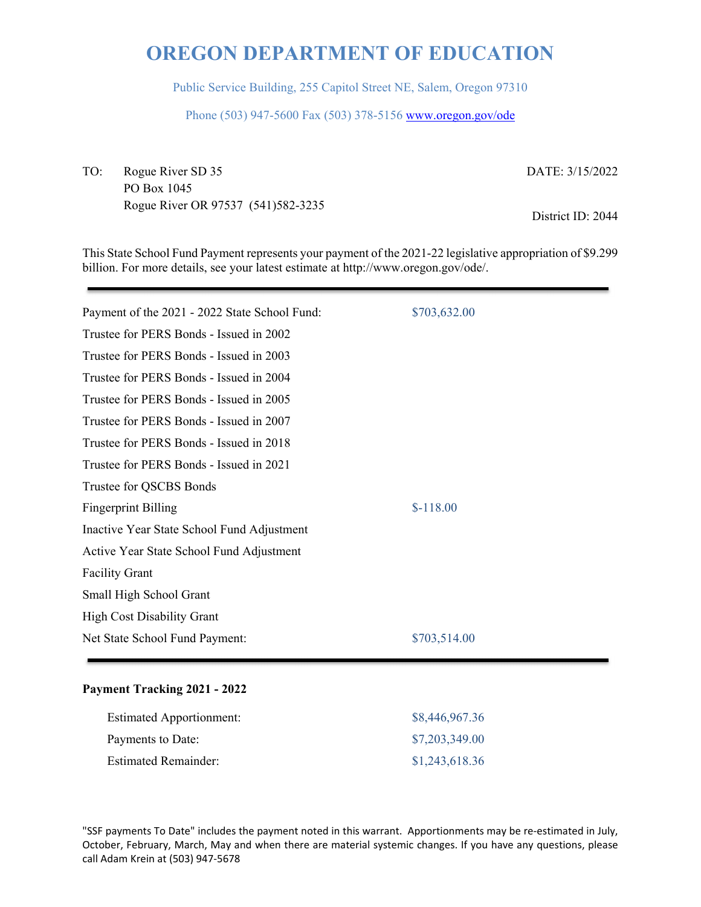Public Service Building, 255 Capitol Street NE, Salem, Oregon 97310

Phone (503) 947-5600 Fax (503) 378-5156 www.oregon.gov/ode

TO: Rogue River SD 35 PO Box 1045 Rogue River OR 97537 (541)582-3235 DATE: 3/15/2022

District ID: 2044

This State School Fund Payment represents your payment of the 2021-22 legislative appropriation of \$9.299 billion. For more details, see your latest estimate at http://www.oregon.gov/ode/.

| Payment of the 2021 - 2022 State School Fund: | \$703,632.00 |
|-----------------------------------------------|--------------|
| Trustee for PERS Bonds - Issued in 2002       |              |
| Trustee for PERS Bonds - Issued in 2003       |              |
| Trustee for PERS Bonds - Issued in 2004       |              |
| Trustee for PERS Bonds - Issued in 2005       |              |
| Trustee for PERS Bonds - Issued in 2007       |              |
| Trustee for PERS Bonds - Issued in 2018       |              |
| Trustee for PERS Bonds - Issued in 2021       |              |
| Trustee for QSCBS Bonds                       |              |
| <b>Fingerprint Billing</b>                    | $$-118.00$   |
| Inactive Year State School Fund Adjustment    |              |
| Active Year State School Fund Adjustment      |              |
| <b>Facility Grant</b>                         |              |
| Small High School Grant                       |              |
| High Cost Disability Grant                    |              |
| Net State School Fund Payment:                | \$703,514.00 |
|                                               |              |

#### **Payment Tracking 2021 - 2022**

| <b>Estimated Apportionment:</b> | \$8,446,967.36 |
|---------------------------------|----------------|
| Payments to Date:               | \$7,203,349.00 |
| <b>Estimated Remainder:</b>     | \$1,243,618.36 |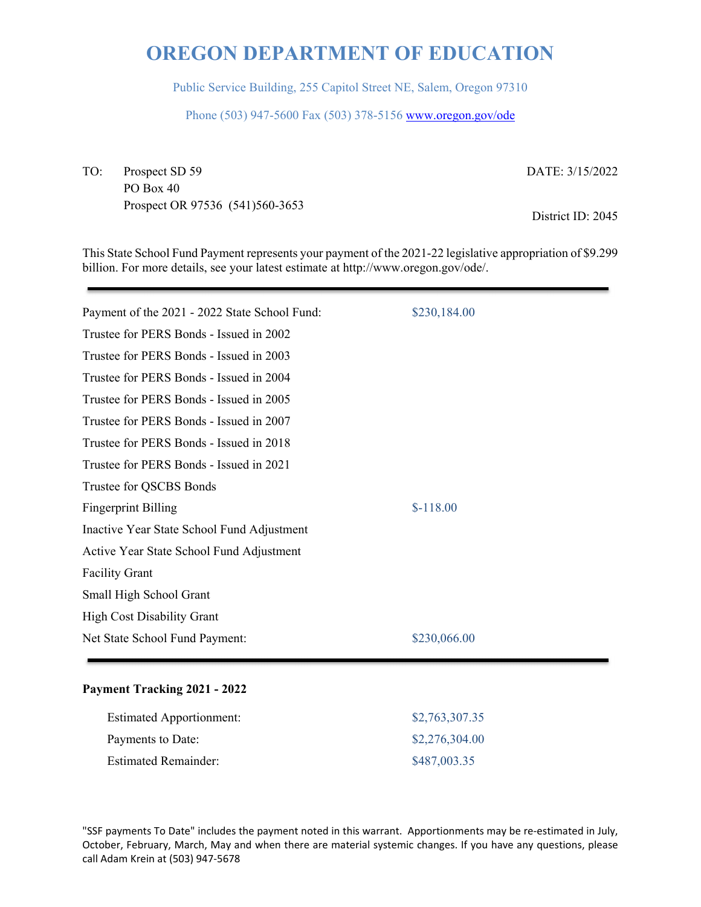Public Service Building, 255 Capitol Street NE, Salem, Oregon 97310

Phone (503) 947-5600 Fax (503) 378-5156 www.oregon.gov/ode

TO: Prospect SD 59 PO Box 40 Prospect OR 97536 (541)560-3653 DATE: 3/15/2022

District ID: 2045

This State School Fund Payment represents your payment of the 2021-22 legislative appropriation of \$9.299 billion. For more details, see your latest estimate at http://www.oregon.gov/ode/.

| Payment of the 2021 - 2022 State School Fund: | \$230,184.00 |
|-----------------------------------------------|--------------|
| Trustee for PERS Bonds - Issued in 2002       |              |
| Trustee for PERS Bonds - Issued in 2003       |              |
| Trustee for PERS Bonds - Issued in 2004       |              |
| Trustee for PERS Bonds - Issued in 2005       |              |
| Trustee for PERS Bonds - Issued in 2007       |              |
| Trustee for PERS Bonds - Issued in 2018       |              |
| Trustee for PERS Bonds - Issued in 2021       |              |
| Trustee for QSCBS Bonds                       |              |
| <b>Fingerprint Billing</b>                    | $$-118.00$   |
| Inactive Year State School Fund Adjustment    |              |
| Active Year State School Fund Adjustment      |              |
| <b>Facility Grant</b>                         |              |
| Small High School Grant                       |              |
| High Cost Disability Grant                    |              |
| Net State School Fund Payment:                | \$230,066.00 |
|                                               |              |

### **Payment Tracking 2021 - 2022**

| <b>Estimated Apportionment:</b> | \$2,763,307.35 |
|---------------------------------|----------------|
| Payments to Date:               | \$2,276,304.00 |
| <b>Estimated Remainder:</b>     | \$487,003.35   |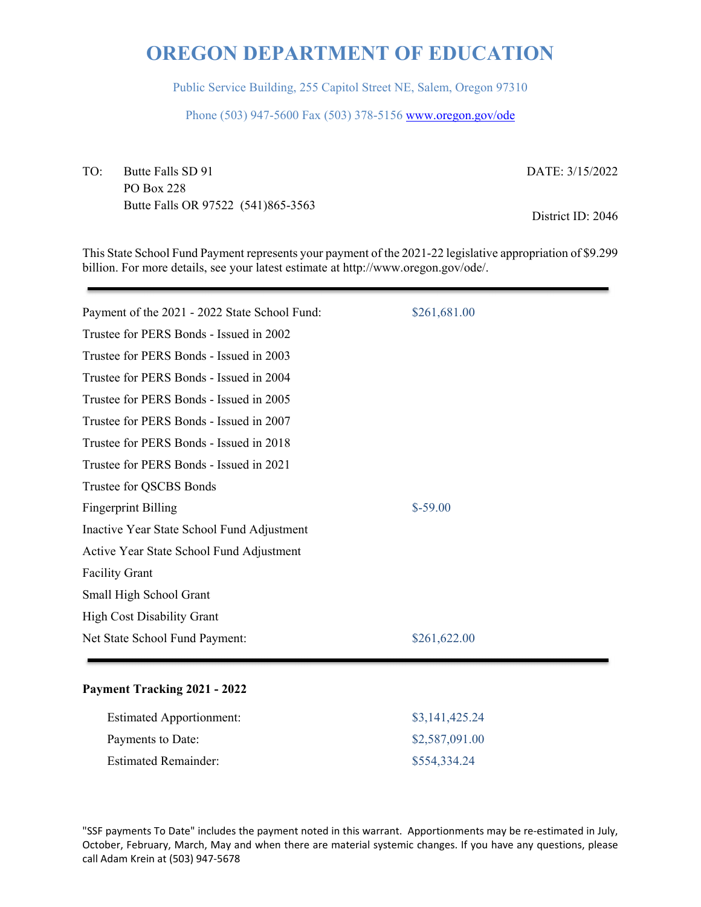Public Service Building, 255 Capitol Street NE, Salem, Oregon 97310

Phone (503) 947-5600 Fax (503) 378-5156 www.oregon.gov/ode

TO: Butte Falls SD 91 PO Box 228 Butte Falls OR 97522 (541)865-3563 DATE: 3/15/2022

District ID: 2046

This State School Fund Payment represents your payment of the 2021-22 legislative appropriation of \$9.299 billion. For more details, see your latest estimate at http://www.oregon.gov/ode/.

| Payment of the 2021 - 2022 State School Fund: | \$261,681.00 |
|-----------------------------------------------|--------------|
| Trustee for PERS Bonds - Issued in 2002       |              |
| Trustee for PERS Bonds - Issued in 2003       |              |
| Trustee for PERS Bonds - Issued in 2004       |              |
| Trustee for PERS Bonds - Issued in 2005       |              |
| Trustee for PERS Bonds - Issued in 2007       |              |
| Trustee for PERS Bonds - Issued in 2018       |              |
| Trustee for PERS Bonds - Issued in 2021       |              |
| Trustee for QSCBS Bonds                       |              |
| <b>Fingerprint Billing</b>                    | $$-59.00$    |
| Inactive Year State School Fund Adjustment    |              |
| Active Year State School Fund Adjustment      |              |
| <b>Facility Grant</b>                         |              |
| Small High School Grant                       |              |
| High Cost Disability Grant                    |              |
| Net State School Fund Payment:                | \$261,622.00 |
|                                               |              |

### **Payment Tracking 2021 - 2022**

| <b>Estimated Apportionment:</b> | \$3,141,425.24 |
|---------------------------------|----------------|
| Payments to Date:               | \$2,587,091.00 |
| <b>Estimated Remainder:</b>     | \$554,334.24   |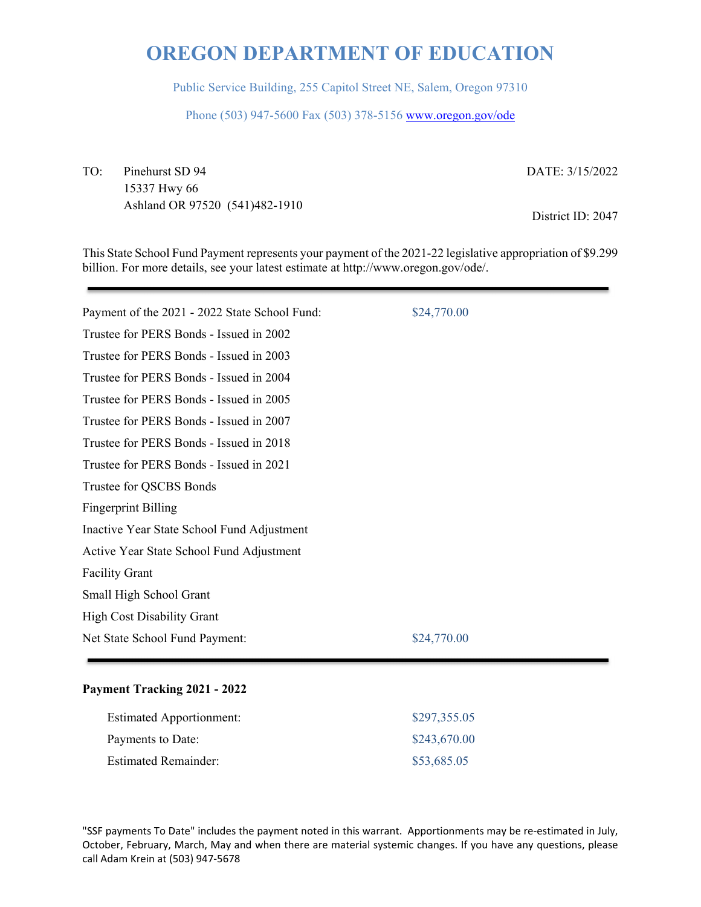Public Service Building, 255 Capitol Street NE, Salem, Oregon 97310

Phone (503) 947-5600 Fax (503) 378-5156 www.oregon.gov/ode

TO: Pinehurst SD 94 15337 Hwy 66 Ashland OR 97520 (541)482-1910 DATE: 3/15/2022

District ID: 2047

This State School Fund Payment represents your payment of the 2021-22 legislative appropriation of \$9.299 billion. For more details, see your latest estimate at http://www.oregon.gov/ode/.

| Payment of the 2021 - 2022 State School Fund: | \$24,770.00 |
|-----------------------------------------------|-------------|
| Trustee for PERS Bonds - Issued in 2002       |             |
| Trustee for PERS Bonds - Issued in 2003       |             |
| Trustee for PERS Bonds - Issued in 2004       |             |
| Trustee for PERS Bonds - Issued in 2005       |             |
| Trustee for PERS Bonds - Issued in 2007       |             |
| Trustee for PERS Bonds - Issued in 2018       |             |
| Trustee for PERS Bonds - Issued in 2021       |             |
| Trustee for QSCBS Bonds                       |             |
| <b>Fingerprint Billing</b>                    |             |
| Inactive Year State School Fund Adjustment    |             |
| Active Year State School Fund Adjustment      |             |
| <b>Facility Grant</b>                         |             |
| Small High School Grant                       |             |
| <b>High Cost Disability Grant</b>             |             |
| Net State School Fund Payment:                | \$24,770.00 |
|                                               |             |

### **Payment Tracking 2021 - 2022**

| <b>Estimated Apportionment:</b> | \$297,355.05 |
|---------------------------------|--------------|
| Payments to Date:               | \$243,670.00 |
| <b>Estimated Remainder:</b>     | \$53,685.05  |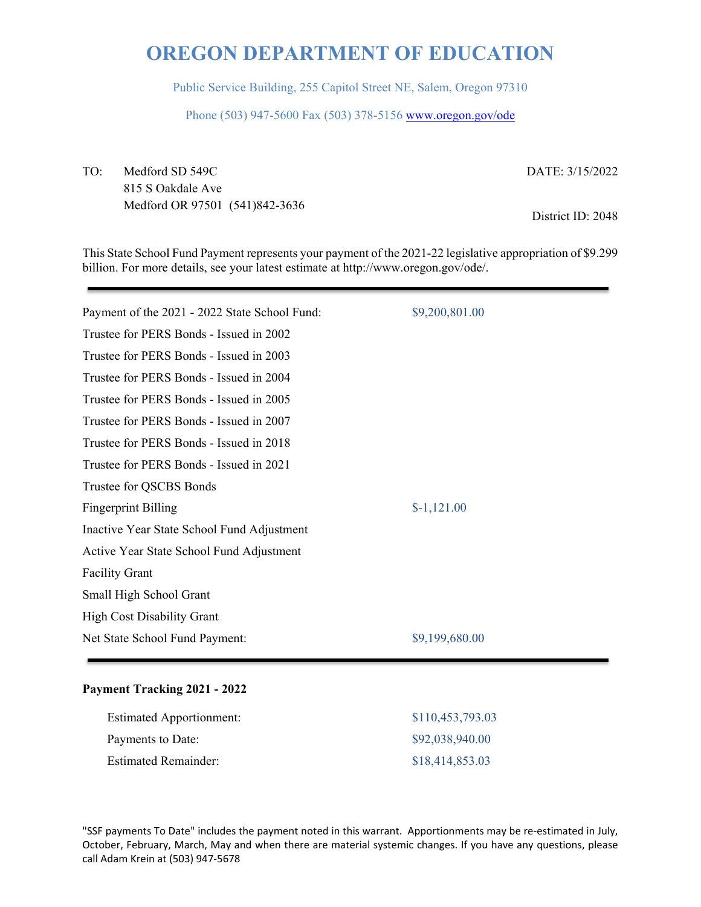Public Service Building, 255 Capitol Street NE, Salem, Oregon 97310

Phone (503) 947-5600 Fax (503) 378-5156 www.oregon.gov/ode

TO: Medford SD 549C 815 S Oakdale Ave Medford OR 97501 (541)842-3636 DATE: 3/15/2022

District ID: 2048

This State School Fund Payment represents your payment of the 2021-22 legislative appropriation of \$9.299 billion. For more details, see your latest estimate at http://www.oregon.gov/ode/.

| Payment of the 2021 - 2022 State School Fund: | \$9,200,801.00 |
|-----------------------------------------------|----------------|
| Trustee for PERS Bonds - Issued in 2002       |                |
| Trustee for PERS Bonds - Issued in 2003       |                |
| Trustee for PERS Bonds - Issued in 2004       |                |
| Trustee for PERS Bonds - Issued in 2005       |                |
| Trustee for PERS Bonds - Issued in 2007       |                |
| Trustee for PERS Bonds - Issued in 2018       |                |
| Trustee for PERS Bonds - Issued in 2021       |                |
| Trustee for QSCBS Bonds                       |                |
| <b>Fingerprint Billing</b>                    | $$-1,121.00$   |
| Inactive Year State School Fund Adjustment    |                |
| Active Year State School Fund Adjustment      |                |
| <b>Facility Grant</b>                         |                |
| Small High School Grant                       |                |
| <b>High Cost Disability Grant</b>             |                |
| Net State School Fund Payment:                | \$9,199,680.00 |
|                                               |                |

### **Payment Tracking 2021 - 2022**

| <b>Estimated Apportionment:</b> | \$110,453,793.03 |
|---------------------------------|------------------|
| Payments to Date:               | \$92,038,940.00  |
| <b>Estimated Remainder:</b>     | \$18,414,853.03  |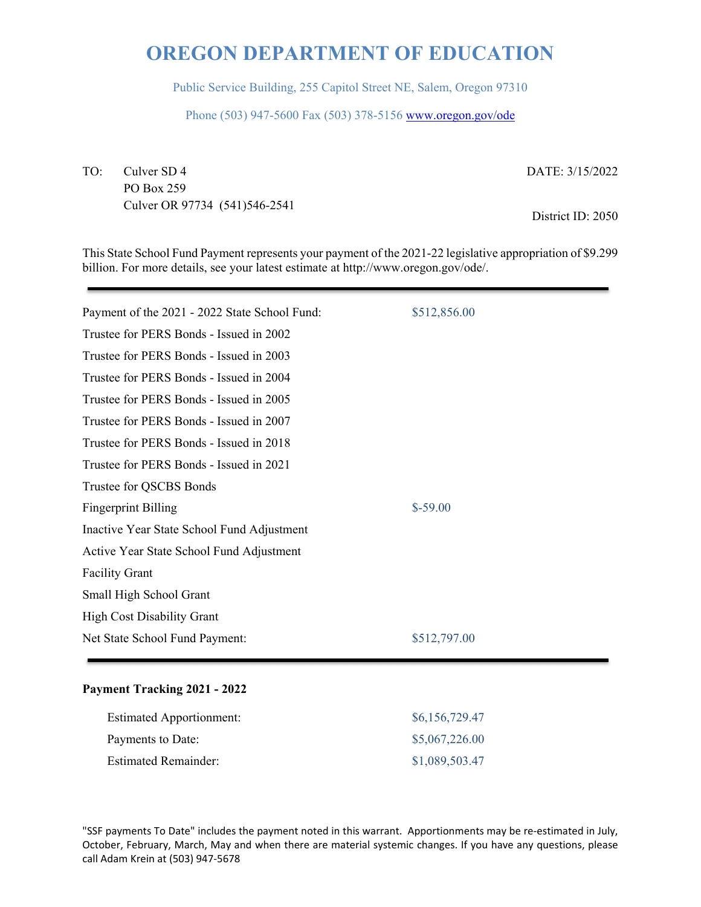Public Service Building, 255 Capitol Street NE, Salem, Oregon 97310

Phone (503) 947-5600 Fax (503) 378-5156 www.oregon.gov/ode

TO: Culver SD 4 PO Box 259 Culver OR 97734 (541)546-2541 DATE: 3/15/2022

District ID: 2050

This State School Fund Payment represents your payment of the 2021-22 legislative appropriation of \$9.299 billion. For more details, see your latest estimate at http://www.oregon.gov/ode/.

| Payment of the 2021 - 2022 State School Fund: | \$512,856.00 |
|-----------------------------------------------|--------------|
| Trustee for PERS Bonds - Issued in 2002       |              |
| Trustee for PERS Bonds - Issued in 2003       |              |
| Trustee for PERS Bonds - Issued in 2004       |              |
| Trustee for PERS Bonds - Issued in 2005       |              |
| Trustee for PERS Bonds - Issued in 2007       |              |
| Trustee for PERS Bonds - Issued in 2018       |              |
| Trustee for PERS Bonds - Issued in 2021       |              |
| Trustee for QSCBS Bonds                       |              |
| <b>Fingerprint Billing</b>                    | $$-59.00$    |
| Inactive Year State School Fund Adjustment    |              |
| Active Year State School Fund Adjustment      |              |
| <b>Facility Grant</b>                         |              |
| Small High School Grant                       |              |
| <b>High Cost Disability Grant</b>             |              |
| Net State School Fund Payment:                | \$512,797.00 |
|                                               |              |

### **Payment Tracking 2021 - 2022**

| <b>Estimated Apportionment:</b> | \$6,156,729.47 |
|---------------------------------|----------------|
| Payments to Date:               | \$5,067,226.00 |
| <b>Estimated Remainder:</b>     | \$1,089,503.47 |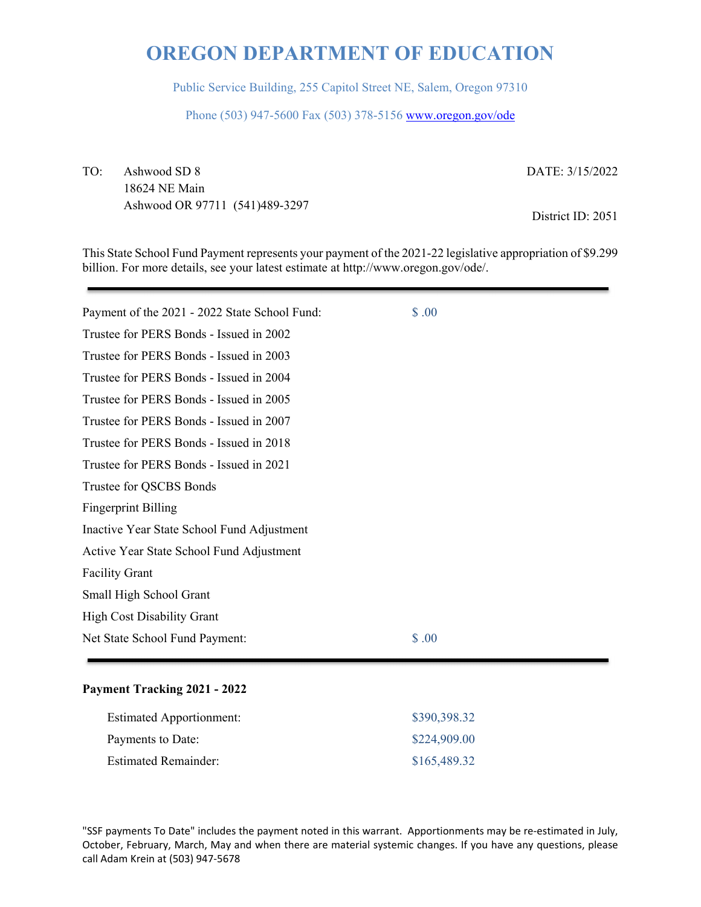Public Service Building, 255 Capitol Street NE, Salem, Oregon 97310

Phone (503) 947-5600 Fax (503) 378-5156 www.oregon.gov/ode

TO: Ashwood SD 8 18624 NE Main Ashwood OR 97711 (541)489-3297 DATE: 3/15/2022

District ID: 2051

This State School Fund Payment represents your payment of the 2021-22 legislative appropriation of \$9.299 billion. For more details, see your latest estimate at http://www.oregon.gov/ode/.

| Payment of the 2021 - 2022 State School Fund: | \$.00 |  |
|-----------------------------------------------|-------|--|
| Trustee for PERS Bonds - Issued in 2002       |       |  |
| Trustee for PERS Bonds - Issued in 2003       |       |  |
| Trustee for PERS Bonds - Issued in 2004       |       |  |
| Trustee for PERS Bonds - Issued in 2005       |       |  |
| Trustee for PERS Bonds - Issued in 2007       |       |  |
| Trustee for PERS Bonds - Issued in 2018       |       |  |
| Trustee for PERS Bonds - Issued in 2021       |       |  |
| Trustee for QSCBS Bonds                       |       |  |
| <b>Fingerprint Billing</b>                    |       |  |
| Inactive Year State School Fund Adjustment    |       |  |
| Active Year State School Fund Adjustment      |       |  |
| <b>Facility Grant</b>                         |       |  |
| Small High School Grant                       |       |  |
| <b>High Cost Disability Grant</b>             |       |  |
| Net State School Fund Payment:                | \$.00 |  |
|                                               |       |  |

### **Payment Tracking 2021 - 2022**

| <b>Estimated Apportionment:</b> | \$390,398.32 |
|---------------------------------|--------------|
| Payments to Date:               | \$224,909.00 |
| <b>Estimated Remainder:</b>     | \$165,489.32 |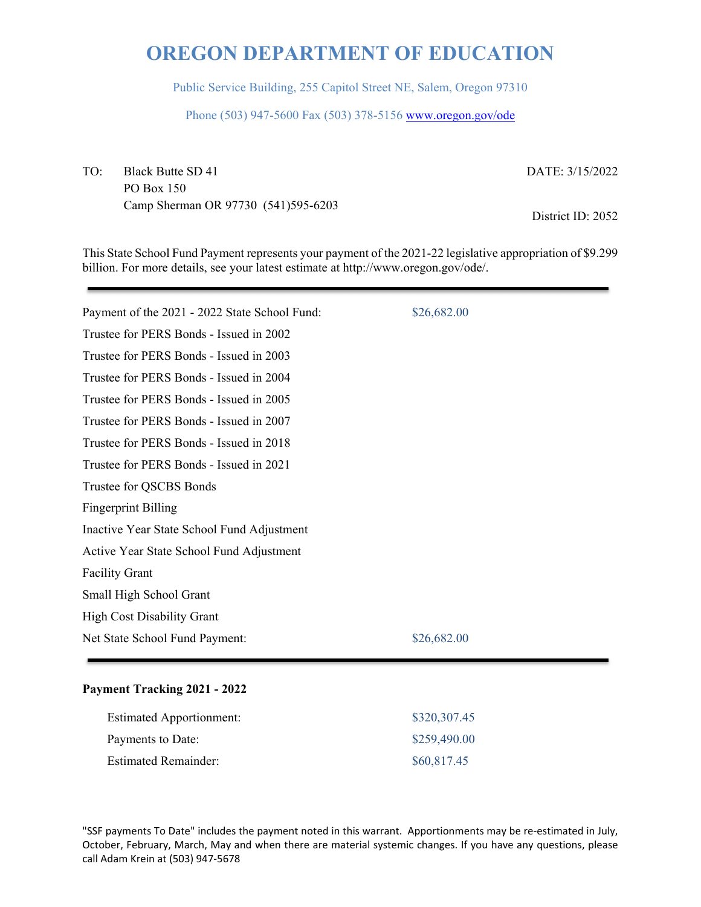Public Service Building, 255 Capitol Street NE, Salem, Oregon 97310

Phone (503) 947-5600 Fax (503) 378-5156 www.oregon.gov/ode

TO: Black Butte SD 41 PO Box 150 Camp Sherman OR 97730 (541)595-6203 DATE: 3/15/2022

District ID: 2052

This State School Fund Payment represents your payment of the 2021-22 legislative appropriation of \$9.299 billion. For more details, see your latest estimate at http://www.oregon.gov/ode/.

| Payment of the 2021 - 2022 State School Fund: | \$26,682.00 |
|-----------------------------------------------|-------------|
| Trustee for PERS Bonds - Issued in 2002       |             |
| Trustee for PERS Bonds - Issued in 2003       |             |
| Trustee for PERS Bonds - Issued in 2004       |             |
| Trustee for PERS Bonds - Issued in 2005       |             |
| Trustee for PERS Bonds - Issued in 2007       |             |
| Trustee for PERS Bonds - Issued in 2018       |             |
| Trustee for PERS Bonds - Issued in 2021       |             |
| Trustee for QSCBS Bonds                       |             |
| <b>Fingerprint Billing</b>                    |             |
| Inactive Year State School Fund Adjustment    |             |
| Active Year State School Fund Adjustment      |             |
| <b>Facility Grant</b>                         |             |
| Small High School Grant                       |             |
| <b>High Cost Disability Grant</b>             |             |
| Net State School Fund Payment:                | \$26,682.00 |
|                                               |             |

### **Payment Tracking 2021 - 2022**

| <b>Estimated Apportionment:</b> | \$320,307.45 |
|---------------------------------|--------------|
| Payments to Date:               | \$259,490.00 |
| <b>Estimated Remainder:</b>     | \$60,817.45  |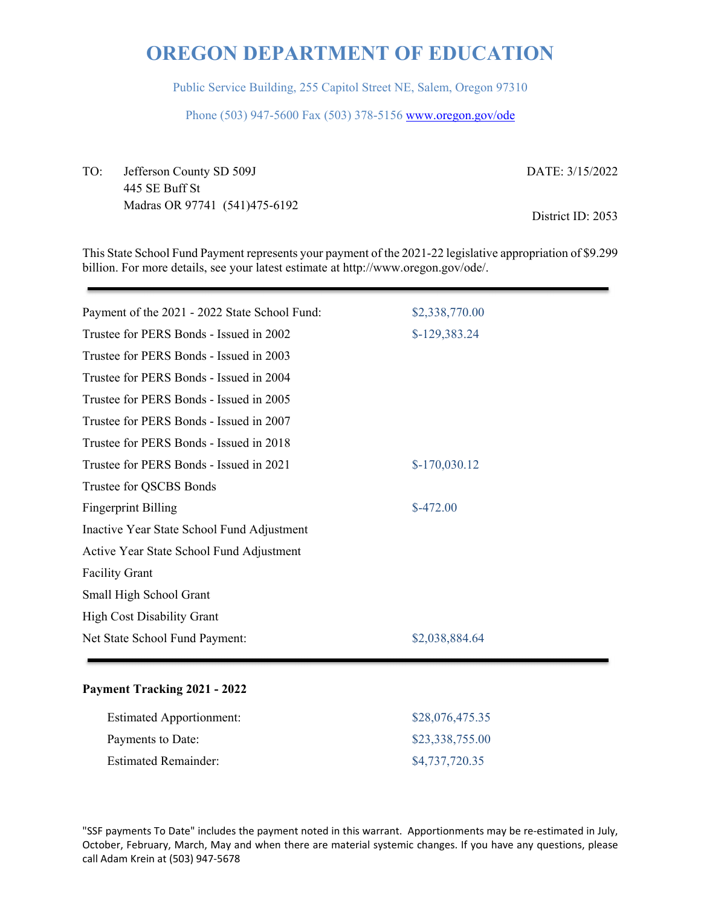Public Service Building, 255 Capitol Street NE, Salem, Oregon 97310

Phone (503) 947-5600 Fax (503) 378-5156 www.oregon.gov/ode

TO: Jefferson County SD 509J 445 SE Buff St Madras OR 97741 (541)475-6192 DATE: 3/15/2022 District ID: 2053

This State School Fund Payment represents your payment of the 2021-22 legislative appropriation of \$9.299 billion. For more details, see your latest estimate at http://www.oregon.gov/ode/.

| Payment of the 2021 - 2022 State School Fund: | \$2,338,770.00 |
|-----------------------------------------------|----------------|
| Trustee for PERS Bonds - Issued in 2002       | $$-129,383.24$ |
| Trustee for PERS Bonds - Issued in 2003       |                |
| Trustee for PERS Bonds - Issued in 2004       |                |
| Trustee for PERS Bonds - Issued in 2005       |                |
| Trustee for PERS Bonds - Issued in 2007       |                |
| Trustee for PERS Bonds - Issued in 2018       |                |
| Trustee for PERS Bonds - Issued in 2021       | $$-170,030.12$ |
| Trustee for QSCBS Bonds                       |                |
| <b>Fingerprint Billing</b>                    | $$-472.00$     |
| Inactive Year State School Fund Adjustment    |                |
| Active Year State School Fund Adjustment      |                |
| <b>Facility Grant</b>                         |                |
| Small High School Grant                       |                |
| <b>High Cost Disability Grant</b>             |                |
| Net State School Fund Payment:                | \$2,038,884.64 |
|                                               |                |

### **Payment Tracking 2021 - 2022**

| <b>Estimated Apportionment:</b> | \$28,076,475.35 |
|---------------------------------|-----------------|
| Payments to Date:               | \$23,338,755.00 |
| <b>Estimated Remainder:</b>     | \$4,737,720.35  |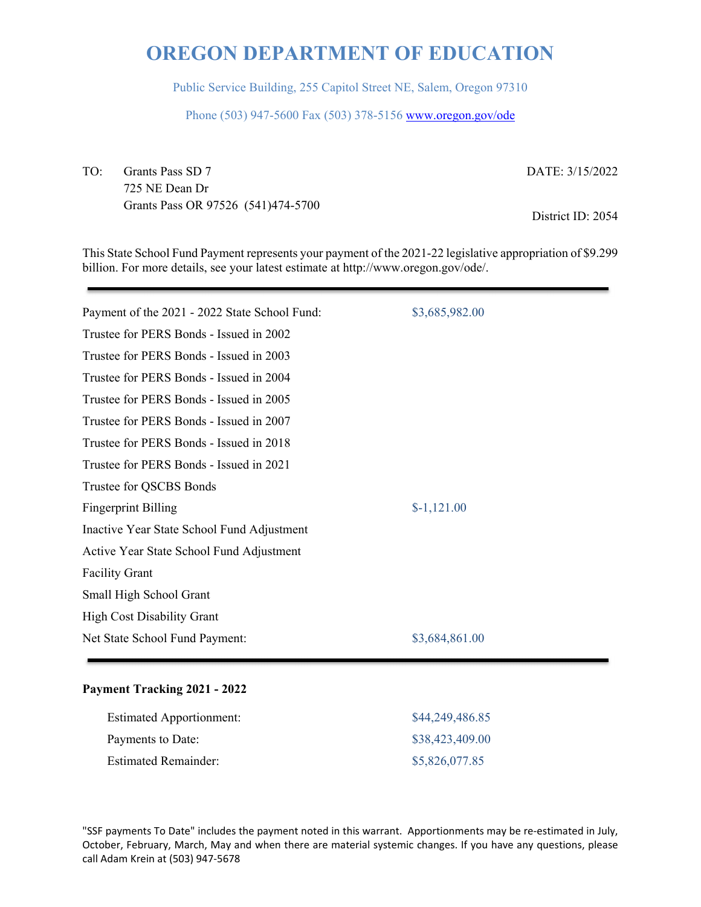Public Service Building, 255 Capitol Street NE, Salem, Oregon 97310

Phone (503) 947-5600 Fax (503) 378-5156 www.oregon.gov/ode

TO: Grants Pass SD 7 725 NE Dean Dr Grants Pass OR 97526 (541)474-5700 DATE: 3/15/2022

District ID: 2054

This State School Fund Payment represents your payment of the 2021-22 legislative appropriation of \$9.299 billion. For more details, see your latest estimate at http://www.oregon.gov/ode/.

| Payment of the 2021 - 2022 State School Fund: | \$3,685,982.00 |
|-----------------------------------------------|----------------|
| Trustee for PERS Bonds - Issued in 2002       |                |
| Trustee for PERS Bonds - Issued in 2003       |                |
| Trustee for PERS Bonds - Issued in 2004       |                |
| Trustee for PERS Bonds - Issued in 2005       |                |
| Trustee for PERS Bonds - Issued in 2007       |                |
| Trustee for PERS Bonds - Issued in 2018       |                |
| Trustee for PERS Bonds - Issued in 2021       |                |
| Trustee for QSCBS Bonds                       |                |
| <b>Fingerprint Billing</b>                    | $$-1,121.00$   |
| Inactive Year State School Fund Adjustment    |                |
| Active Year State School Fund Adjustment      |                |
| <b>Facility Grant</b>                         |                |
| Small High School Grant                       |                |
| <b>High Cost Disability Grant</b>             |                |
| Net State School Fund Payment:                | \$3,684,861.00 |
|                                               |                |

### **Payment Tracking 2021 - 2022**

| <b>Estimated Apportionment:</b> | \$44,249,486.85 |
|---------------------------------|-----------------|
| Payments to Date:               | \$38,423,409.00 |
| <b>Estimated Remainder:</b>     | \$5,826,077.85  |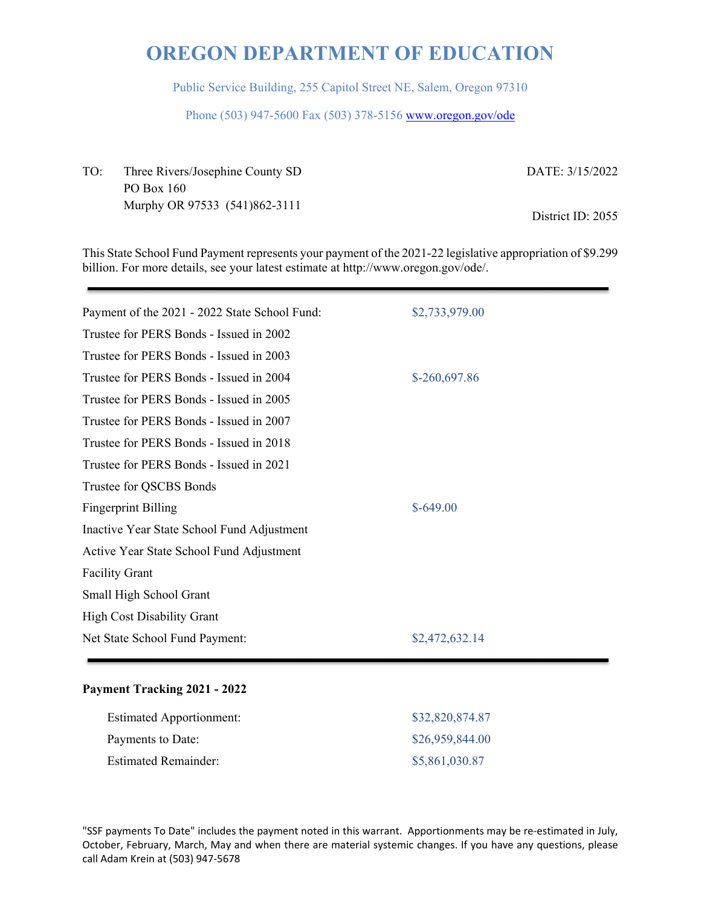Public Service Building, 255 Capitol Street NE, Salem, Oregon 97310

Phone (503) 947-5600 Fax (503) 378-5156 www.oregon.gov/ode

| TO: | Three Rivers/Josephine County SD | DATE: 3/15/2022   |
|-----|----------------------------------|-------------------|
|     | PO Box 160                       |                   |
|     | Murphy OR 97533 (541)862-3111    |                   |
|     |                                  | District ID: 2055 |

This State School Fund Payment represents your payment of the 2021-22 legislative appropriation of \$9.299 billion. For more details, see your latest estimate at http://www.oregon.gov/ode/.

| Payment of the 2021 - 2022 State School Fund: | \$2,733,979.00 |
|-----------------------------------------------|----------------|
| Trustee for PERS Bonds - Issued in 2002       |                |
| Trustee for PERS Bonds - Issued in 2003       |                |
| Trustee for PERS Bonds - Issued in 2004       | \$-260,697.86  |
| Trustee for PERS Bonds - Issued in 2005       |                |
| Trustee for PERS Bonds - Issued in 2007       |                |
| Trustee for PERS Bonds - Issued in 2018       |                |
| Trustee for PERS Bonds - Issued in 2021       |                |
| Trustee for QSCBS Bonds                       |                |
| <b>Fingerprint Billing</b>                    | $$-649.00$     |
| Inactive Year State School Fund Adjustment    |                |
| Active Year State School Fund Adjustment      |                |
| <b>Facility Grant</b>                         |                |
| Small High School Grant                       |                |
| <b>High Cost Disability Grant</b>             |                |
| Net State School Fund Payment:                | \$2,472,632.14 |
|                                               |                |

### **Payment Tracking 2021 - 2022**

| <b>Estimated Apportionment:</b> | \$32,820,874.87 |
|---------------------------------|-----------------|
| Payments to Date:               | \$26,959,844.00 |
| <b>Estimated Remainder:</b>     | \$5,861,030.87  |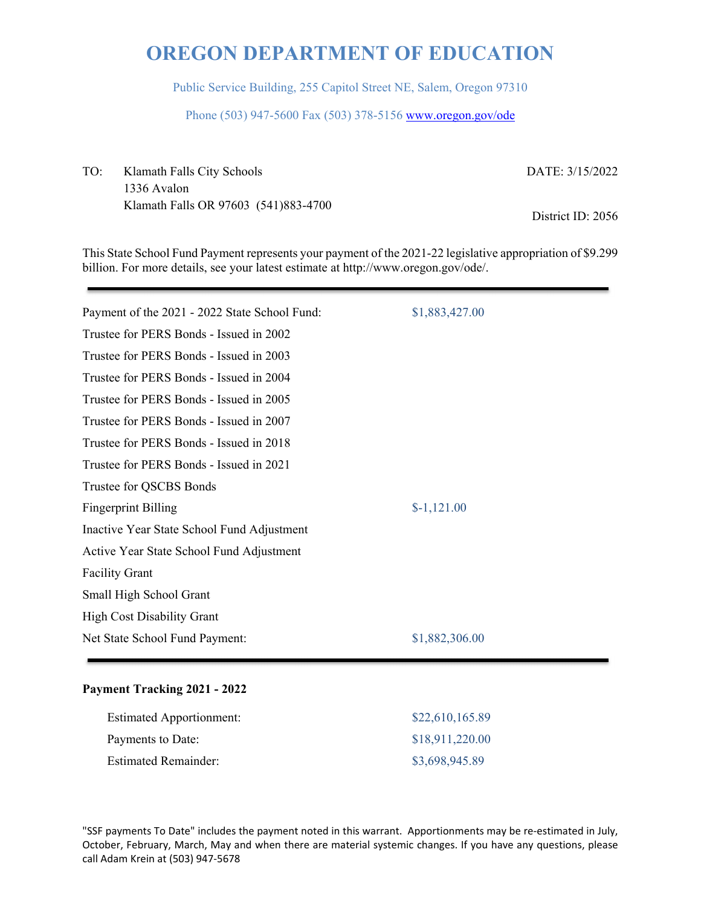Public Service Building, 255 Capitol Street NE, Salem, Oregon 97310

Phone (503) 947-5600 Fax (503) 378-5156 www.oregon.gov/ode

TO: Klamath Falls City Schools 1336 Avalon Klamath Falls OR 97603 (541)883-4700 DATE: 3/15/2022

District ID: 2056

This State School Fund Payment represents your payment of the 2021-22 legislative appropriation of \$9.299 billion. For more details, see your latest estimate at http://www.oregon.gov/ode/.

| Payment of the 2021 - 2022 State School Fund: | \$1,883,427.00 |
|-----------------------------------------------|----------------|
| Trustee for PERS Bonds - Issued in 2002       |                |
| Trustee for PERS Bonds - Issued in 2003       |                |
| Trustee for PERS Bonds - Issued in 2004       |                |
| Trustee for PERS Bonds - Issued in 2005       |                |
| Trustee for PERS Bonds - Issued in 2007       |                |
| Trustee for PERS Bonds - Issued in 2018       |                |
| Trustee for PERS Bonds - Issued in 2021       |                |
| Trustee for QSCBS Bonds                       |                |
| <b>Fingerprint Billing</b>                    | $$-1,121.00$   |
| Inactive Year State School Fund Adjustment    |                |
| Active Year State School Fund Adjustment      |                |
| <b>Facility Grant</b>                         |                |
| Small High School Grant                       |                |
| <b>High Cost Disability Grant</b>             |                |
| Net State School Fund Payment:                | \$1,882,306.00 |
|                                               |                |

#### **Payment Tracking 2021 - 2022**

| <b>Estimated Apportionment:</b> | \$22,610,165.89 |
|---------------------------------|-----------------|
| Payments to Date:               | \$18,911,220.00 |
| <b>Estimated Remainder:</b>     | \$3,698,945.89  |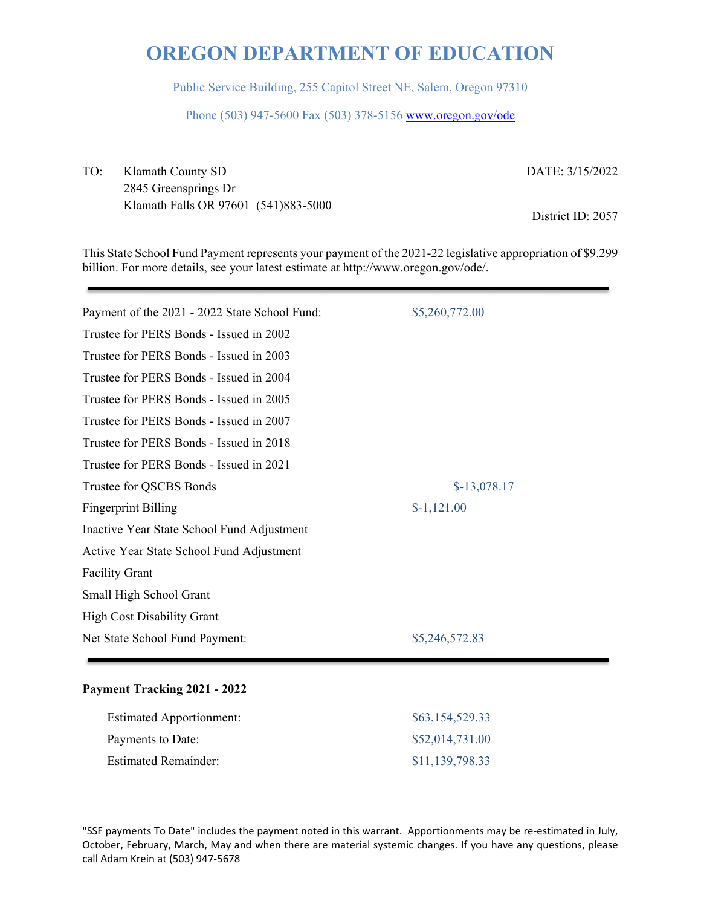Public Service Building, 255 Capitol Street NE, Salem, Oregon 97310

Phone (503) 947-5600 Fax (503) 378-5156 www.oregon.gov/ode

TO: Klamath County SD 2845 Greensprings Dr Klamath Falls OR 97601 (541)883-5000 DATE: 3/15/2022

District ID: 2057

This State School Fund Payment represents your payment of the 2021-22 legislative appropriation of \$9.299 billion. For more details, see your latest estimate at http://www.oregon.gov/ode/.

| Payment of the 2021 - 2022 State School Fund: | \$5,260,772.00 |
|-----------------------------------------------|----------------|
| Trustee for PERS Bonds - Issued in 2002       |                |
| Trustee for PERS Bonds - Issued in 2003       |                |
| Trustee for PERS Bonds - Issued in 2004       |                |
| Trustee for PERS Bonds - Issued in 2005       |                |
| Trustee for PERS Bonds - Issued in 2007       |                |
| Trustee for PERS Bonds - Issued in 2018       |                |
| Trustee for PERS Bonds - Issued in 2021       |                |
| Trustee for QSCBS Bonds                       | $$-13,078.17$  |
| <b>Fingerprint Billing</b>                    | $$-1,121.00$   |
| Inactive Year State School Fund Adjustment    |                |
| Active Year State School Fund Adjustment      |                |
| <b>Facility Grant</b>                         |                |
| Small High School Grant                       |                |
| <b>High Cost Disability Grant</b>             |                |
| Net State School Fund Payment:                | \$5,246,572.83 |
|                                               |                |

### **Payment Tracking 2021 - 2022**

| <b>Estimated Apportionment:</b> | \$63,154,529.33 |
|---------------------------------|-----------------|
| Payments to Date:               | \$52,014,731.00 |
| Estimated Remainder:            | \$11,139,798.33 |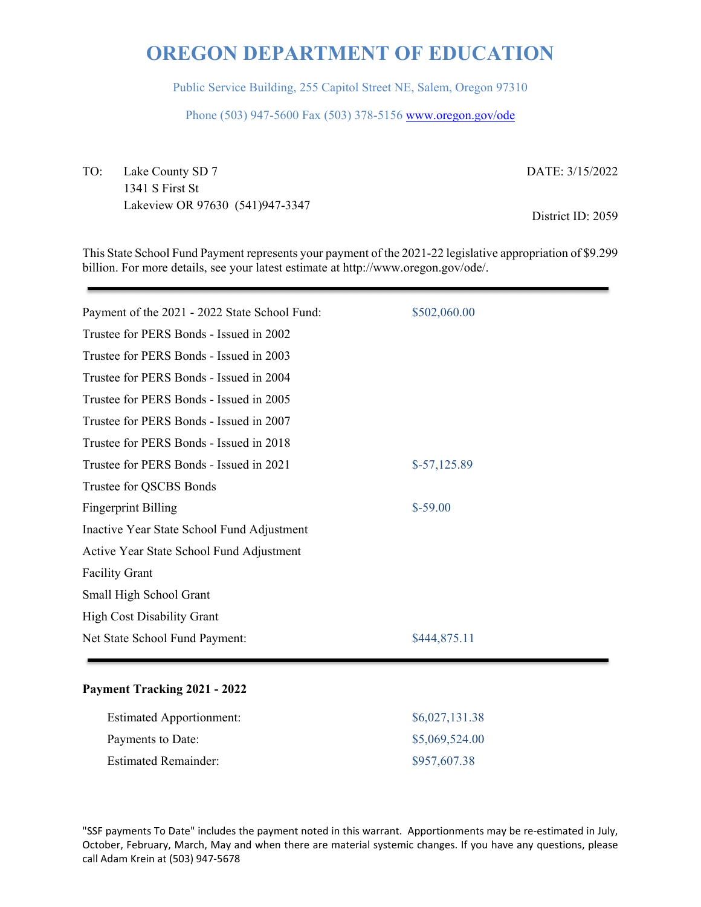Public Service Building, 255 Capitol Street NE, Salem, Oregon 97310

Phone (503) 947-5600 Fax (503) 378-5156 www.oregon.gov/ode

TO: Lake County SD 7 1341 S First St Lakeview OR 97630 (541)947-3347 DATE: 3/15/2022

District ID: 2059

This State School Fund Payment represents your payment of the 2021-22 legislative appropriation of \$9.299 billion. For more details, see your latest estimate at http://www.oregon.gov/ode/.

| Payment of the 2021 - 2022 State School Fund: | \$502,060.00  |
|-----------------------------------------------|---------------|
| Trustee for PERS Bonds - Issued in 2002       |               |
| Trustee for PERS Bonds - Issued in 2003       |               |
| Trustee for PERS Bonds - Issued in 2004       |               |
| Trustee for PERS Bonds - Issued in 2005       |               |
| Trustee for PERS Bonds - Issued in 2007       |               |
| Trustee for PERS Bonds - Issued in 2018       |               |
| Trustee for PERS Bonds - Issued in 2021       | $$-57,125.89$ |
| Trustee for QSCBS Bonds                       |               |
| <b>Fingerprint Billing</b>                    | $$-59.00$     |
| Inactive Year State School Fund Adjustment    |               |
| Active Year State School Fund Adjustment      |               |
| <b>Facility Grant</b>                         |               |
| Small High School Grant                       |               |
| <b>High Cost Disability Grant</b>             |               |
| Net State School Fund Payment:                | \$444,875.11  |
|                                               |               |

### **Payment Tracking 2021 - 2022**

| <b>Estimated Apportionment:</b> | \$6,027,131.38 |
|---------------------------------|----------------|
| Payments to Date:               | \$5,069,524.00 |
| <b>Estimated Remainder:</b>     | \$957,607.38   |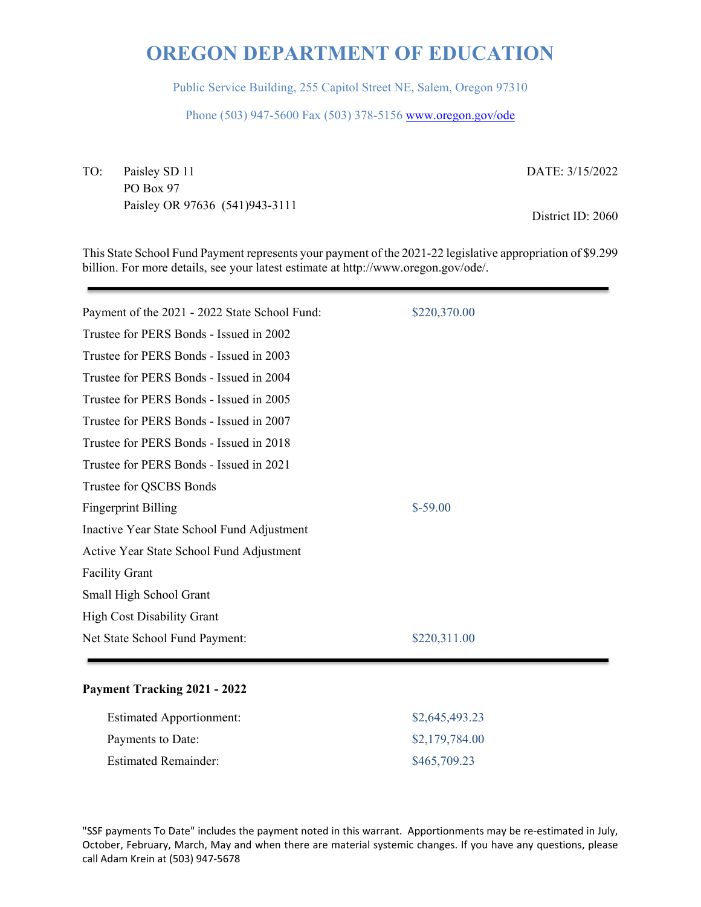Public Service Building, 255 Capitol Street NE, Salem, Oregon 97310

Phone (503) 947-5600 Fax (503) 378-5156 www.oregon.gov/ode

TO: Paisley SD 11 PO Box 97 Paisley OR 97636 (541)943-3111 DATE: 3/15/2022

District ID: 2060

This State School Fund Payment represents your payment of the 2021-22 legislative appropriation of \$9.299 billion. For more details, see your latest estimate at http://www.oregon.gov/ode/.

| Payment of the 2021 - 2022 State School Fund: | \$220,370.00 |
|-----------------------------------------------|--------------|
| Trustee for PERS Bonds - Issued in 2002       |              |
| Trustee for PERS Bonds - Issued in 2003       |              |
| Trustee for PERS Bonds - Issued in 2004       |              |
| Trustee for PERS Bonds - Issued in 2005       |              |
| Trustee for PERS Bonds - Issued in 2007       |              |
| Trustee for PERS Bonds - Issued in 2018       |              |
| Trustee for PERS Bonds - Issued in 2021       |              |
| Trustee for QSCBS Bonds                       |              |
| <b>Fingerprint Billing</b>                    | $$-59.00$    |
| Inactive Year State School Fund Adjustment    |              |
| Active Year State School Fund Adjustment      |              |
| <b>Facility Grant</b>                         |              |
| Small High School Grant                       |              |
| <b>High Cost Disability Grant</b>             |              |
| Net State School Fund Payment:                | \$220,311.00 |
|                                               |              |

### **Payment Tracking 2021 - 2022**

| <b>Estimated Apportionment:</b> | \$2,645,493.23 |
|---------------------------------|----------------|
| Payments to Date:               | \$2,179,784.00 |
| <b>Estimated Remainder:</b>     | \$465,709.23   |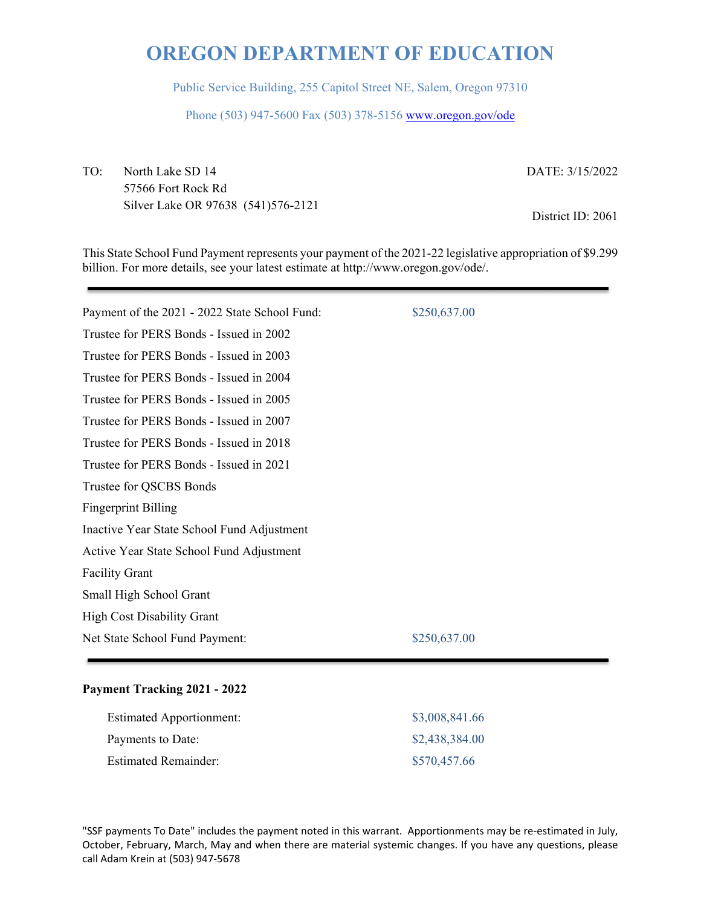Public Service Building, 255 Capitol Street NE, Salem, Oregon 97310

Phone (503) 947-5600 Fax (503) 378-5156 www.oregon.gov/ode

TO: North Lake SD 14 57566 Fort Rock Rd Silver Lake OR 97638 (541)576-2121 DATE: 3/15/2022

District ID: 2061

This State School Fund Payment represents your payment of the 2021-22 legislative appropriation of \$9.299 billion. For more details, see your latest estimate at http://www.oregon.gov/ode/.

| Payment of the 2021 - 2022 State School Fund: | \$250,637.00 |
|-----------------------------------------------|--------------|
| Trustee for PERS Bonds - Issued in 2002       |              |
| Trustee for PERS Bonds - Issued in 2003       |              |
| Trustee for PERS Bonds - Issued in 2004       |              |
| Trustee for PERS Bonds - Issued in 2005       |              |
| Trustee for PERS Bonds - Issued in 2007       |              |
| Trustee for PERS Bonds - Issued in 2018       |              |
| Trustee for PERS Bonds - Issued in 2021       |              |
| Trustee for QSCBS Bonds                       |              |
| <b>Fingerprint Billing</b>                    |              |
| Inactive Year State School Fund Adjustment    |              |
| Active Year State School Fund Adjustment      |              |
| <b>Facility Grant</b>                         |              |
| Small High School Grant                       |              |
| <b>High Cost Disability Grant</b>             |              |
| Net State School Fund Payment:                | \$250,637.00 |
|                                               |              |

### **Payment Tracking 2021 - 2022**

| <b>Estimated Apportionment:</b> | \$3,008,841.66 |
|---------------------------------|----------------|
| Payments to Date:               | \$2,438,384.00 |
| <b>Estimated Remainder:</b>     | \$570,457.66   |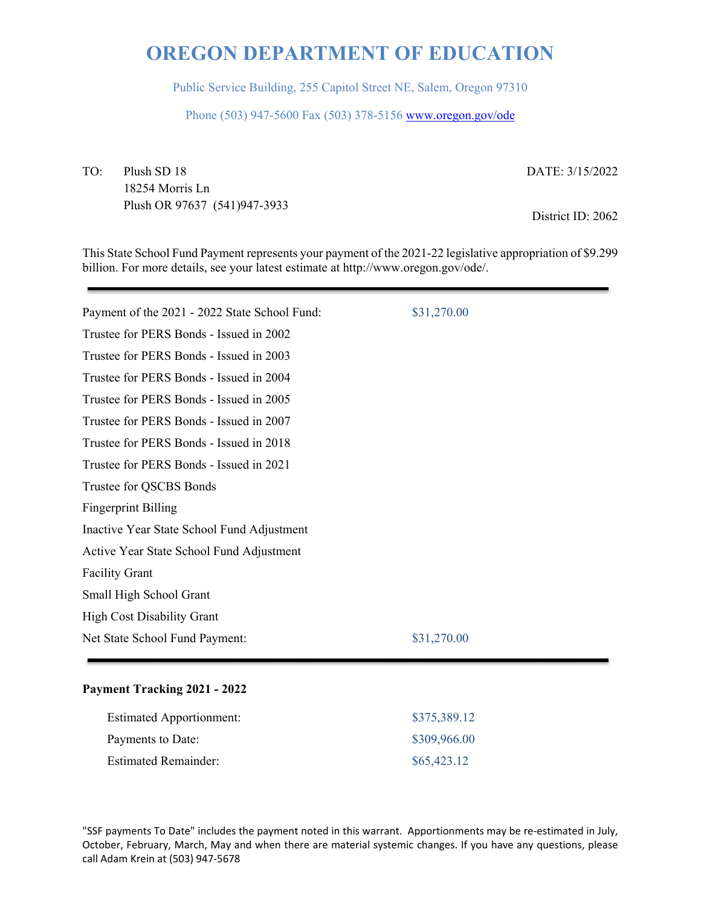Public Service Building, 255 Capitol Street NE, Salem, Oregon 97310

Phone (503) 947-5600 Fax (503) 378-5156 www.oregon.gov/ode

TO: Plush SD 18 18254 Morris Ln Plush OR 97637 (541)947-3933 DATE: 3/15/2022

District ID: 2062

This State School Fund Payment represents your payment of the 2021-22 legislative appropriation of \$9.299 billion. For more details, see your latest estimate at http://www.oregon.gov/ode/.

| Payment of the 2021 - 2022 State School Fund: | \$31,270.00 |
|-----------------------------------------------|-------------|
| Trustee for PERS Bonds - Issued in 2002       |             |
| Trustee for PERS Bonds - Issued in 2003       |             |
| Trustee for PERS Bonds - Issued in 2004       |             |
| Trustee for PERS Bonds - Issued in 2005       |             |
| Trustee for PERS Bonds - Issued in 2007       |             |
| Trustee for PERS Bonds - Issued in 2018       |             |
| Trustee for PERS Bonds - Issued in 2021       |             |
| Trustee for QSCBS Bonds                       |             |
| <b>Fingerprint Billing</b>                    |             |
| Inactive Year State School Fund Adjustment    |             |
| Active Year State School Fund Adjustment      |             |
| <b>Facility Grant</b>                         |             |
| Small High School Grant                       |             |
| <b>High Cost Disability Grant</b>             |             |
| Net State School Fund Payment:                | \$31,270.00 |
|                                               |             |

### **Payment Tracking 2021 - 2022**

| <b>Estimated Apportionment:</b> | \$375,389.12 |
|---------------------------------|--------------|
| Payments to Date:               | \$309,966.00 |
| <b>Estimated Remainder:</b>     | \$65,423.12  |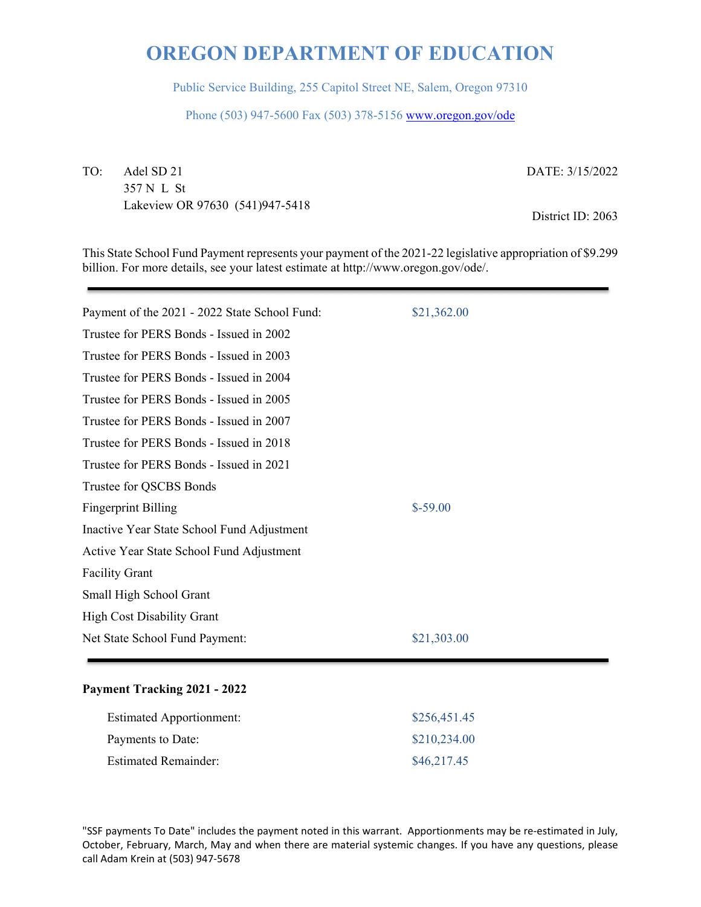Public Service Building, 255 Capitol Street NE, Salem, Oregon 97310

Phone (503) 947-5600 Fax (503) 378-5156 www.oregon.gov/ode

TO: Adel SD 21 357 N L St Lakeview OR 97630 (541)947-5418 DATE: 3/15/2022

District ID: 2063

This State School Fund Payment represents your payment of the 2021-22 legislative appropriation of \$9.299 billion. For more details, see your latest estimate at http://www.oregon.gov/ode/.

| Payment of the 2021 - 2022 State School Fund: | \$21,362.00 |  |
|-----------------------------------------------|-------------|--|
| Trustee for PERS Bonds - Issued in 2002       |             |  |
| Trustee for PERS Bonds - Issued in 2003       |             |  |
| Trustee for PERS Bonds - Issued in 2004       |             |  |
| Trustee for PERS Bonds - Issued in 2005       |             |  |
| Trustee for PERS Bonds - Issued in 2007       |             |  |
| Trustee for PERS Bonds - Issued in 2018       |             |  |
| Trustee for PERS Bonds - Issued in 2021       |             |  |
| Trustee for QSCBS Bonds                       |             |  |
| <b>Fingerprint Billing</b>                    | $$-59.00$   |  |
| Inactive Year State School Fund Adjustment    |             |  |
| Active Year State School Fund Adjustment      |             |  |
| <b>Facility Grant</b>                         |             |  |
| Small High School Grant                       |             |  |
| <b>High Cost Disability Grant</b>             |             |  |
| Net State School Fund Payment:                | \$21,303.00 |  |
|                                               |             |  |

### **Payment Tracking 2021 - 2022**

| <b>Estimated Apportionment:</b> | \$256,451.45 |
|---------------------------------|--------------|
| Payments to Date:               | \$210,234.00 |
| <b>Estimated Remainder:</b>     | \$46,217.45  |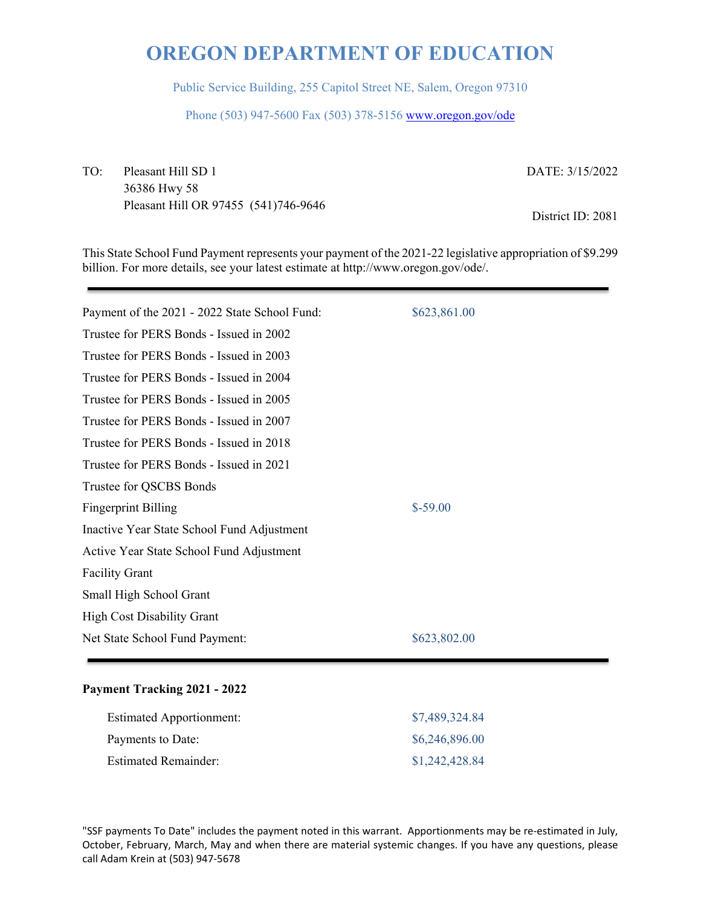Public Service Building, 255 Capitol Street NE, Salem, Oregon 97310

Phone (503) 947-5600 Fax (503) 378-5156 www.oregon.gov/ode

TO: Pleasant Hill SD 1 36386 Hwy 58 Pleasant Hill OR 97455 (541)746-9646 DATE: 3/15/2022

District ID: 2081

This State School Fund Payment represents your payment of the 2021-22 legislative appropriation of \$9.299 billion. For more details, see your latest estimate at http://www.oregon.gov/ode/.

| Payment of the 2021 - 2022 State School Fund: | \$623,861.00 |
|-----------------------------------------------|--------------|
| Trustee for PERS Bonds - Issued in 2002       |              |
| Trustee for PERS Bonds - Issued in 2003       |              |
| Trustee for PERS Bonds - Issued in 2004       |              |
| Trustee for PERS Bonds - Issued in 2005       |              |
| Trustee for PERS Bonds - Issued in 2007       |              |
| Trustee for PERS Bonds - Issued in 2018       |              |
| Trustee for PERS Bonds - Issued in 2021       |              |
| Trustee for QSCBS Bonds                       |              |
| <b>Fingerprint Billing</b>                    | $$-59.00$    |
| Inactive Year State School Fund Adjustment    |              |
| Active Year State School Fund Adjustment      |              |
| <b>Facility Grant</b>                         |              |
| Small High School Grant                       |              |
| <b>High Cost Disability Grant</b>             |              |
| Net State School Fund Payment:                | \$623,802.00 |
|                                               |              |

### **Payment Tracking 2021 - 2022**

| <b>Estimated Apportionment:</b> | \$7,489,324.84 |
|---------------------------------|----------------|
| Payments to Date:               | \$6,246,896.00 |
| <b>Estimated Remainder:</b>     | \$1,242,428.84 |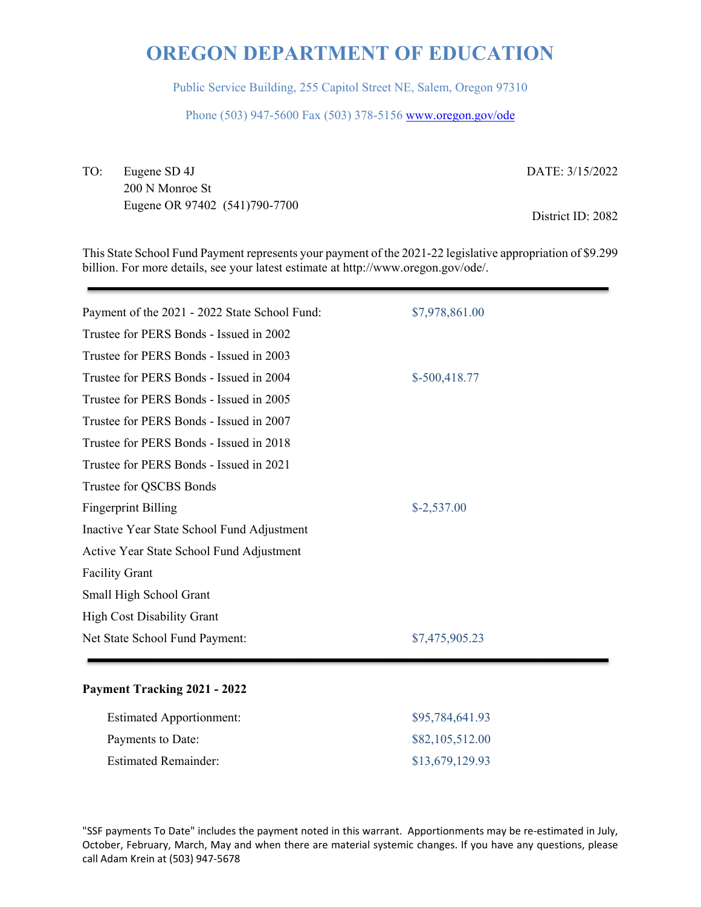Public Service Building, 255 Capitol Street NE, Salem, Oregon 97310

Phone (503) 947-5600 Fax (503) 378-5156 www.oregon.gov/ode

TO: Eugene SD 4J 200 N Monroe St Eugene OR 97402 (541)790-7700 DATE: 3/15/2022

District ID: 2082

This State School Fund Payment represents your payment of the 2021-22 legislative appropriation of \$9.299 billion. For more details, see your latest estimate at http://www.oregon.gov/ode/.

| Payment of the 2021 - 2022 State School Fund: | \$7,978,861.00 |
|-----------------------------------------------|----------------|
| Trustee for PERS Bonds - Issued in 2002       |                |
| Trustee for PERS Bonds - Issued in 2003       |                |
| Trustee for PERS Bonds - Issued in 2004       | $$-500,418.77$ |
| Trustee for PERS Bonds - Issued in 2005       |                |
| Trustee for PERS Bonds - Issued in 2007       |                |
| Trustee for PERS Bonds - Issued in 2018       |                |
| Trustee for PERS Bonds - Issued in 2021       |                |
| Trustee for QSCBS Bonds                       |                |
| <b>Fingerprint Billing</b>                    | $$-2,537.00$   |
| Inactive Year State School Fund Adjustment    |                |
| Active Year State School Fund Adjustment      |                |
| <b>Facility Grant</b>                         |                |
| Small High School Grant                       |                |
| <b>High Cost Disability Grant</b>             |                |
| Net State School Fund Payment:                | \$7,475,905.23 |
|                                               |                |

#### **Payment Tracking 2021 - 2022**

| <b>Estimated Apportionment:</b> | \$95,784,641.93 |
|---------------------------------|-----------------|
| Payments to Date:               | \$82,105,512.00 |
| <b>Estimated Remainder:</b>     | \$13,679,129.93 |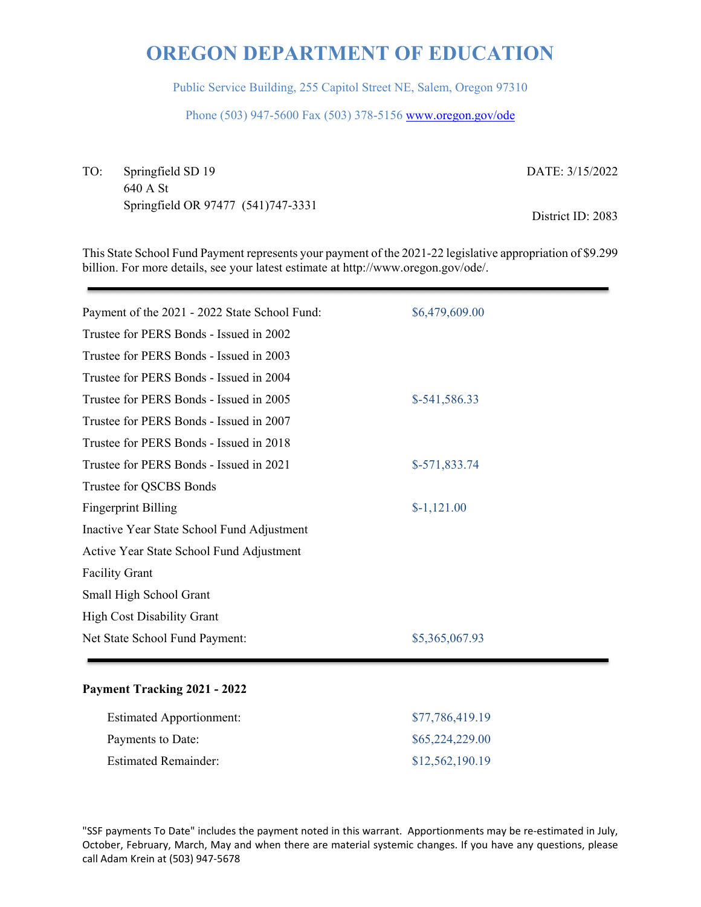Public Service Building, 255 Capitol Street NE, Salem, Oregon 97310

Phone (503) 947-5600 Fax (503) 378-5156 www.oregon.gov/ode

TO: Springfield SD 19 640 A St Springfield OR 97477 (541)747-3331 DATE: 3/15/2022

District ID: 2083

This State School Fund Payment represents your payment of the 2021-22 legislative appropriation of \$9.299 billion. For more details, see your latest estimate at http://www.oregon.gov/ode/.

| Payment of the 2021 - 2022 State School Fund: | \$6,479,609.00 |
|-----------------------------------------------|----------------|
| Trustee for PERS Bonds - Issued in 2002       |                |
| Trustee for PERS Bonds - Issued in 2003       |                |
| Trustee for PERS Bonds - Issued in 2004       |                |
| Trustee for PERS Bonds - Issued in 2005       | \$-541,586.33  |
| Trustee for PERS Bonds - Issued in 2007       |                |
| Trustee for PERS Bonds - Issued in 2018       |                |
| Trustee for PERS Bonds - Issued in 2021       | \$-571,833.74  |
| Trustee for QSCBS Bonds                       |                |
| <b>Fingerprint Billing</b>                    | $$-1,121.00$   |
| Inactive Year State School Fund Adjustment    |                |
| Active Year State School Fund Adjustment      |                |
| <b>Facility Grant</b>                         |                |
| Small High School Grant                       |                |
| <b>High Cost Disability Grant</b>             |                |
| Net State School Fund Payment:                | \$5,365,067.93 |
|                                               |                |

#### **Payment Tracking 2021 - 2022**

| <b>Estimated Apportionment:</b> | \$77,786,419.19 |
|---------------------------------|-----------------|
| Payments to Date:               | \$65,224,229.00 |
| <b>Estimated Remainder:</b>     | \$12,562,190.19 |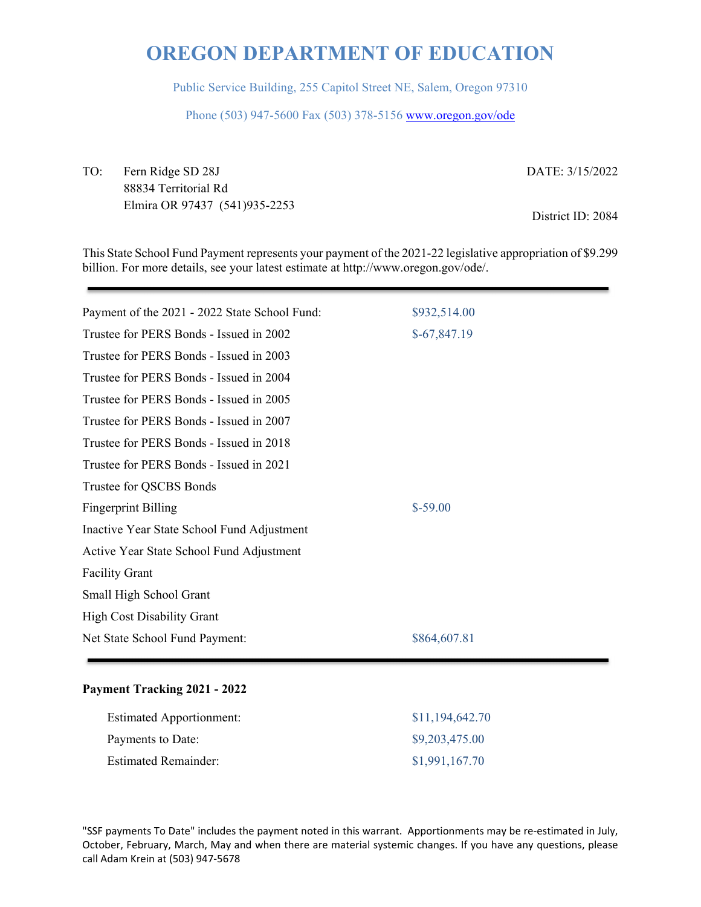Public Service Building, 255 Capitol Street NE, Salem, Oregon 97310

Phone (503) 947-5600 Fax (503) 378-5156 www.oregon.gov/ode

TO: Fern Ridge SD 28J 88834 Territorial Rd Elmira OR 97437 (541)935-2253 DATE: 3/15/2022

District ID: 2084

This State School Fund Payment represents your payment of the 2021-22 legislative appropriation of \$9.299 billion. For more details, see your latest estimate at http://www.oregon.gov/ode/.

| Payment of the 2021 - 2022 State School Fund: | \$932,514.00  |
|-----------------------------------------------|---------------|
|                                               |               |
| Trustee for PERS Bonds - Issued in 2002       | $$-67,847.19$ |
| Trustee for PERS Bonds - Issued in 2003       |               |
| Trustee for PERS Bonds - Issued in 2004       |               |
| Trustee for PERS Bonds - Issued in 2005       |               |
| Trustee for PERS Bonds - Issued in 2007       |               |
| Trustee for PERS Bonds - Issued in 2018       |               |
| Trustee for PERS Bonds - Issued in 2021       |               |
| Trustee for QSCBS Bonds                       |               |
| <b>Fingerprint Billing</b>                    | $$-59.00$     |
| Inactive Year State School Fund Adjustment    |               |
| Active Year State School Fund Adjustment      |               |
| <b>Facility Grant</b>                         |               |
| Small High School Grant                       |               |
| <b>High Cost Disability Grant</b>             |               |
| Net State School Fund Payment:                | \$864,607.81  |

### **Payment Tracking 2021 - 2022**

| <b>Estimated Apportionment:</b> | \$11,194,642.70 |
|---------------------------------|-----------------|
| Payments to Date:               | \$9,203,475.00  |
| <b>Estimated Remainder:</b>     | \$1,991,167.70  |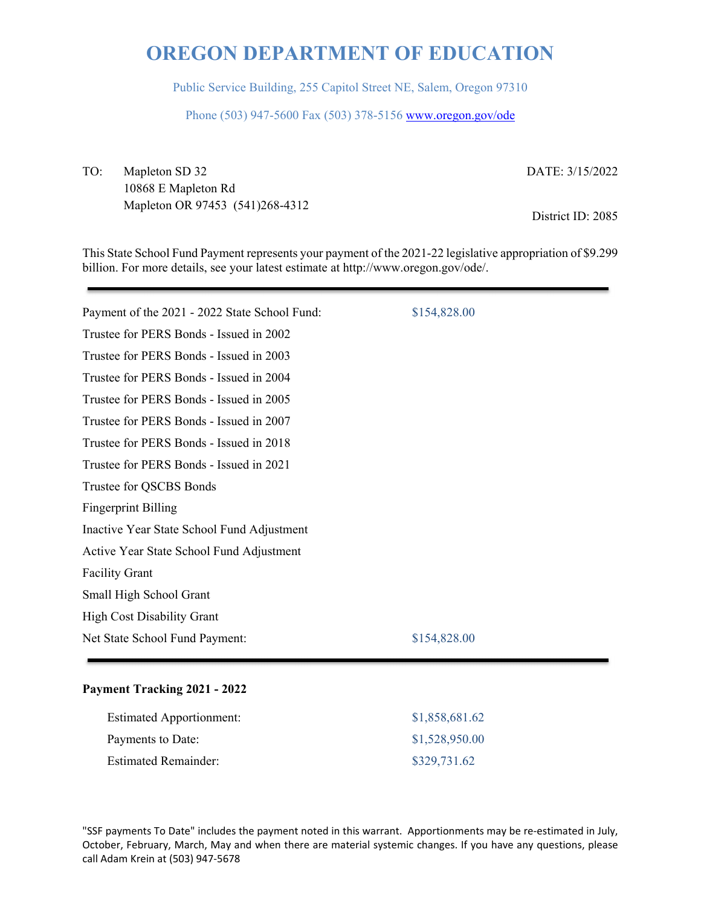Public Service Building, 255 Capitol Street NE, Salem, Oregon 97310

Phone (503) 947-5600 Fax (503) 378-5156 www.oregon.gov/ode

TO: Mapleton SD 32 10868 E Mapleton Rd Mapleton OR 97453 (541)268-4312 DATE: 3/15/2022

District ID: 2085

This State School Fund Payment represents your payment of the 2021-22 legislative appropriation of \$9.299 billion. For more details, see your latest estimate at http://www.oregon.gov/ode/.

| Payment of the 2021 - 2022 State School Fund: | \$154,828.00 |
|-----------------------------------------------|--------------|
| Trustee for PERS Bonds - Issued in 2002       |              |
| Trustee for PERS Bonds - Issued in 2003       |              |
| Trustee for PERS Bonds - Issued in 2004       |              |
| Trustee for PERS Bonds - Issued in 2005       |              |
| Trustee for PERS Bonds - Issued in 2007       |              |
| Trustee for PERS Bonds - Issued in 2018       |              |
| Trustee for PERS Bonds - Issued in 2021       |              |
| Trustee for QSCBS Bonds                       |              |
| <b>Fingerprint Billing</b>                    |              |
| Inactive Year State School Fund Adjustment    |              |
| Active Year State School Fund Adjustment      |              |
| <b>Facility Grant</b>                         |              |
| Small High School Grant                       |              |
| <b>High Cost Disability Grant</b>             |              |
| Net State School Fund Payment:                | \$154,828.00 |
|                                               |              |

### **Payment Tracking 2021 - 2022**

| <b>Estimated Apportionment:</b> | \$1,858,681.62 |
|---------------------------------|----------------|
| Payments to Date:               | \$1,528,950.00 |
| Estimated Remainder:            | \$329,731.62   |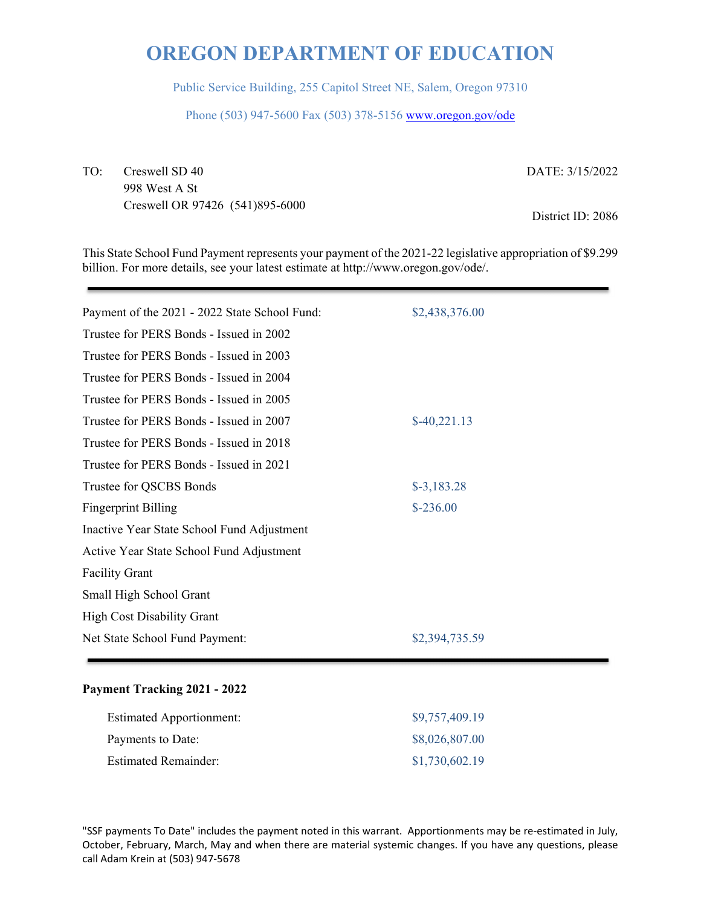Public Service Building, 255 Capitol Street NE, Salem, Oregon 97310

Phone (503) 947-5600 Fax (503) 378-5156 www.oregon.gov/ode

TO: Creswell SD 40 998 West A St Creswell OR 97426 (541)895-6000 DATE: 3/15/2022

District ID: 2086

This State School Fund Payment represents your payment of the 2021-22 legislative appropriation of \$9.299 billion. For more details, see your latest estimate at http://www.oregon.gov/ode/.

| Payment of the 2021 - 2022 State School Fund: | \$2,438,376.00 |
|-----------------------------------------------|----------------|
| Trustee for PERS Bonds - Issued in 2002       |                |
| Trustee for PERS Bonds - Issued in 2003       |                |
| Trustee for PERS Bonds - Issued in 2004       |                |
| Trustee for PERS Bonds - Issued in 2005       |                |
| Trustee for PERS Bonds - Issued in 2007       | $$-40,221.13$  |
| Trustee for PERS Bonds - Issued in 2018       |                |
| Trustee for PERS Bonds - Issued in 2021       |                |
| Trustee for QSCBS Bonds                       | $$-3,183.28$   |
| <b>Fingerprint Billing</b>                    | $$-236.00$     |
| Inactive Year State School Fund Adjustment    |                |
| Active Year State School Fund Adjustment      |                |
| <b>Facility Grant</b>                         |                |
| Small High School Grant                       |                |
| <b>High Cost Disability Grant</b>             |                |
| Net State School Fund Payment:                | \$2,394,735.59 |
|                                               |                |

### **Payment Tracking 2021 - 2022**

| <b>Estimated Apportionment:</b> | \$9,757,409.19 |
|---------------------------------|----------------|
| Payments to Date:               | \$8,026,807.00 |
| <b>Estimated Remainder:</b>     | \$1,730,602.19 |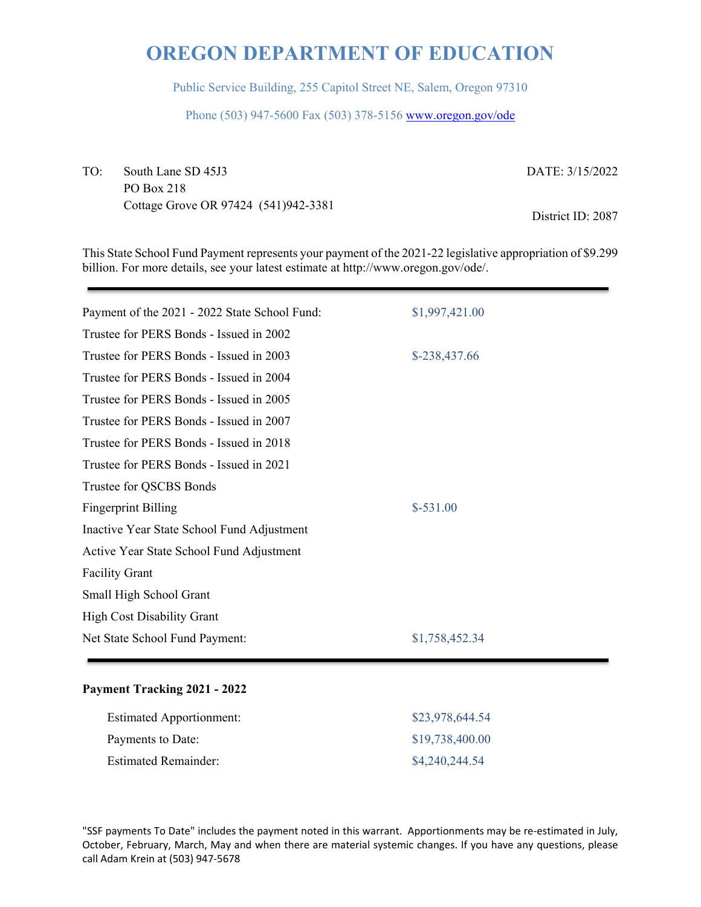Public Service Building, 255 Capitol Street NE, Salem, Oregon 97310

Phone (503) 947-5600 Fax (503) 378-5156 www.oregon.gov/ode

TO: South Lane SD 45J3 PO Box 218 Cottage Grove OR 97424 (541)942-3381 DATE: 3/15/2022

District ID: 2087

This State School Fund Payment represents your payment of the 2021-22 legislative appropriation of \$9.299 billion. For more details, see your latest estimate at http://www.oregon.gov/ode/.

| \$1,997,421.00 |
|----------------|
|                |
| \$-238,437.66  |
|                |
|                |
|                |
|                |
|                |
|                |
| $$-531.00$     |
|                |
|                |
|                |
|                |
|                |
| \$1,758,452.34 |
|                |

### **Payment Tracking 2021 - 2022**

| <b>Estimated Apportionment:</b> | \$23,978,644.54 |
|---------------------------------|-----------------|
| Payments to Date:               | \$19,738,400.00 |
| <b>Estimated Remainder:</b>     | \$4,240,244.54  |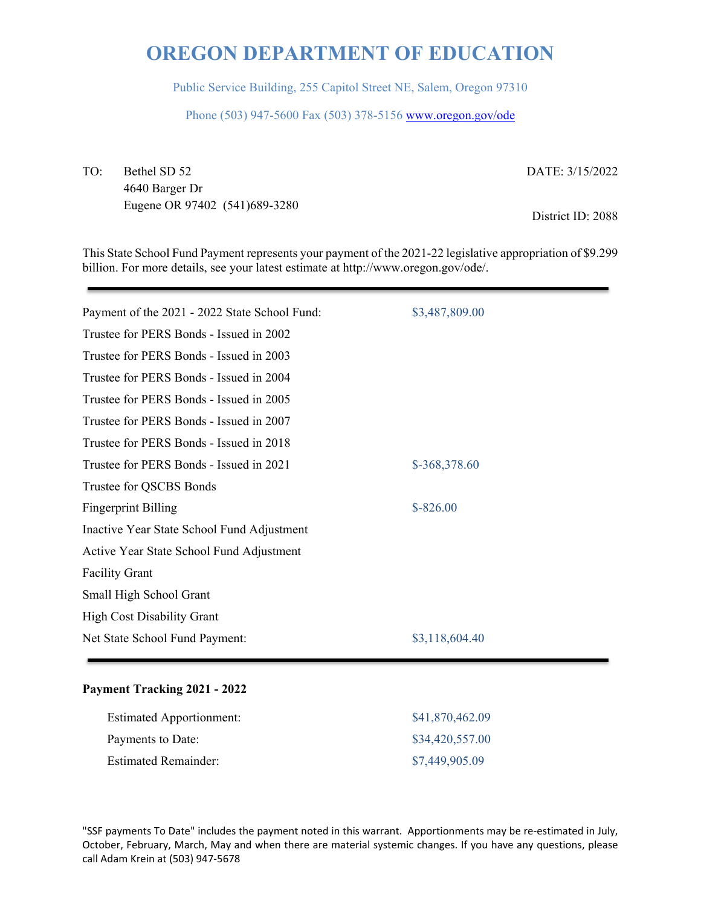Public Service Building, 255 Capitol Street NE, Salem, Oregon 97310

Phone (503) 947-5600 Fax (503) 378-5156 www.oregon.gov/ode

TO: Bethel SD 52 4640 Barger Dr Eugene OR 97402 (541)689-3280 DATE: 3/15/2022

District ID: 2088

This State School Fund Payment represents your payment of the 2021-22 legislative appropriation of \$9.299 billion. For more details, see your latest estimate at http://www.oregon.gov/ode/.

| Payment of the 2021 - 2022 State School Fund: | \$3,487,809.00 |
|-----------------------------------------------|----------------|
| Trustee for PERS Bonds - Issued in 2002       |                |
| Trustee for PERS Bonds - Issued in 2003       |                |
| Trustee for PERS Bonds - Issued in 2004       |                |
| Trustee for PERS Bonds - Issued in 2005       |                |
| Trustee for PERS Bonds - Issued in 2007       |                |
| Trustee for PERS Bonds - Issued in 2018       |                |
| Trustee for PERS Bonds - Issued in 2021       | \$-368,378.60  |
| Trustee for QSCBS Bonds                       |                |
| <b>Fingerprint Billing</b>                    | $$-826.00$     |
| Inactive Year State School Fund Adjustment    |                |
| Active Year State School Fund Adjustment      |                |
| <b>Facility Grant</b>                         |                |
| Small High School Grant                       |                |
| <b>High Cost Disability Grant</b>             |                |
| Net State School Fund Payment:                | \$3,118,604.40 |
|                                               |                |

### **Payment Tracking 2021 - 2022**

| <b>Estimated Apportionment:</b> | \$41,870,462.09 |
|---------------------------------|-----------------|
| Payments to Date:               | \$34,420,557.00 |
| <b>Estimated Remainder:</b>     | \$7,449,905.09  |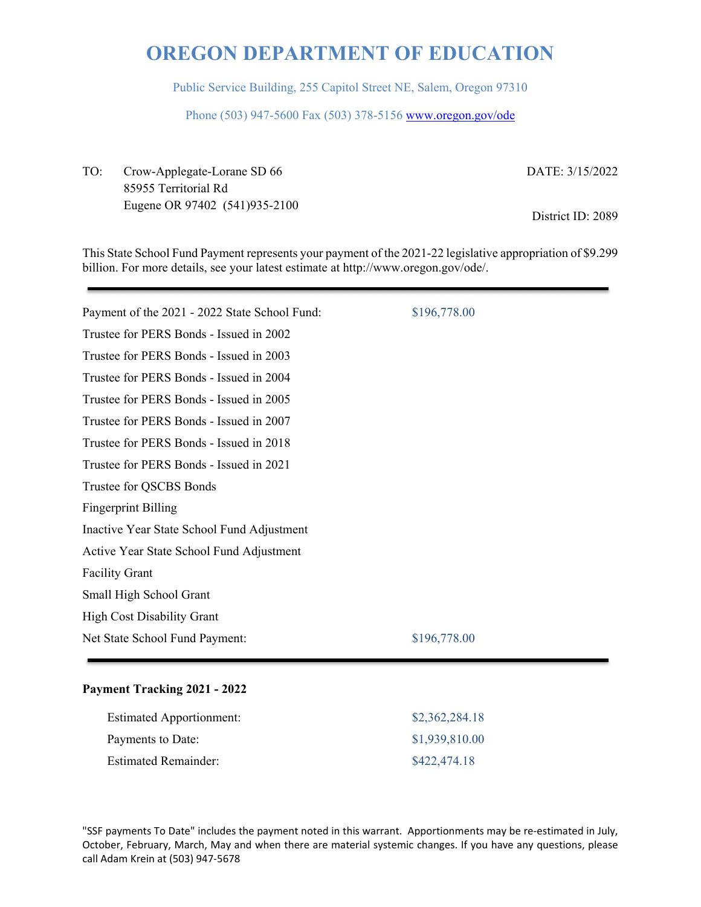Public Service Building, 255 Capitol Street NE, Salem, Oregon 97310

Phone (503) 947-5600 Fax (503) 378-5156 www.oregon.gov/ode

TO: Crow-Applegate-Lorane SD 66 85955 Territorial Rd Eugene OR 97402 (541)935-2100 DATE: 3/15/2022

District ID: 2089

This State School Fund Payment represents your payment of the 2021-22 legislative appropriation of \$9.299 billion. For more details, see your latest estimate at http://www.oregon.gov/ode/.

| Payment of the 2021 - 2022 State School Fund: | \$196,778.00 |
|-----------------------------------------------|--------------|
| Trustee for PERS Bonds - Issued in 2002       |              |
| Trustee for PERS Bonds - Issued in 2003       |              |
| Trustee for PERS Bonds - Issued in 2004       |              |
| Trustee for PERS Bonds - Issued in 2005       |              |
| Trustee for PERS Bonds - Issued in 2007       |              |
| Trustee for PERS Bonds - Issued in 2018       |              |
| Trustee for PERS Bonds - Issued in 2021       |              |
| Trustee for QSCBS Bonds                       |              |
| <b>Fingerprint Billing</b>                    |              |
| Inactive Year State School Fund Adjustment    |              |
| Active Year State School Fund Adjustment      |              |
| <b>Facility Grant</b>                         |              |
| Small High School Grant                       |              |
| <b>High Cost Disability Grant</b>             |              |
| Net State School Fund Payment:                | \$196,778.00 |
|                                               |              |

### **Payment Tracking 2021 - 2022**

| <b>Estimated Apportionment:</b> | \$2,362,284.18 |
|---------------------------------|----------------|
| Payments to Date:               | \$1,939,810.00 |
| <b>Estimated Remainder:</b>     | \$422,474.18   |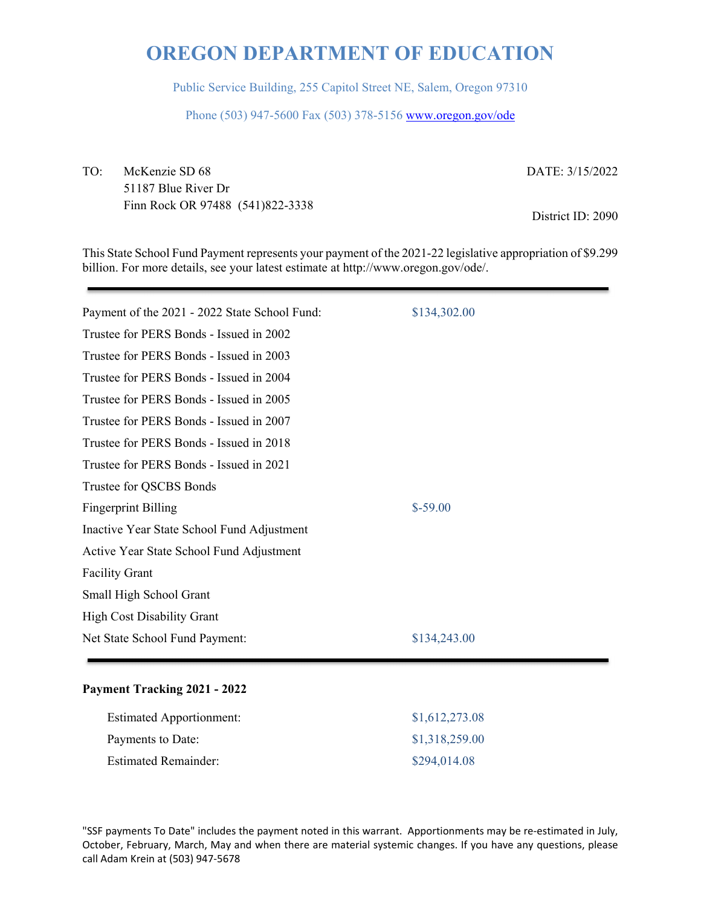Public Service Building, 255 Capitol Street NE, Salem, Oregon 97310

Phone (503) 947-5600 Fax (503) 378-5156 www.oregon.gov/ode

TO: McKenzie SD 68 51187 Blue River Dr Finn Rock OR 97488 (541)822-3338 DATE: 3/15/2022

District ID: 2090

This State School Fund Payment represents your payment of the 2021-22 legislative appropriation of \$9.299 billion. For more details, see your latest estimate at http://www.oregon.gov/ode/.

| Payment of the 2021 - 2022 State School Fund: | \$134,302.00 |
|-----------------------------------------------|--------------|
| Trustee for PERS Bonds - Issued in 2002       |              |
| Trustee for PERS Bonds - Issued in 2003       |              |
| Trustee for PERS Bonds - Issued in 2004       |              |
| Trustee for PERS Bonds - Issued in 2005       |              |
| Trustee for PERS Bonds - Issued in 2007       |              |
| Trustee for PERS Bonds - Issued in 2018       |              |
| Trustee for PERS Bonds - Issued in 2021       |              |
| Trustee for QSCBS Bonds                       |              |
| <b>Fingerprint Billing</b>                    | $$-59.00$    |
| Inactive Year State School Fund Adjustment    |              |
| Active Year State School Fund Adjustment      |              |
| <b>Facility Grant</b>                         |              |
| Small High School Grant                       |              |
| <b>High Cost Disability Grant</b>             |              |
| Net State School Fund Payment:                | \$134,243.00 |
|                                               |              |

### **Payment Tracking 2021 - 2022**

| <b>Estimated Apportionment:</b> | \$1,612,273.08 |
|---------------------------------|----------------|
| Payments to Date:               | \$1,318,259.00 |
| <b>Estimated Remainder:</b>     | \$294,014.08   |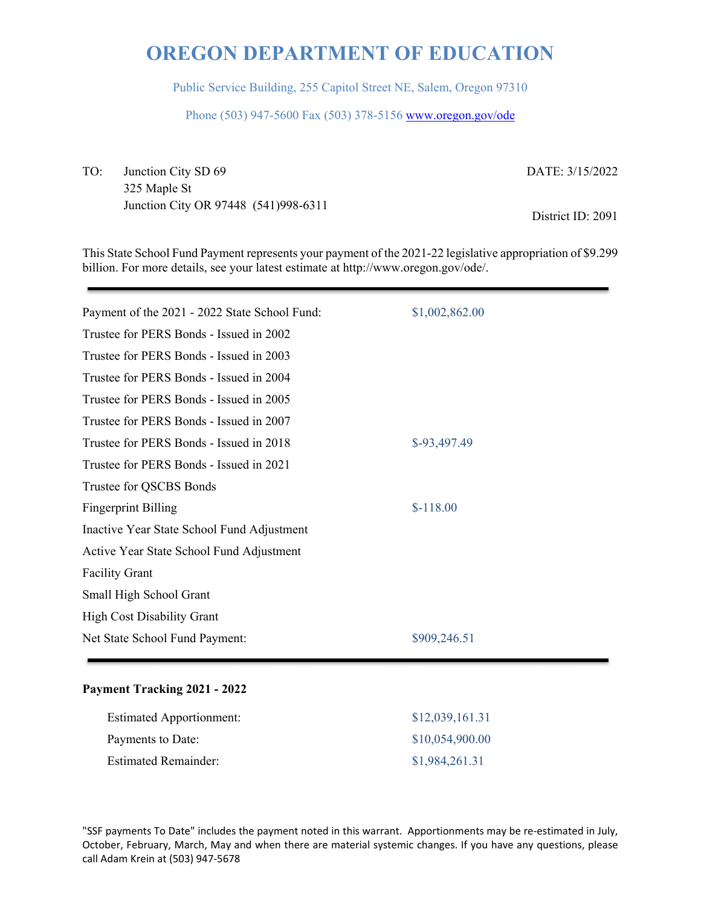Public Service Building, 255 Capitol Street NE, Salem, Oregon 97310

Phone (503) 947-5600 Fax (503) 378-5156 www.oregon.gov/ode

TO: Junction City SD 69 325 Maple St Junction City OR 97448 (541)998-6311 DATE: 3/15/2022

District ID: 2091

This State School Fund Payment represents your payment of the 2021-22 legislative appropriation of \$9.299 billion. For more details, see your latest estimate at http://www.oregon.gov/ode/.

| Payment of the 2021 - 2022 State School Fund: | \$1,002,862.00 |
|-----------------------------------------------|----------------|
| Trustee for PERS Bonds - Issued in 2002       |                |
| Trustee for PERS Bonds - Issued in 2003       |                |
| Trustee for PERS Bonds - Issued in 2004       |                |
| Trustee for PERS Bonds - Issued in 2005       |                |
| Trustee for PERS Bonds - Issued in 2007       |                |
| Trustee for PERS Bonds - Issued in 2018       | \$-93,497.49   |
| Trustee for PERS Bonds - Issued in 2021       |                |
| Trustee for QSCBS Bonds                       |                |
| <b>Fingerprint Billing</b>                    | $$-118.00$     |
| Inactive Year State School Fund Adjustment    |                |
| Active Year State School Fund Adjustment      |                |
| <b>Facility Grant</b>                         |                |
| Small High School Grant                       |                |
| <b>High Cost Disability Grant</b>             |                |
| Net State School Fund Payment:                | \$909,246.51   |
|                                               |                |

### **Payment Tracking 2021 - 2022**

| <b>Estimated Apportionment:</b> | \$12,039,161.31 |
|---------------------------------|-----------------|
| Payments to Date:               | \$10,054,900.00 |
| <b>Estimated Remainder:</b>     | \$1,984,261.31  |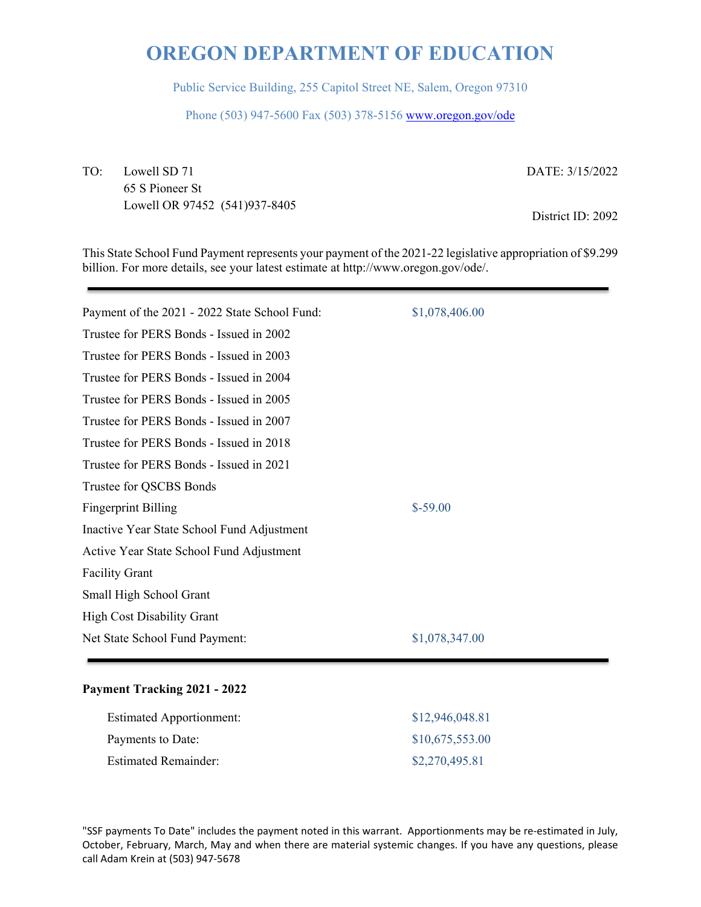Public Service Building, 255 Capitol Street NE, Salem, Oregon 97310

Phone (503) 947-5600 Fax (503) 378-5156 www.oregon.gov/ode

TO: Lowell SD 71 65 S Pioneer St Lowell OR 97452 (541)937-8405 DATE: 3/15/2022

District ID: 2092

This State School Fund Payment represents your payment of the 2021-22 legislative appropriation of \$9.299 billion. For more details, see your latest estimate at http://www.oregon.gov/ode/.

| Payment of the 2021 - 2022 State School Fund: | \$1,078,406.00 |
|-----------------------------------------------|----------------|
| Trustee for PERS Bonds - Issued in 2002       |                |
| Trustee for PERS Bonds - Issued in 2003       |                |
| Trustee for PERS Bonds - Issued in 2004       |                |
| Trustee for PERS Bonds - Issued in 2005       |                |
| Trustee for PERS Bonds - Issued in 2007       |                |
| Trustee for PERS Bonds - Issued in 2018       |                |
| Trustee for PERS Bonds - Issued in 2021       |                |
| Trustee for QSCBS Bonds                       |                |
| <b>Fingerprint Billing</b>                    | $$-59.00$      |
| Inactive Year State School Fund Adjustment    |                |
| Active Year State School Fund Adjustment      |                |
| <b>Facility Grant</b>                         |                |
| Small High School Grant                       |                |
| <b>High Cost Disability Grant</b>             |                |
| Net State School Fund Payment:                | \$1,078,347.00 |
|                                               |                |

#### **Payment Tracking 2021 - 2022**

| <b>Estimated Apportionment:</b> | \$12,946,048.81 |
|---------------------------------|-----------------|
| Payments to Date:               | \$10,675,553.00 |
| <b>Estimated Remainder:</b>     | \$2,270,495.81  |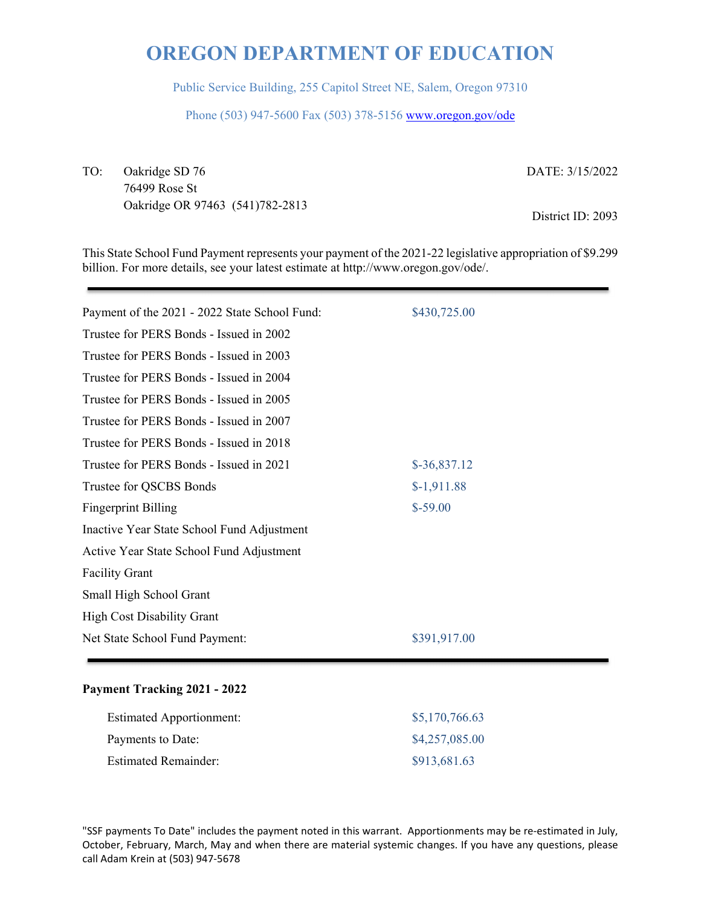Public Service Building, 255 Capitol Street NE, Salem, Oregon 97310

Phone (503) 947-5600 Fax (503) 378-5156 www.oregon.gov/ode

TO: Oakridge SD 76 76499 Rose St Oakridge OR 97463 (541)782-2813 DATE: 3/15/2022

District ID: 2093

This State School Fund Payment represents your payment of the 2021-22 legislative appropriation of \$9.299 billion. For more details, see your latest estimate at http://www.oregon.gov/ode/.

| Payment of the 2021 - 2022 State School Fund: | \$430,725.00  |
|-----------------------------------------------|---------------|
| Trustee for PERS Bonds - Issued in 2002       |               |
| Trustee for PERS Bonds - Issued in 2003       |               |
| Trustee for PERS Bonds - Issued in 2004       |               |
| Trustee for PERS Bonds - Issued in 2005       |               |
| Trustee for PERS Bonds - Issued in 2007       |               |
| Trustee for PERS Bonds - Issued in 2018       |               |
| Trustee for PERS Bonds - Issued in 2021       | $$-36,837.12$ |
| Trustee for QSCBS Bonds                       | $$-1,911.88$  |
| <b>Fingerprint Billing</b>                    | $$-59.00$     |
| Inactive Year State School Fund Adjustment    |               |
| Active Year State School Fund Adjustment      |               |
| <b>Facility Grant</b>                         |               |
| Small High School Grant                       |               |
| <b>High Cost Disability Grant</b>             |               |
| Net State School Fund Payment:                | \$391,917.00  |
|                                               |               |

#### **Payment Tracking 2021 - 2022**

| <b>Estimated Apportionment:</b> | \$5,170,766.63 |
|---------------------------------|----------------|
| Payments to Date:               | \$4,257,085.00 |
| <b>Estimated Remainder:</b>     | \$913,681.63   |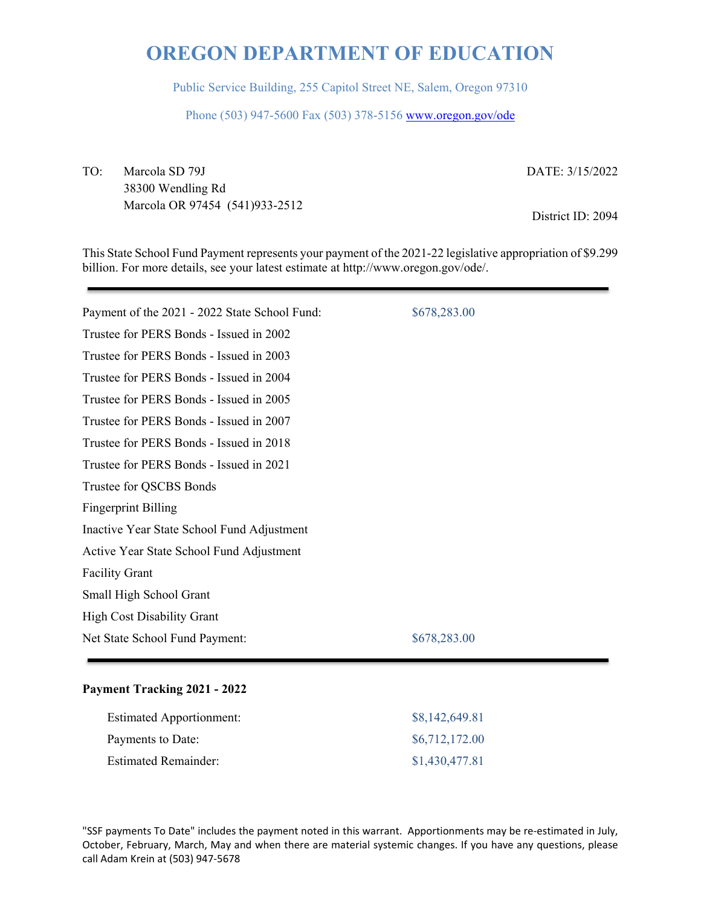Public Service Building, 255 Capitol Street NE, Salem, Oregon 97310

Phone (503) 947-5600 Fax (503) 378-5156 www.oregon.gov/ode

TO: Marcola SD 79J 38300 Wendling Rd Marcola OR 97454 (541)933-2512 DATE: 3/15/2022

District ID: 2094

This State School Fund Payment represents your payment of the 2021-22 legislative appropriation of \$9.299 billion. For more details, see your latest estimate at http://www.oregon.gov/ode/.

| Payment of the 2021 - 2022 State School Fund: | \$678,283.00 |
|-----------------------------------------------|--------------|
| Trustee for PERS Bonds - Issued in 2002       |              |
| Trustee for PERS Bonds - Issued in 2003       |              |
| Trustee for PERS Bonds - Issued in 2004       |              |
| Trustee for PERS Bonds - Issued in 2005       |              |
| Trustee for PERS Bonds - Issued in 2007       |              |
| Trustee for PERS Bonds - Issued in 2018       |              |
| Trustee for PERS Bonds - Issued in 2021       |              |
| Trustee for QSCBS Bonds                       |              |
| <b>Fingerprint Billing</b>                    |              |
| Inactive Year State School Fund Adjustment    |              |
| Active Year State School Fund Adjustment      |              |
| <b>Facility Grant</b>                         |              |
| Small High School Grant                       |              |
| <b>High Cost Disability Grant</b>             |              |
| Net State School Fund Payment:                | \$678,283.00 |
|                                               |              |

#### **Payment Tracking 2021 - 2022**

| <b>Estimated Apportionment:</b> | \$8,142,649.81 |
|---------------------------------|----------------|
| Payments to Date:               | \$6,712,172.00 |
| Estimated Remainder:            | \$1,430,477.81 |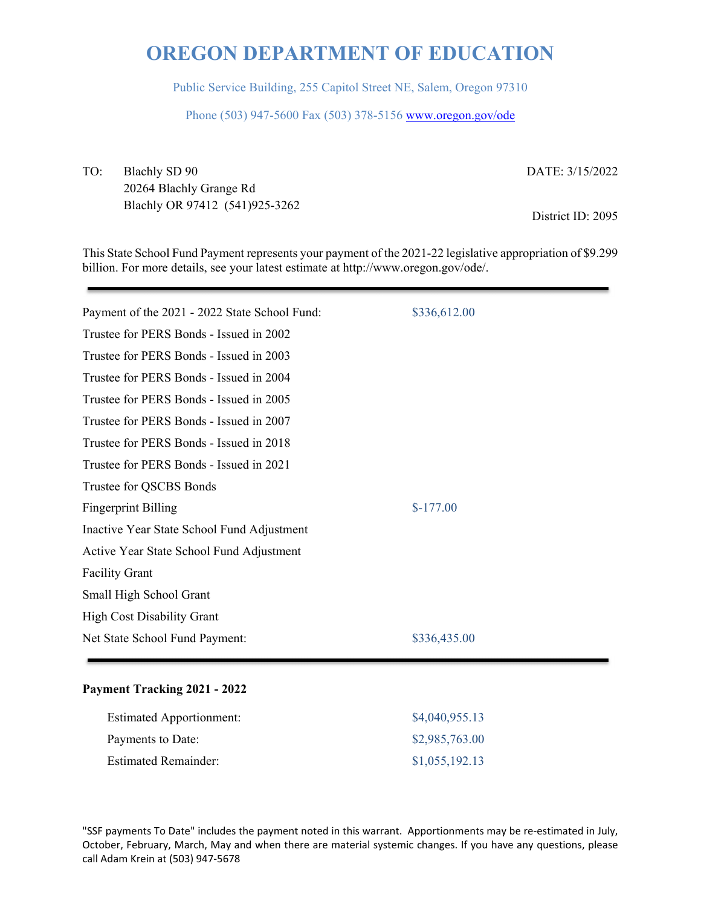Public Service Building, 255 Capitol Street NE, Salem, Oregon 97310

Phone (503) 947-5600 Fax (503) 378-5156 www.oregon.gov/ode

TO: Blachly SD 90 20264 Blachly Grange Rd Blachly OR 97412 (541)925-3262 DATE: 3/15/2022

District ID: 2095

This State School Fund Payment represents your payment of the 2021-22 legislative appropriation of \$9.299 billion. For more details, see your latest estimate at http://www.oregon.gov/ode/.

| Payment of the 2021 - 2022 State School Fund: | \$336,612.00 |
|-----------------------------------------------|--------------|
| Trustee for PERS Bonds - Issued in 2002       |              |
| Trustee for PERS Bonds - Issued in 2003       |              |
| Trustee for PERS Bonds - Issued in 2004       |              |
| Trustee for PERS Bonds - Issued in 2005       |              |
| Trustee for PERS Bonds - Issued in 2007       |              |
| Trustee for PERS Bonds - Issued in 2018       |              |
| Trustee for PERS Bonds - Issued in 2021       |              |
| Trustee for QSCBS Bonds                       |              |
| <b>Fingerprint Billing</b>                    | $$-177.00$   |
| Inactive Year State School Fund Adjustment    |              |
| Active Year State School Fund Adjustment      |              |
| <b>Facility Grant</b>                         |              |
| Small High School Grant                       |              |
| <b>High Cost Disability Grant</b>             |              |
| Net State School Fund Payment:                | \$336,435.00 |
|                                               |              |

#### **Payment Tracking 2021 - 2022**

| <b>Estimated Apportionment:</b> | \$4,040,955.13 |
|---------------------------------|----------------|
| Payments to Date:               | \$2,985,763.00 |
| <b>Estimated Remainder:</b>     | \$1,055,192.13 |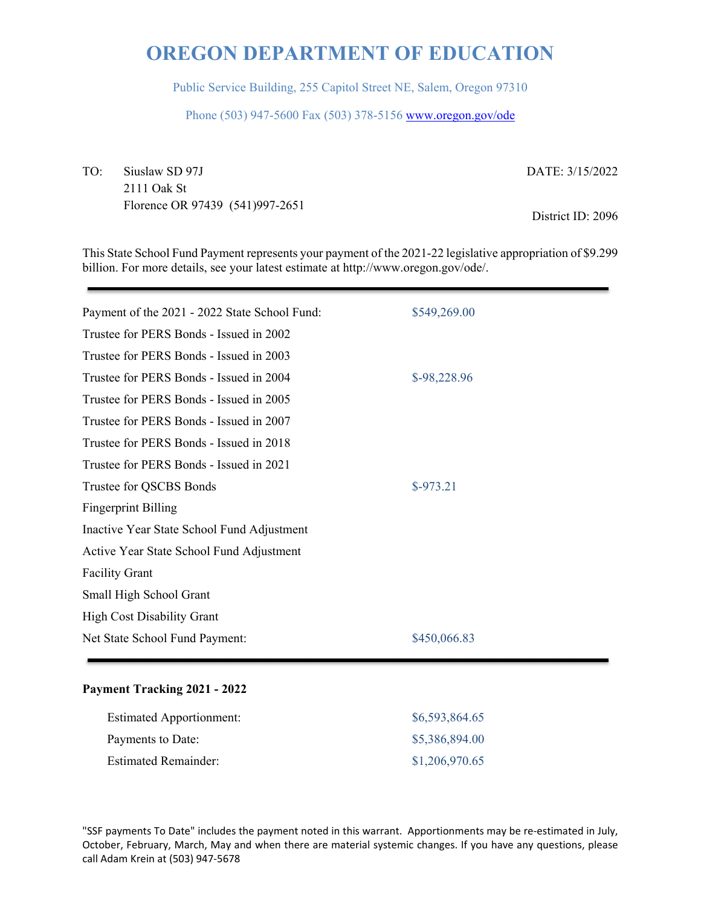Public Service Building, 255 Capitol Street NE, Salem, Oregon 97310

Phone (503) 947-5600 Fax (503) 378-5156 www.oregon.gov/ode

TO: Siuslaw SD 97J 2111 Oak St Florence OR 97439 (541)997-2651 DATE: 3/15/2022

District ID: 2096

This State School Fund Payment represents your payment of the 2021-22 legislative appropriation of \$9.299 billion. For more details, see your latest estimate at http://www.oregon.gov/ode/.

| Payment of the 2021 - 2022 State School Fund: | \$549,269.00 |
|-----------------------------------------------|--------------|
| Trustee for PERS Bonds - Issued in 2002       |              |
| Trustee for PERS Bonds - Issued in 2003       |              |
| Trustee for PERS Bonds - Issued in 2004       | \$-98,228.96 |
| Trustee for PERS Bonds - Issued in 2005       |              |
| Trustee for PERS Bonds - Issued in 2007       |              |
| Trustee for PERS Bonds - Issued in 2018       |              |
| Trustee for PERS Bonds - Issued in 2021       |              |
| Trustee for QSCBS Bonds                       | $$-973.21$   |
| <b>Fingerprint Billing</b>                    |              |
| Inactive Year State School Fund Adjustment    |              |
| Active Year State School Fund Adjustment      |              |
| <b>Facility Grant</b>                         |              |
| Small High School Grant                       |              |
| <b>High Cost Disability Grant</b>             |              |
| Net State School Fund Payment:                | \$450,066.83 |
|                                               |              |

#### **Payment Tracking 2021 - 2022**

| <b>Estimated Apportionment:</b> | \$6,593,864.65 |
|---------------------------------|----------------|
| Payments to Date:               | \$5,386,894.00 |
| <b>Estimated Remainder:</b>     | \$1,206,970.65 |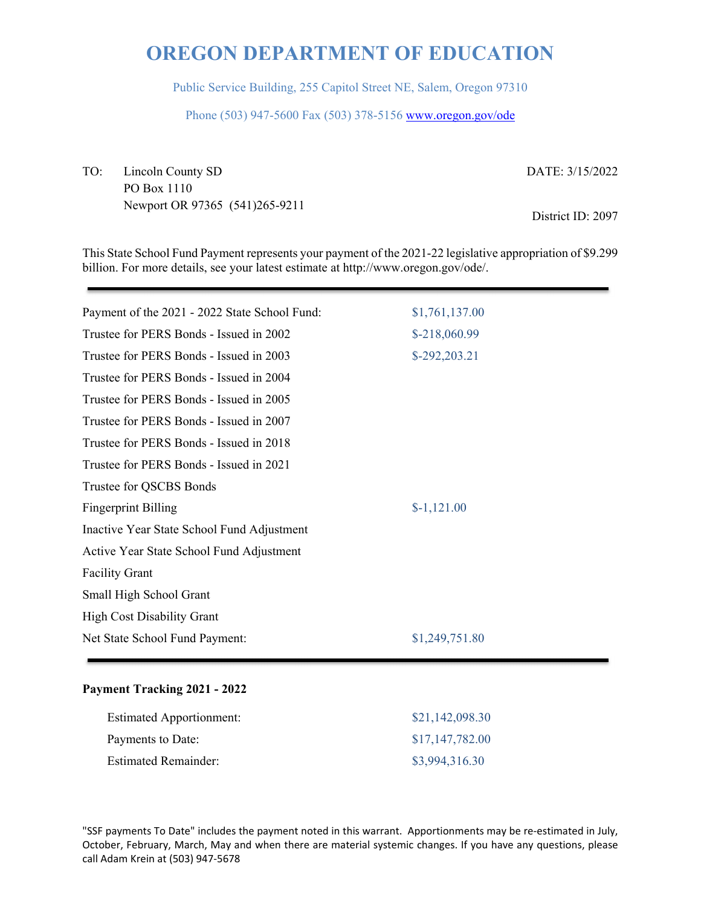Public Service Building, 255 Capitol Street NE, Salem, Oregon 97310

Phone (503) 947-5600 Fax (503) 378-5156 www.oregon.gov/ode

TO: Lincoln County SD PO Box 1110 Newport OR 97365 (541)265-9211 DATE: 3/15/2022

District ID: 2097

This State School Fund Payment represents your payment of the 2021-22 legislative appropriation of \$9.299 billion. For more details, see your latest estimate at http://www.oregon.gov/ode/.

| Payment of the 2021 - 2022 State School Fund: | \$1,761,137.00 |
|-----------------------------------------------|----------------|
| Trustee for PERS Bonds - Issued in 2002       | \$-218,060.99  |
| Trustee for PERS Bonds - Issued in 2003       | \$-292,203.21  |
| Trustee for PERS Bonds - Issued in 2004       |                |
| Trustee for PERS Bonds - Issued in 2005       |                |
| Trustee for PERS Bonds - Issued in 2007       |                |
| Trustee for PERS Bonds - Issued in 2018       |                |
| Trustee for PERS Bonds - Issued in 2021       |                |
| Trustee for QSCBS Bonds                       |                |
| <b>Fingerprint Billing</b>                    | $$-1,121.00$   |
| Inactive Year State School Fund Adjustment    |                |
| Active Year State School Fund Adjustment      |                |
| <b>Facility Grant</b>                         |                |
| Small High School Grant                       |                |
| <b>High Cost Disability Grant</b>             |                |
| Net State School Fund Payment:                | \$1,249,751.80 |
|                                               |                |

#### **Payment Tracking 2021 - 2022**

| <b>Estimated Apportionment:</b> | \$21,142,098.30 |
|---------------------------------|-----------------|
| Payments to Date:               | \$17,147,782.00 |
| <b>Estimated Remainder:</b>     | \$3,994,316.30  |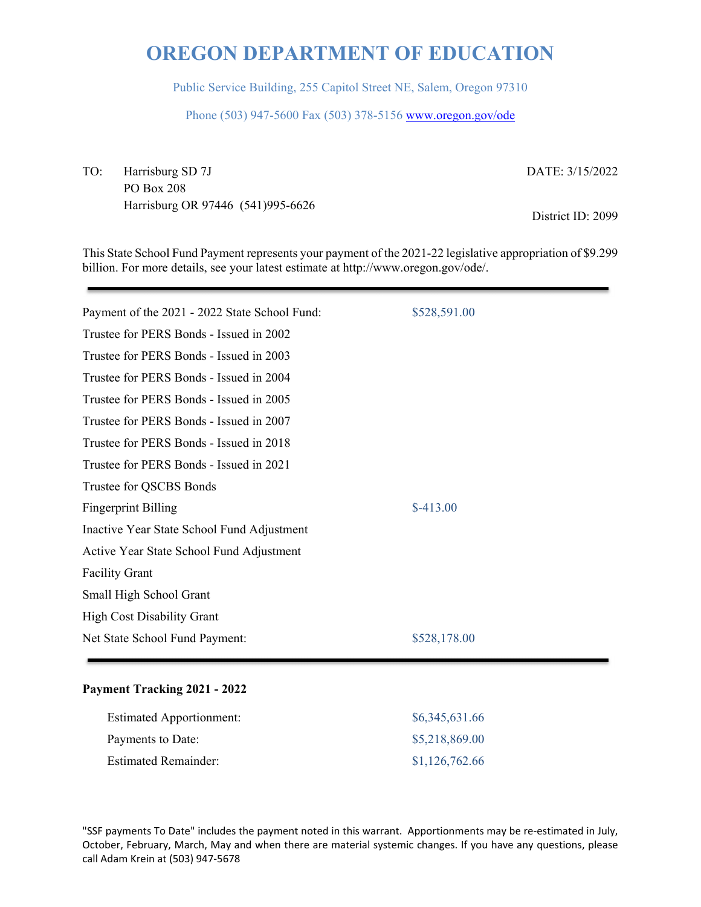Public Service Building, 255 Capitol Street NE, Salem, Oregon 97310

Phone (503) 947-5600 Fax (503) 378-5156 www.oregon.gov/ode

TO: Harrisburg SD 7J PO Box 208 Harrisburg OR 97446 (541)995-6626 DATE: 3/15/2022

District ID: 2099

This State School Fund Payment represents your payment of the 2021-22 legislative appropriation of \$9.299 billion. For more details, see your latest estimate at http://www.oregon.gov/ode/.

| Payment of the 2021 - 2022 State School Fund: | \$528,591.00 |
|-----------------------------------------------|--------------|
| Trustee for PERS Bonds - Issued in 2002       |              |
| Trustee for PERS Bonds - Issued in 2003       |              |
| Trustee for PERS Bonds - Issued in 2004       |              |
| Trustee for PERS Bonds - Issued in 2005       |              |
| Trustee for PERS Bonds - Issued in 2007       |              |
| Trustee for PERS Bonds - Issued in 2018       |              |
| Trustee for PERS Bonds - Issued in 2021       |              |
| Trustee for QSCBS Bonds                       |              |
| <b>Fingerprint Billing</b>                    | $$-413.00$   |
| Inactive Year State School Fund Adjustment    |              |
| Active Year State School Fund Adjustment      |              |
| <b>Facility Grant</b>                         |              |
| Small High School Grant                       |              |
| <b>High Cost Disability Grant</b>             |              |
| Net State School Fund Payment:                | \$528,178.00 |
|                                               |              |

#### **Payment Tracking 2021 - 2022**

| <b>Estimated Apportionment:</b> | \$6,345,631.66 |
|---------------------------------|----------------|
| Payments to Date:               | \$5,218,869.00 |
| <b>Estimated Remainder:</b>     | \$1,126,762.66 |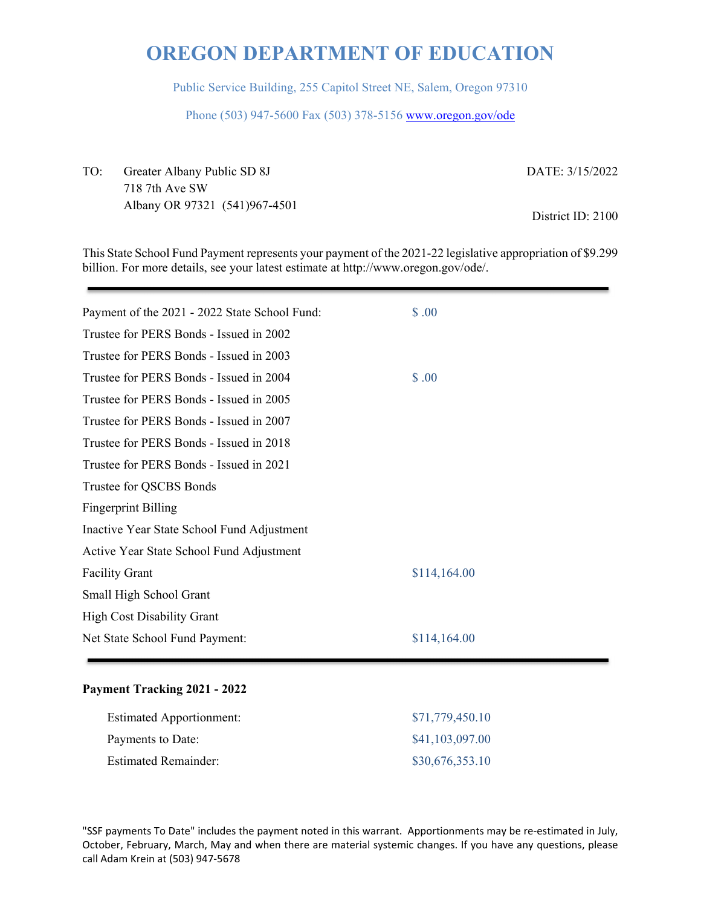Public Service Building, 255 Capitol Street NE, Salem, Oregon 97310

Phone (503) 947-5600 Fax (503) 378-5156 www.oregon.gov/ode

TO: Greater Albany Public SD 8J 718 7th Ave SW Albany OR 97321 (541)967-4501 DATE: 3/15/2022 District ID: 2100

This State School Fund Payment represents your payment of the 2021-22 legislative appropriation of \$9.299 billion. For more details, see your latest estimate at http://www.oregon.gov/ode/.

| Payment of the 2021 - 2022 State School Fund: | \$.00        |
|-----------------------------------------------|--------------|
| Trustee for PERS Bonds - Issued in 2002       |              |
| Trustee for PERS Bonds - Issued in 2003       |              |
| Trustee for PERS Bonds - Issued in 2004       | \$.00        |
| Trustee for PERS Bonds - Issued in 2005       |              |
| Trustee for PERS Bonds - Issued in 2007       |              |
| Trustee for PERS Bonds - Issued in 2018       |              |
| Trustee for PERS Bonds - Issued in 2021       |              |
| Trustee for QSCBS Bonds                       |              |
| <b>Fingerprint Billing</b>                    |              |
| Inactive Year State School Fund Adjustment    |              |
| Active Year State School Fund Adjustment      |              |
| <b>Facility Grant</b>                         | \$114,164.00 |
| Small High School Grant                       |              |
| <b>High Cost Disability Grant</b>             |              |
| Net State School Fund Payment:                | \$114,164.00 |
|                                               |              |

#### **Payment Tracking 2021 - 2022**

| <b>Estimated Apportionment:</b> | \$71,779,450.10 |
|---------------------------------|-----------------|
| Payments to Date:               | \$41,103,097.00 |
| Estimated Remainder:            | \$30,676,353.10 |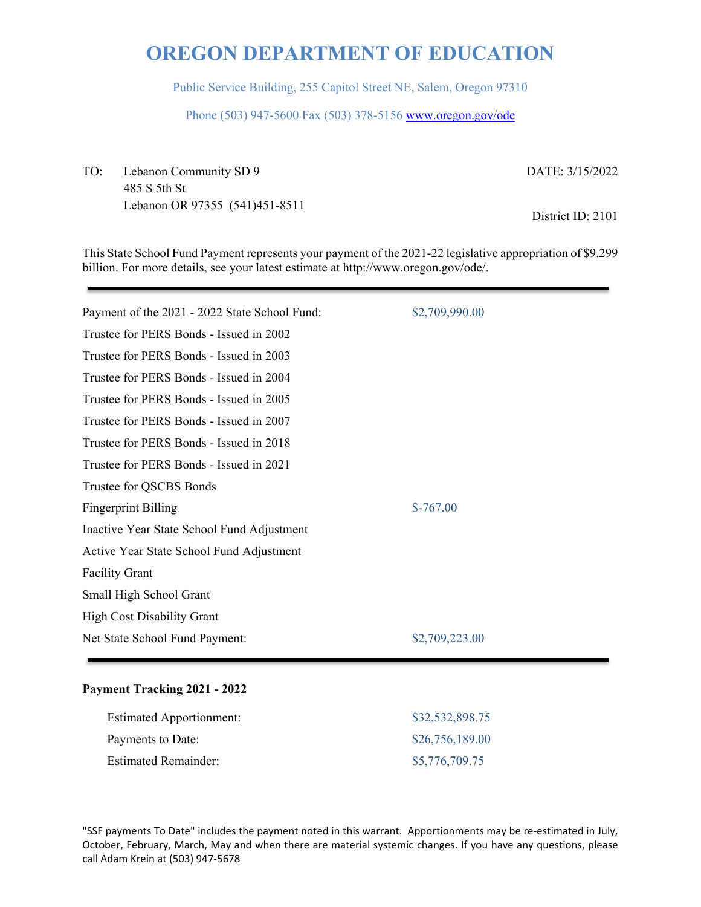Public Service Building, 255 Capitol Street NE, Salem, Oregon 97310

Phone (503) 947-5600 Fax (503) 378-5156 www.oregon.gov/ode

TO: Lebanon Community SD 9 485 S 5th St Lebanon OR 97355 (541)451-8511 DATE: 3/15/2022

District ID: 2101

This State School Fund Payment represents your payment of the 2021-22 legislative appropriation of \$9.299 billion. For more details, see your latest estimate at http://www.oregon.gov/ode/.

| Payment of the 2021 - 2022 State School Fund: | \$2,709,990.00 |
|-----------------------------------------------|----------------|
| Trustee for PERS Bonds - Issued in 2002       |                |
| Trustee for PERS Bonds - Issued in 2003       |                |
| Trustee for PERS Bonds - Issued in 2004       |                |
| Trustee for PERS Bonds - Issued in 2005       |                |
| Trustee for PERS Bonds - Issued in 2007       |                |
| Trustee for PERS Bonds - Issued in 2018       |                |
| Trustee for PERS Bonds - Issued in 2021       |                |
| Trustee for QSCBS Bonds                       |                |
| <b>Fingerprint Billing</b>                    | $$-767.00$     |
| Inactive Year State School Fund Adjustment    |                |
| Active Year State School Fund Adjustment      |                |
| <b>Facility Grant</b>                         |                |
| Small High School Grant                       |                |
| <b>High Cost Disability Grant</b>             |                |
| Net State School Fund Payment:                | \$2,709,223.00 |
|                                               |                |

#### **Payment Tracking 2021 - 2022**

| <b>Estimated Apportionment:</b> | \$32,532,898.75 |
|---------------------------------|-----------------|
| Payments to Date:               | \$26,756,189.00 |
| <b>Estimated Remainder:</b>     | \$5,776,709.75  |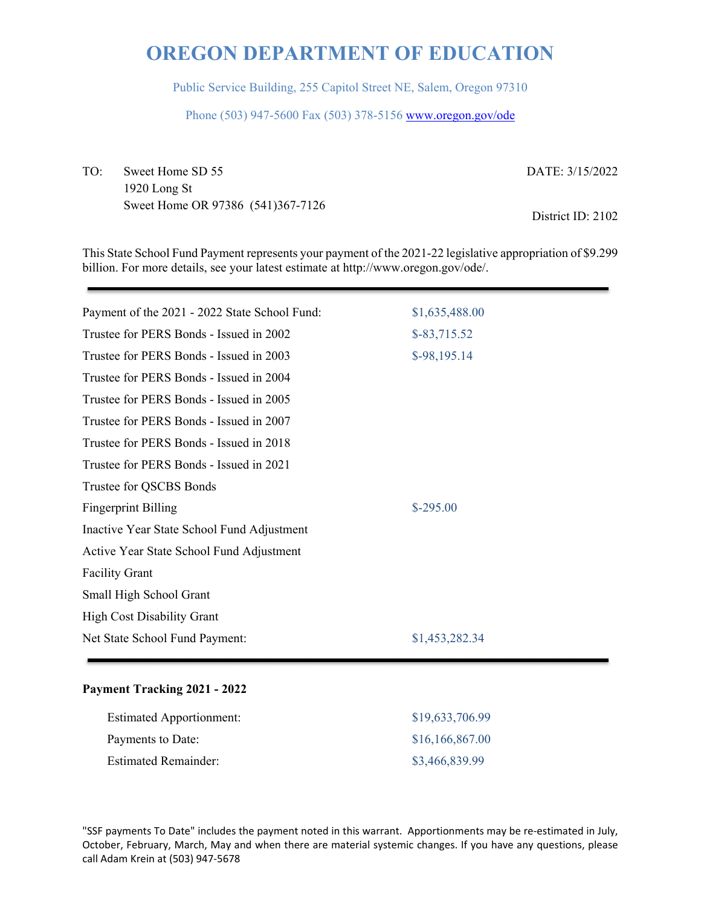Public Service Building, 255 Capitol Street NE, Salem, Oregon 97310

Phone (503) 947-5600 Fax (503) 378-5156 www.oregon.gov/ode

TO: Sweet Home SD 55 1920 Long St Sweet Home OR 97386 (541)367-7126 DATE: 3/15/2022

District ID: 2102

This State School Fund Payment represents your payment of the 2021-22 legislative appropriation of \$9.299 billion. For more details, see your latest estimate at http://www.oregon.gov/ode/.

| Payment of the 2021 - 2022 State School Fund: | \$1,635,488.00 |
|-----------------------------------------------|----------------|
| Trustee for PERS Bonds - Issued in 2002       | $$-83,715.52$  |
| Trustee for PERS Bonds - Issued in 2003       | $$-98,195.14$  |
| Trustee for PERS Bonds - Issued in 2004       |                |
| Trustee for PERS Bonds - Issued in 2005       |                |
| Trustee for PERS Bonds - Issued in 2007       |                |
| Trustee for PERS Bonds - Issued in 2018       |                |
| Trustee for PERS Bonds - Issued in 2021       |                |
| Trustee for QSCBS Bonds                       |                |
| <b>Fingerprint Billing</b>                    | $$-295.00$     |
| Inactive Year State School Fund Adjustment    |                |
| Active Year State School Fund Adjustment      |                |
| <b>Facility Grant</b>                         |                |
| Small High School Grant                       |                |
| <b>High Cost Disability Grant</b>             |                |
| Net State School Fund Payment:                | \$1,453,282.34 |
|                                               |                |

#### **Payment Tracking 2021 - 2022**

| <b>Estimated Apportionment:</b> | \$19,633,706.99 |
|---------------------------------|-----------------|
| Payments to Date:               | \$16,166,867.00 |
| <b>Estimated Remainder:</b>     | \$3,466,839.99  |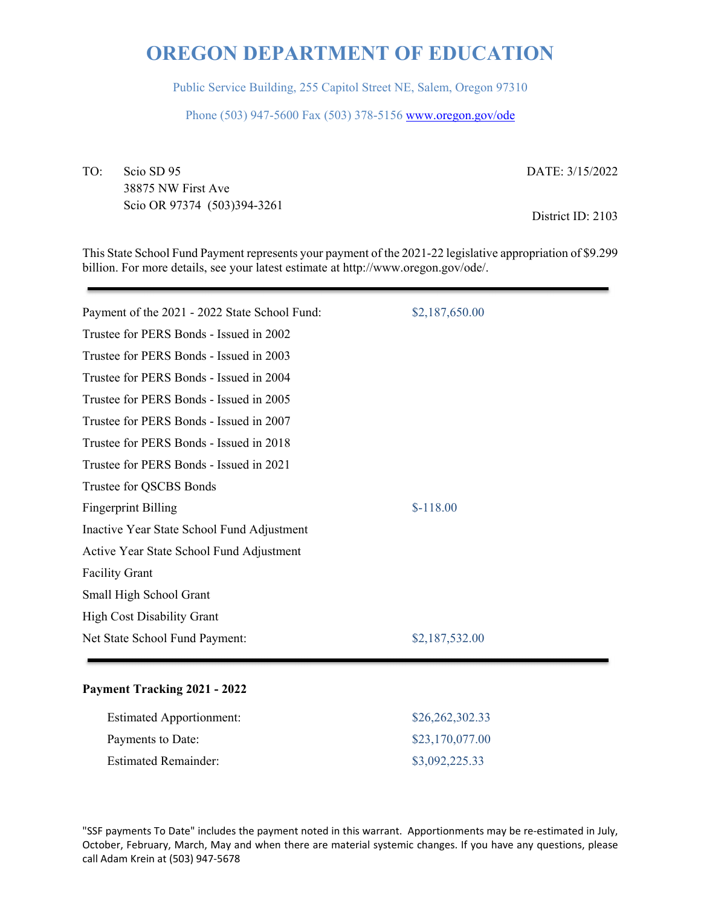Public Service Building, 255 Capitol Street NE, Salem, Oregon 97310

Phone (503) 947-5600 Fax (503) 378-5156 www.oregon.gov/ode

TO: Scio SD 95 38875 NW First Ave Scio OR 97374 (503)394-3261 DATE: 3/15/2022

District ID: 2103

This State School Fund Payment represents your payment of the 2021-22 legislative appropriation of \$9.299 billion. For more details, see your latest estimate at http://www.oregon.gov/ode/.

| Payment of the 2021 - 2022 State School Fund: | \$2,187,650.00 |
|-----------------------------------------------|----------------|
| Trustee for PERS Bonds - Issued in 2002       |                |
| Trustee for PERS Bonds - Issued in 2003       |                |
| Trustee for PERS Bonds - Issued in 2004       |                |
| Trustee for PERS Bonds - Issued in 2005       |                |
| Trustee for PERS Bonds - Issued in 2007       |                |
| Trustee for PERS Bonds - Issued in 2018       |                |
| Trustee for PERS Bonds - Issued in 2021       |                |
| Trustee for QSCBS Bonds                       |                |
| <b>Fingerprint Billing</b>                    | $$-118.00$     |
| Inactive Year State School Fund Adjustment    |                |
| Active Year State School Fund Adjustment      |                |
| <b>Facility Grant</b>                         |                |
| Small High School Grant                       |                |
| <b>High Cost Disability Grant</b>             |                |
| Net State School Fund Payment:                | \$2,187,532.00 |
|                                               |                |

### **Payment Tracking 2021 - 2022**

| <b>Estimated Apportionment:</b> | \$26,262,302.33 |
|---------------------------------|-----------------|
| Payments to Date:               | \$23,170,077.00 |
| <b>Estimated Remainder:</b>     | \$3,092,225.33  |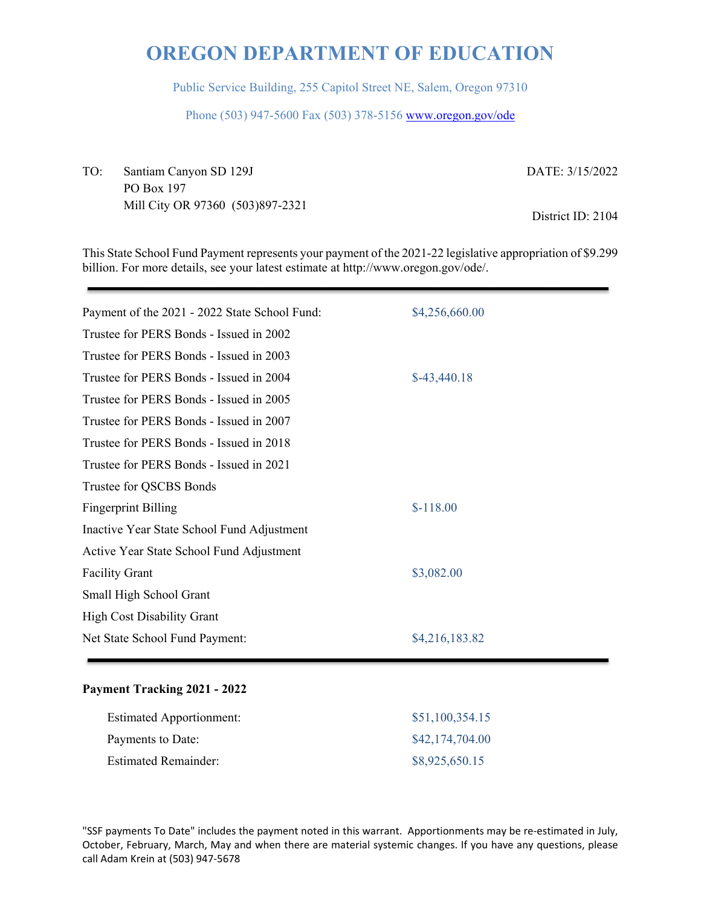Public Service Building, 255 Capitol Street NE, Salem, Oregon 97310

Phone (503) 947-5600 Fax (503) 378-5156 www.oregon.gov/ode

TO: Santiam Canyon SD 129J PO Box 197 Mill City OR 97360 (503)897-2321 DATE: 3/15/2022 District ID: 2104

This State School Fund Payment represents your payment of the 2021-22 legislative appropriation of \$9.299 billion. For more details, see your latest estimate at http://www.oregon.gov/ode/.

| Payment of the 2021 - 2022 State School Fund: | \$4,256,660.00 |
|-----------------------------------------------|----------------|
| Trustee for PERS Bonds - Issued in 2002       |                |
| Trustee for PERS Bonds - Issued in 2003       |                |
| Trustee for PERS Bonds - Issued in 2004       | $$-43,440.18$  |
| Trustee for PERS Bonds - Issued in 2005       |                |
| Trustee for PERS Bonds - Issued in 2007       |                |
| Trustee for PERS Bonds - Issued in 2018       |                |
| Trustee for PERS Bonds - Issued in 2021       |                |
| Trustee for QSCBS Bonds                       |                |
| <b>Fingerprint Billing</b>                    | $$-118.00$     |
| Inactive Year State School Fund Adjustment    |                |
| Active Year State School Fund Adjustment      |                |
| <b>Facility Grant</b>                         | \$3,082.00     |
| Small High School Grant                       |                |
| <b>High Cost Disability Grant</b>             |                |
| Net State School Fund Payment:                | \$4,216,183.82 |
|                                               |                |

#### **Payment Tracking 2021 - 2022**

| <b>Estimated Apportionment:</b> | \$51,100,354.15 |
|---------------------------------|-----------------|
| Payments to Date:               | \$42,174,704.00 |
| <b>Estimated Remainder:</b>     | \$8,925,650.15  |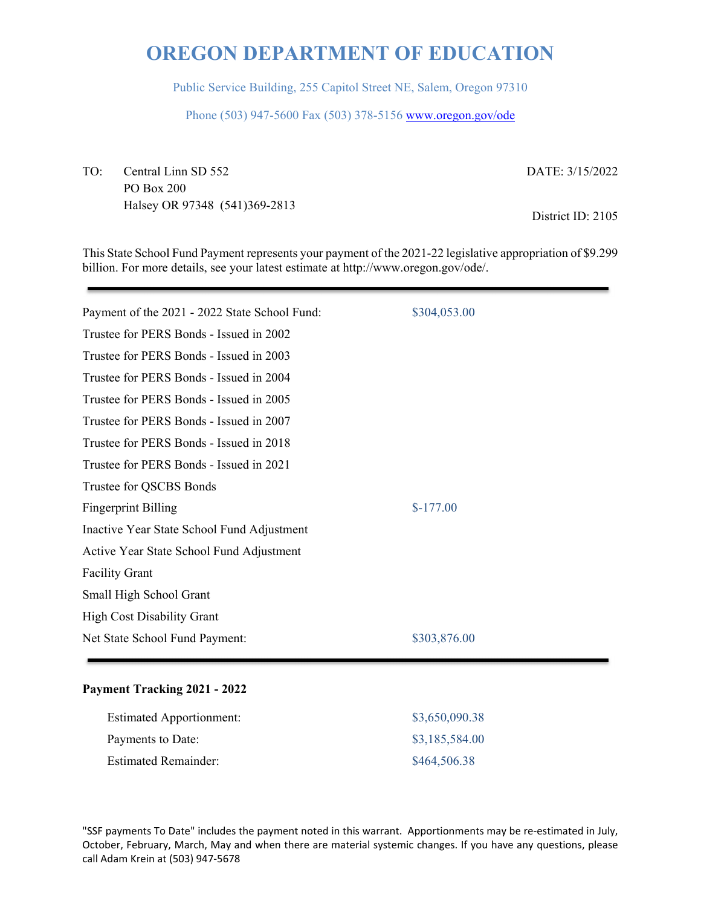Public Service Building, 255 Capitol Street NE, Salem, Oregon 97310

Phone (503) 947-5600 Fax (503) 378-5156 www.oregon.gov/ode

TO: Central Linn SD 552 PO Box 200 Halsey OR 97348 (541)369-2813 DATE: 3/15/2022

District ID: 2105

This State School Fund Payment represents your payment of the 2021-22 legislative appropriation of \$9.299 billion. For more details, see your latest estimate at http://www.oregon.gov/ode/.

| Payment of the 2021 - 2022 State School Fund: | \$304,053.00 |
|-----------------------------------------------|--------------|
| Trustee for PERS Bonds - Issued in 2002       |              |
| Trustee for PERS Bonds - Issued in 2003       |              |
| Trustee for PERS Bonds - Issued in 2004       |              |
| Trustee for PERS Bonds - Issued in 2005       |              |
| Trustee for PERS Bonds - Issued in 2007       |              |
| Trustee for PERS Bonds - Issued in 2018       |              |
| Trustee for PERS Bonds - Issued in 2021       |              |
| Trustee for QSCBS Bonds                       |              |
| <b>Fingerprint Billing</b>                    | $$-177.00$   |
| Inactive Year State School Fund Adjustment    |              |
| Active Year State School Fund Adjustment      |              |
| <b>Facility Grant</b>                         |              |
| Small High School Grant                       |              |
| High Cost Disability Grant                    |              |
| Net State School Fund Payment:                | \$303,876.00 |
|                                               |              |

#### **Payment Tracking 2021 - 2022**

| <b>Estimated Apportionment:</b> | \$3,650,090.38 |
|---------------------------------|----------------|
| Payments to Date:               | \$3,185,584.00 |
| <b>Estimated Remainder:</b>     | \$464,506.38   |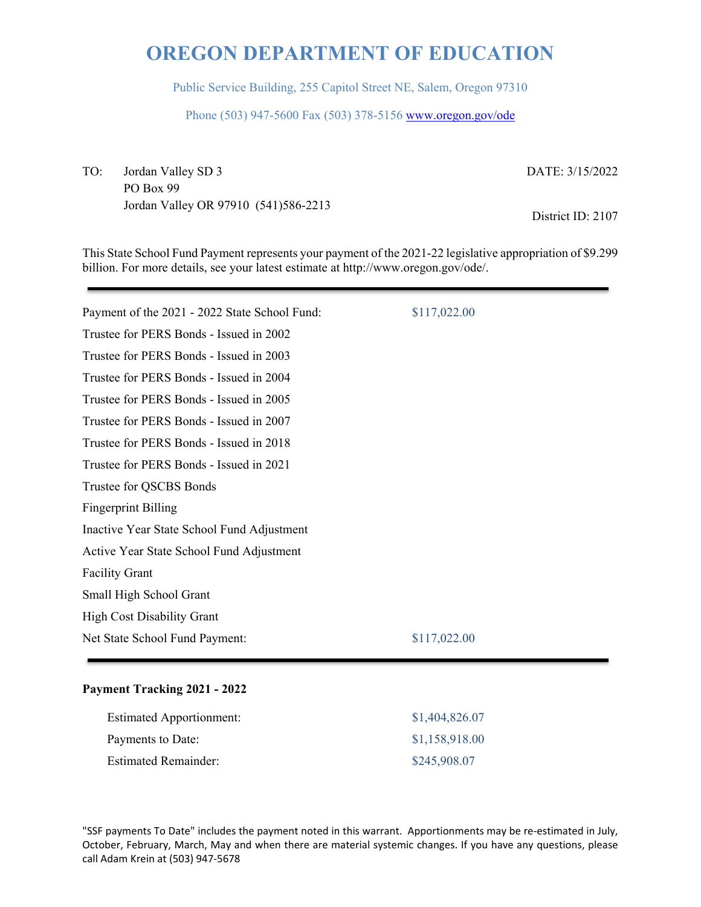Public Service Building, 255 Capitol Street NE, Salem, Oregon 97310

Phone (503) 947-5600 Fax (503) 378-5156 www.oregon.gov/ode

TO: Jordan Valley SD 3 PO Box 99 Jordan Valley OR 97910 (541)586-2213 DATE: 3/15/2022

District ID: 2107

This State School Fund Payment represents your payment of the 2021-22 legislative appropriation of \$9.299 billion. For more details, see your latest estimate at http://www.oregon.gov/ode/.

| Payment of the 2021 - 2022 State School Fund: | \$117,022.00 |
|-----------------------------------------------|--------------|
| Trustee for PERS Bonds - Issued in 2002       |              |
| Trustee for PERS Bonds - Issued in 2003       |              |
| Trustee for PERS Bonds - Issued in 2004       |              |
| Trustee for PERS Bonds - Issued in 2005       |              |
| Trustee for PERS Bonds - Issued in 2007       |              |
| Trustee for PERS Bonds - Issued in 2018       |              |
| Trustee for PERS Bonds - Issued in 2021       |              |
| Trustee for QSCBS Bonds                       |              |
| <b>Fingerprint Billing</b>                    |              |
| Inactive Year State School Fund Adjustment    |              |
| Active Year State School Fund Adjustment      |              |
| <b>Facility Grant</b>                         |              |
| Small High School Grant                       |              |
| <b>High Cost Disability Grant</b>             |              |
| Net State School Fund Payment:                | \$117,022.00 |
|                                               |              |

#### **Payment Tracking 2021 - 2022**

| <b>Estimated Apportionment:</b> | \$1,404,826.07 |
|---------------------------------|----------------|
| Payments to Date:               | \$1,158,918.00 |
| <b>Estimated Remainder:</b>     | \$245,908.07   |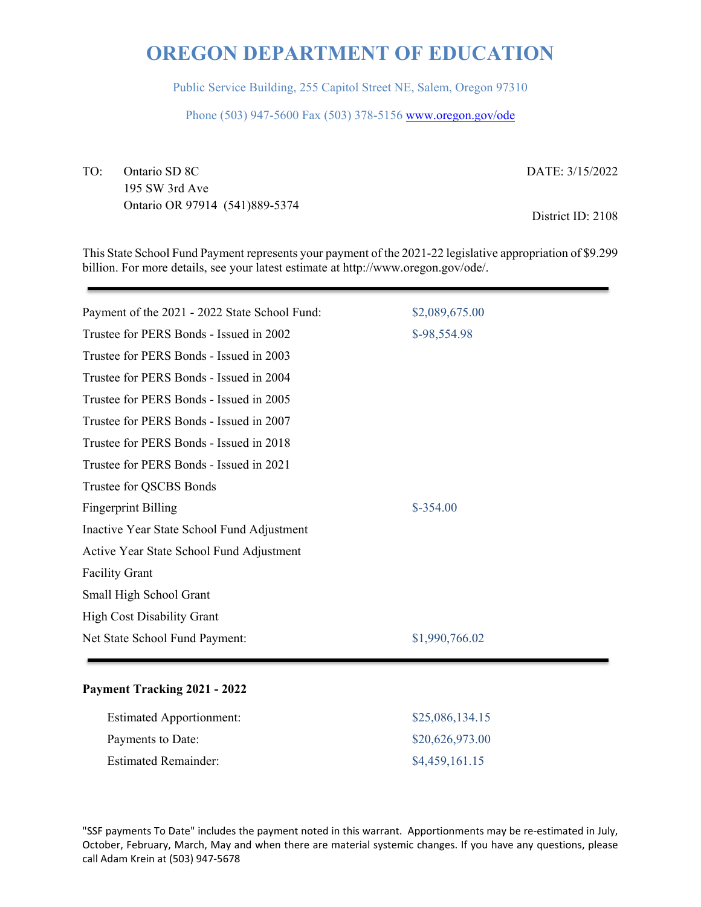Public Service Building, 255 Capitol Street NE, Salem, Oregon 97310

Phone (503) 947-5600 Fax (503) 378-5156 www.oregon.gov/ode

TO: Ontario SD 8C 195 SW 3rd Ave Ontario OR 97914 (541)889-5374 DATE: 3/15/2022

District ID: 2108

This State School Fund Payment represents your payment of the 2021-22 legislative appropriation of \$9.299 billion. For more details, see your latest estimate at http://www.oregon.gov/ode/.

| Payment of the 2021 - 2022 State School Fund: | \$2,089,675.00 |
|-----------------------------------------------|----------------|
| Trustee for PERS Bonds - Issued in 2002       | \$-98,554.98   |
| Trustee for PERS Bonds - Issued in 2003       |                |
| Trustee for PERS Bonds - Issued in 2004       |                |
| Trustee for PERS Bonds - Issued in 2005       |                |
| Trustee for PERS Bonds - Issued in 2007       |                |
| Trustee for PERS Bonds - Issued in 2018       |                |
| Trustee for PERS Bonds - Issued in 2021       |                |
| Trustee for QSCBS Bonds                       |                |
| <b>Fingerprint Billing</b>                    | $$-354.00$     |
| Inactive Year State School Fund Adjustment    |                |
| Active Year State School Fund Adjustment      |                |
| <b>Facility Grant</b>                         |                |
| Small High School Grant                       |                |
| <b>High Cost Disability Grant</b>             |                |
| Net State School Fund Payment:                | \$1,990,766.02 |
|                                               |                |

#### **Payment Tracking 2021 - 2022**

| <b>Estimated Apportionment:</b> | \$25,086,134.15 |
|---------------------------------|-----------------|
| Payments to Date:               | \$20,626,973.00 |
| <b>Estimated Remainder:</b>     | \$4,459,161.15  |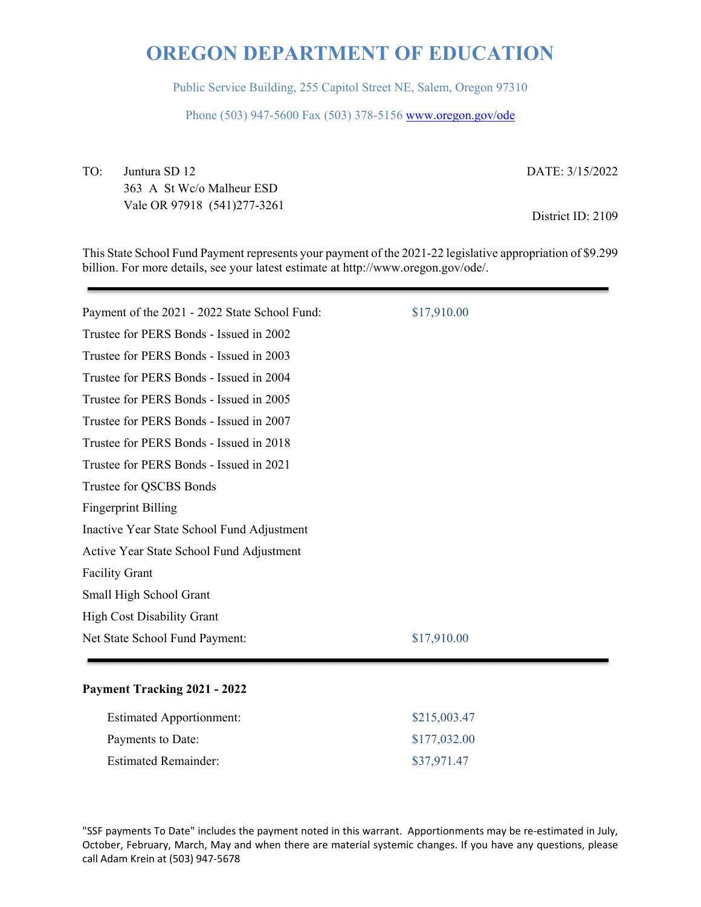Public Service Building, 255 Capitol Street NE, Salem, Oregon 97310

Phone (503) 947-5600 Fax (503) 378-5156 www.oregon.gov/ode

TO: Juntura SD 12 363 A St Wc/o Malheur ESD Vale OR 97918 (541)277-3261 DATE: 3/15/2022

District ID: 2109

This State School Fund Payment represents your payment of the 2021-22 legislative appropriation of \$9.299 billion. For more details, see your latest estimate at http://www.oregon.gov/ode/.

| Payment of the 2021 - 2022 State School Fund: | \$17,910.00 |  |
|-----------------------------------------------|-------------|--|
| Trustee for PERS Bonds - Issued in 2002       |             |  |
| Trustee for PERS Bonds - Issued in 2003       |             |  |
| Trustee for PERS Bonds - Issued in 2004       |             |  |
| Trustee for PERS Bonds - Issued in 2005       |             |  |
| Trustee for PERS Bonds - Issued in 2007       |             |  |
| Trustee for PERS Bonds - Issued in 2018       |             |  |
| Trustee for PERS Bonds - Issued in 2021       |             |  |
| Trustee for QSCBS Bonds                       |             |  |
| <b>Fingerprint Billing</b>                    |             |  |
| Inactive Year State School Fund Adjustment    |             |  |
| Active Year State School Fund Adjustment      |             |  |
| <b>Facility Grant</b>                         |             |  |
| Small High School Grant                       |             |  |
| <b>High Cost Disability Grant</b>             |             |  |
| Net State School Fund Payment:                | \$17,910.00 |  |
|                                               |             |  |

#### **Payment Tracking 2021 - 2022**

| <b>Estimated Apportionment:</b> | \$215,003.47 |
|---------------------------------|--------------|
| Payments to Date:               | \$177,032.00 |
| <b>Estimated Remainder:</b>     | \$37,971.47  |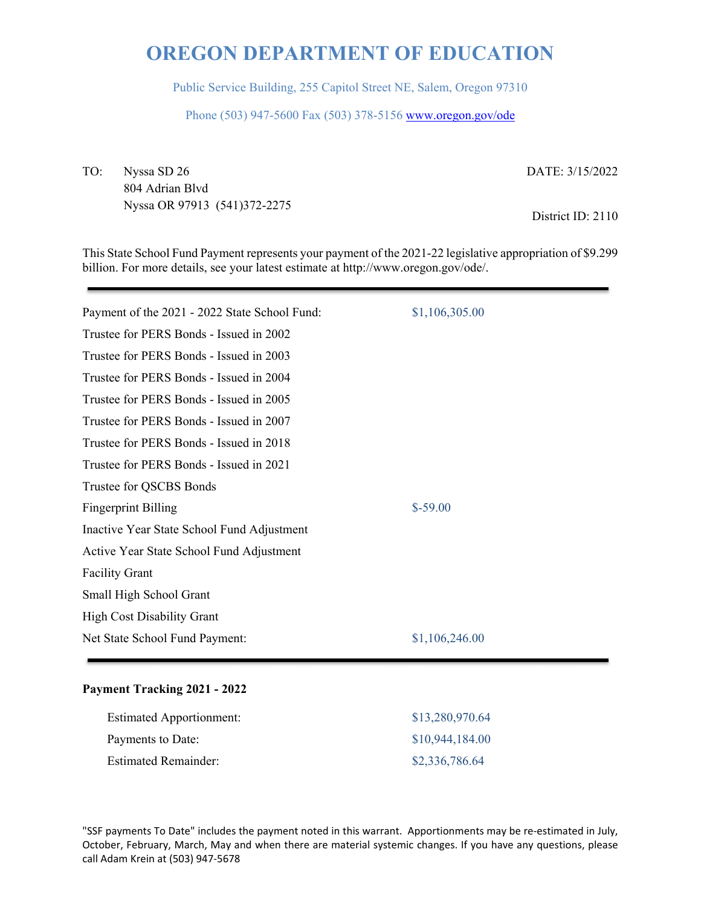Public Service Building, 255 Capitol Street NE, Salem, Oregon 97310

Phone (503) 947-5600 Fax (503) 378-5156 www.oregon.gov/ode

TO: Nyssa SD 26 804 Adrian Blvd Nyssa OR 97913 (541)372-2275 DATE: 3/15/2022

District ID: 2110

This State School Fund Payment represents your payment of the 2021-22 legislative appropriation of \$9.299 billion. For more details, see your latest estimate at http://www.oregon.gov/ode/.

| Payment of the 2021 - 2022 State School Fund: | \$1,106,305.00 |
|-----------------------------------------------|----------------|
| Trustee for PERS Bonds - Issued in 2002       |                |
| Trustee for PERS Bonds - Issued in 2003       |                |
| Trustee for PERS Bonds - Issued in 2004       |                |
| Trustee for PERS Bonds - Issued in 2005       |                |
| Trustee for PERS Bonds - Issued in 2007       |                |
| Trustee for PERS Bonds - Issued in 2018       |                |
| Trustee for PERS Bonds - Issued in 2021       |                |
| Trustee for QSCBS Bonds                       |                |
| <b>Fingerprint Billing</b>                    | $$-59.00$      |
| Inactive Year State School Fund Adjustment    |                |
| Active Year State School Fund Adjustment      |                |
| <b>Facility Grant</b>                         |                |
| Small High School Grant                       |                |
| <b>High Cost Disability Grant</b>             |                |
| Net State School Fund Payment:                | \$1,106,246.00 |
|                                               |                |

#### **Payment Tracking 2021 - 2022**

| <b>Estimated Apportionment:</b> | \$13,280,970.64 |
|---------------------------------|-----------------|
| Payments to Date:               | \$10,944,184.00 |
| <b>Estimated Remainder:</b>     | \$2,336,786.64  |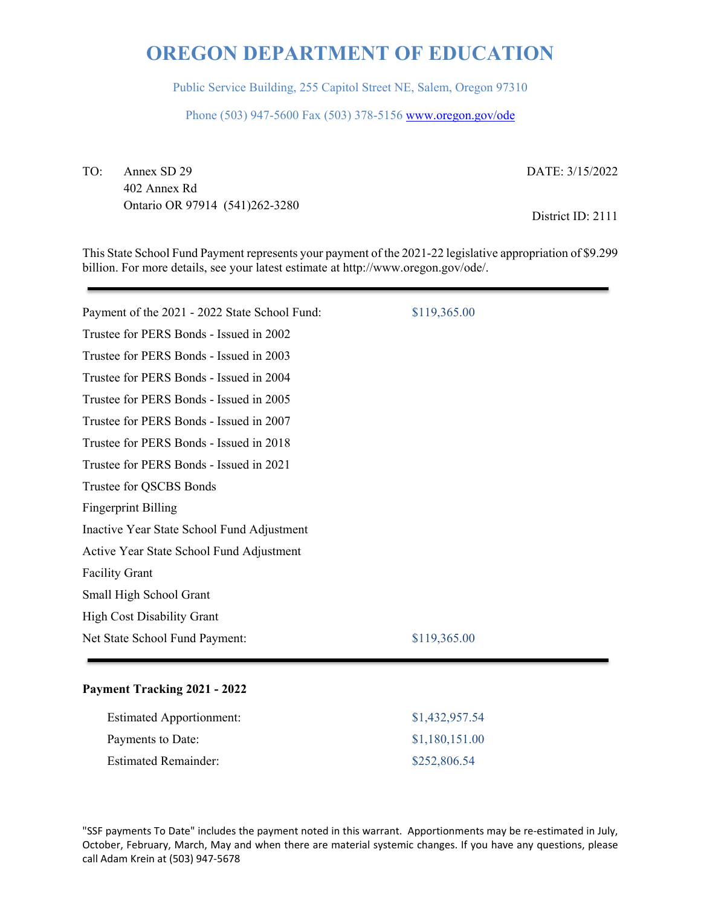Public Service Building, 255 Capitol Street NE, Salem, Oregon 97310

Phone (503) 947-5600 Fax (503) 378-5156 www.oregon.gov/ode

TO: Annex SD 29 402 Annex Rd Ontario OR 97914 (541)262-3280 DATE: 3/15/2022

District ID: 2111

This State School Fund Payment represents your payment of the 2021-22 legislative appropriation of \$9.299 billion. For more details, see your latest estimate at http://www.oregon.gov/ode/.

| Payment of the 2021 - 2022 State School Fund: | \$119,365.00 |
|-----------------------------------------------|--------------|
| Trustee for PERS Bonds - Issued in 2002       |              |
| Trustee for PERS Bonds - Issued in 2003       |              |
| Trustee for PERS Bonds - Issued in 2004       |              |
| Trustee for PERS Bonds - Issued in 2005       |              |
| Trustee for PERS Bonds - Issued in 2007       |              |
| Trustee for PERS Bonds - Issued in 2018       |              |
| Trustee for PERS Bonds - Issued in 2021       |              |
| Trustee for QSCBS Bonds                       |              |
| <b>Fingerprint Billing</b>                    |              |
| Inactive Year State School Fund Adjustment    |              |
| Active Year State School Fund Adjustment      |              |
| <b>Facility Grant</b>                         |              |
| Small High School Grant                       |              |
| <b>High Cost Disability Grant</b>             |              |
| Net State School Fund Payment:                | \$119,365.00 |
|                                               |              |

#### **Payment Tracking 2021 - 2022**

| <b>Estimated Apportionment:</b> | \$1,432,957.54 |
|---------------------------------|----------------|
| Payments to Date:               | \$1,180,151.00 |
| <b>Estimated Remainder:</b>     | \$252,806.54   |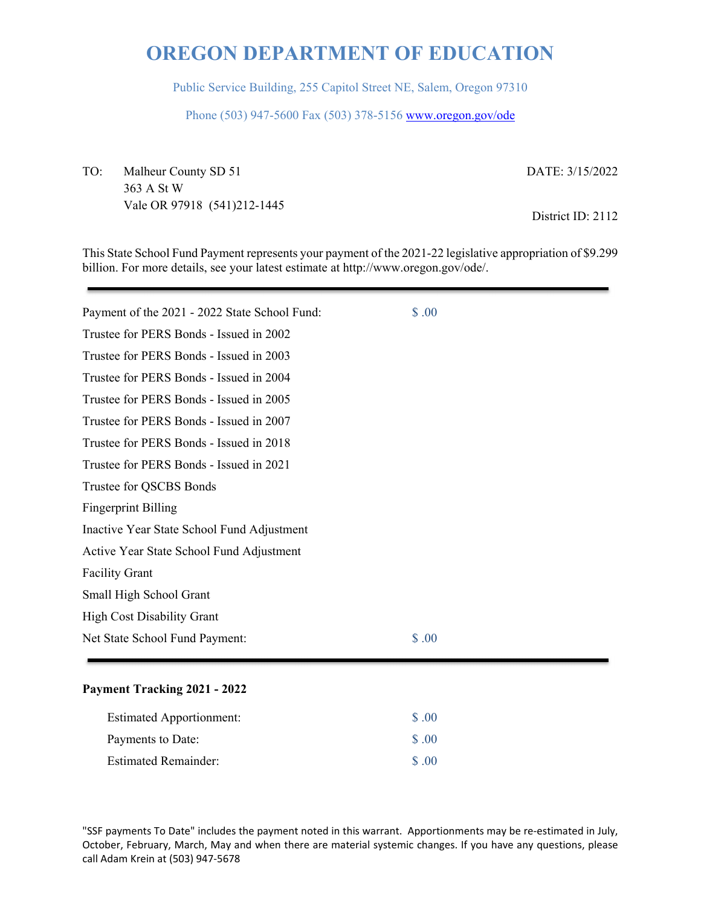Public Service Building, 255 Capitol Street NE, Salem, Oregon 97310

Phone (503) 947-5600 Fax (503) 378-5156 www.oregon.gov/ode

TO: Malheur County SD 51 363 A St W Vale OR 97918 (541)212-1445 DATE: 3/15/2022

District ID: 2112

This State School Fund Payment represents your payment of the 2021-22 legislative appropriation of \$9.299 billion. For more details, see your latest estimate at http://www.oregon.gov/ode/.

| \$.00                                         |  |
|-----------------------------------------------|--|
| Payment of the 2021 - 2022 State School Fund: |  |
| Trustee for PERS Bonds - Issued in 2002       |  |
| Trustee for PERS Bonds - Issued in 2003       |  |
| Trustee for PERS Bonds - Issued in 2004       |  |
| Trustee for PERS Bonds - Issued in 2005       |  |
| Trustee for PERS Bonds - Issued in 2007       |  |
| Trustee for PERS Bonds - Issued in 2018       |  |
| Trustee for PERS Bonds - Issued in 2021       |  |
| Trustee for QSCBS Bonds                       |  |
| <b>Fingerprint Billing</b>                    |  |
| Inactive Year State School Fund Adjustment    |  |
| Active Year State School Fund Adjustment      |  |
| <b>Facility Grant</b>                         |  |
| Small High School Grant                       |  |
| <b>High Cost Disability Grant</b>             |  |
| \$.00<br>Net State School Fund Payment:       |  |

#### **Payment Tracking 2021 - 2022**

| <b>Estimated Apportionment:</b> | \$ .00            |
|---------------------------------|-------------------|
| Payments to Date:               | $\Omega$ .00      |
| <b>Estimated Remainder:</b>     | $\Omega$ $\Omega$ |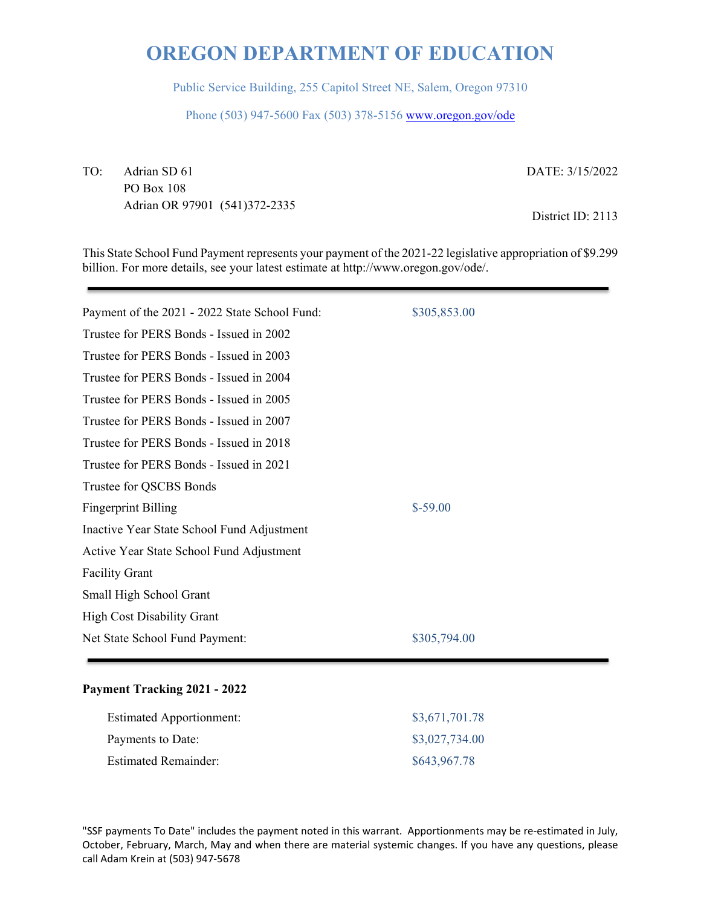Public Service Building, 255 Capitol Street NE, Salem, Oregon 97310

Phone (503) 947-5600 Fax (503) 378-5156 www.oregon.gov/ode

TO: Adrian SD 61 PO Box 108 Adrian OR 97901 (541)372-2335 DATE: 3/15/2022

District ID: 2113

This State School Fund Payment represents your payment of the 2021-22 legislative appropriation of \$9.299 billion. For more details, see your latest estimate at http://www.oregon.gov/ode/.

| Payment of the 2021 - 2022 State School Fund: | \$305,853.00 |
|-----------------------------------------------|--------------|
| Trustee for PERS Bonds - Issued in 2002       |              |
| Trustee for PERS Bonds - Issued in 2003       |              |
| Trustee for PERS Bonds - Issued in 2004       |              |
| Trustee for PERS Bonds - Issued in 2005       |              |
| Trustee for PERS Bonds - Issued in 2007       |              |
| Trustee for PERS Bonds - Issued in 2018       |              |
| Trustee for PERS Bonds - Issued in 2021       |              |
| Trustee for QSCBS Bonds                       |              |
| <b>Fingerprint Billing</b>                    | $$-59.00$    |
| Inactive Year State School Fund Adjustment    |              |
| Active Year State School Fund Adjustment      |              |
| <b>Facility Grant</b>                         |              |
| Small High School Grant                       |              |
| <b>High Cost Disability Grant</b>             |              |
| Net State School Fund Payment:                | \$305,794.00 |
|                                               |              |

#### **Payment Tracking 2021 - 2022**

| <b>Estimated Apportionment:</b> | \$3,671,701.78 |
|---------------------------------|----------------|
| Payments to Date:               | \$3,027,734.00 |
| <b>Estimated Remainder:</b>     | \$643,967.78   |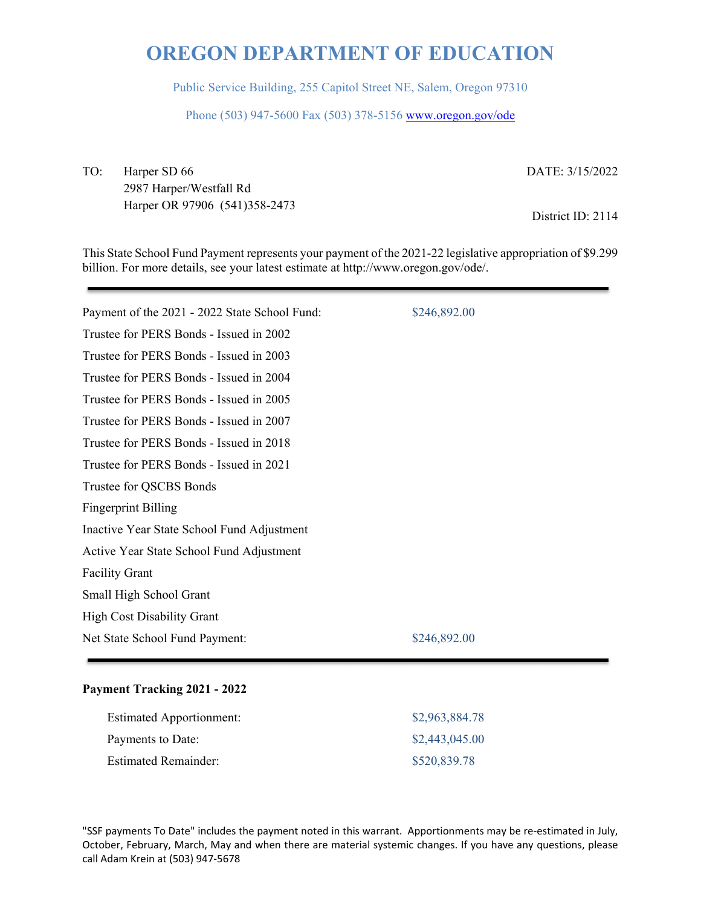Public Service Building, 255 Capitol Street NE, Salem, Oregon 97310

Phone (503) 947-5600 Fax (503) 378-5156 www.oregon.gov/ode

TO: Harper SD 66 2987 Harper/Westfall Rd Harper OR 97906 (541)358-2473 DATE: 3/15/2022

District ID: 2114

This State School Fund Payment represents your payment of the 2021-22 legislative appropriation of \$9.299 billion. For more details, see your latest estimate at http://www.oregon.gov/ode/.

| Payment of the 2021 - 2022 State School Fund: | \$246,892.00 |
|-----------------------------------------------|--------------|
| Trustee for PERS Bonds - Issued in 2002       |              |
| Trustee for PERS Bonds - Issued in 2003       |              |
| Trustee for PERS Bonds - Issued in 2004       |              |
| Trustee for PERS Bonds - Issued in 2005       |              |
| Trustee for PERS Bonds - Issued in 2007       |              |
| Trustee for PERS Bonds - Issued in 2018       |              |
| Trustee for PERS Bonds - Issued in 2021       |              |
| Trustee for QSCBS Bonds                       |              |
| <b>Fingerprint Billing</b>                    |              |
| Inactive Year State School Fund Adjustment    |              |
| Active Year State School Fund Adjustment      |              |
| <b>Facility Grant</b>                         |              |
| Small High School Grant                       |              |
| <b>High Cost Disability Grant</b>             |              |
| Net State School Fund Payment:                | \$246,892.00 |
|                                               |              |

#### **Payment Tracking 2021 - 2022**

| <b>Estimated Apportionment:</b> | \$2,963,884.78 |
|---------------------------------|----------------|
| Payments to Date:               | \$2,443,045.00 |
| <b>Estimated Remainder:</b>     | \$520,839.78   |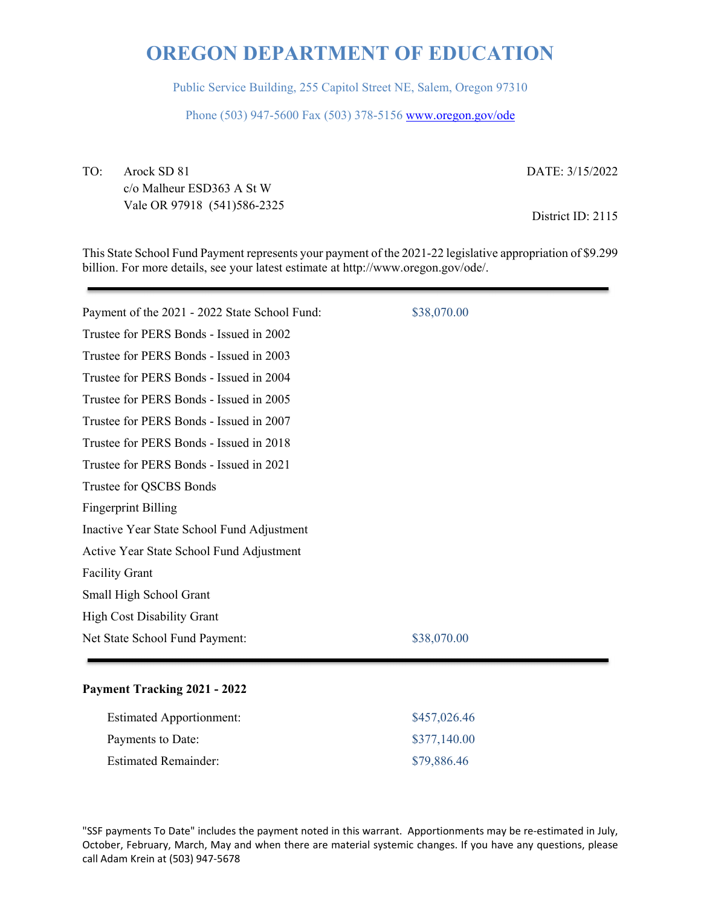Public Service Building, 255 Capitol Street NE, Salem, Oregon 97310

Phone (503) 947-5600 Fax (503) 378-5156 www.oregon.gov/ode

TO: Arock SD 81 c/o Malheur ESD363 A St W Vale OR 97918 (541)586-2325 DATE: 3/15/2022

District ID: 2115

This State School Fund Payment represents your payment of the 2021-22 legislative appropriation of \$9.299 billion. For more details, see your latest estimate at http://www.oregon.gov/ode/.

| Payment of the 2021 - 2022 State School Fund: | \$38,070.00 |
|-----------------------------------------------|-------------|
| Trustee for PERS Bonds - Issued in 2002       |             |
| Trustee for PERS Bonds - Issued in 2003       |             |
| Trustee for PERS Bonds - Issued in 2004       |             |
| Trustee for PERS Bonds - Issued in 2005       |             |
| Trustee for PERS Bonds - Issued in 2007       |             |
| Trustee for PERS Bonds - Issued in 2018       |             |
| Trustee for PERS Bonds - Issued in 2021       |             |
| Trustee for QSCBS Bonds                       |             |
| <b>Fingerprint Billing</b>                    |             |
| Inactive Year State School Fund Adjustment    |             |
| Active Year State School Fund Adjustment      |             |
| <b>Facility Grant</b>                         |             |
| Small High School Grant                       |             |
| <b>High Cost Disability Grant</b>             |             |
| Net State School Fund Payment:                | \$38,070.00 |
|                                               |             |

### **Payment Tracking 2021 - 2022**

| <b>Estimated Apportionment:</b> | \$457,026.46 |
|---------------------------------|--------------|
| Payments to Date:               | \$377,140.00 |
| <b>Estimated Remainder:</b>     | \$79,886.46  |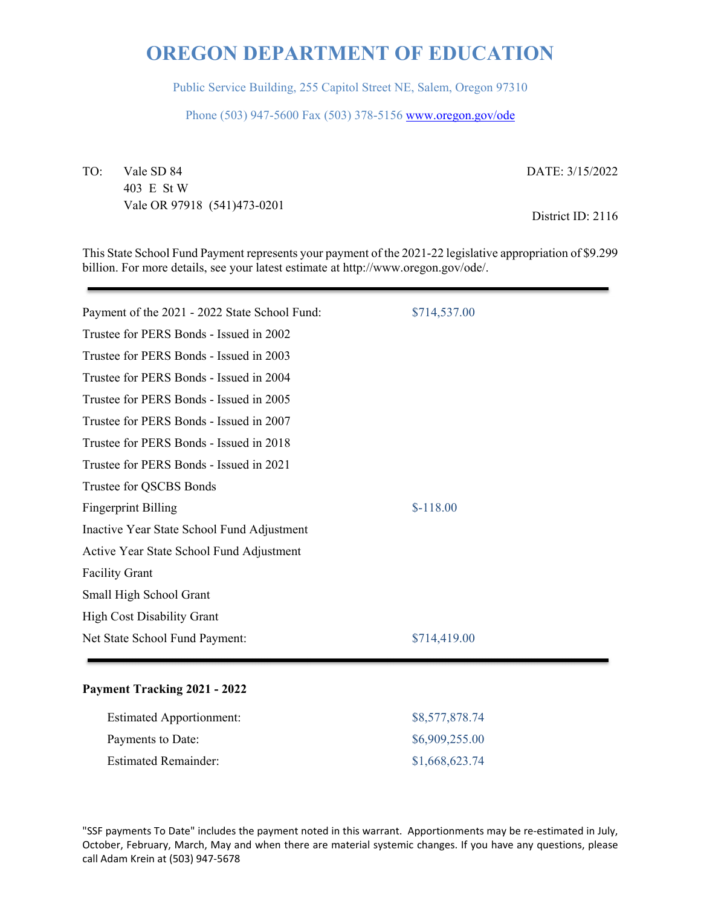Public Service Building, 255 Capitol Street NE, Salem, Oregon 97310

Phone (503) 947-5600 Fax (503) 378-5156 www.oregon.gov/ode

TO: Vale SD 84 403 E St W Vale OR 97918 (541)473-0201 DATE: 3/15/2022

District ID: 2116

This State School Fund Payment represents your payment of the 2021-22 legislative appropriation of \$9.299 billion. For more details, see your latest estimate at http://www.oregon.gov/ode/.

| Payment of the 2021 - 2022 State School Fund: | \$714,537.00 |
|-----------------------------------------------|--------------|
| Trustee for PERS Bonds - Issued in 2002       |              |
| Trustee for PERS Bonds - Issued in 2003       |              |
| Trustee for PERS Bonds - Issued in 2004       |              |
| Trustee for PERS Bonds - Issued in 2005       |              |
| Trustee for PERS Bonds - Issued in 2007       |              |
| Trustee for PERS Bonds - Issued in 2018       |              |
| Trustee for PERS Bonds - Issued in 2021       |              |
| Trustee for QSCBS Bonds                       |              |
| <b>Fingerprint Billing</b>                    | $$-118.00$   |
| Inactive Year State School Fund Adjustment    |              |
| Active Year State School Fund Adjustment      |              |
| <b>Facility Grant</b>                         |              |
| Small High School Grant                       |              |
| <b>High Cost Disability Grant</b>             |              |
| Net State School Fund Payment:                | \$714,419.00 |
|                                               |              |

#### **Payment Tracking 2021 - 2022**

| <b>Estimated Apportionment:</b> | \$8,577,878.74 |
|---------------------------------|----------------|
| Payments to Date:               | \$6,909,255.00 |
| <b>Estimated Remainder:</b>     | \$1,668,623.74 |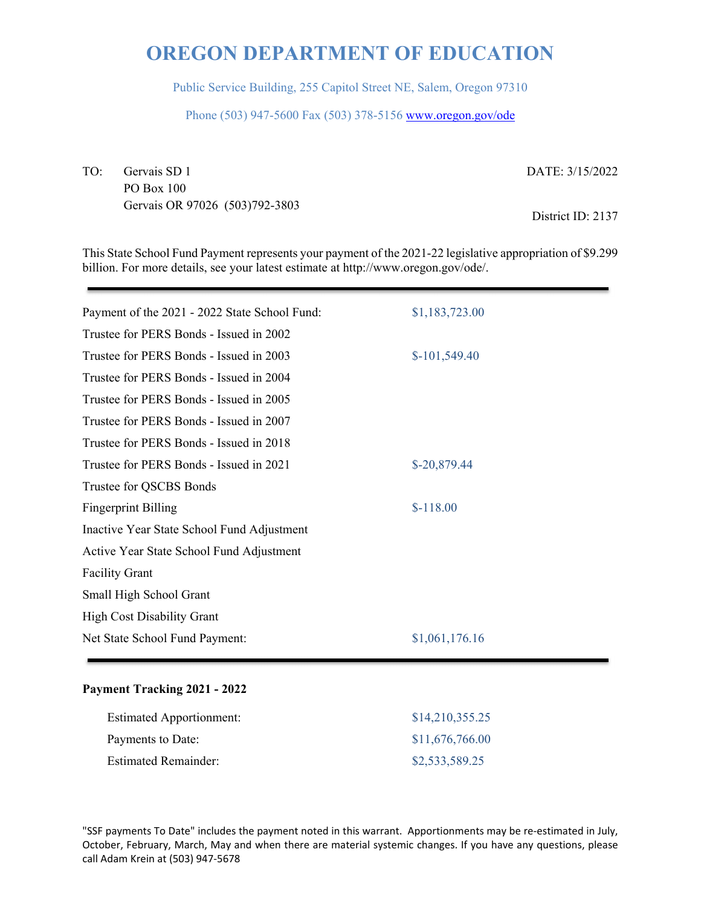Public Service Building, 255 Capitol Street NE, Salem, Oregon 97310

Phone (503) 947-5600 Fax (503) 378-5156 www.oregon.gov/ode

TO: Gervais SD 1 PO Box 100 Gervais OR 97026 (503)792-3803 DATE: 3/15/2022

District ID: 2137

This State School Fund Payment represents your payment of the 2021-22 legislative appropriation of \$9.299 billion. For more details, see your latest estimate at http://www.oregon.gov/ode/.

| Payment of the 2021 - 2022 State School Fund: | \$1,183,723.00 |
|-----------------------------------------------|----------------|
| Trustee for PERS Bonds - Issued in 2002       |                |
| Trustee for PERS Bonds - Issued in 2003       | $$-101,549.40$ |
| Trustee for PERS Bonds - Issued in 2004       |                |
| Trustee for PERS Bonds - Issued in 2005       |                |
| Trustee for PERS Bonds - Issued in 2007       |                |
| Trustee for PERS Bonds - Issued in 2018       |                |
| Trustee for PERS Bonds - Issued in 2021       | $$-20,879.44$  |
| Trustee for QSCBS Bonds                       |                |
| <b>Fingerprint Billing</b>                    | $$-118.00$     |
| Inactive Year State School Fund Adjustment    |                |
| Active Year State School Fund Adjustment      |                |
| <b>Facility Grant</b>                         |                |
| Small High School Grant                       |                |
| <b>High Cost Disability Grant</b>             |                |
| Net State School Fund Payment:                | \$1,061,176.16 |
|                                               |                |

#### **Payment Tracking 2021 - 2022**

| <b>Estimated Apportionment:</b> | \$14,210,355.25 |
|---------------------------------|-----------------|
| Payments to Date:               | \$11,676,766.00 |
| <b>Estimated Remainder:</b>     | \$2,533,589.25  |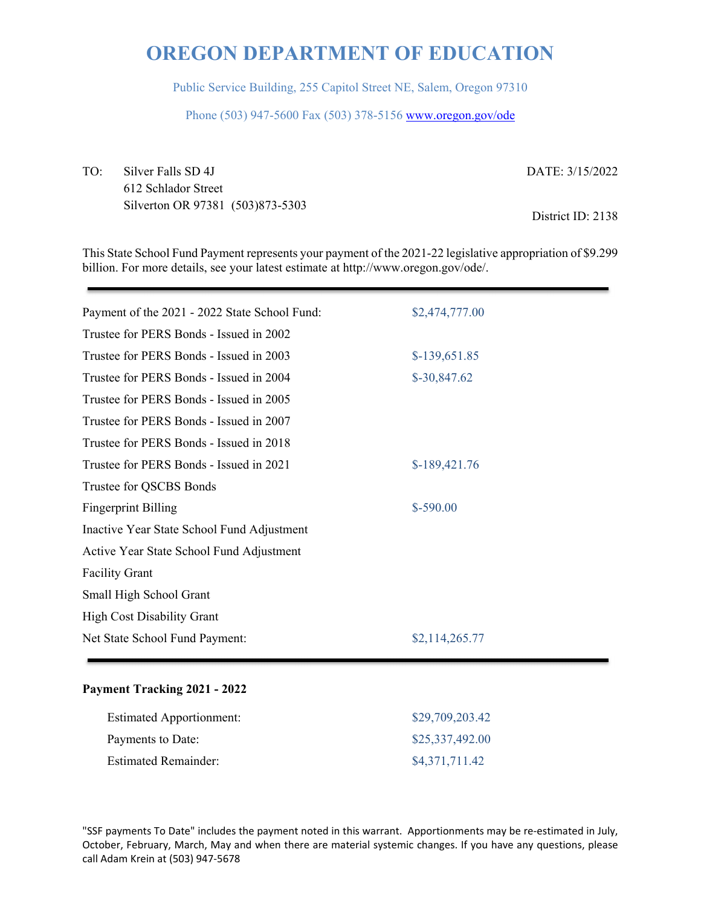Public Service Building, 255 Capitol Street NE, Salem, Oregon 97310

Phone (503) 947-5600 Fax (503) 378-5156 www.oregon.gov/ode

TO: Silver Falls SD 4J 612 Schlador Street Silverton OR 97381 (503)873-5303 DATE: 3/15/2022 District ID: 2138

This State School Fund Payment represents your payment of the 2021-22 legislative appropriation of \$9.299 billion. For more details, see your latest estimate at http://www.oregon.gov/ode/.

| Payment of the 2021 - 2022 State School Fund: | \$2,474,777.00 |
|-----------------------------------------------|----------------|
| Trustee for PERS Bonds - Issued in 2002       |                |
| Trustee for PERS Bonds - Issued in 2003       | \$-139,651.85  |
| Trustee for PERS Bonds - Issued in 2004       | $$-30,847.62$  |
| Trustee for PERS Bonds - Issued in 2005       |                |
| Trustee for PERS Bonds - Issued in 2007       |                |
| Trustee for PERS Bonds - Issued in 2018       |                |
| Trustee for PERS Bonds - Issued in 2021       | $$-189,421.76$ |
| Trustee for QSCBS Bonds                       |                |
| <b>Fingerprint Billing</b>                    | $$-590.00$     |
| Inactive Year State School Fund Adjustment    |                |
| Active Year State School Fund Adjustment      |                |
| <b>Facility Grant</b>                         |                |
| Small High School Grant                       |                |
| <b>High Cost Disability Grant</b>             |                |
| Net State School Fund Payment:                | \$2,114,265.77 |
|                                               |                |

#### **Payment Tracking 2021 - 2022**

| <b>Estimated Apportionment:</b> | \$29,709,203.42 |
|---------------------------------|-----------------|
| Payments to Date:               | \$25,337,492.00 |
| <b>Estimated Remainder:</b>     | \$4,371,711.42  |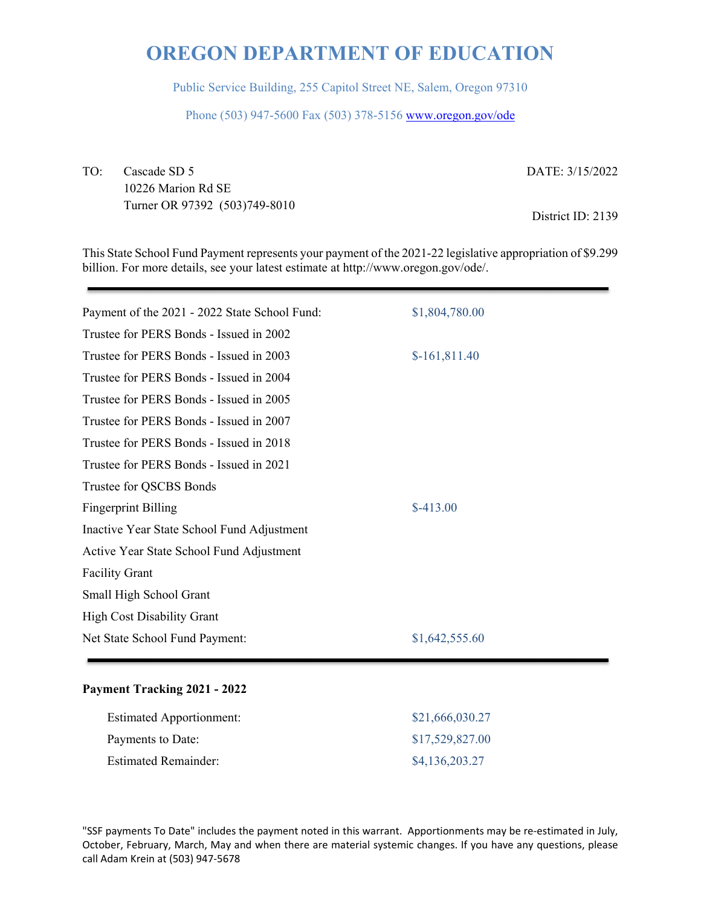Public Service Building, 255 Capitol Street NE, Salem, Oregon 97310

Phone (503) 947-5600 Fax (503) 378-5156 www.oregon.gov/ode

TO: Cascade SD 5 10226 Marion Rd SE Turner OR 97392 (503)749-8010 DATE: 3/15/2022

District ID: 2139

This State School Fund Payment represents your payment of the 2021-22 legislative appropriation of \$9.299 billion. For more details, see your latest estimate at http://www.oregon.gov/ode/.

| \$1,804,780.00 |
|----------------|
|                |
| $$-161,811.40$ |
|                |
|                |
|                |
|                |
|                |
|                |
| $$-413.00$     |
|                |
|                |
|                |
|                |
|                |
| \$1,642,555.60 |
|                |

#### **Payment Tracking 2021 - 2022**

| <b>Estimated Apportionment:</b> | \$21,666,030.27 |
|---------------------------------|-----------------|
| Payments to Date:               | \$17,529,827.00 |
| <b>Estimated Remainder:</b>     | \$4,136,203.27  |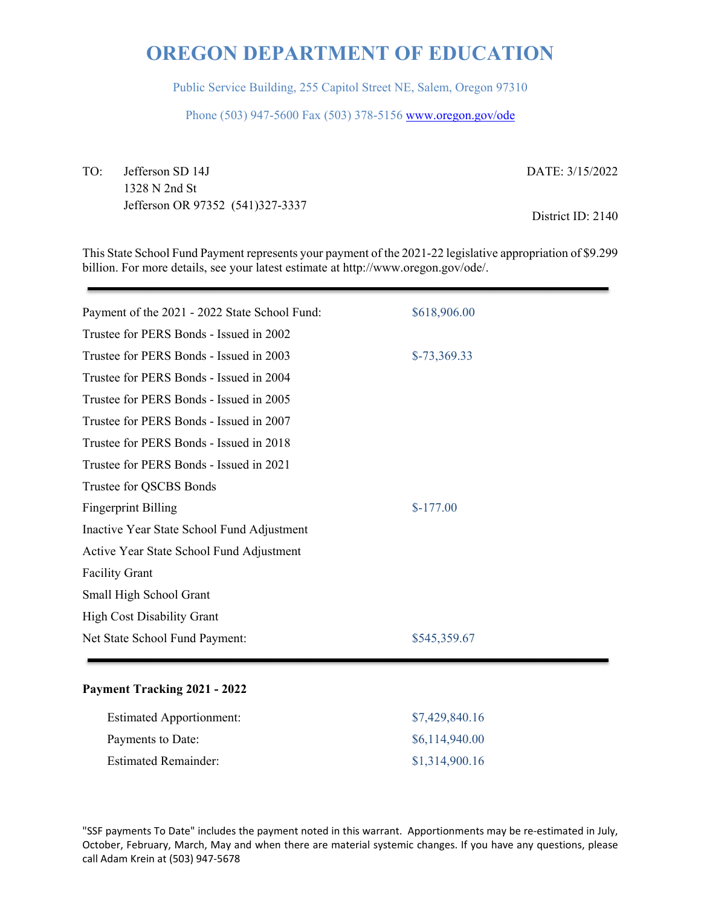Public Service Building, 255 Capitol Street NE, Salem, Oregon 97310

Phone (503) 947-5600 Fax (503) 378-5156 www.oregon.gov/ode

TO: Jefferson SD 14J 1328 N 2nd St Jefferson OR 97352 (541)327-3337 DATE: 3/15/2022

District ID: 2140

This State School Fund Payment represents your payment of the 2021-22 legislative appropriation of \$9.299 billion. For more details, see your latest estimate at http://www.oregon.gov/ode/.

| Payment of the 2021 - 2022 State School Fund: | \$618,906.00  |
|-----------------------------------------------|---------------|
| Trustee for PERS Bonds - Issued in 2002       |               |
| Trustee for PERS Bonds - Issued in 2003       | $$-73,369.33$ |
| Trustee for PERS Bonds - Issued in 2004       |               |
| Trustee for PERS Bonds - Issued in 2005       |               |
| Trustee for PERS Bonds - Issued in 2007       |               |
| Trustee for PERS Bonds - Issued in 2018       |               |
| Trustee for PERS Bonds - Issued in 2021       |               |
| Trustee for QSCBS Bonds                       |               |
| <b>Fingerprint Billing</b>                    | $$-177.00$    |
| Inactive Year State School Fund Adjustment    |               |
| Active Year State School Fund Adjustment      |               |
| <b>Facility Grant</b>                         |               |
| Small High School Grant                       |               |
| <b>High Cost Disability Grant</b>             |               |
| Net State School Fund Payment:                | \$545,359.67  |
|                                               |               |

#### **Payment Tracking 2021 - 2022**

| <b>Estimated Apportionment:</b> | \$7,429,840.16 |
|---------------------------------|----------------|
| Payments to Date:               | \$6,114,940.00 |
| <b>Estimated Remainder:</b>     | \$1,314,900.16 |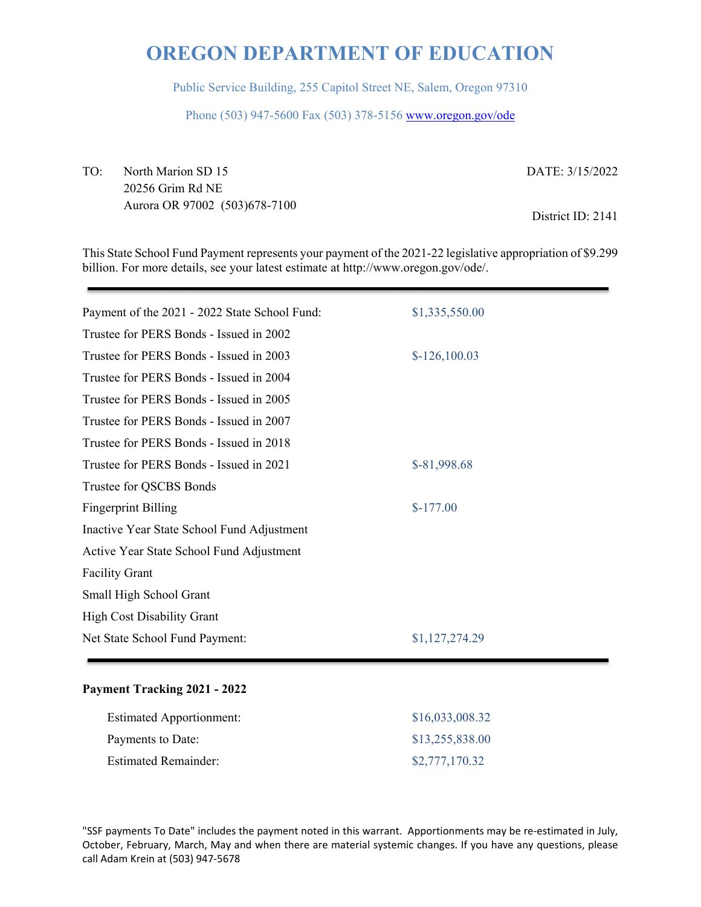Public Service Building, 255 Capitol Street NE, Salem, Oregon 97310

Phone (503) 947-5600 Fax (503) 378-5156 www.oregon.gov/ode

TO: North Marion SD 15 20256 Grim Rd NE Aurora OR 97002 (503)678-7100 DATE: 3/15/2022 District ID: 2141

This State School Fund Payment represents your payment of the 2021-22 legislative appropriation of \$9.299 billion. For more details, see your latest estimate at http://www.oregon.gov/ode/.

| Payment of the 2021 - 2022 State School Fund: | \$1,335,550.00 |
|-----------------------------------------------|----------------|
| Trustee for PERS Bonds - Issued in 2002       |                |
| Trustee for PERS Bonds - Issued in 2003       | $$-126,100.03$ |
| Trustee for PERS Bonds - Issued in 2004       |                |
| Trustee for PERS Bonds - Issued in 2005       |                |
| Trustee for PERS Bonds - Issued in 2007       |                |
| Trustee for PERS Bonds - Issued in 2018       |                |
| Trustee for PERS Bonds - Issued in 2021       | $$-81,998.68$  |
| Trustee for QSCBS Bonds                       |                |
| <b>Fingerprint Billing</b>                    | $$-177.00$     |
| Inactive Year State School Fund Adjustment    |                |
| Active Year State School Fund Adjustment      |                |
| <b>Facility Grant</b>                         |                |
| Small High School Grant                       |                |
| <b>High Cost Disability Grant</b>             |                |
| Net State School Fund Payment:                | \$1,127,274.29 |

#### **Payment Tracking 2021 - 2022**

| <b>Estimated Apportionment:</b> | \$16,033,008.32 |
|---------------------------------|-----------------|
| Payments to Date:               | \$13,255,838.00 |
| <b>Estimated Remainder:</b>     | \$2,777,170.32  |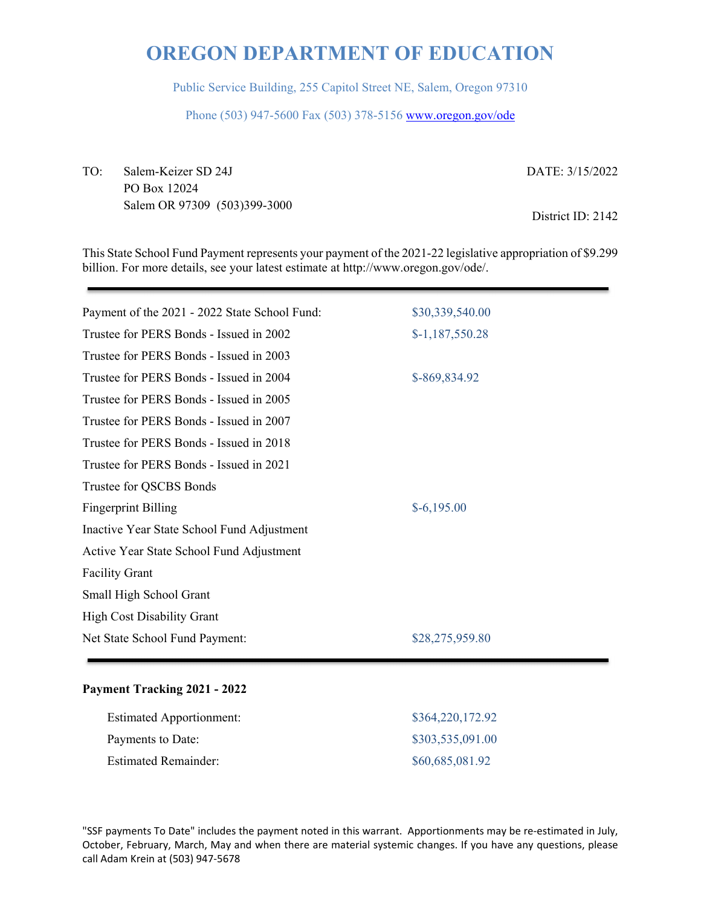Public Service Building, 255 Capitol Street NE, Salem, Oregon 97310

Phone (503) 947-5600 Fax (503) 378-5156 www.oregon.gov/ode

TO: Salem-Keizer SD 24J PO Box 12024 Salem OR 97309 (503)399-3000 DATE: 3/15/2022 District ID: 2142

This State School Fund Payment represents your payment of the 2021-22 legislative appropriation of \$9.299 billion. For more details, see your latest estimate at http://www.oregon.gov/ode/.

| Payment of the 2021 - 2022 State School Fund: | \$30,339,540.00  |
|-----------------------------------------------|------------------|
| Trustee for PERS Bonds - Issued in 2002       | $$-1,187,550.28$ |
| Trustee for PERS Bonds - Issued in 2003       |                  |
| Trustee for PERS Bonds - Issued in 2004       | \$-869,834.92    |
| Trustee for PERS Bonds - Issued in 2005       |                  |
| Trustee for PERS Bonds - Issued in 2007       |                  |
| Trustee for PERS Bonds - Issued in 2018       |                  |
| Trustee for PERS Bonds - Issued in 2021       |                  |
| Trustee for QSCBS Bonds                       |                  |
| <b>Fingerprint Billing</b>                    | $$-6,195.00$     |
| Inactive Year State School Fund Adjustment    |                  |
| Active Year State School Fund Adjustment      |                  |
| <b>Facility Grant</b>                         |                  |
| Small High School Grant                       |                  |
| <b>High Cost Disability Grant</b>             |                  |
| Net State School Fund Payment:                | \$28,275,959.80  |
|                                               |                  |

#### **Payment Tracking 2021 - 2022**

| <b>Estimated Apportionment:</b> | \$364,220,172.92 |
|---------------------------------|------------------|
| Payments to Date:               | \$303,535,091.00 |
| <b>Estimated Remainder:</b>     | \$60,685,081.92  |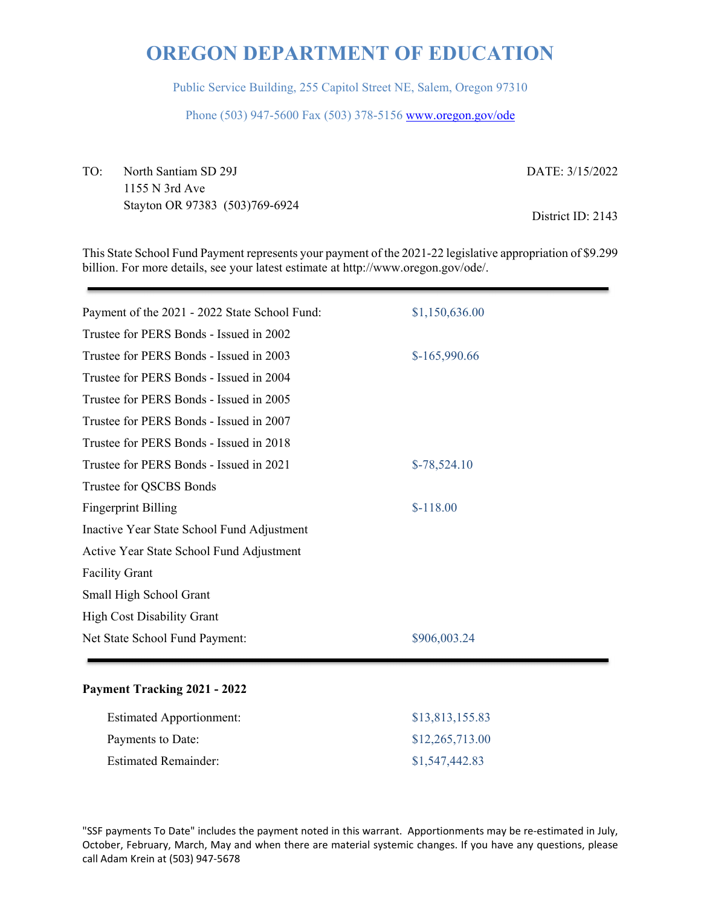Public Service Building, 255 Capitol Street NE, Salem, Oregon 97310

Phone (503) 947-5600 Fax (503) 378-5156 www.oregon.gov/ode

TO: North Santiam SD 29J 1155 N 3rd Ave Stayton OR 97383 (503)769-6924 DATE: 3/15/2022 District ID: 2143

This State School Fund Payment represents your payment of the 2021-22 legislative appropriation of \$9.299 billion. For more details, see your latest estimate at http://www.oregon.gov/ode/.

| Payment of the 2021 - 2022 State School Fund: | \$1,150,636.00 |
|-----------------------------------------------|----------------|
| Trustee for PERS Bonds - Issued in 2002       |                |
| Trustee for PERS Bonds - Issued in 2003       | $$-165,990.66$ |
| Trustee for PERS Bonds - Issued in 2004       |                |
| Trustee for PERS Bonds - Issued in 2005       |                |
| Trustee for PERS Bonds - Issued in 2007       |                |
| Trustee for PERS Bonds - Issued in 2018       |                |
| Trustee for PERS Bonds - Issued in 2021       | $$-78,524.10$  |
| Trustee for QSCBS Bonds                       |                |
| <b>Fingerprint Billing</b>                    | $$-118.00$     |
| Inactive Year State School Fund Adjustment    |                |
| Active Year State School Fund Adjustment      |                |
| <b>Facility Grant</b>                         |                |
| Small High School Grant                       |                |
| <b>High Cost Disability Grant</b>             |                |
| Net State School Fund Payment:                | \$906,003.24   |
|                                               |                |

#### **Payment Tracking 2021 - 2022**

| <b>Estimated Apportionment:</b> | \$13,813,155.83 |
|---------------------------------|-----------------|
| Payments to Date:               | \$12,265,713.00 |
| <b>Estimated Remainder:</b>     | \$1,547,442.83  |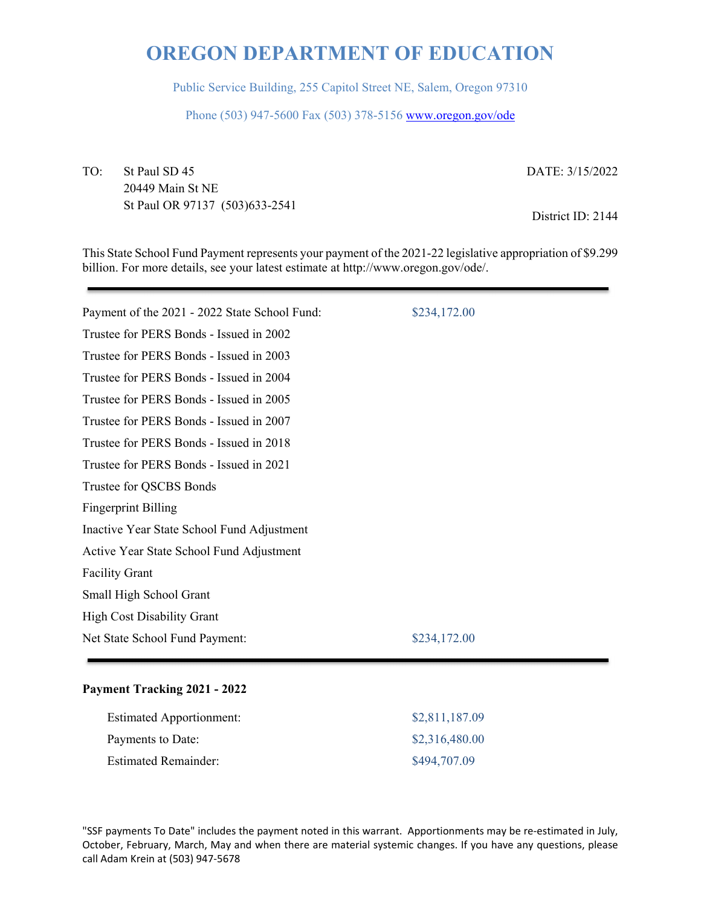Public Service Building, 255 Capitol Street NE, Salem, Oregon 97310

Phone (503) 947-5600 Fax (503) 378-5156 www.oregon.gov/ode

TO: St Paul SD 45 20449 Main St NE St Paul OR 97137 (503)633-2541 DATE: 3/15/2022

District ID: 2144

This State School Fund Payment represents your payment of the 2021-22 legislative appropriation of \$9.299 billion. For more details, see your latest estimate at http://www.oregon.gov/ode/.

| Payment of the 2021 - 2022 State School Fund: | \$234,172.00 |
|-----------------------------------------------|--------------|
| Trustee for PERS Bonds - Issued in 2002       |              |
| Trustee for PERS Bonds - Issued in 2003       |              |
| Trustee for PERS Bonds - Issued in 2004       |              |
| Trustee for PERS Bonds - Issued in 2005       |              |
| Trustee for PERS Bonds - Issued in 2007       |              |
| Trustee for PERS Bonds - Issued in 2018       |              |
| Trustee for PERS Bonds - Issued in 2021       |              |
| Trustee for QSCBS Bonds                       |              |
| <b>Fingerprint Billing</b>                    |              |
| Inactive Year State School Fund Adjustment    |              |
| Active Year State School Fund Adjustment      |              |
| <b>Facility Grant</b>                         |              |
| Small High School Grant                       |              |
| <b>High Cost Disability Grant</b>             |              |
| Net State School Fund Payment:                | \$234,172.00 |
|                                               |              |

#### **Payment Tracking 2021 - 2022**

| <b>Estimated Apportionment:</b> | \$2,811,187.09 |
|---------------------------------|----------------|
| Payments to Date:               | \$2,316,480.00 |
| <b>Estimated Remainder:</b>     | \$494,707.09   |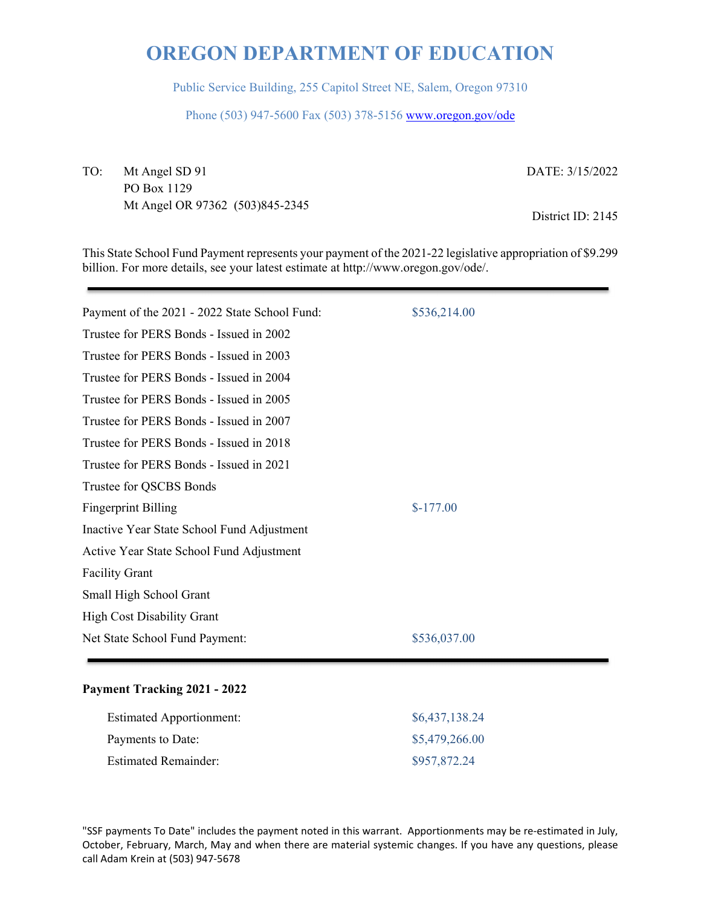Public Service Building, 255 Capitol Street NE, Salem, Oregon 97310

Phone (503) 947-5600 Fax (503) 378-5156 www.oregon.gov/ode

TO: Mt Angel SD 91 PO Box 1129 Mt Angel OR 97362 (503)845-2345 DATE: 3/15/2022

District ID: 2145

This State School Fund Payment represents your payment of the 2021-22 legislative appropriation of \$9.299 billion. For more details, see your latest estimate at http://www.oregon.gov/ode/.

| Payment of the 2021 - 2022 State School Fund: | \$536,214.00 |
|-----------------------------------------------|--------------|
| Trustee for PERS Bonds - Issued in 2002       |              |
| Trustee for PERS Bonds - Issued in 2003       |              |
| Trustee for PERS Bonds - Issued in 2004       |              |
| Trustee for PERS Bonds - Issued in 2005       |              |
| Trustee for PERS Bonds - Issued in 2007       |              |
| Trustee for PERS Bonds - Issued in 2018       |              |
| Trustee for PERS Bonds - Issued in 2021       |              |
| Trustee for QSCBS Bonds                       |              |
| <b>Fingerprint Billing</b>                    | $$-177.00$   |
| Inactive Year State School Fund Adjustment    |              |
| Active Year State School Fund Adjustment      |              |
| <b>Facility Grant</b>                         |              |
| Small High School Grant                       |              |
| <b>High Cost Disability Grant</b>             |              |
| Net State School Fund Payment:                | \$536,037.00 |
|                                               |              |

#### **Payment Tracking 2021 - 2022**

| <b>Estimated Apportionment:</b> | \$6,437,138.24 |
|---------------------------------|----------------|
| Payments to Date:               | \$5,479,266.00 |
| <b>Estimated Remainder:</b>     | \$957,872.24   |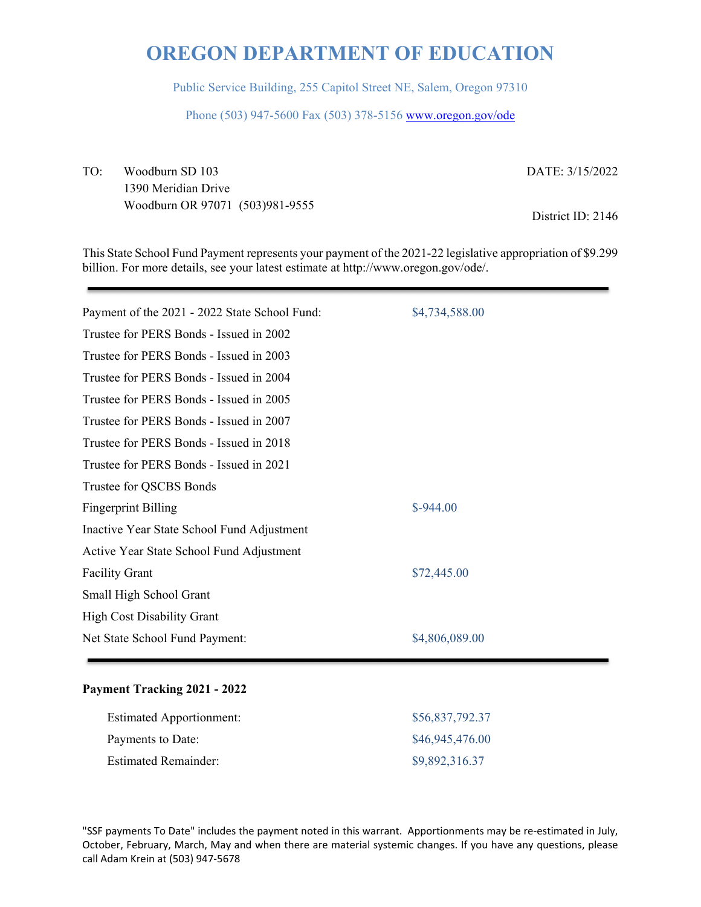Public Service Building, 255 Capitol Street NE, Salem, Oregon 97310

Phone (503) 947-5600 Fax (503) 378-5156 www.oregon.gov/ode

TO: Woodburn SD 103 1390 Meridian Drive Woodburn OR 97071 (503)981-9555 DATE: 3/15/2022

District ID: 2146

This State School Fund Payment represents your payment of the 2021-22 legislative appropriation of \$9.299 billion. For more details, see your latest estimate at http://www.oregon.gov/ode/.

| Payment of the 2021 - 2022 State School Fund: | \$4,734,588.00 |
|-----------------------------------------------|----------------|
| Trustee for PERS Bonds - Issued in 2002       |                |
| Trustee for PERS Bonds - Issued in 2003       |                |
| Trustee for PERS Bonds - Issued in 2004       |                |
| Trustee for PERS Bonds - Issued in 2005       |                |
| Trustee for PERS Bonds - Issued in 2007       |                |
| Trustee for PERS Bonds - Issued in 2018       |                |
| Trustee for PERS Bonds - Issued in 2021       |                |
| Trustee for QSCBS Bonds                       |                |
| <b>Fingerprint Billing</b>                    | $$-944.00$     |
| Inactive Year State School Fund Adjustment    |                |
| Active Year State School Fund Adjustment      |                |
| <b>Facility Grant</b>                         | \$72,445.00    |
| Small High School Grant                       |                |
| <b>High Cost Disability Grant</b>             |                |
| Net State School Fund Payment:                | \$4,806,089.00 |
|                                               |                |

#### **Payment Tracking 2021 - 2022**

| <b>Estimated Apportionment:</b> | \$56,837,792.37 |
|---------------------------------|-----------------|
| Payments to Date:               | \$46,945,476.00 |
| <b>Estimated Remainder:</b>     | \$9,892,316.37  |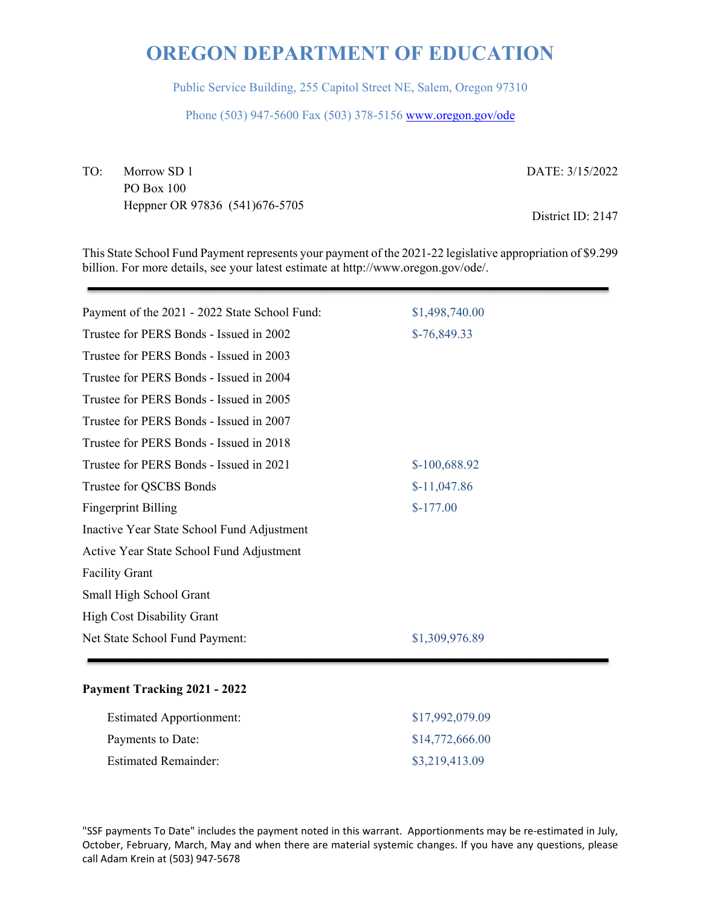Public Service Building, 255 Capitol Street NE, Salem, Oregon 97310

Phone (503) 947-5600 Fax (503) 378-5156 www.oregon.gov/ode

TO: Morrow SD 1 PO Box 100 Heppner OR 97836 (541)676-5705 DATE: 3/15/2022

District ID: 2147

This State School Fund Payment represents your payment of the 2021-22 legislative appropriation of \$9.299 billion. For more details, see your latest estimate at http://www.oregon.gov/ode/.

| Payment of the 2021 - 2022 State School Fund: | \$1,498,740.00 |
|-----------------------------------------------|----------------|
| Trustee for PERS Bonds - Issued in 2002       | $$-76,849.33$  |
| Trustee for PERS Bonds - Issued in 2003       |                |
| Trustee for PERS Bonds - Issued in 2004       |                |
| Trustee for PERS Bonds - Issued in 2005       |                |
| Trustee for PERS Bonds - Issued in 2007       |                |
| Trustee for PERS Bonds - Issued in 2018       |                |
| Trustee for PERS Bonds - Issued in 2021       | \$-100,688.92  |
| Trustee for QSCBS Bonds                       | $$-11,047.86$  |
| <b>Fingerprint Billing</b>                    | $$-177.00$     |
| Inactive Year State School Fund Adjustment    |                |
| Active Year State School Fund Adjustment      |                |
| <b>Facility Grant</b>                         |                |
| Small High School Grant                       |                |
| <b>High Cost Disability Grant</b>             |                |
| Net State School Fund Payment:                | \$1,309,976.89 |
|                                               |                |

#### **Payment Tracking 2021 - 2022**

| <b>Estimated Apportionment:</b> | \$17,992,079.09 |
|---------------------------------|-----------------|
| Payments to Date:               | \$14,772,666.00 |
| <b>Estimated Remainder:</b>     | \$3,219,413.09  |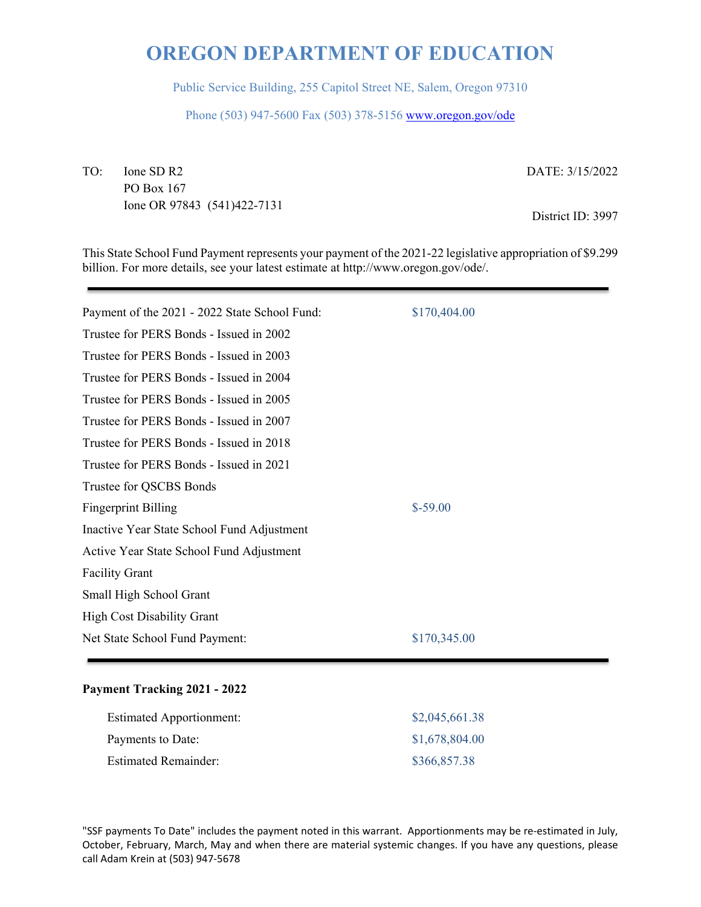Public Service Building, 255 Capitol Street NE, Salem, Oregon 97310

Phone (503) 947-5600 Fax (503) 378-5156 www.oregon.gov/ode

TO: Ione SD R2 PO Box 167 Ione OR 97843 (541)422-7131 DATE: 3/15/2022

District ID: 3997

This State School Fund Payment represents your payment of the 2021-22 legislative appropriation of \$9.299 billion. For more details, see your latest estimate at http://www.oregon.gov/ode/.

| Payment of the 2021 - 2022 State School Fund: | \$170,404.00 |
|-----------------------------------------------|--------------|
| Trustee for PERS Bonds - Issued in 2002       |              |
| Trustee for PERS Bonds - Issued in 2003       |              |
| Trustee for PERS Bonds - Issued in 2004       |              |
| Trustee for PERS Bonds - Issued in 2005       |              |
| Trustee for PERS Bonds - Issued in 2007       |              |
| Trustee for PERS Bonds - Issued in 2018       |              |
| Trustee for PERS Bonds - Issued in 2021       |              |
| Trustee for QSCBS Bonds                       |              |
| <b>Fingerprint Billing</b>                    | $$-59.00$    |
| Inactive Year State School Fund Adjustment    |              |
| Active Year State School Fund Adjustment      |              |
| <b>Facility Grant</b>                         |              |
| Small High School Grant                       |              |
| <b>High Cost Disability Grant</b>             |              |
| Net State School Fund Payment:                | \$170,345.00 |

#### **Payment Tracking 2021 - 2022**

| <b>Estimated Apportionment:</b> | \$2,045,661.38 |
|---------------------------------|----------------|
| Payments to Date:               | \$1,678,804.00 |
| <b>Estimated Remainder:</b>     | \$366,857.38   |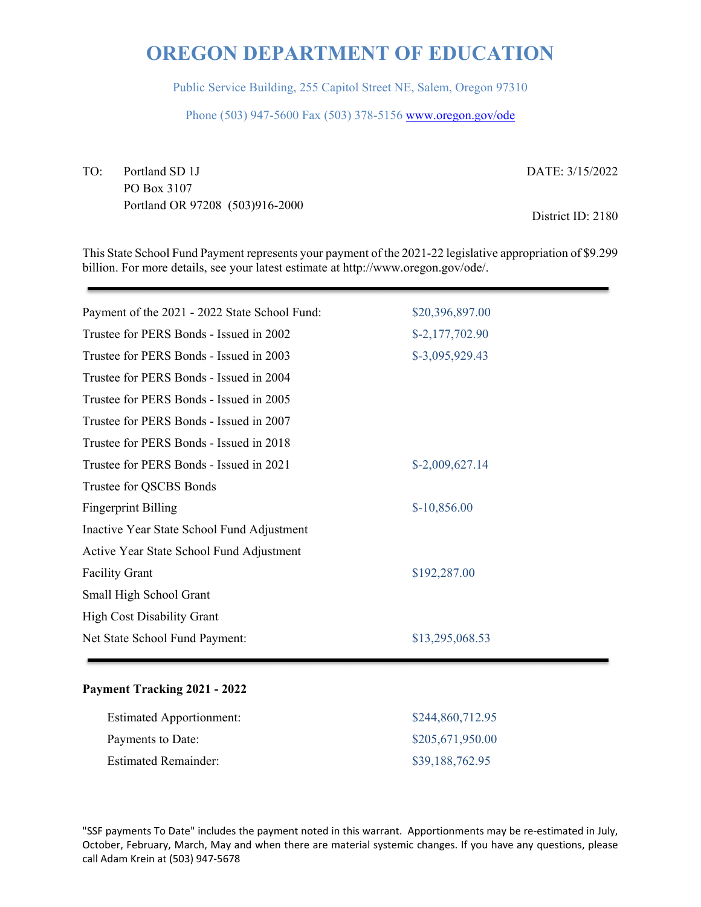Public Service Building, 255 Capitol Street NE, Salem, Oregon 97310

Phone (503) 947-5600 Fax (503) 378-5156 www.oregon.gov/ode

TO: Portland SD 1J PO Box 3107 Portland OR 97208 (503)916-2000 DATE: 3/15/2022

District ID: 2180

This State School Fund Payment represents your payment of the 2021-22 legislative appropriation of \$9.299 billion. For more details, see your latest estimate at http://www.oregon.gov/ode/.

| Payment of the 2021 - 2022 State School Fund: | \$20,396,897.00  |
|-----------------------------------------------|------------------|
| Trustee for PERS Bonds - Issued in 2002       | $$-2,177,702.90$ |
| Trustee for PERS Bonds - Issued in 2003       | \$-3,095,929.43  |
| Trustee for PERS Bonds - Issued in 2004       |                  |
| Trustee for PERS Bonds - Issued in 2005       |                  |
| Trustee for PERS Bonds - Issued in 2007       |                  |
| Trustee for PERS Bonds - Issued in 2018       |                  |
| Trustee for PERS Bonds - Issued in 2021       | \$-2,009,627.14  |
| Trustee for QSCBS Bonds                       |                  |
| <b>Fingerprint Billing</b>                    | $$-10,856.00$    |
| Inactive Year State School Fund Adjustment    |                  |
| Active Year State School Fund Adjustment      |                  |
| <b>Facility Grant</b>                         | \$192,287.00     |
| Small High School Grant                       |                  |
| <b>High Cost Disability Grant</b>             |                  |
| Net State School Fund Payment:                | \$13,295,068.53  |
|                                               |                  |

#### **Payment Tracking 2021 - 2022**

| <b>Estimated Apportionment:</b> | \$244,860,712.95 |
|---------------------------------|------------------|
| Payments to Date:               | \$205,671,950.00 |
| <b>Estimated Remainder:</b>     | \$39,188,762.95  |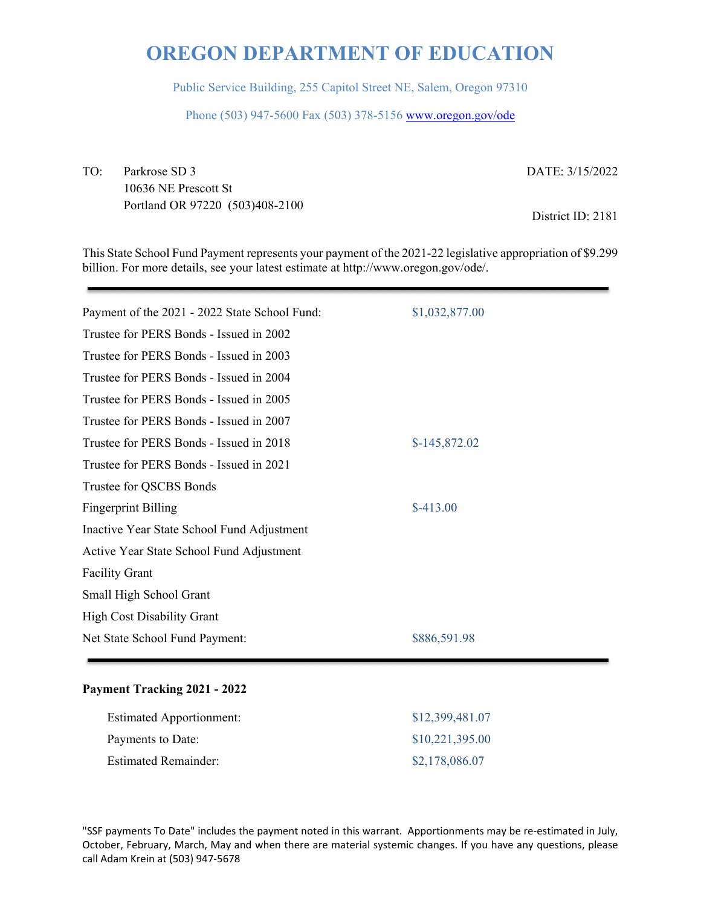Public Service Building, 255 Capitol Street NE, Salem, Oregon 97310

Phone (503) 947-5600 Fax (503) 378-5156 www.oregon.gov/ode

TO: Parkrose SD 3 10636 NE Prescott St Portland OR 97220 (503)408-2100 DATE: 3/15/2022

District ID: 2181

This State School Fund Payment represents your payment of the 2021-22 legislative appropriation of \$9.299 billion. For more details, see your latest estimate at http://www.oregon.gov/ode/.

| Payment of the 2021 - 2022 State School Fund: | \$1,032,877.00 |
|-----------------------------------------------|----------------|
| Trustee for PERS Bonds - Issued in 2002       |                |
| Trustee for PERS Bonds - Issued in 2003       |                |
| Trustee for PERS Bonds - Issued in 2004       |                |
| Trustee for PERS Bonds - Issued in 2005       |                |
| Trustee for PERS Bonds - Issued in 2007       |                |
| Trustee for PERS Bonds - Issued in 2018       | $$-145,872.02$ |
| Trustee for PERS Bonds - Issued in 2021       |                |
| Trustee for QSCBS Bonds                       |                |
| <b>Fingerprint Billing</b>                    | $$-413.00$     |
| Inactive Year State School Fund Adjustment    |                |
| Active Year State School Fund Adjustment      |                |
| <b>Facility Grant</b>                         |                |
| Small High School Grant                       |                |
| <b>High Cost Disability Grant</b>             |                |
| Net State School Fund Payment:                | \$886,591.98   |
|                                               |                |

#### **Payment Tracking 2021 - 2022**

| <b>Estimated Apportionment:</b> | \$12,399,481.07 |
|---------------------------------|-----------------|
| Payments to Date:               | \$10,221,395.00 |
| <b>Estimated Remainder:</b>     | \$2,178,086.07  |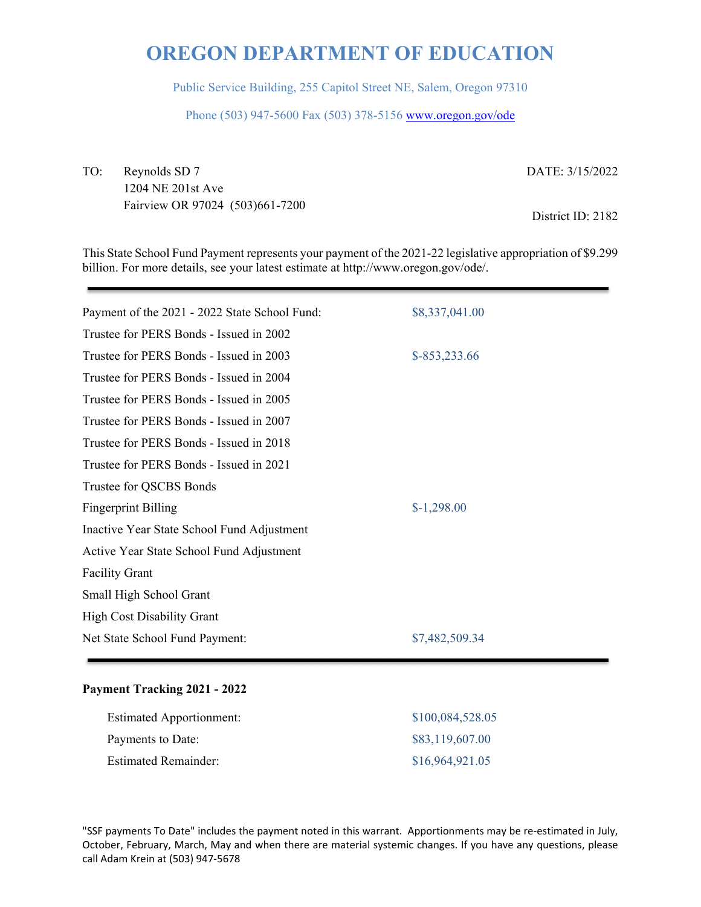Public Service Building, 255 Capitol Street NE, Salem, Oregon 97310

Phone (503) 947-5600 Fax (503) 378-5156 www.oregon.gov/ode

TO: Reynolds SD 7 1204 NE 201st Ave Fairview OR 97024 (503)661-7200 DATE: 3/15/2022

District ID: 2182

This State School Fund Payment represents your payment of the 2021-22 legislative appropriation of \$9.299 billion. For more details, see your latest estimate at http://www.oregon.gov/ode/.

| \$8,337,041.00 |
|----------------|
|                |
| $$-853,233.66$ |
|                |
|                |
|                |
|                |
|                |
|                |
| $$-1,298.00$   |
|                |
|                |
|                |
|                |
|                |
| \$7,482,509.34 |
|                |

#### **Payment Tracking 2021 - 2022**

| <b>Estimated Apportionment:</b> | \$100,084,528.05 |
|---------------------------------|------------------|
| Payments to Date:               | \$83,119,607.00  |
| <b>Estimated Remainder:</b>     | \$16,964,921.05  |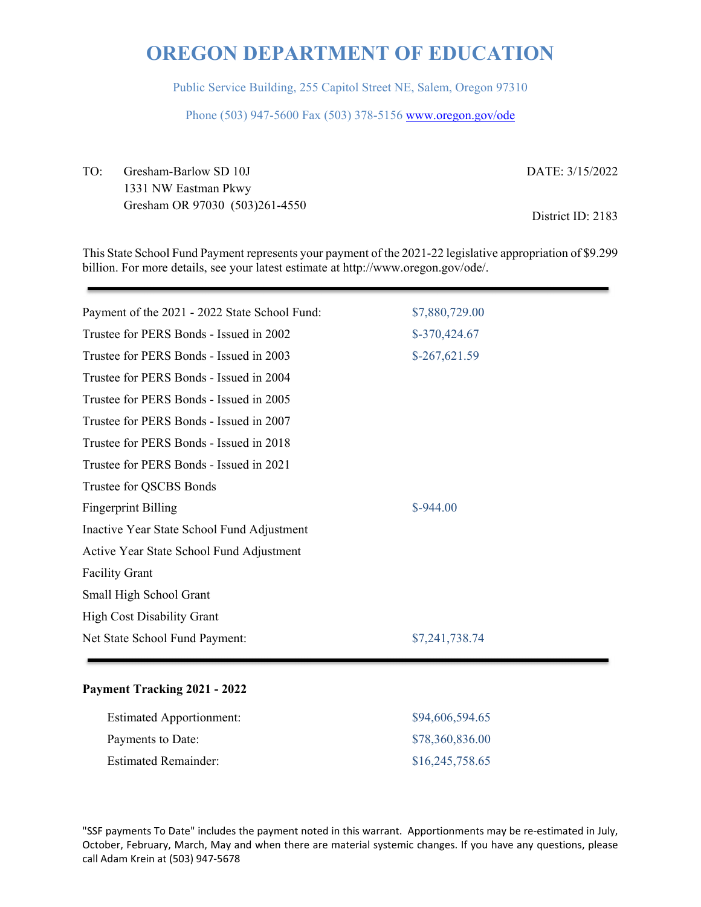Public Service Building, 255 Capitol Street NE, Salem, Oregon 97310

Phone (503) 947-5600 Fax (503) 378-5156 www.oregon.gov/ode

TO: Gresham-Barlow SD 10J 1331 NW Eastman Pkwy Gresham OR 97030 (503)261-4550 DATE: 3/15/2022

District ID: 2183

This State School Fund Payment represents your payment of the 2021-22 legislative appropriation of \$9.299 billion. For more details, see your latest estimate at http://www.oregon.gov/ode/.

| Payment of the 2021 - 2022 State School Fund: | \$7,880,729.00 |  |
|-----------------------------------------------|----------------|--|
| Trustee for PERS Bonds - Issued in 2002       | $$-370,424.67$ |  |
| Trustee for PERS Bonds - Issued in 2003       | $$-267,621.59$ |  |
| Trustee for PERS Bonds - Issued in 2004       |                |  |
| Trustee for PERS Bonds - Issued in 2005       |                |  |
| Trustee for PERS Bonds - Issued in 2007       |                |  |
| Trustee for PERS Bonds - Issued in 2018       |                |  |
| Trustee for PERS Bonds - Issued in 2021       |                |  |
| Trustee for QSCBS Bonds                       |                |  |
| <b>Fingerprint Billing</b>                    | $$-944.00$     |  |
| Inactive Year State School Fund Adjustment    |                |  |
| Active Year State School Fund Adjustment      |                |  |
| <b>Facility Grant</b>                         |                |  |
| Small High School Grant                       |                |  |
| <b>High Cost Disability Grant</b>             |                |  |
| Net State School Fund Payment:                | \$7,241,738.74 |  |
|                                               |                |  |

#### **Payment Tracking 2021 - 2022**

| <b>Estimated Apportionment:</b> | \$94,606,594.65 |
|---------------------------------|-----------------|
| Payments to Date:               | \$78,360,836.00 |
| Estimated Remainder:            | \$16,245,758.65 |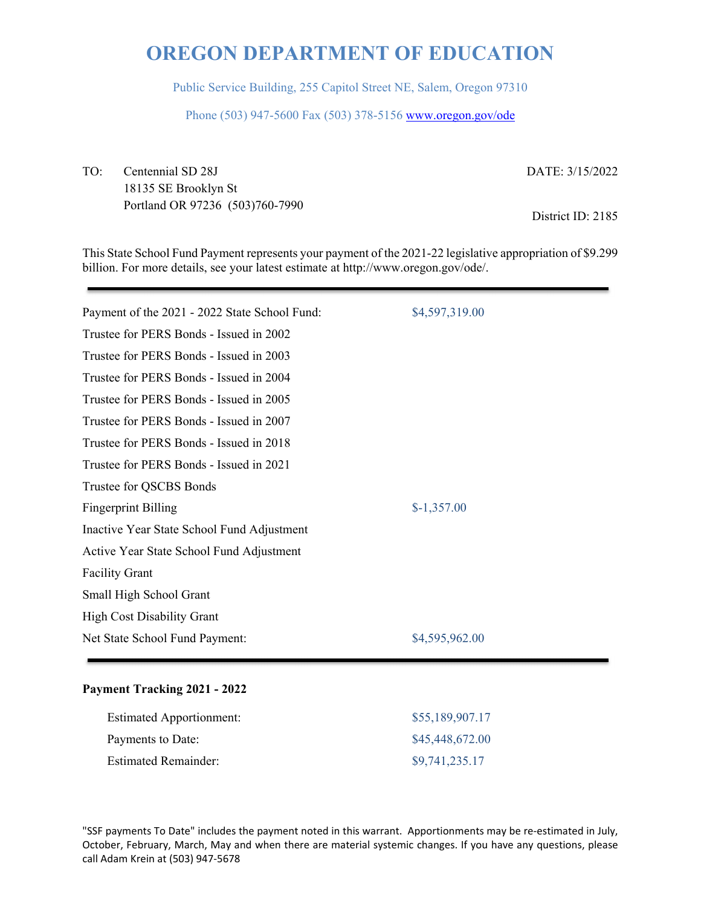Public Service Building, 255 Capitol Street NE, Salem, Oregon 97310

Phone (503) 947-5600 Fax (503) 378-5156 www.oregon.gov/ode

TO: Centennial SD 28J 18135 SE Brooklyn St Portland OR 97236 (503)760-7990 DATE: 3/15/2022

District ID: 2185

This State School Fund Payment represents your payment of the 2021-22 legislative appropriation of \$9.299 billion. For more details, see your latest estimate at http://www.oregon.gov/ode/.

| Payment of the 2021 - 2022 State School Fund: | \$4,597,319.00 |
|-----------------------------------------------|----------------|
| Trustee for PERS Bonds - Issued in 2002       |                |
| Trustee for PERS Bonds - Issued in 2003       |                |
| Trustee for PERS Bonds - Issued in 2004       |                |
| Trustee for PERS Bonds - Issued in 2005       |                |
| Trustee for PERS Bonds - Issued in 2007       |                |
| Trustee for PERS Bonds - Issued in 2018       |                |
| Trustee for PERS Bonds - Issued in 2021       |                |
| Trustee for QSCBS Bonds                       |                |
| <b>Fingerprint Billing</b>                    | $$-1,357.00$   |
| Inactive Year State School Fund Adjustment    |                |
| Active Year State School Fund Adjustment      |                |
| <b>Facility Grant</b>                         |                |
| Small High School Grant                       |                |
| <b>High Cost Disability Grant</b>             |                |
| Net State School Fund Payment:                | \$4,595,962.00 |
|                                               |                |

#### **Payment Tracking 2021 - 2022**

| <b>Estimated Apportionment:</b> | \$55,189,907.17 |
|---------------------------------|-----------------|
| Payments to Date:               | \$45,448,672.00 |
| <b>Estimated Remainder:</b>     | \$9,741,235.17  |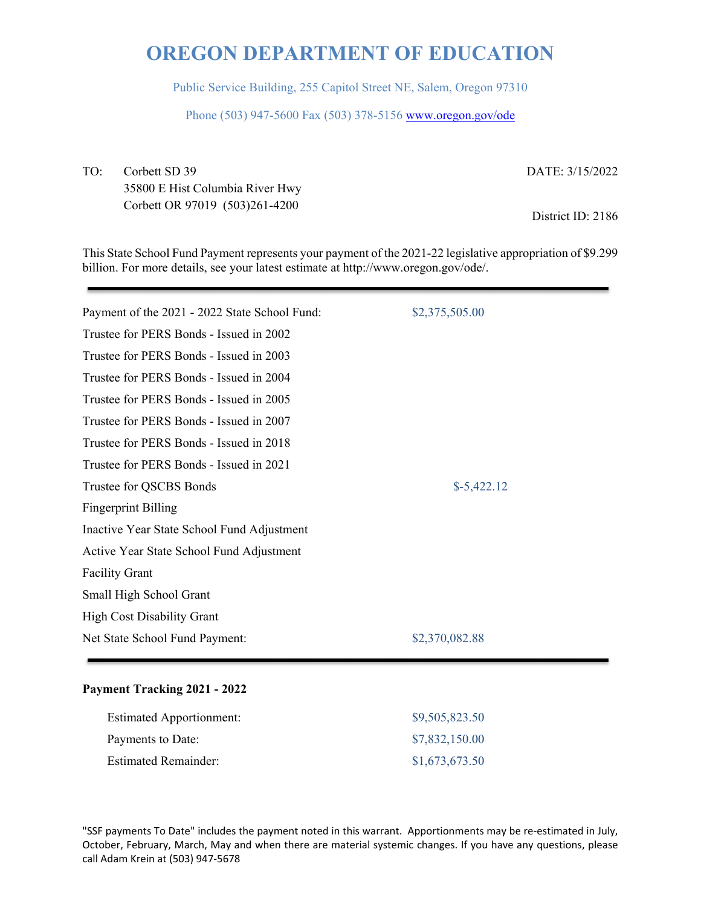Public Service Building, 255 Capitol Street NE, Salem, Oregon 97310

Phone (503) 947-5600 Fax (503) 378-5156 www.oregon.gov/ode

TO: Corbett SD 39 35800 E Hist Columbia River Hwy Corbett OR 97019 (503)261-4200

DATE: 3/15/2022

District ID: 2186

This State School Fund Payment represents your payment of the 2021-22 legislative appropriation of \$9.299 billion. For more details, see your latest estimate at http://www.oregon.gov/ode/.

| Payment of the 2021 - 2022 State School Fund: | \$2,375,505.00 |  |
|-----------------------------------------------|----------------|--|
| Trustee for PERS Bonds - Issued in 2002       |                |  |
| Trustee for PERS Bonds - Issued in 2003       |                |  |
| Trustee for PERS Bonds - Issued in 2004       |                |  |
| Trustee for PERS Bonds - Issued in 2005       |                |  |
| Trustee for PERS Bonds - Issued in 2007       |                |  |
| Trustee for PERS Bonds - Issued in 2018       |                |  |
| Trustee for PERS Bonds - Issued in 2021       |                |  |
| Trustee for QSCBS Bonds                       | $$-5,422.12$   |  |
| <b>Fingerprint Billing</b>                    |                |  |
| Inactive Year State School Fund Adjustment    |                |  |
| Active Year State School Fund Adjustment      |                |  |
| <b>Facility Grant</b>                         |                |  |
| Small High School Grant                       |                |  |
| <b>High Cost Disability Grant</b>             |                |  |
| Net State School Fund Payment:                | \$2,370,082.88 |  |
|                                               |                |  |

#### **Payment Tracking 2021 - 2022**

| <b>Estimated Apportionment:</b> | \$9,505,823.50 |
|---------------------------------|----------------|
| Payments to Date:               | \$7,832,150.00 |
| <b>Estimated Remainder:</b>     | \$1,673,673.50 |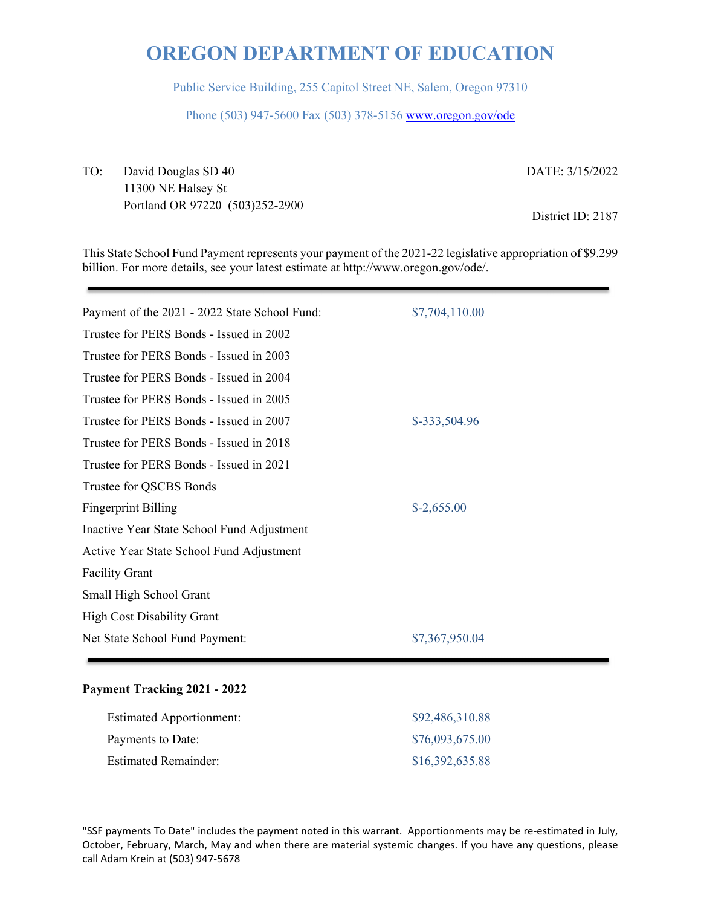Public Service Building, 255 Capitol Street NE, Salem, Oregon 97310

Phone (503) 947-5600 Fax (503) 378-5156 www.oregon.gov/ode

TO: David Douglas SD 40 11300 NE Halsey St Portland OR 97220 (503)252-2900 DATE: 3/15/2022

District ID: 2187

This State School Fund Payment represents your payment of the 2021-22 legislative appropriation of \$9.299 billion. For more details, see your latest estimate at http://www.oregon.gov/ode/.

| Payment of the 2021 - 2022 State School Fund: | \$7,704,110.00 |
|-----------------------------------------------|----------------|
| Trustee for PERS Bonds - Issued in 2002       |                |
| Trustee for PERS Bonds - Issued in 2003       |                |
| Trustee for PERS Bonds - Issued in 2004       |                |
| Trustee for PERS Bonds - Issued in 2005       |                |
| Trustee for PERS Bonds - Issued in 2007       | \$-333,504.96  |
| Trustee for PERS Bonds - Issued in 2018       |                |
| Trustee for PERS Bonds - Issued in 2021       |                |
| Trustee for QSCBS Bonds                       |                |
| <b>Fingerprint Billing</b>                    | $$-2,655.00$   |
| Inactive Year State School Fund Adjustment    |                |
| Active Year State School Fund Adjustment      |                |
| <b>Facility Grant</b>                         |                |
| Small High School Grant                       |                |
| <b>High Cost Disability Grant</b>             |                |
| Net State School Fund Payment:                | \$7,367,950.04 |
|                                               |                |

#### **Payment Tracking 2021 - 2022**

| <b>Estimated Apportionment:</b> | \$92,486,310.88 |
|---------------------------------|-----------------|
| Payments to Date:               | \$76,093,675.00 |
| Estimated Remainder:            | \$16,392,635.88 |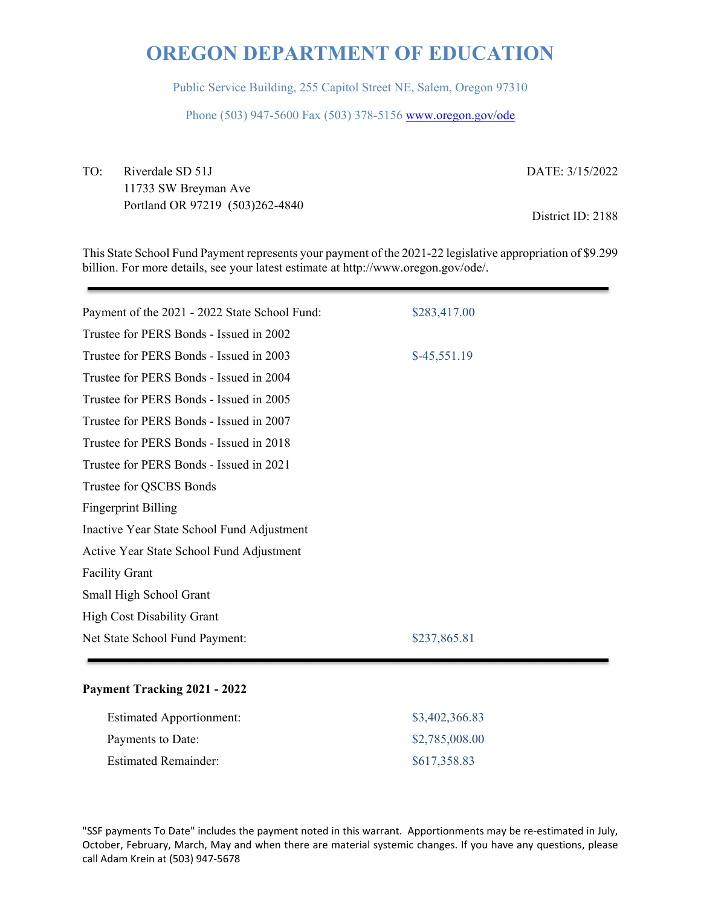Public Service Building, 255 Capitol Street NE, Salem, Oregon 97310

Phone (503) 947-5600 Fax (503) 378-5156 www.oregon.gov/ode

TO: Riverdale SD 51J 11733 SW Breyman Ave Portland OR 97219 (503)262-4840 DATE: 3/15/2022

District ID: 2188

This State School Fund Payment represents your payment of the 2021-22 legislative appropriation of \$9.299 billion. For more details, see your latest estimate at http://www.oregon.gov/ode/.

| Payment of the 2021 - 2022 State School Fund: | \$283,417.00  |
|-----------------------------------------------|---------------|
| Trustee for PERS Bonds - Issued in 2002       |               |
| Trustee for PERS Bonds - Issued in 2003       | $$-45,551.19$ |
| Trustee for PERS Bonds - Issued in 2004       |               |
| Trustee for PERS Bonds - Issued in 2005       |               |
| Trustee for PERS Bonds - Issued in 2007       |               |
| Trustee for PERS Bonds - Issued in 2018       |               |
| Trustee for PERS Bonds - Issued in 2021       |               |
| Trustee for QSCBS Bonds                       |               |
| <b>Fingerprint Billing</b>                    |               |
| Inactive Year State School Fund Adjustment    |               |
| Active Year State School Fund Adjustment      |               |
| <b>Facility Grant</b>                         |               |
| Small High School Grant                       |               |
| <b>High Cost Disability Grant</b>             |               |
| Net State School Fund Payment:                | \$237,865.81  |

#### **Payment Tracking 2021 - 2022**

| <b>Estimated Apportionment:</b> | \$3,402,366.83 |
|---------------------------------|----------------|
| Payments to Date:               | \$2,785,008.00 |
| <b>Estimated Remainder:</b>     | \$617,358.83   |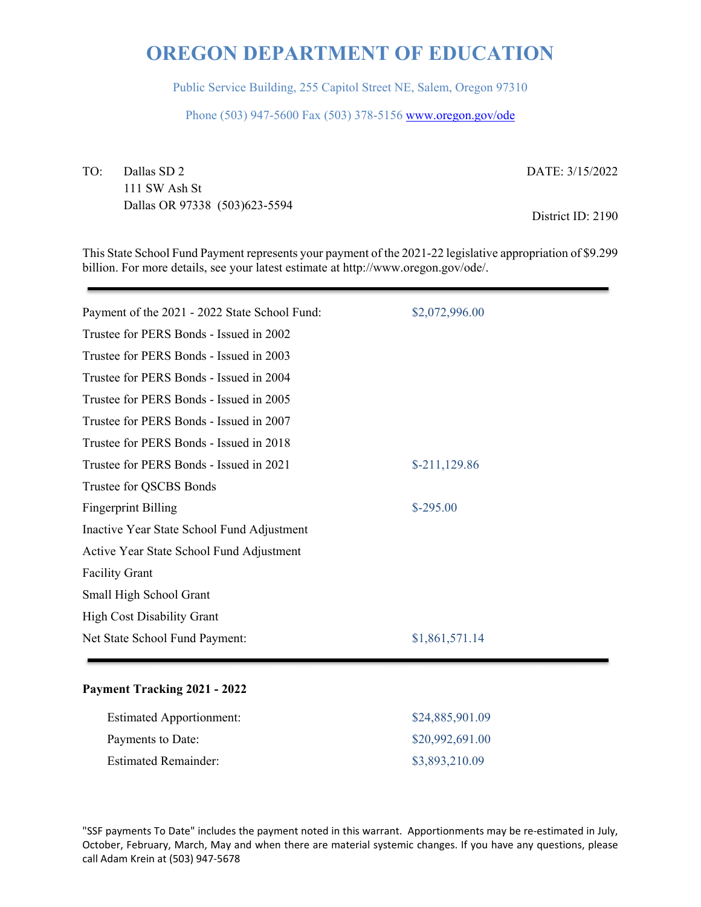Public Service Building, 255 Capitol Street NE, Salem, Oregon 97310

Phone (503) 947-5600 Fax (503) 378-5156 www.oregon.gov/ode

TO: Dallas SD 2 111 SW Ash St Dallas OR 97338 (503)623-5594

DATE: 3/15/2022

District ID: 2190

This State School Fund Payment represents your payment of the 2021-22 legislative appropriation of \$9.299 billion. For more details, see your latest estimate at http://www.oregon.gov/ode/.

| Payment of the 2021 - 2022 State School Fund: | \$2,072,996.00 |
|-----------------------------------------------|----------------|
| Trustee for PERS Bonds - Issued in 2002       |                |
| Trustee for PERS Bonds - Issued in 2003       |                |
| Trustee for PERS Bonds - Issued in 2004       |                |
| Trustee for PERS Bonds - Issued in 2005       |                |
| Trustee for PERS Bonds - Issued in 2007       |                |
| Trustee for PERS Bonds - Issued in 2018       |                |
| Trustee for PERS Bonds - Issued in 2021       | $$-211,129.86$ |
| Trustee for QSCBS Bonds                       |                |
| <b>Fingerprint Billing</b>                    | $$-295.00$     |
| Inactive Year State School Fund Adjustment    |                |
| Active Year State School Fund Adjustment      |                |
| <b>Facility Grant</b>                         |                |
| Small High School Grant                       |                |
| <b>High Cost Disability Grant</b>             |                |
| Net State School Fund Payment:                | \$1,861,571.14 |
|                                               |                |

#### **Payment Tracking 2021 - 2022**

| <b>Estimated Apportionment:</b> | \$24,885,901.09 |
|---------------------------------|-----------------|
| Payments to Date:               | \$20,992,691.00 |
| <b>Estimated Remainder:</b>     | \$3,893,210.09  |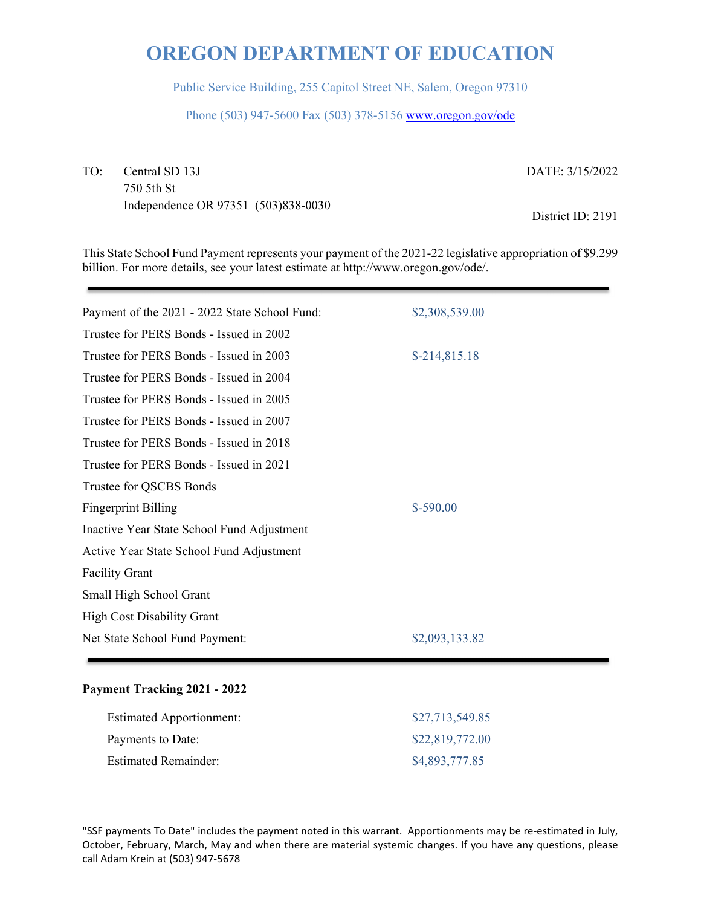Public Service Building, 255 Capitol Street NE, Salem, Oregon 97310

Phone (503) 947-5600 Fax (503) 378-5156 www.oregon.gov/ode

TO: Central SD 13J 750 5th St Independence OR 97351 (503)838-0030 DATE: 3/15/2022

District ID: 2191

This State School Fund Payment represents your payment of the 2021-22 legislative appropriation of \$9.299 billion. For more details, see your latest estimate at http://www.oregon.gov/ode/.

| Payment of the 2021 - 2022 State School Fund: | \$2,308,539.00 |
|-----------------------------------------------|----------------|
| Trustee for PERS Bonds - Issued in 2002       |                |
| Trustee for PERS Bonds - Issued in 2003       | $$-214,815.18$ |
| Trustee for PERS Bonds - Issued in 2004       |                |
| Trustee for PERS Bonds - Issued in 2005       |                |
| Trustee for PERS Bonds - Issued in 2007       |                |
| Trustee for PERS Bonds - Issued in 2018       |                |
| Trustee for PERS Bonds - Issued in 2021       |                |
| Trustee for QSCBS Bonds                       |                |
| <b>Fingerprint Billing</b>                    | $$-590.00$     |
| Inactive Year State School Fund Adjustment    |                |
| Active Year State School Fund Adjustment      |                |
| <b>Facility Grant</b>                         |                |
| Small High School Grant                       |                |
| <b>High Cost Disability Grant</b>             |                |
| Net State School Fund Payment:                | \$2,093,133.82 |
|                                               |                |

#### **Payment Tracking 2021 - 2022**

| <b>Estimated Apportionment:</b> | \$27,713,549.85 |
|---------------------------------|-----------------|
| Payments to Date:               | \$22,819,772.00 |
| <b>Estimated Remainder:</b>     | \$4,893,777.85  |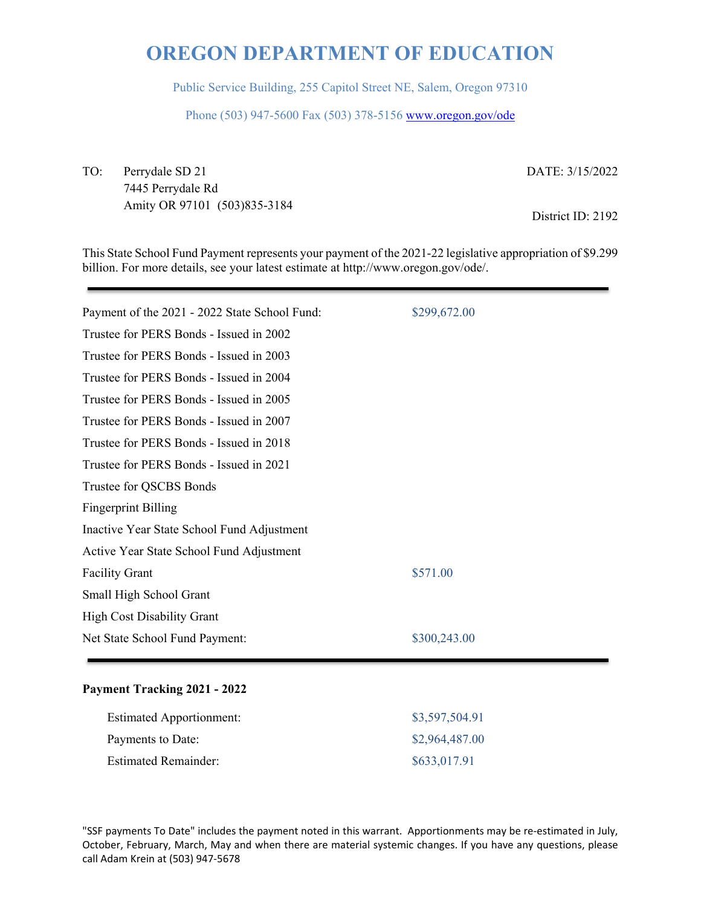Public Service Building, 255 Capitol Street NE, Salem, Oregon 97310

Phone (503) 947-5600 Fax (503) 378-5156 www.oregon.gov/ode

TO: Perrydale SD 21 7445 Perrydale Rd Amity OR 97101 (503)835-3184 DATE: 3/15/2022

District ID: 2192

This State School Fund Payment represents your payment of the 2021-22 legislative appropriation of \$9.299 billion. For more details, see your latest estimate at http://www.oregon.gov/ode/.

| Payment of the 2021 - 2022 State School Fund: | \$299,672.00 |
|-----------------------------------------------|--------------|
| Trustee for PERS Bonds - Issued in 2002       |              |
| Trustee for PERS Bonds - Issued in 2003       |              |
| Trustee for PERS Bonds - Issued in 2004       |              |
| Trustee for PERS Bonds - Issued in 2005       |              |
| Trustee for PERS Bonds - Issued in 2007       |              |
| Trustee for PERS Bonds - Issued in 2018       |              |
| Trustee for PERS Bonds - Issued in 2021       |              |
| Trustee for QSCBS Bonds                       |              |
| <b>Fingerprint Billing</b>                    |              |
| Inactive Year State School Fund Adjustment    |              |
| Active Year State School Fund Adjustment      |              |
| <b>Facility Grant</b>                         | \$571.00     |
| Small High School Grant                       |              |
| <b>High Cost Disability Grant</b>             |              |
| Net State School Fund Payment:                | \$300,243.00 |
|                                               |              |

#### **Payment Tracking 2021 - 2022**

| <b>Estimated Apportionment:</b> | \$3,597,504.91 |
|---------------------------------|----------------|
| Payments to Date:               | \$2,964,487.00 |
| <b>Estimated Remainder:</b>     | \$633,017.91   |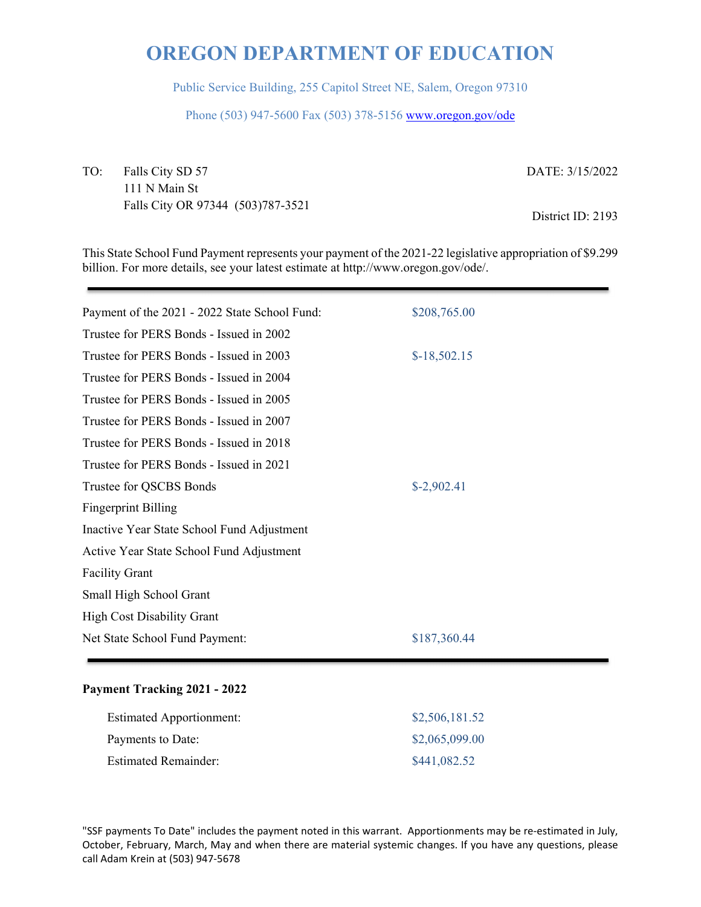Public Service Building, 255 Capitol Street NE, Salem, Oregon 97310

Phone (503) 947-5600 Fax (503) 378-5156 www.oregon.gov/ode

TO: Falls City SD 57 111 N Main St Falls City OR 97344 (503)787-3521 DATE: 3/15/2022

District ID: 2193

This State School Fund Payment represents your payment of the 2021-22 legislative appropriation of \$9.299 billion. For more details, see your latest estimate at http://www.oregon.gov/ode/.

| Payment of the 2021 - 2022 State School Fund: | \$208,765.00  |
|-----------------------------------------------|---------------|
| Trustee for PERS Bonds - Issued in 2002       |               |
| Trustee for PERS Bonds - Issued in 2003       | $$-18,502.15$ |
| Trustee for PERS Bonds - Issued in 2004       |               |
| Trustee for PERS Bonds - Issued in 2005       |               |
| Trustee for PERS Bonds - Issued in 2007       |               |
| Trustee for PERS Bonds - Issued in 2018       |               |
| Trustee for PERS Bonds - Issued in 2021       |               |
| Trustee for QSCBS Bonds                       | $$-2,902.41$  |
| <b>Fingerprint Billing</b>                    |               |
| Inactive Year State School Fund Adjustment    |               |
| Active Year State School Fund Adjustment      |               |
| <b>Facility Grant</b>                         |               |
| Small High School Grant                       |               |
| <b>High Cost Disability Grant</b>             |               |
| Net State School Fund Payment:                | \$187,360.44  |
|                                               |               |

#### **Payment Tracking 2021 - 2022**

| <b>Estimated Apportionment:</b> | \$2,506,181.52 |
|---------------------------------|----------------|
| Payments to Date:               | \$2,065,099.00 |
| <b>Estimated Remainder:</b>     | \$441,082.52   |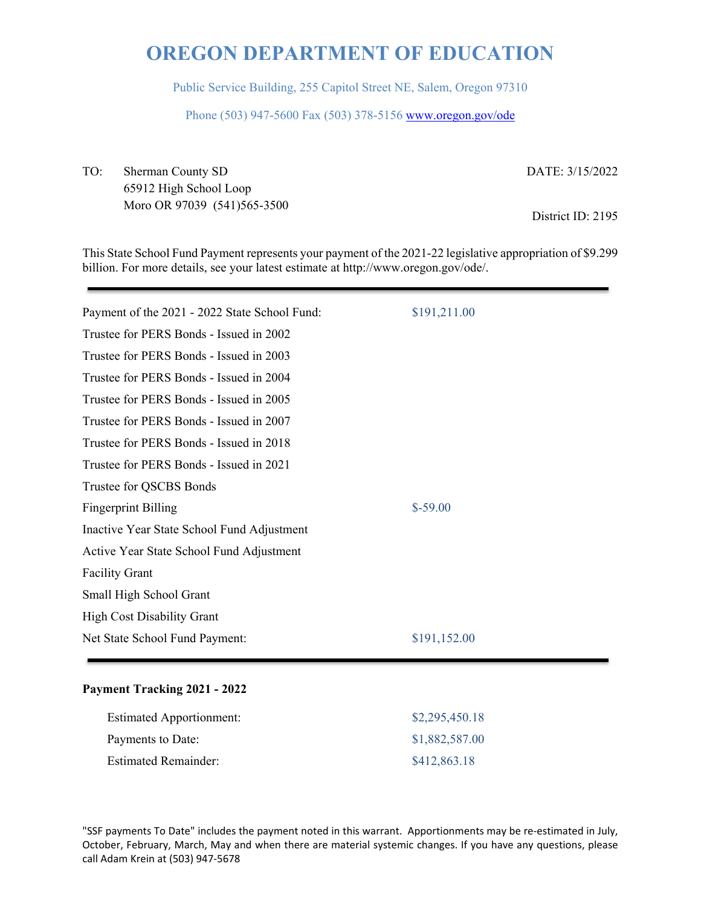Public Service Building, 255 Capitol Street NE, Salem, Oregon 97310

Phone (503) 947-5600 Fax (503) 378-5156 www.oregon.gov/ode

TO: Sherman County SD 65912 High School Loop Moro OR 97039 (541)565-3500 DATE: 3/15/2022

District ID: 2195

This State School Fund Payment represents your payment of the 2021-22 legislative appropriation of \$9.299 billion. For more details, see your latest estimate at http://www.oregon.gov/ode/.

| Payment of the 2021 - 2022 State School Fund: | \$191,211.00 |
|-----------------------------------------------|--------------|
| Trustee for PERS Bonds - Issued in 2002       |              |
| Trustee for PERS Bonds - Issued in 2003       |              |
| Trustee for PERS Bonds - Issued in 2004       |              |
| Trustee for PERS Bonds - Issued in 2005       |              |
| Trustee for PERS Bonds - Issued in 2007       |              |
| Trustee for PERS Bonds - Issued in 2018       |              |
| Trustee for PERS Bonds - Issued in 2021       |              |
| Trustee for QSCBS Bonds                       |              |
| <b>Fingerprint Billing</b>                    | $$-59.00$    |
| Inactive Year State School Fund Adjustment    |              |
| Active Year State School Fund Adjustment      |              |
| <b>Facility Grant</b>                         |              |
| Small High School Grant                       |              |
| <b>High Cost Disability Grant</b>             |              |
| Net State School Fund Payment:                | \$191,152.00 |
|                                               |              |

#### **Payment Tracking 2021 - 2022**

| <b>Estimated Apportionment:</b> | \$2,295,450.18 |
|---------------------------------|----------------|
| Payments to Date:               | \$1,882,587.00 |
| <b>Estimated Remainder:</b>     | \$412,863.18   |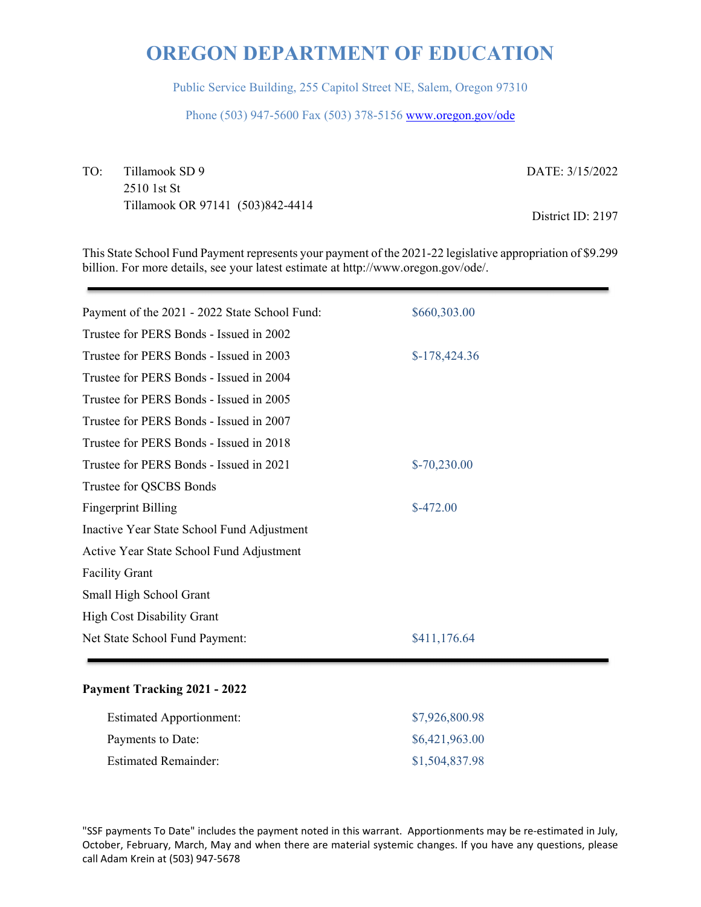Public Service Building, 255 Capitol Street NE, Salem, Oregon 97310

Phone (503) 947-5600 Fax (503) 378-5156 www.oregon.gov/ode

TO: Tillamook SD 9 2510 1st St Tillamook OR 97141 (503)842-4414 DATE: 3/15/2022

District ID: 2197

This State School Fund Payment represents your payment of the 2021-22 legislative appropriation of \$9.299 billion. For more details, see your latest estimate at http://www.oregon.gov/ode/.

| \$660,303.00   |
|----------------|
|                |
| $$-178,424.36$ |
|                |
|                |
|                |
|                |
| $$-70,230.00$  |
|                |
| $$-472.00$     |
|                |
|                |
|                |
|                |
|                |
| \$411,176.64   |
|                |

#### **Payment Tracking 2021 - 2022**

| <b>Estimated Apportionment:</b> | \$7,926,800.98 |
|---------------------------------|----------------|
| Payments to Date:               | \$6,421,963.00 |
| <b>Estimated Remainder:</b>     | \$1,504,837.98 |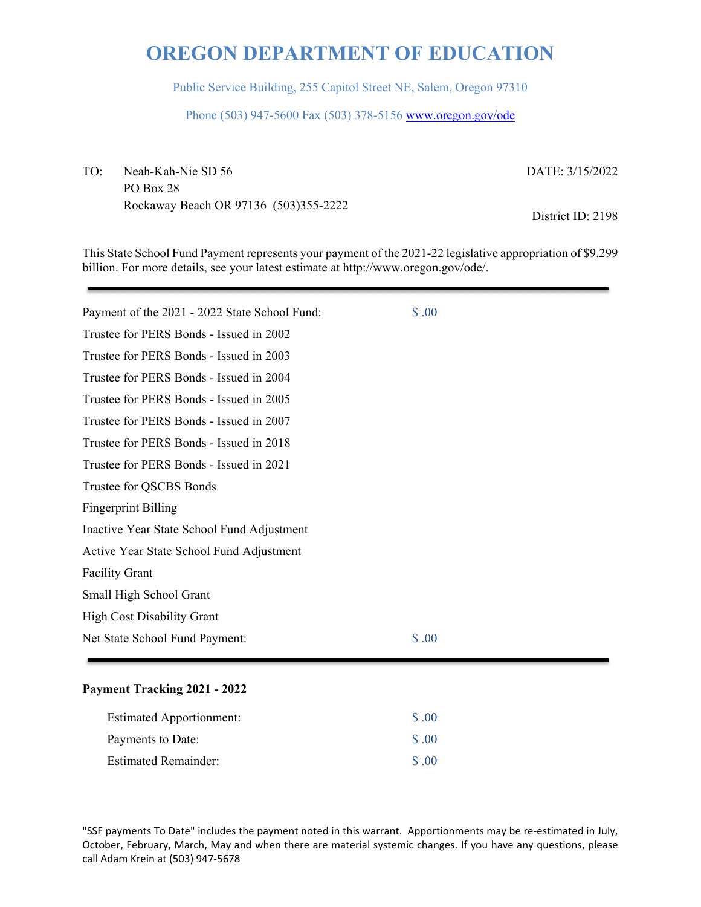Public Service Building, 255 Capitol Street NE, Salem, Oregon 97310

Phone (503) 947-5600 Fax (503) 378-5156 www.oregon.gov/ode

TO: Neah-Kah-Nie SD 56 PO Box 28 Rockaway Beach OR 97136 (503)355-2222 DATE: 3/15/2022

District ID: 2198

This State School Fund Payment represents your payment of the 2021-22 legislative appropriation of \$9.299 billion. For more details, see your latest estimate at http://www.oregon.gov/ode/.

| Payment of the 2021 - 2022 State School Fund: | \$.00 |
|-----------------------------------------------|-------|
| Trustee for PERS Bonds - Issued in 2002       |       |
| Trustee for PERS Bonds - Issued in 2003       |       |
| Trustee for PERS Bonds - Issued in 2004       |       |
| Trustee for PERS Bonds - Issued in 2005       |       |
| Trustee for PERS Bonds - Issued in 2007       |       |
| Trustee for PERS Bonds - Issued in 2018       |       |
| Trustee for PERS Bonds - Issued in 2021       |       |
| Trustee for QSCBS Bonds                       |       |
| <b>Fingerprint Billing</b>                    |       |
| Inactive Year State School Fund Adjustment    |       |
| Active Year State School Fund Adjustment      |       |
| <b>Facility Grant</b>                         |       |
| Small High School Grant                       |       |
| <b>High Cost Disability Grant</b>             |       |
| Net State School Fund Payment:                | \$.00 |

#### **Payment Tracking 2021 - 2022**

| <b>Estimated Apportionment:</b> | \$ .00             |
|---------------------------------|--------------------|
| Payments to Date:               | $\text{\$\S$}$ .00 |
| <b>Estimated Remainder:</b>     | $\Omega$ $\Omega$  |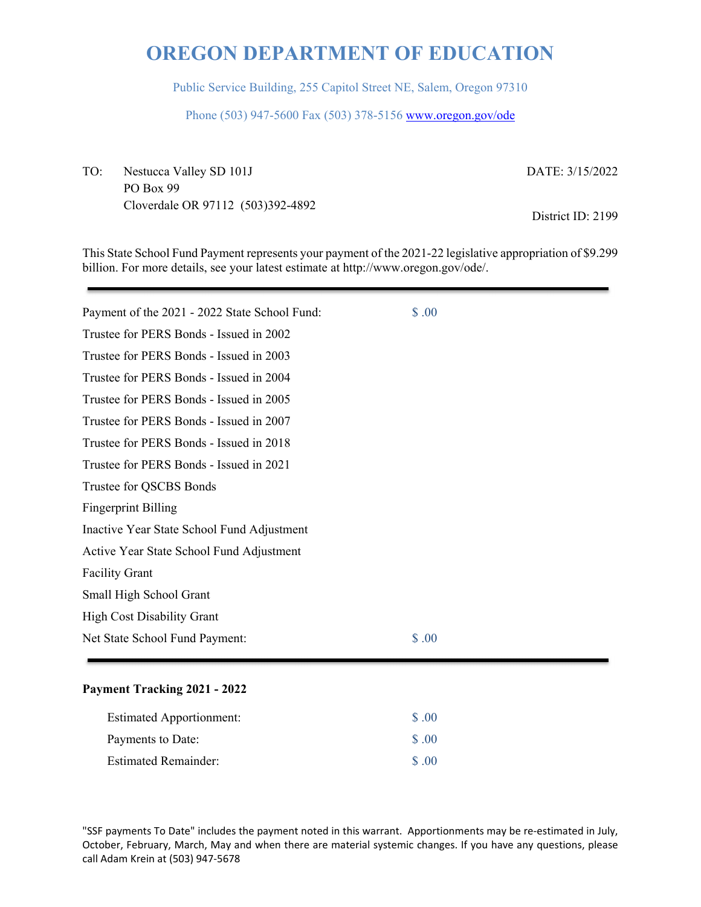Public Service Building, 255 Capitol Street NE, Salem, Oregon 97310

Phone (503) 947-5600 Fax (503) 378-5156 www.oregon.gov/ode

TO: Nestucca Valley SD 101J PO Box 99 Cloverdale OR 97112 (503)392-4892 DATE: 3/15/2022

District ID: 2199

This State School Fund Payment represents your payment of the 2021-22 legislative appropriation of \$9.299 billion. For more details, see your latest estimate at http://www.oregon.gov/ode/.

| Payment of the 2021 - 2022 State School Fund: | \$.00 |
|-----------------------------------------------|-------|
| Trustee for PERS Bonds - Issued in 2002       |       |
| Trustee for PERS Bonds - Issued in 2003       |       |
| Trustee for PERS Bonds - Issued in 2004       |       |
| Trustee for PERS Bonds - Issued in 2005       |       |
| Trustee for PERS Bonds - Issued in 2007       |       |
| Trustee for PERS Bonds - Issued in 2018       |       |
| Trustee for PERS Bonds - Issued in 2021       |       |
| Trustee for QSCBS Bonds                       |       |
| <b>Fingerprint Billing</b>                    |       |
| Inactive Year State School Fund Adjustment    |       |
| Active Year State School Fund Adjustment      |       |
| <b>Facility Grant</b>                         |       |
| Small High School Grant                       |       |
| <b>High Cost Disability Grant</b>             |       |
| Net State School Fund Payment:                | \$.00 |

#### **Payment Tracking 2021 - 2022**

| <b>Estimated Apportionment:</b> | \$ .00            |
|---------------------------------|-------------------|
| Payments to Date:               | \$.00             |
| <b>Estimated Remainder:</b>     | $\Omega$ $\Omega$ |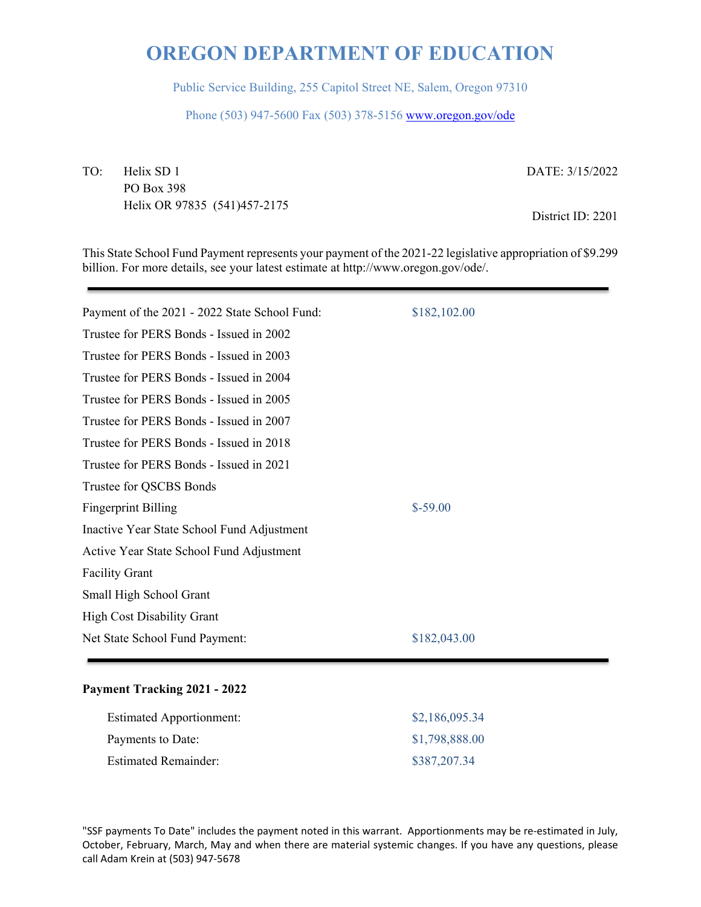Public Service Building, 255 Capitol Street NE, Salem, Oregon 97310

Phone (503) 947-5600 Fax (503) 378-5156 www.oregon.gov/ode

TO: Helix SD 1 PO Box 398 Helix OR 97835 (541)457-2175 DATE: 3/15/2022

District ID: 2201

This State School Fund Payment represents your payment of the 2021-22 legislative appropriation of \$9.299 billion. For more details, see your latest estimate at http://www.oregon.gov/ode/.

| Payment of the 2021 - 2022 State School Fund: | \$182,102.00 |
|-----------------------------------------------|--------------|
| Trustee for PERS Bonds - Issued in 2002       |              |
| Trustee for PERS Bonds - Issued in 2003       |              |
| Trustee for PERS Bonds - Issued in 2004       |              |
| Trustee for PERS Bonds - Issued in 2005       |              |
| Trustee for PERS Bonds - Issued in 2007       |              |
| Trustee for PERS Bonds - Issued in 2018       |              |
| Trustee for PERS Bonds - Issued in 2021       |              |
| Trustee for QSCBS Bonds                       |              |
| <b>Fingerprint Billing</b>                    | $$-59.00$    |
| Inactive Year State School Fund Adjustment    |              |
| Active Year State School Fund Adjustment      |              |
| <b>Facility Grant</b>                         |              |
| Small High School Grant                       |              |
| <b>High Cost Disability Grant</b>             |              |
| Net State School Fund Payment:                | \$182,043.00 |
|                                               |              |

#### **Payment Tracking 2021 - 2022**

| <b>Estimated Apportionment:</b> | \$2,186,095.34 |
|---------------------------------|----------------|
| Payments to Date:               | \$1,798,888.00 |
| <b>Estimated Remainder:</b>     | \$387,207.34   |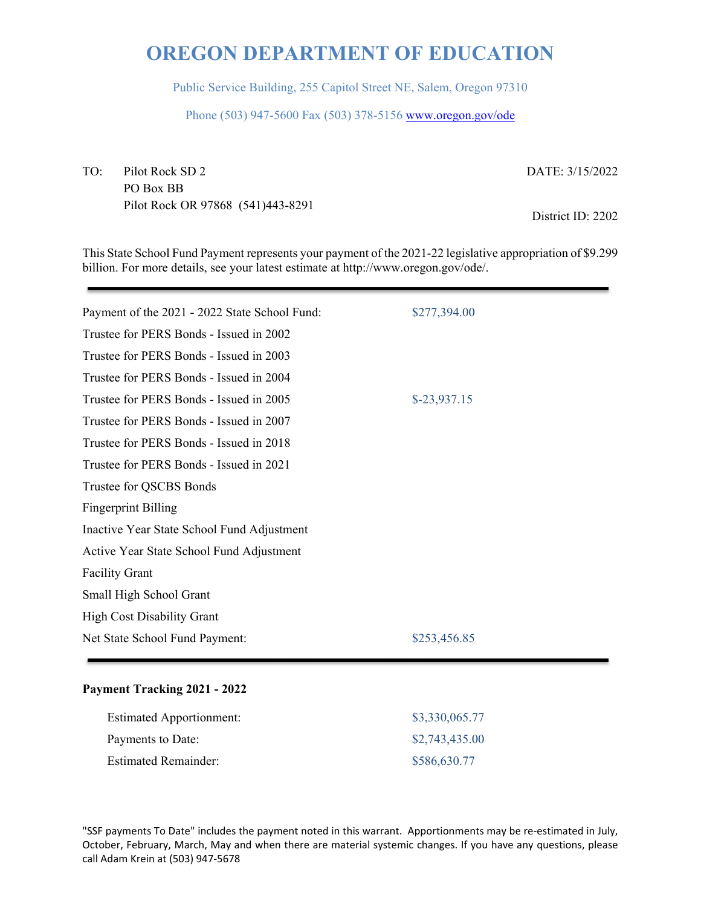Public Service Building, 255 Capitol Street NE, Salem, Oregon 97310

Phone (503) 947-5600 Fax (503) 378-5156 www.oregon.gov/ode

TO: Pilot Rock SD 2 PO Box BB Pilot Rock OR 97868 (541)443-8291 DATE: 3/15/2022

District ID: 2202

This State School Fund Payment represents your payment of the 2021-22 legislative appropriation of \$9.299 billion. For more details, see your latest estimate at http://www.oregon.gov/ode/.

| Payment of the 2021 - 2022 State School Fund: | \$277,394.00  |
|-----------------------------------------------|---------------|
| Trustee for PERS Bonds - Issued in 2002       |               |
| Trustee for PERS Bonds - Issued in 2003       |               |
| Trustee for PERS Bonds - Issued in 2004       |               |
| Trustee for PERS Bonds - Issued in 2005       | $$-23,937.15$ |
| Trustee for PERS Bonds - Issued in 2007       |               |
| Trustee for PERS Bonds - Issued in 2018       |               |
| Trustee for PERS Bonds - Issued in 2021       |               |
| Trustee for QSCBS Bonds                       |               |
| <b>Fingerprint Billing</b>                    |               |
| Inactive Year State School Fund Adjustment    |               |
| Active Year State School Fund Adjustment      |               |
| <b>Facility Grant</b>                         |               |
| Small High School Grant                       |               |
| <b>High Cost Disability Grant</b>             |               |
| Net State School Fund Payment:                | \$253,456.85  |
|                                               |               |

#### **Payment Tracking 2021 - 2022**

| <b>Estimated Apportionment:</b> | \$3,330,065.77 |
|---------------------------------|----------------|
| Payments to Date:               | \$2,743,435.00 |
| <b>Estimated Remainder:</b>     | \$586,630.77   |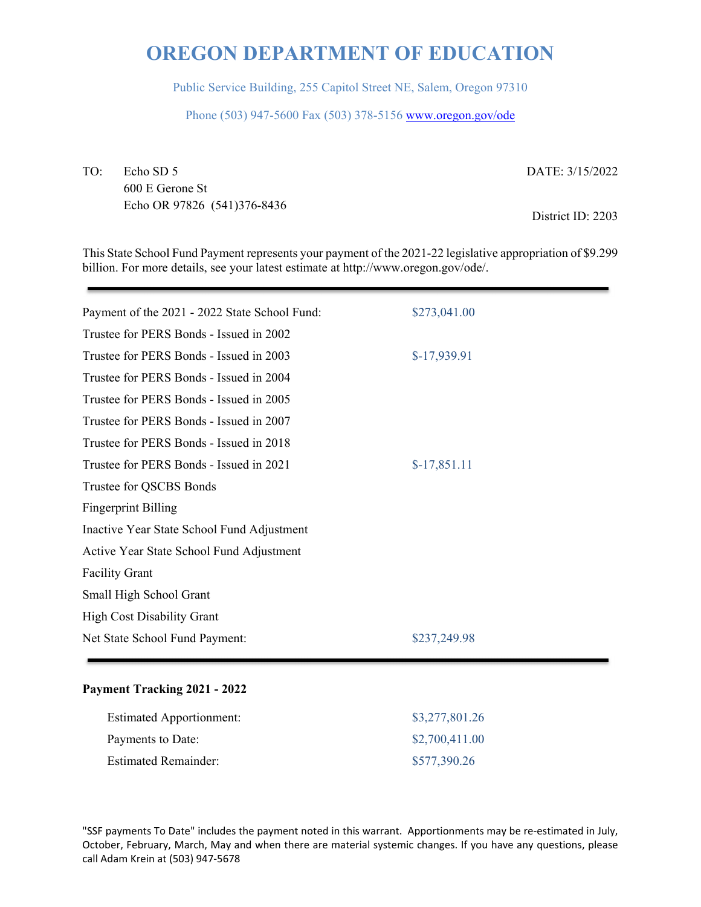Public Service Building, 255 Capitol Street NE, Salem, Oregon 97310

Phone (503) 947-5600 Fax (503) 378-5156 www.oregon.gov/ode

TO: Echo SD 5 600 E Gerone St Echo OR 97826 (541)376-8436 DATE: 3/15/2022

District ID: 2203

This State School Fund Payment represents your payment of the 2021-22 legislative appropriation of \$9.299 billion. For more details, see your latest estimate at http://www.oregon.gov/ode/.

| Payment of the 2021 - 2022 State School Fund: | \$273,041.00  |
|-----------------------------------------------|---------------|
| Trustee for PERS Bonds - Issued in 2002       |               |
| Trustee for PERS Bonds - Issued in 2003       | $$-17,939.91$ |
| Trustee for PERS Bonds - Issued in 2004       |               |
| Trustee for PERS Bonds - Issued in 2005       |               |
| Trustee for PERS Bonds - Issued in 2007       |               |
| Trustee for PERS Bonds - Issued in 2018       |               |
| Trustee for PERS Bonds - Issued in 2021       | $$-17,851.11$ |
| Trustee for QSCBS Bonds                       |               |
| <b>Fingerprint Billing</b>                    |               |
| Inactive Year State School Fund Adjustment    |               |
| Active Year State School Fund Adjustment      |               |
| <b>Facility Grant</b>                         |               |
| Small High School Grant                       |               |
| <b>High Cost Disability Grant</b>             |               |
| Net State School Fund Payment:                | \$237,249.98  |
|                                               |               |

#### **Payment Tracking 2021 - 2022**

| <b>Estimated Apportionment:</b> | \$3,277,801.26 |
|---------------------------------|----------------|
| Payments to Date:               | \$2,700,411.00 |
| <b>Estimated Remainder:</b>     | \$577,390.26   |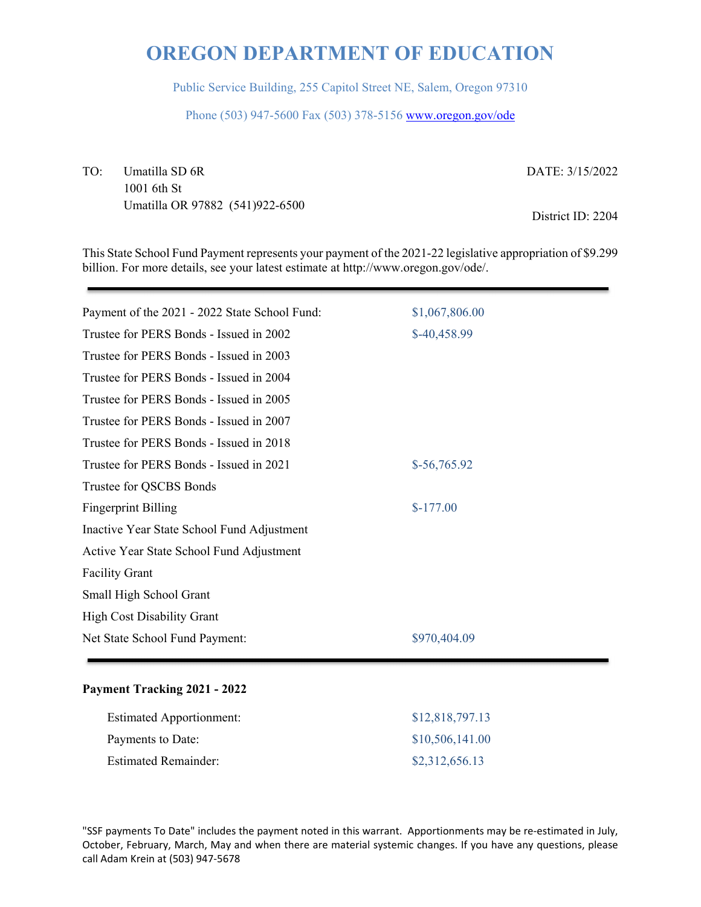Public Service Building, 255 Capitol Street NE, Salem, Oregon 97310

Phone (503) 947-5600 Fax (503) 378-5156 www.oregon.gov/ode

TO: Umatilla SD 6R 1001 6th St Umatilla OR 97882 (541)922-6500 DATE: 3/15/2022

District ID: 2204

This State School Fund Payment represents your payment of the 2021-22 legislative appropriation of \$9.299 billion. For more details, see your latest estimate at http://www.oregon.gov/ode/.

| Payment of the 2021 - 2022 State School Fund: | \$1,067,806.00 |
|-----------------------------------------------|----------------|
| Trustee for PERS Bonds - Issued in 2002       | \$-40,458.99   |
| Trustee for PERS Bonds - Issued in 2003       |                |
| Trustee for PERS Bonds - Issued in 2004       |                |
| Trustee for PERS Bonds - Issued in 2005       |                |
| Trustee for PERS Bonds - Issued in 2007       |                |
| Trustee for PERS Bonds - Issued in 2018       |                |
| Trustee for PERS Bonds - Issued in 2021       | $$-56,765.92$  |
| Trustee for QSCBS Bonds                       |                |
| <b>Fingerprint Billing</b>                    | $$-177.00$     |
| Inactive Year State School Fund Adjustment    |                |
| Active Year State School Fund Adjustment      |                |
| <b>Facility Grant</b>                         |                |
| Small High School Grant                       |                |
| <b>High Cost Disability Grant</b>             |                |
| Net State School Fund Payment:                | \$970,404.09   |

#### **Payment Tracking 2021 - 2022**

| <b>Estimated Apportionment:</b> | \$12,818,797.13 |
|---------------------------------|-----------------|
| Payments to Date:               | \$10,506,141.00 |
| <b>Estimated Remainder:</b>     | \$2,312,656.13  |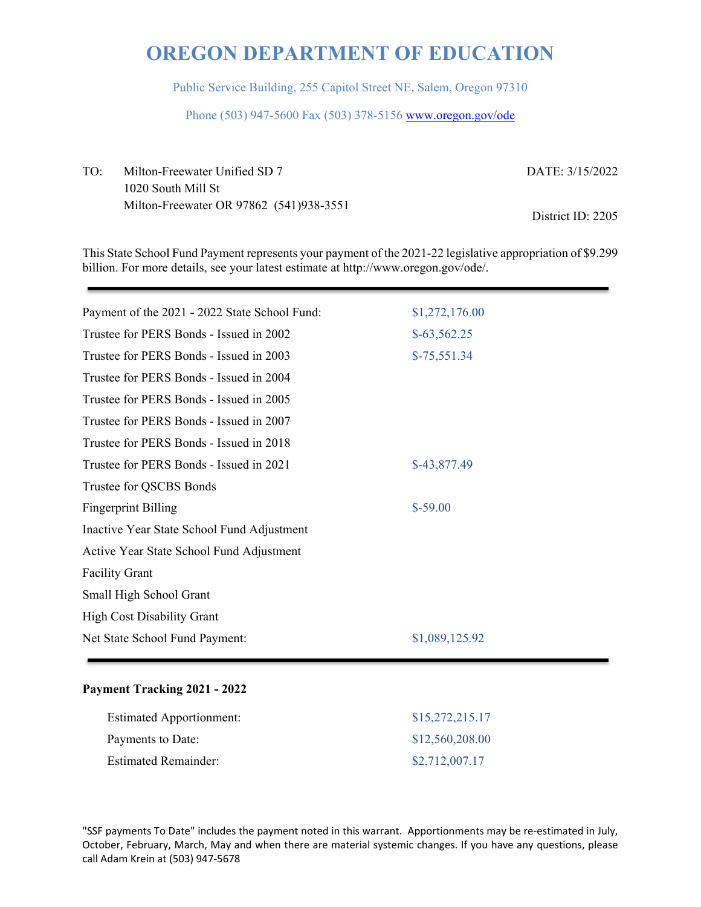Public Service Building, 255 Capitol Street NE, Salem, Oregon 97310

Phone (503) 947-5600 Fax (503) 378-5156 www.oregon.gov/ode

TO: Milton-Freewater Unified SD 7 1020 South Mill St Milton-Freewater OR 97862 (541)938-3551 DATE: 3/15/2022 District ID: 2205

This State School Fund Payment represents your payment of the 2021-22 legislative appropriation of \$9.299 billion. For more details, see your latest estimate at http://www.oregon.gov/ode/.

| \$1,272,176.00 |
|----------------|
| $$-63,562.25$  |
| $$-75,551.34$  |
|                |
|                |
|                |
|                |
| \$-43,877.49   |
|                |
| $$-59.00$      |
|                |
|                |
|                |
|                |
|                |
| \$1,089,125.92 |
|                |

#### **Payment Tracking 2021 - 2022**

| <b>Estimated Apportionment:</b> | \$15,272,215.17 |
|---------------------------------|-----------------|
| Payments to Date:               | \$12,560,208.00 |
| <b>Estimated Remainder:</b>     | \$2,712,007.17  |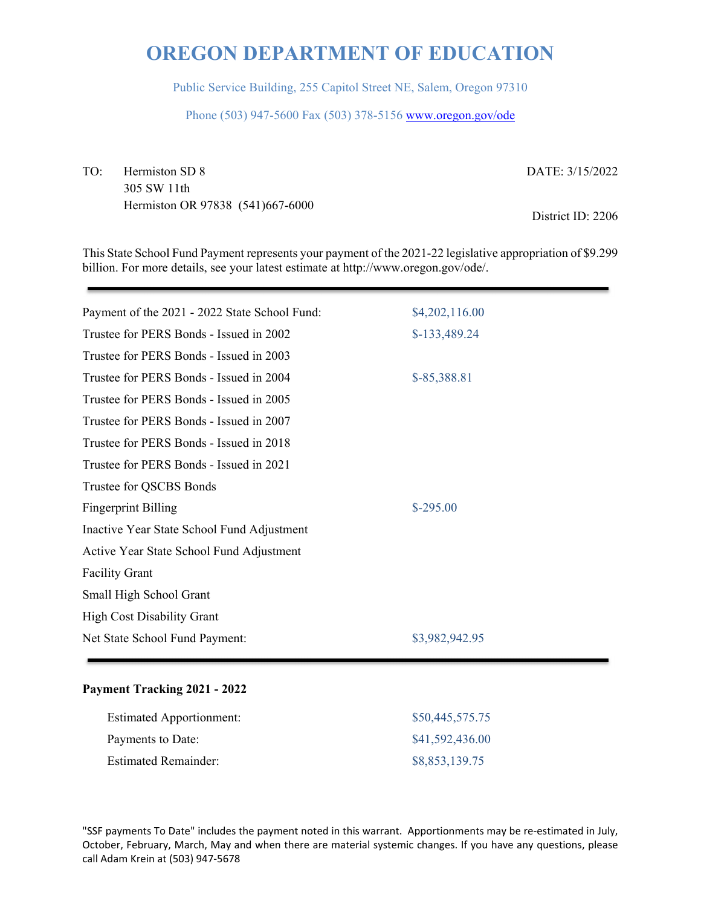Public Service Building, 255 Capitol Street NE, Salem, Oregon 97310

Phone (503) 947-5600 Fax (503) 378-5156 www.oregon.gov/ode

TO: Hermiston SD 8 305 SW 11th Hermiston OR 97838 (541)667-6000 DATE: 3/15/2022

District ID: 2206

This State School Fund Payment represents your payment of the 2021-22 legislative appropriation of \$9.299 billion. For more details, see your latest estimate at http://www.oregon.gov/ode/.

| \$4,202,116.00 |
|----------------|
| \$-133,489.24  |
|                |
| \$-85,388.81   |
|                |
|                |
|                |
|                |
|                |
| $$-295.00$     |
|                |
|                |
|                |
|                |
|                |
| \$3,982,942.95 |
|                |

#### **Payment Tracking 2021 - 2022**

| <b>Estimated Apportionment:</b> | \$50,445,575.75 |
|---------------------------------|-----------------|
| Payments to Date:               | \$41,592,436.00 |
| <b>Estimated Remainder:</b>     | \$8,853,139.75  |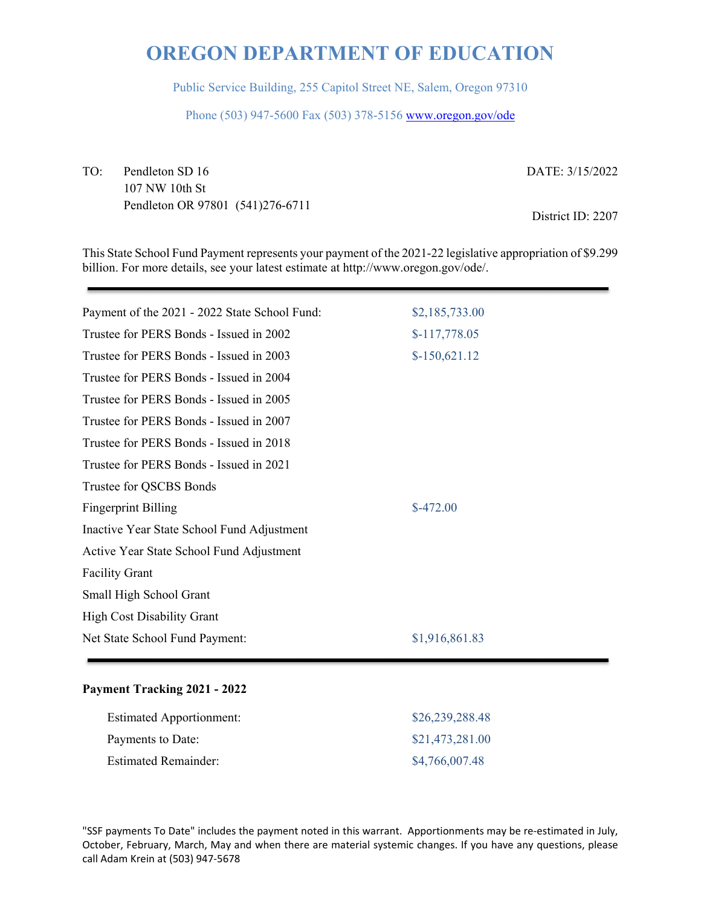Public Service Building, 255 Capitol Street NE, Salem, Oregon 97310

Phone (503) 947-5600 Fax (503) 378-5156 www.oregon.gov/ode

TO: Pendleton SD 16 107 NW 10th St Pendleton OR 97801 (541)276-6711 DATE: 3/15/2022

District ID: 2207

This State School Fund Payment represents your payment of the 2021-22 legislative appropriation of \$9.299 billion. For more details, see your latest estimate at http://www.oregon.gov/ode/.

| Payment of the 2021 - 2022 State School Fund: | \$2,185,733.00 |
|-----------------------------------------------|----------------|
| Trustee for PERS Bonds - Issued in 2002       | $$-117,778.05$ |
| Trustee for PERS Bonds - Issued in 2003       | $$-150,621.12$ |
| Trustee for PERS Bonds - Issued in 2004       |                |
| Trustee for PERS Bonds - Issued in 2005       |                |
| Trustee for PERS Bonds - Issued in 2007       |                |
| Trustee for PERS Bonds - Issued in 2018       |                |
| Trustee for PERS Bonds - Issued in 2021       |                |
| Trustee for QSCBS Bonds                       |                |
| <b>Fingerprint Billing</b>                    | $$-472.00$     |
| Inactive Year State School Fund Adjustment    |                |
| Active Year State School Fund Adjustment      |                |
| <b>Facility Grant</b>                         |                |
| Small High School Grant                       |                |
| <b>High Cost Disability Grant</b>             |                |
| Net State School Fund Payment:                | \$1,916,861.83 |
|                                               |                |

#### **Payment Tracking 2021 - 2022**

| <b>Estimated Apportionment:</b> | \$26,239,288.48 |
|---------------------------------|-----------------|
| Payments to Date:               | \$21,473,281.00 |
| <b>Estimated Remainder:</b>     | \$4,766,007.48  |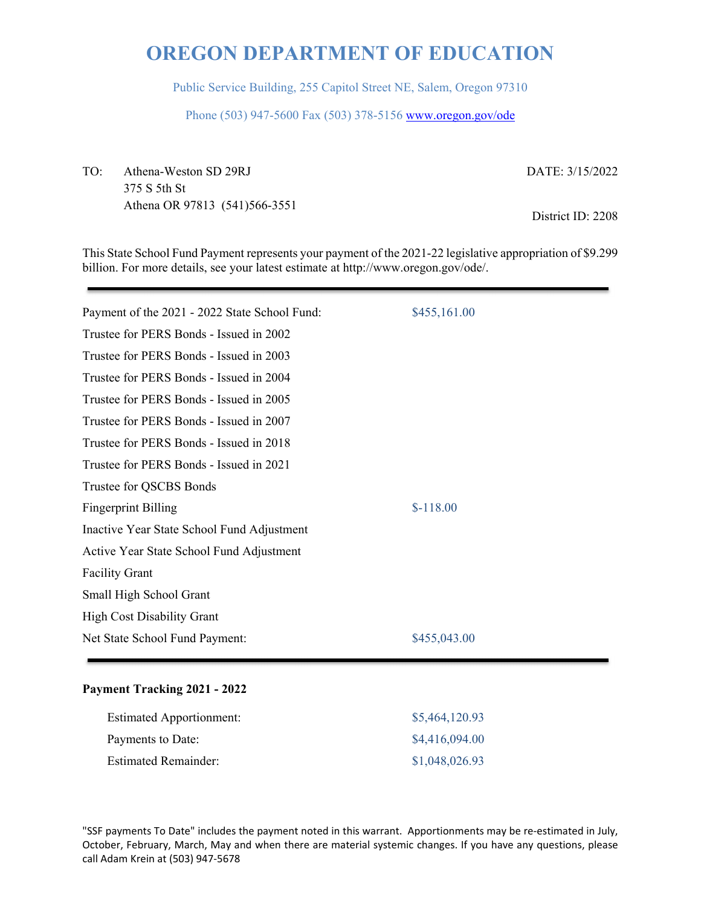Public Service Building, 255 Capitol Street NE, Salem, Oregon 97310

Phone (503) 947-5600 Fax (503) 378-5156 www.oregon.gov/ode

TO: Athena-Weston SD 29RJ 375 S 5th St Athena OR 97813 (541)566-3551 DATE: 3/15/2022

District ID: 2208

This State School Fund Payment represents your payment of the 2021-22 legislative appropriation of \$9.299 billion. For more details, see your latest estimate at http://www.oregon.gov/ode/.

| Payment of the 2021 - 2022 State School Fund: | \$455,161.00 |
|-----------------------------------------------|--------------|
| Trustee for PERS Bonds - Issued in 2002       |              |
| Trustee for PERS Bonds - Issued in 2003       |              |
| Trustee for PERS Bonds - Issued in 2004       |              |
| Trustee for PERS Bonds - Issued in 2005       |              |
| Trustee for PERS Bonds - Issued in 2007       |              |
| Trustee for PERS Bonds - Issued in 2018       |              |
| Trustee for PERS Bonds - Issued in 2021       |              |
| Trustee for QSCBS Bonds                       |              |
| <b>Fingerprint Billing</b>                    | $$-118.00$   |
| Inactive Year State School Fund Adjustment    |              |
| Active Year State School Fund Adjustment      |              |
| <b>Facility Grant</b>                         |              |
| Small High School Grant                       |              |
| <b>High Cost Disability Grant</b>             |              |
| Net State School Fund Payment:                | \$455,043.00 |
|                                               |              |

#### **Payment Tracking 2021 - 2022**

| <b>Estimated Apportionment:</b> | \$5,464,120.93 |
|---------------------------------|----------------|
| Payments to Date:               | \$4,416,094.00 |
| <b>Estimated Remainder:</b>     | \$1,048,026.93 |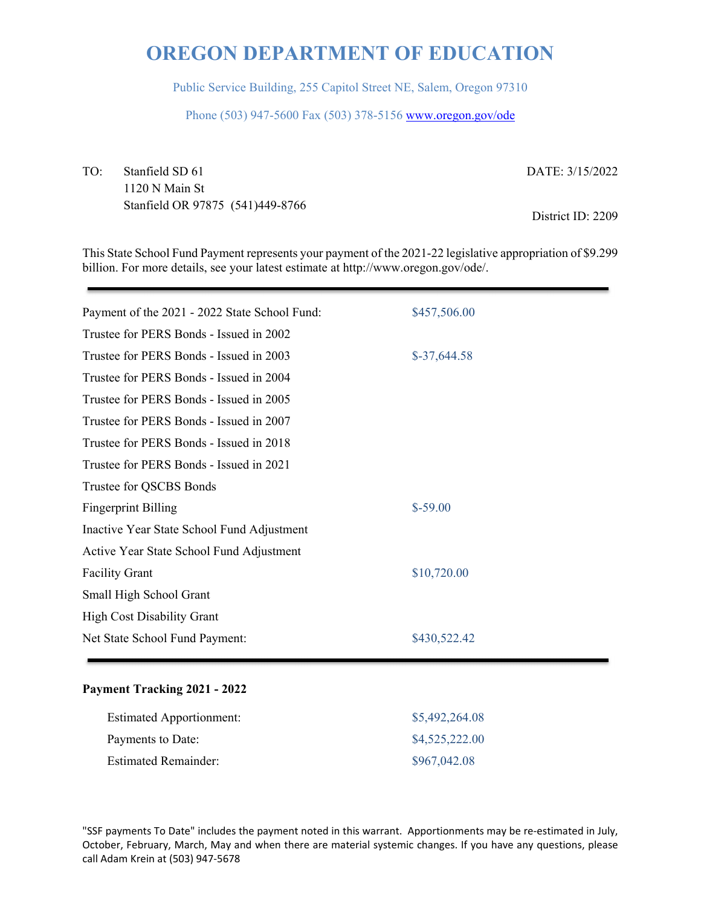Public Service Building, 255 Capitol Street NE, Salem, Oregon 97310

Phone (503) 947-5600 Fax (503) 378-5156 www.oregon.gov/ode

TO: Stanfield SD 61 1120 N Main St Stanfield OR 97875 (541)449-8766 DATE: 3/15/2022 District ID: 2209

This State School Fund Payment represents your payment of the 2021-22 legislative appropriation of \$9.299 billion. For more details, see your latest estimate at http://www.oregon.gov/ode/.

| Payment of the 2021 - 2022 State School Fund: | \$457,506.00  |
|-----------------------------------------------|---------------|
| Trustee for PERS Bonds - Issued in 2002       |               |
| Trustee for PERS Bonds - Issued in 2003       | $$-37,644.58$ |
| Trustee for PERS Bonds - Issued in 2004       |               |
| Trustee for PERS Bonds - Issued in 2005       |               |
| Trustee for PERS Bonds - Issued in 2007       |               |
| Trustee for PERS Bonds - Issued in 2018       |               |
| Trustee for PERS Bonds - Issued in 2021       |               |
| Trustee for QSCBS Bonds                       |               |
| <b>Fingerprint Billing</b>                    | $$-59.00$     |
| Inactive Year State School Fund Adjustment    |               |
| Active Year State School Fund Adjustment      |               |
| <b>Facility Grant</b>                         | \$10,720.00   |
| Small High School Grant                       |               |
| <b>High Cost Disability Grant</b>             |               |
| Net State School Fund Payment:                | \$430,522.42  |
|                                               |               |

#### **Payment Tracking 2021 - 2022**

| <b>Estimated Apportionment:</b> | \$5,492,264.08 |
|---------------------------------|----------------|
| Payments to Date:               | \$4,525,222.00 |
| <b>Estimated Remainder:</b>     | \$967,042.08   |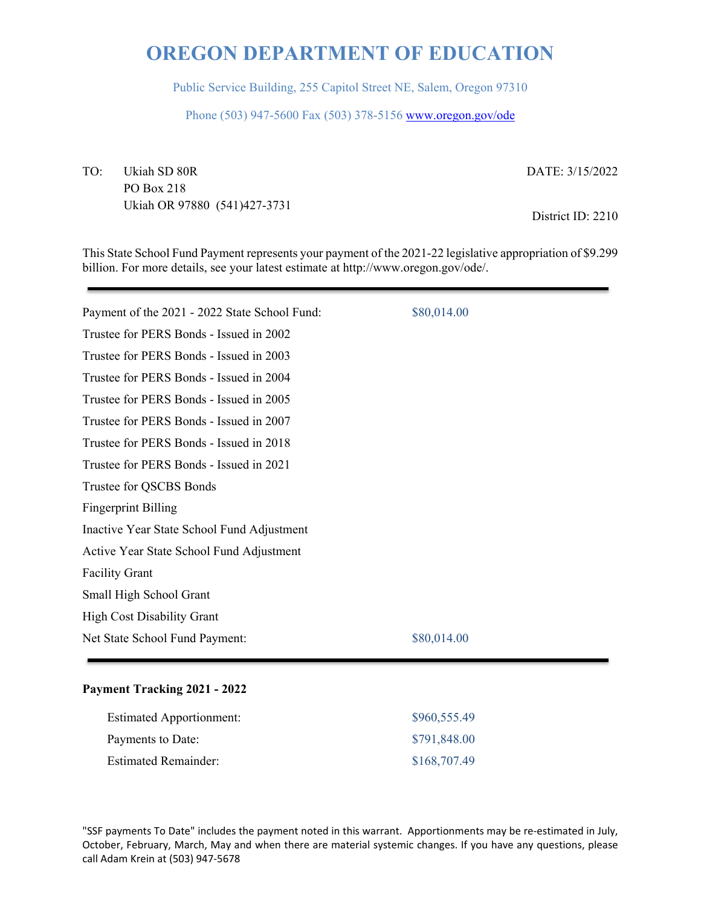Public Service Building, 255 Capitol Street NE, Salem, Oregon 97310

Phone (503) 947-5600 Fax (503) 378-5156 www.oregon.gov/ode

TO: Ukiah SD 80R PO Box 218 Ukiah OR 97880 (541)427-3731 DATE: 3/15/2022

District ID: 2210

This State School Fund Payment represents your payment of the 2021-22 legislative appropriation of \$9.299 billion. For more details, see your latest estimate at http://www.oregon.gov/ode/.

| Payment of the 2021 - 2022 State School Fund: | \$80,014.00 |
|-----------------------------------------------|-------------|
| Trustee for PERS Bonds - Issued in 2002       |             |
| Trustee for PERS Bonds - Issued in 2003       |             |
| Trustee for PERS Bonds - Issued in 2004       |             |
| Trustee for PERS Bonds - Issued in 2005       |             |
| Trustee for PERS Bonds - Issued in 2007       |             |
| Trustee for PERS Bonds - Issued in 2018       |             |
| Trustee for PERS Bonds - Issued in 2021       |             |
| Trustee for QSCBS Bonds                       |             |
| <b>Fingerprint Billing</b>                    |             |
| Inactive Year State School Fund Adjustment    |             |
| Active Year State School Fund Adjustment      |             |
| <b>Facility Grant</b>                         |             |
| Small High School Grant                       |             |
| <b>High Cost Disability Grant</b>             |             |
| Net State School Fund Payment:                | \$80,014.00 |
|                                               |             |

#### **Payment Tracking 2021 - 2022**

| <b>Estimated Apportionment:</b> | \$960,555.49 |
|---------------------------------|--------------|
| Payments to Date:               | \$791,848.00 |
| <b>Estimated Remainder:</b>     | \$168,707.49 |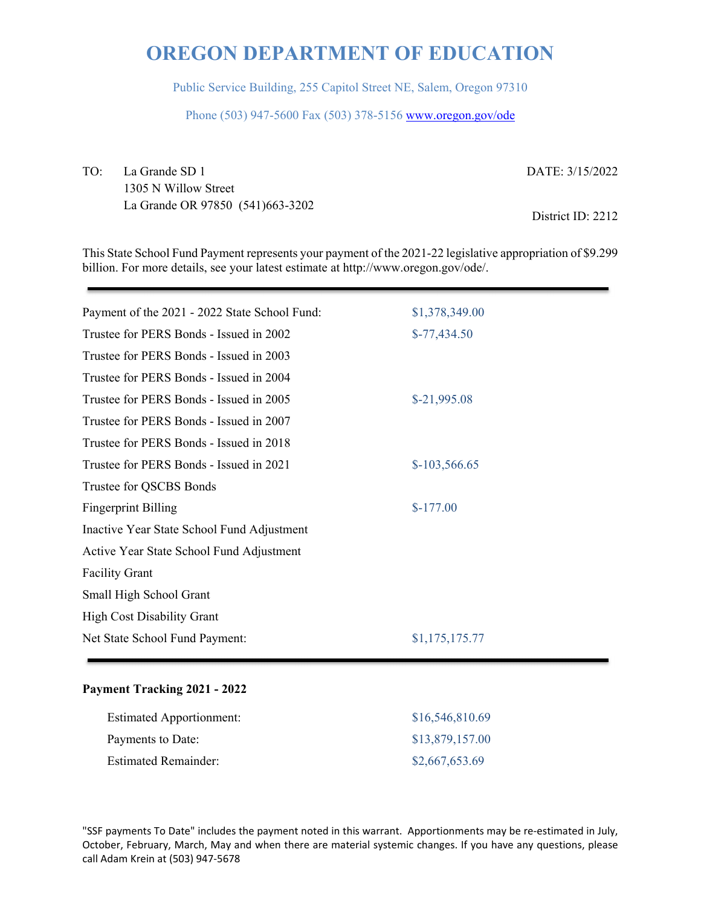Public Service Building, 255 Capitol Street NE, Salem, Oregon 97310

Phone (503) 947-5600 Fax (503) 378-5156 www.oregon.gov/ode

TO: La Grande SD 1 1305 N Willow Street La Grande OR 97850 (541)663-3202 DATE: 3/15/2022

District ID: 2212

This State School Fund Payment represents your payment of the 2021-22 legislative appropriation of \$9.299 billion. For more details, see your latest estimate at http://www.oregon.gov/ode/.

| Payment of the 2021 - 2022 State School Fund: | \$1,378,349.00 |
|-----------------------------------------------|----------------|
| Trustee for PERS Bonds - Issued in 2002       | $$-77,434.50$  |
| Trustee for PERS Bonds - Issued in 2003       |                |
| Trustee for PERS Bonds - Issued in 2004       |                |
| Trustee for PERS Bonds - Issued in 2005       | $$-21,995.08$  |
| Trustee for PERS Bonds - Issued in 2007       |                |
| Trustee for PERS Bonds - Issued in 2018       |                |
| Trustee for PERS Bonds - Issued in 2021       | $$-103,566.65$ |
| Trustee for QSCBS Bonds                       |                |
| <b>Fingerprint Billing</b>                    | $$-177.00$     |
| Inactive Year State School Fund Adjustment    |                |
| Active Year State School Fund Adjustment      |                |
| <b>Facility Grant</b>                         |                |
| Small High School Grant                       |                |
| <b>High Cost Disability Grant</b>             |                |
| Net State School Fund Payment:                | \$1,175,175.77 |
|                                               |                |

#### **Payment Tracking 2021 - 2022**

| <b>Estimated Apportionment:</b> | \$16,546,810.69 |
|---------------------------------|-----------------|
| Payments to Date:               | \$13,879,157.00 |
| <b>Estimated Remainder:</b>     | \$2,667,653.69  |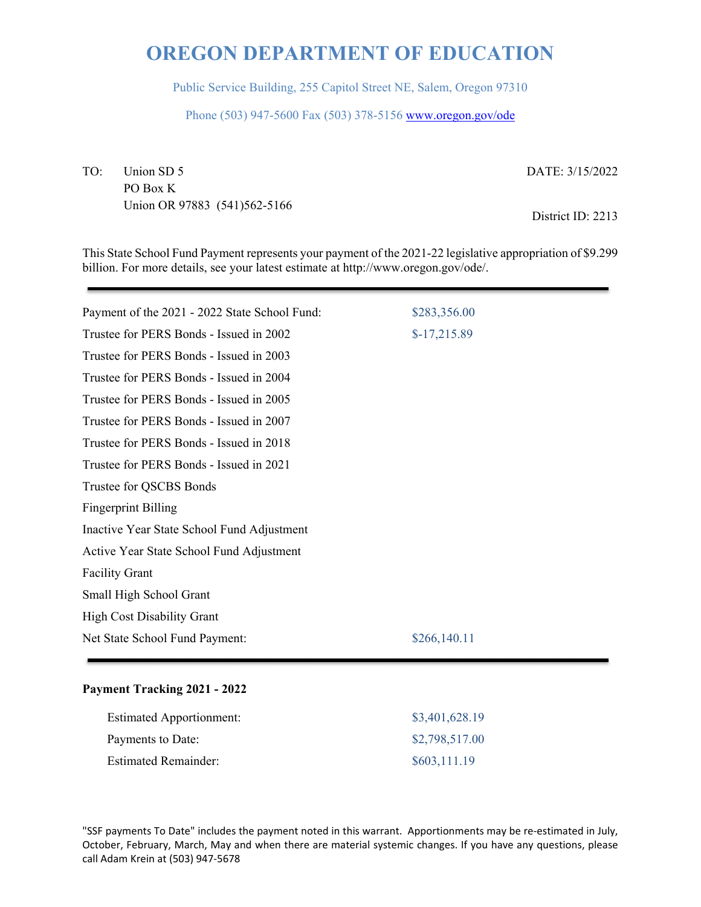Public Service Building, 255 Capitol Street NE, Salem, Oregon 97310

Phone (503) 947-5600 Fax (503) 378-5156 www.oregon.gov/ode

TO: Union SD 5 PO Box K Union OR 97883 (541)562-5166 DATE: 3/15/2022

District ID: 2213

This State School Fund Payment represents your payment of the 2021-22 legislative appropriation of \$9.299 billion. For more details, see your latest estimate at http://www.oregon.gov/ode/.

| Payment of the 2021 - 2022 State School Fund: | \$283,356.00  |
|-----------------------------------------------|---------------|
|                                               |               |
| Trustee for PERS Bonds - Issued in 2002       | $$-17,215.89$ |
| Trustee for PERS Bonds - Issued in 2003       |               |
| Trustee for PERS Bonds - Issued in 2004       |               |
| Trustee for PERS Bonds - Issued in 2005       |               |
| Trustee for PERS Bonds - Issued in 2007       |               |
| Trustee for PERS Bonds - Issued in 2018       |               |
| Trustee for PERS Bonds - Issued in 2021       |               |
| Trustee for QSCBS Bonds                       |               |
| <b>Fingerprint Billing</b>                    |               |
| Inactive Year State School Fund Adjustment    |               |
| Active Year State School Fund Adjustment      |               |
| <b>Facility Grant</b>                         |               |
| Small High School Grant                       |               |
| <b>High Cost Disability Grant</b>             |               |
| Net State School Fund Payment:                | \$266,140.11  |
|                                               |               |

#### **Payment Tracking 2021 - 2022**

| <b>Estimated Apportionment:</b> | \$3,401,628.19 |
|---------------------------------|----------------|
| Payments to Date:               | \$2,798,517.00 |
| <b>Estimated Remainder:</b>     | \$603,111.19   |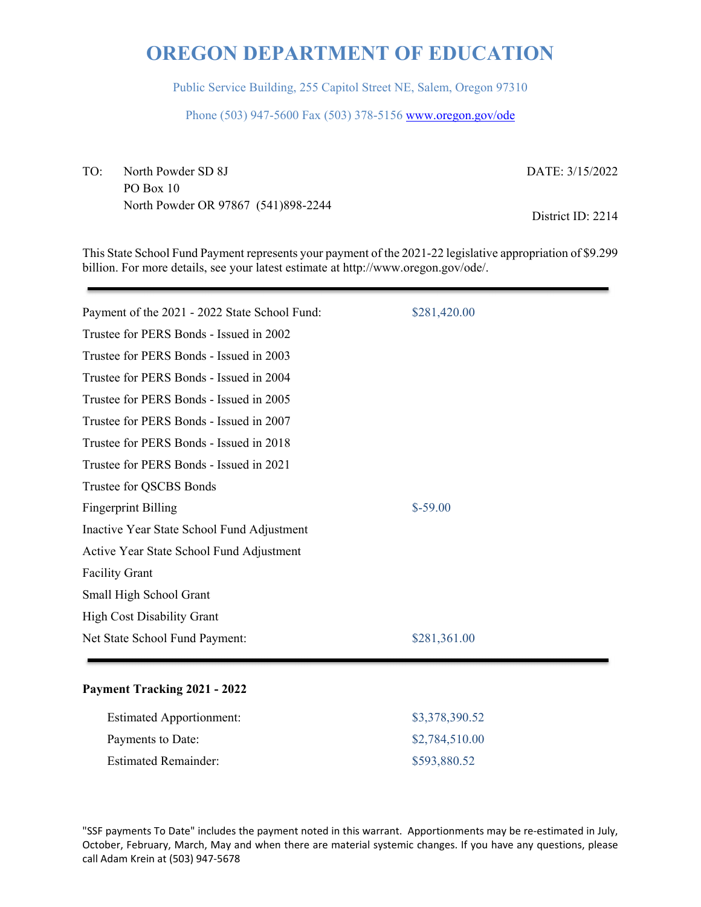Public Service Building, 255 Capitol Street NE, Salem, Oregon 97310

Phone (503) 947-5600 Fax (503) 378-5156 www.oregon.gov/ode

TO: North Powder SD 8J PO Box 10 North Powder OR 97867 (541)898-2244 DATE: 3/15/2022

District ID: 2214

This State School Fund Payment represents your payment of the 2021-22 legislative appropriation of \$9.299 billion. For more details, see your latest estimate at http://www.oregon.gov/ode/.

| Payment of the 2021 - 2022 State School Fund: | \$281,420.00 |
|-----------------------------------------------|--------------|
| Trustee for PERS Bonds - Issued in 2002       |              |
| Trustee for PERS Bonds - Issued in 2003       |              |
| Trustee for PERS Bonds - Issued in 2004       |              |
| Trustee for PERS Bonds - Issued in 2005       |              |
| Trustee for PERS Bonds - Issued in 2007       |              |
| Trustee for PERS Bonds - Issued in 2018       |              |
| Trustee for PERS Bonds - Issued in 2021       |              |
| Trustee for QSCBS Bonds                       |              |
| <b>Fingerprint Billing</b>                    | $$-59.00$    |
| Inactive Year State School Fund Adjustment    |              |
| Active Year State School Fund Adjustment      |              |
| <b>Facility Grant</b>                         |              |
| Small High School Grant                       |              |
| <b>High Cost Disability Grant</b>             |              |
| Net State School Fund Payment:                | \$281,361.00 |
|                                               |              |

#### **Payment Tracking 2021 - 2022**

| <b>Estimated Apportionment:</b> | \$3,378,390.52 |
|---------------------------------|----------------|
| Payments to Date:               | \$2,784,510.00 |
| <b>Estimated Remainder:</b>     | \$593,880.52   |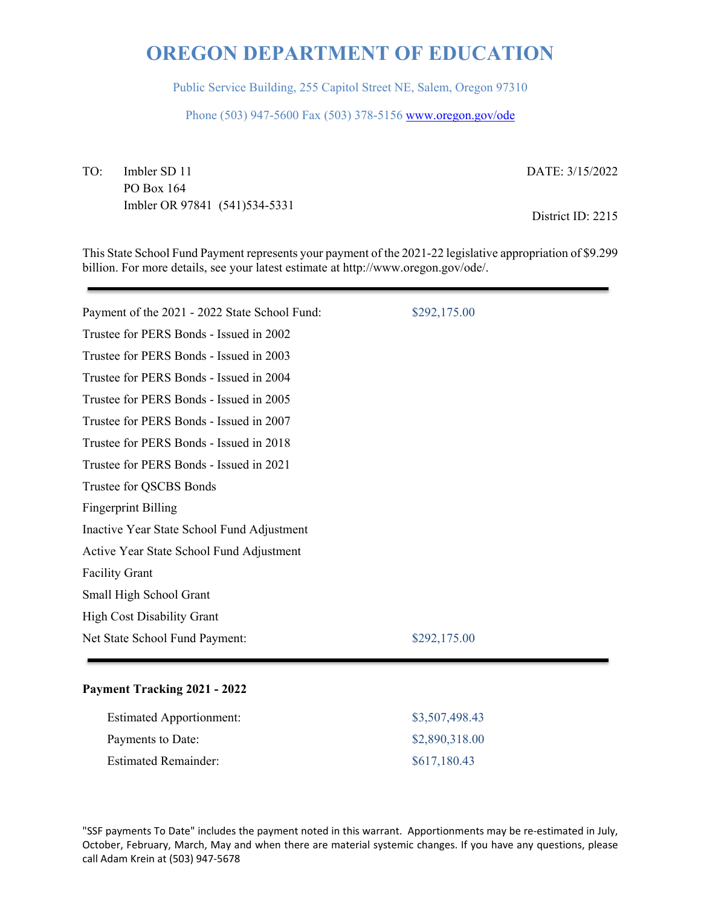Public Service Building, 255 Capitol Street NE, Salem, Oregon 97310

Phone (503) 947-5600 Fax (503) 378-5156 www.oregon.gov/ode

TO: Imbler SD 11 PO Box 164 Imbler OR 97841 (541)534-5331 DATE: 3/15/2022

District ID: 2215

This State School Fund Payment represents your payment of the 2021-22 legislative appropriation of \$9.299 billion. For more details, see your latest estimate at http://www.oregon.gov/ode/.

| Payment of the 2021 - 2022 State School Fund: | \$292,175.00 |
|-----------------------------------------------|--------------|
| Trustee for PERS Bonds - Issued in 2002       |              |
| Trustee for PERS Bonds - Issued in 2003       |              |
| Trustee for PERS Bonds - Issued in 2004       |              |
| Trustee for PERS Bonds - Issued in 2005       |              |
| Trustee for PERS Bonds - Issued in 2007       |              |
| Trustee for PERS Bonds - Issued in 2018       |              |
| Trustee for PERS Bonds - Issued in 2021       |              |
| Trustee for QSCBS Bonds                       |              |
| <b>Fingerprint Billing</b>                    |              |
| Inactive Year State School Fund Adjustment    |              |
| Active Year State School Fund Adjustment      |              |
| <b>Facility Grant</b>                         |              |
| Small High School Grant                       |              |
| <b>High Cost Disability Grant</b>             |              |
| Net State School Fund Payment:                | \$292,175.00 |
|                                               |              |

#### **Payment Tracking 2021 - 2022**

| <b>Estimated Apportionment:</b> | \$3,507,498.43 |
|---------------------------------|----------------|
| Payments to Date:               | \$2,890,318.00 |
| <b>Estimated Remainder:</b>     | \$617,180.43   |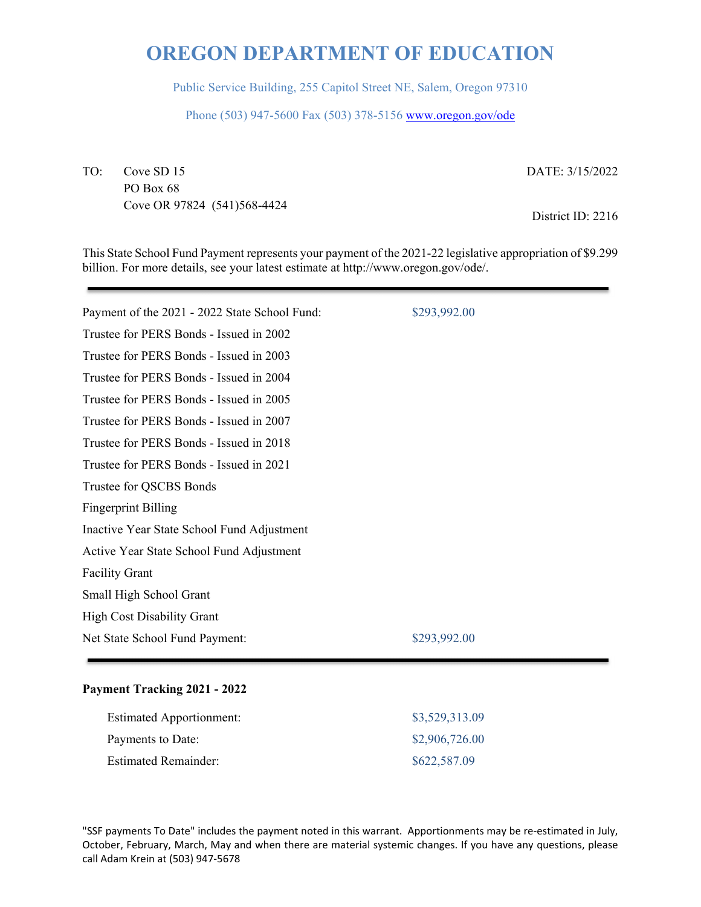Public Service Building, 255 Capitol Street NE, Salem, Oregon 97310

Phone (503) 947-5600 Fax (503) 378-5156 www.oregon.gov/ode

TO: Cove SD 15 PO Box 68 Cove OR 97824 (541)568-4424 DATE: 3/15/2022

District ID: 2216

This State School Fund Payment represents your payment of the 2021-22 legislative appropriation of \$9.299 billion. For more details, see your latest estimate at http://www.oregon.gov/ode/.

| Payment of the 2021 - 2022 State School Fund: | \$293,992.00 |
|-----------------------------------------------|--------------|
| Trustee for PERS Bonds - Issued in 2002       |              |
| Trustee for PERS Bonds - Issued in 2003       |              |
| Trustee for PERS Bonds - Issued in 2004       |              |
| Trustee for PERS Bonds - Issued in 2005       |              |
| Trustee for PERS Bonds - Issued in 2007       |              |
| Trustee for PERS Bonds - Issued in 2018       |              |
| Trustee for PERS Bonds - Issued in 2021       |              |
| Trustee for QSCBS Bonds                       |              |
| <b>Fingerprint Billing</b>                    |              |
| Inactive Year State School Fund Adjustment    |              |
| Active Year State School Fund Adjustment      |              |
| <b>Facility Grant</b>                         |              |
| Small High School Grant                       |              |
| <b>High Cost Disability Grant</b>             |              |
| Net State School Fund Payment:                | \$293,992.00 |
|                                               |              |

#### **Payment Tracking 2021 - 2022**

| <b>Estimated Apportionment:</b> | \$3,529,313.09 |
|---------------------------------|----------------|
| Payments to Date:               | \$2,906,726.00 |
| <b>Estimated Remainder:</b>     | \$622,587.09   |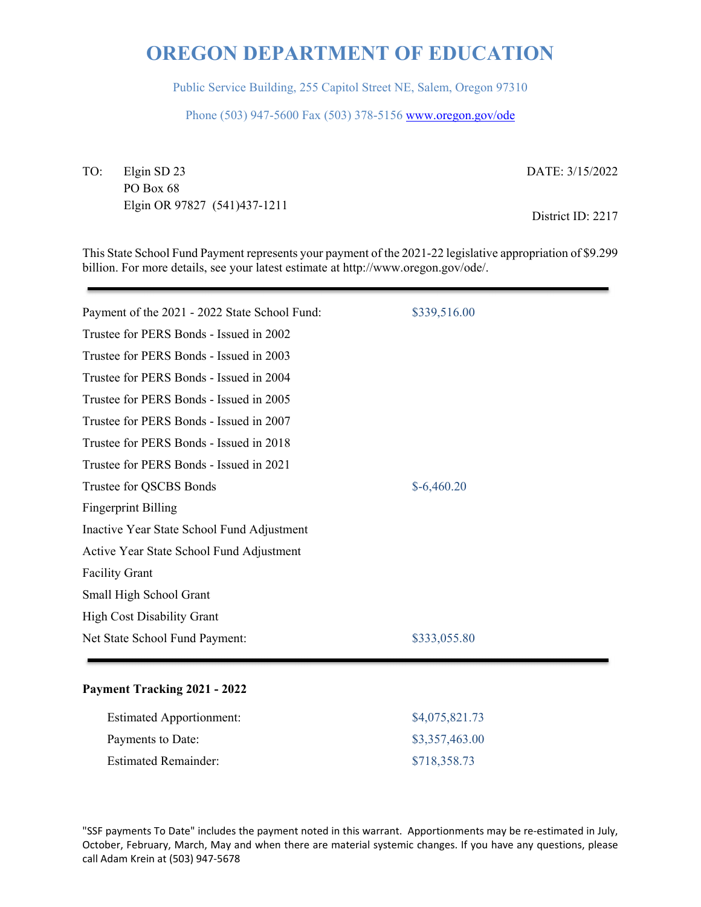Public Service Building, 255 Capitol Street NE, Salem, Oregon 97310

Phone (503) 947-5600 Fax (503) 378-5156 www.oregon.gov/ode

TO: Elgin SD 23 PO Box 68 Elgin OR 97827 (541)437-1211 DATE: 3/15/2022

District ID: 2217

This State School Fund Payment represents your payment of the 2021-22 legislative appropriation of \$9.299 billion. For more details, see your latest estimate at http://www.oregon.gov/ode/.

| Payment of the 2021 - 2022 State School Fund: | \$339,516.00 |
|-----------------------------------------------|--------------|
| Trustee for PERS Bonds - Issued in 2002       |              |
| Trustee for PERS Bonds - Issued in 2003       |              |
| Trustee for PERS Bonds - Issued in 2004       |              |
| Trustee for PERS Bonds - Issued in 2005       |              |
| Trustee for PERS Bonds - Issued in 2007       |              |
| Trustee for PERS Bonds - Issued in 2018       |              |
| Trustee for PERS Bonds - Issued in 2021       |              |
| Trustee for QSCBS Bonds                       | $$-6,460.20$ |
| <b>Fingerprint Billing</b>                    |              |
| Inactive Year State School Fund Adjustment    |              |
| Active Year State School Fund Adjustment      |              |
| <b>Facility Grant</b>                         |              |
| Small High School Grant                       |              |
| <b>High Cost Disability Grant</b>             |              |
| Net State School Fund Payment:                | \$333,055.80 |
|                                               |              |

#### **Payment Tracking 2021 - 2022**

| <b>Estimated Apportionment:</b> | \$4,075,821.73 |
|---------------------------------|----------------|
| Payments to Date:               | \$3,357,463.00 |
| <b>Estimated Remainder:</b>     | \$718,358.73   |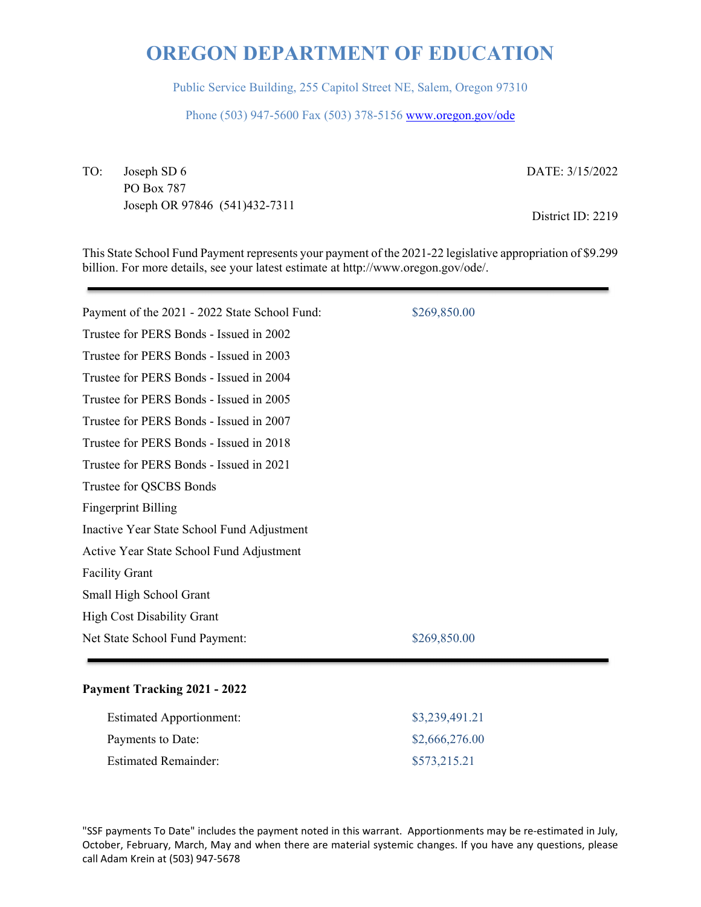Public Service Building, 255 Capitol Street NE, Salem, Oregon 97310

Phone (503) 947-5600 Fax (503) 378-5156 www.oregon.gov/ode

TO: Joseph SD 6 PO Box 787 Joseph OR 97846 (541)432-7311 DATE: 3/15/2022

District ID: 2219

This State School Fund Payment represents your payment of the 2021-22 legislative appropriation of \$9.299 billion. For more details, see your latest estimate at http://www.oregon.gov/ode/.

| Payment of the 2021 - 2022 State School Fund: | \$269,850.00 |
|-----------------------------------------------|--------------|
| Trustee for PERS Bonds - Issued in 2002       |              |
| Trustee for PERS Bonds - Issued in 2003       |              |
| Trustee for PERS Bonds - Issued in 2004       |              |
| Trustee for PERS Bonds - Issued in 2005       |              |
| Trustee for PERS Bonds - Issued in 2007       |              |
| Trustee for PERS Bonds - Issued in 2018       |              |
| Trustee for PERS Bonds - Issued in 2021       |              |
| Trustee for QSCBS Bonds                       |              |
| <b>Fingerprint Billing</b>                    |              |
| Inactive Year State School Fund Adjustment    |              |
| Active Year State School Fund Adjustment      |              |
| <b>Facility Grant</b>                         |              |
| Small High School Grant                       |              |
| <b>High Cost Disability Grant</b>             |              |
| Net State School Fund Payment:                | \$269,850.00 |
|                                               |              |

#### **Payment Tracking 2021 - 2022**

| <b>Estimated Apportionment:</b> | \$3,239,491.21 |
|---------------------------------|----------------|
| Payments to Date:               | \$2,666,276.00 |
| Estimated Remainder:            | \$573,215.21   |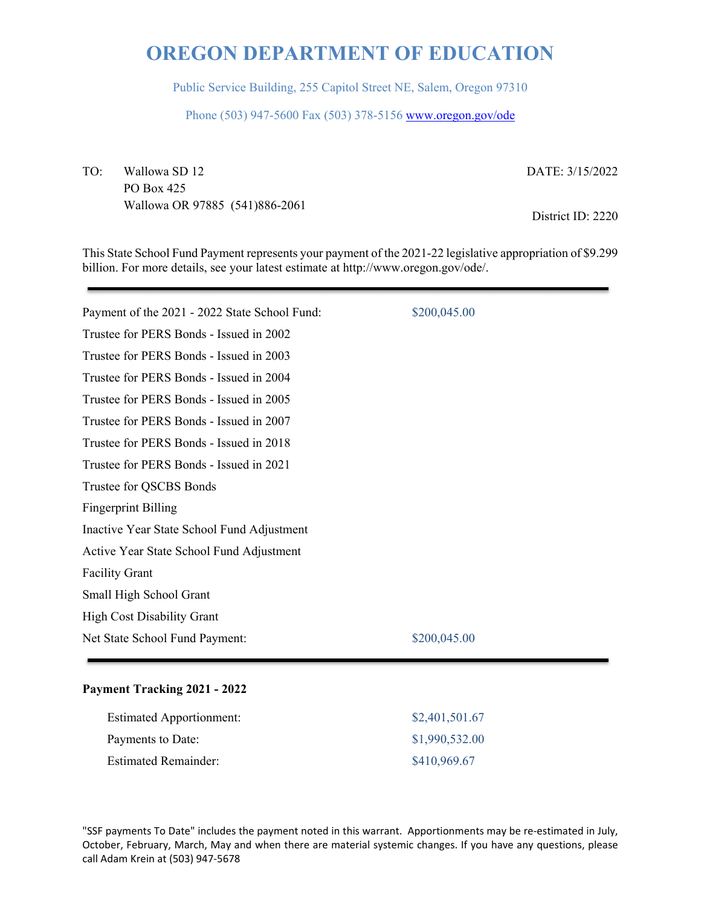Public Service Building, 255 Capitol Street NE, Salem, Oregon 97310

Phone (503) 947-5600 Fax (503) 378-5156 www.oregon.gov/ode

TO: Wallowa SD 12 PO Box 425 Wallowa OR 97885 (541)886-2061 DATE: 3/15/2022

District ID: 2220

This State School Fund Payment represents your payment of the 2021-22 legislative appropriation of \$9.299 billion. For more details, see your latest estimate at http://www.oregon.gov/ode/.

| Payment of the 2021 - 2022 State School Fund: | \$200,045.00 |
|-----------------------------------------------|--------------|
| Trustee for PERS Bonds - Issued in 2002       |              |
| Trustee for PERS Bonds - Issued in 2003       |              |
| Trustee for PERS Bonds - Issued in 2004       |              |
| Trustee for PERS Bonds - Issued in 2005       |              |
| Trustee for PERS Bonds - Issued in 2007       |              |
| Trustee for PERS Bonds - Issued in 2018       |              |
| Trustee for PERS Bonds - Issued in 2021       |              |
| Trustee for QSCBS Bonds                       |              |
| <b>Fingerprint Billing</b>                    |              |
| Inactive Year State School Fund Adjustment    |              |
| Active Year State School Fund Adjustment      |              |
| <b>Facility Grant</b>                         |              |
| Small High School Grant                       |              |
| <b>High Cost Disability Grant</b>             |              |
| Net State School Fund Payment:                | \$200,045.00 |
|                                               |              |

#### **Payment Tracking 2021 - 2022**

| <b>Estimated Apportionment:</b> | \$2,401,501.67 |
|---------------------------------|----------------|
| Payments to Date:               | \$1,990,532.00 |
| <b>Estimated Remainder:</b>     | \$410,969.67   |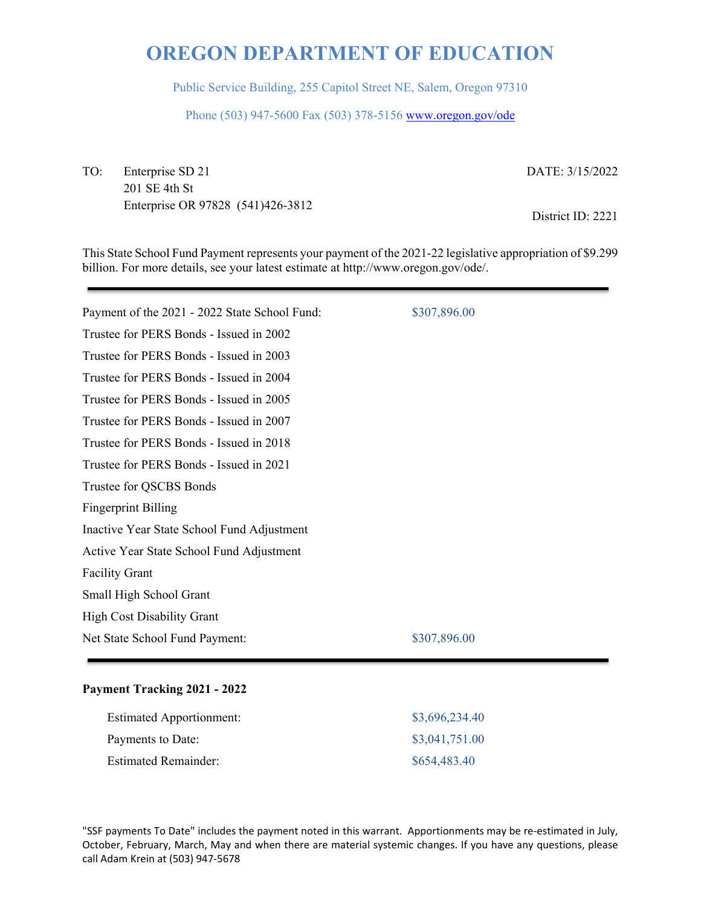Public Service Building, 255 Capitol Street NE, Salem, Oregon 97310

Phone (503) 947-5600 Fax (503) 378-5156 www.oregon.gov/ode

TO: Enterprise SD 21 201 SE 4th St Enterprise OR 97828 (541)426-3812 DATE: 3/15/2022

District ID: 2221

This State School Fund Payment represents your payment of the 2021-22 legislative appropriation of \$9.299 billion. For more details, see your latest estimate at http://www.oregon.gov/ode/.

| Payment of the 2021 - 2022 State School Fund: | \$307,896.00 |
|-----------------------------------------------|--------------|
| Trustee for PERS Bonds - Issued in 2002       |              |
| Trustee for PERS Bonds - Issued in 2003       |              |
| Trustee for PERS Bonds - Issued in 2004       |              |
| Trustee for PERS Bonds - Issued in 2005       |              |
| Trustee for PERS Bonds - Issued in 2007       |              |
| Trustee for PERS Bonds - Issued in 2018       |              |
| Trustee for PERS Bonds - Issued in 2021       |              |
| Trustee for QSCBS Bonds                       |              |
| <b>Fingerprint Billing</b>                    |              |
| Inactive Year State School Fund Adjustment    |              |
| Active Year State School Fund Adjustment      |              |
| <b>Facility Grant</b>                         |              |
| Small High School Grant                       |              |
| <b>High Cost Disability Grant</b>             |              |
| Net State School Fund Payment:                | \$307,896.00 |
|                                               |              |

#### **Payment Tracking 2021 - 2022**

| <b>Estimated Apportionment:</b> | \$3,696,234.40 |
|---------------------------------|----------------|
| Payments to Date:               | \$3,041,751.00 |
| <b>Estimated Remainder:</b>     | \$654,483.40   |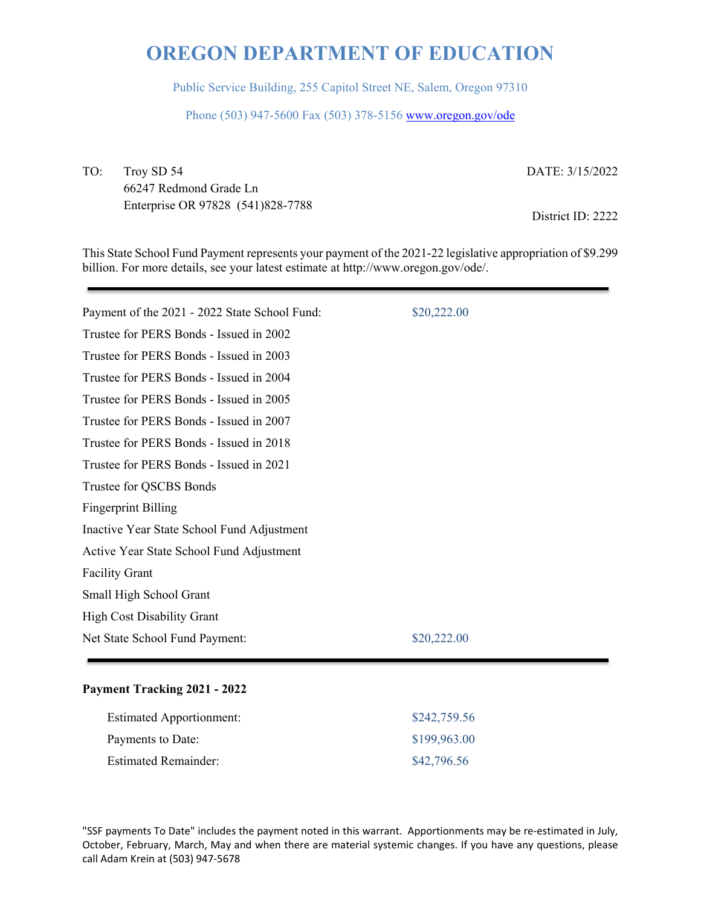Public Service Building, 255 Capitol Street NE, Salem, Oregon 97310

Phone (503) 947-5600 Fax (503) 378-5156 www.oregon.gov/ode

TO: Troy SD 54 66247 Redmond Grade Ln Enterprise OR 97828 (541)828-7788

DATE: 3/15/2022

District ID: 2222

This State School Fund Payment represents your payment of the 2021-22 legislative appropriation of \$9.299 billion. For more details, see your latest estimate at http://www.oregon.gov/ode/.

| Payment of the 2021 - 2022 State School Fund: | \$20,222.00 |
|-----------------------------------------------|-------------|
| Trustee for PERS Bonds - Issued in 2002       |             |
| Trustee for PERS Bonds - Issued in 2003       |             |
| Trustee for PERS Bonds - Issued in 2004       |             |
| Trustee for PERS Bonds - Issued in 2005       |             |
| Trustee for PERS Bonds - Issued in 2007       |             |
| Trustee for PERS Bonds - Issued in 2018       |             |
| Trustee for PERS Bonds - Issued in 2021       |             |
| Trustee for QSCBS Bonds                       |             |
| <b>Fingerprint Billing</b>                    |             |
| Inactive Year State School Fund Adjustment    |             |
| Active Year State School Fund Adjustment      |             |
| <b>Facility Grant</b>                         |             |
| Small High School Grant                       |             |
| <b>High Cost Disability Grant</b>             |             |
| Net State School Fund Payment:                | \$20,222.00 |
|                                               |             |

#### **Payment Tracking 2021 - 2022**

| <b>Estimated Apportionment:</b> | \$242,759.56 |
|---------------------------------|--------------|
| Payments to Date:               | \$199,963.00 |
| <b>Estimated Remainder:</b>     | \$42,796.56  |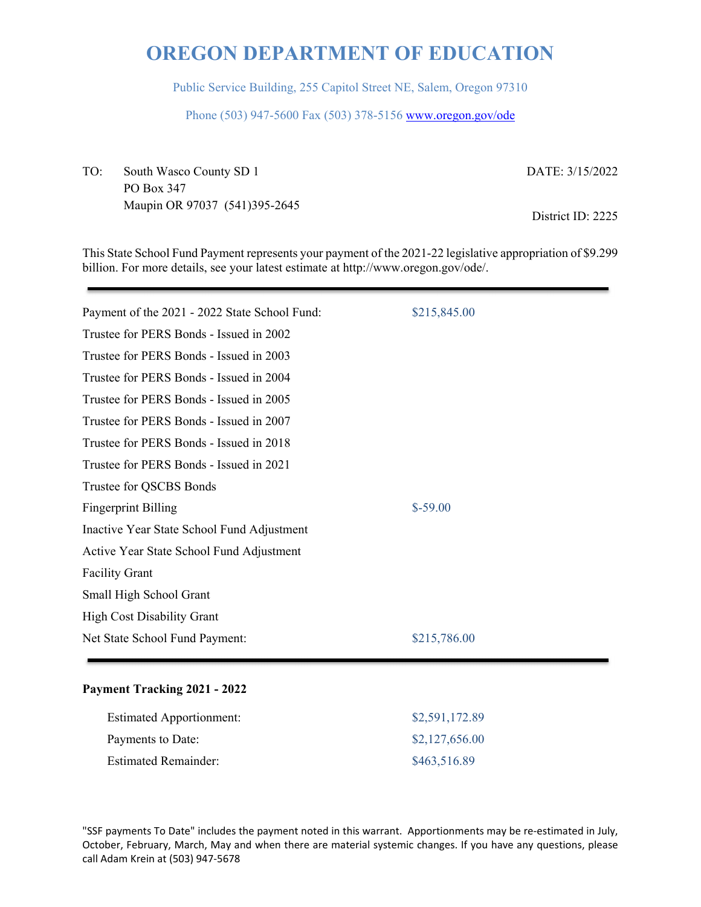Public Service Building, 255 Capitol Street NE, Salem, Oregon 97310

Phone (503) 947-5600 Fax (503) 378-5156 www.oregon.gov/ode

TO: South Wasco County SD 1 PO Box 347 Maupin OR 97037 (541)395-2645 DATE: 3/15/2022

District ID: 2225

This State School Fund Payment represents your payment of the 2021-22 legislative appropriation of \$9.299 billion. For more details, see your latest estimate at http://www.oregon.gov/ode/.

| Payment of the 2021 - 2022 State School Fund: | \$215,845.00 |
|-----------------------------------------------|--------------|
| Trustee for PERS Bonds - Issued in 2002       |              |
| Trustee for PERS Bonds - Issued in 2003       |              |
| Trustee for PERS Bonds - Issued in 2004       |              |
| Trustee for PERS Bonds - Issued in 2005       |              |
| Trustee for PERS Bonds - Issued in 2007       |              |
| Trustee for PERS Bonds - Issued in 2018       |              |
| Trustee for PERS Bonds - Issued in 2021       |              |
| Trustee for QSCBS Bonds                       |              |
| <b>Fingerprint Billing</b>                    | $$-59.00$    |
| Inactive Year State School Fund Adjustment    |              |
| Active Year State School Fund Adjustment      |              |
| <b>Facility Grant</b>                         |              |
| Small High School Grant                       |              |
| <b>High Cost Disability Grant</b>             |              |
| Net State School Fund Payment:                | \$215,786.00 |
|                                               |              |

#### **Payment Tracking 2021 - 2022**

| <b>Estimated Apportionment:</b> | \$2,591,172.89 |
|---------------------------------|----------------|
| Payments to Date:               | \$2,127,656.00 |
| <b>Estimated Remainder:</b>     | \$463,516.89   |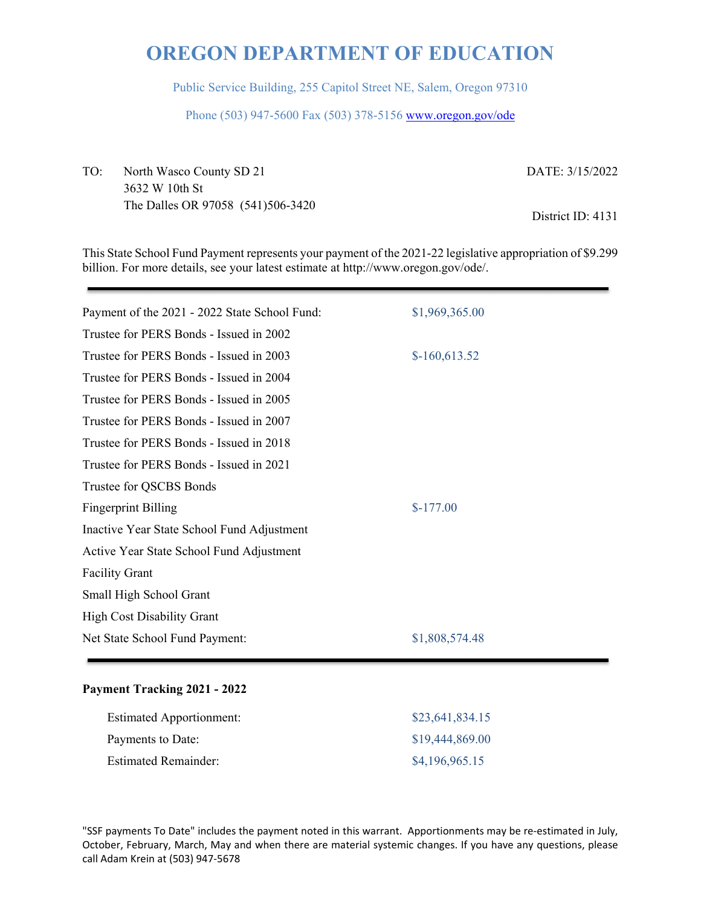Public Service Building, 255 Capitol Street NE, Salem, Oregon 97310

Phone (503) 947-5600 Fax (503) 378-5156 www.oregon.gov/ode

TO: North Wasco County SD 21 3632 W 10th St The Dalles OR 97058 (541)506-3420 DATE: 3/15/2022

District ID: 4131

This State School Fund Payment represents your payment of the 2021-22 legislative appropriation of \$9.299 billion. For more details, see your latest estimate at http://www.oregon.gov/ode/.

| Payment of the 2021 - 2022 State School Fund: | \$1,969,365.00 |
|-----------------------------------------------|----------------|
| Trustee for PERS Bonds - Issued in 2002       |                |
| Trustee for PERS Bonds - Issued in 2003       | $$-160,613.52$ |
| Trustee for PERS Bonds - Issued in 2004       |                |
| Trustee for PERS Bonds - Issued in 2005       |                |
| Trustee for PERS Bonds - Issued in 2007       |                |
| Trustee for PERS Bonds - Issued in 2018       |                |
| Trustee for PERS Bonds - Issued in 2021       |                |
| Trustee for QSCBS Bonds                       |                |
| <b>Fingerprint Billing</b>                    | $$-177.00$     |
| Inactive Year State School Fund Adjustment    |                |
| Active Year State School Fund Adjustment      |                |
| <b>Facility Grant</b>                         |                |
| Small High School Grant                       |                |
| <b>High Cost Disability Grant</b>             |                |
| Net State School Fund Payment:                | \$1,808,574.48 |
|                                               |                |

### **Payment Tracking 2021 - 2022**

| <b>Estimated Apportionment:</b> | \$23,641,834.15 |
|---------------------------------|-----------------|
| Payments to Date:               | \$19,444,869.00 |
| <b>Estimated Remainder:</b>     | \$4,196,965.15  |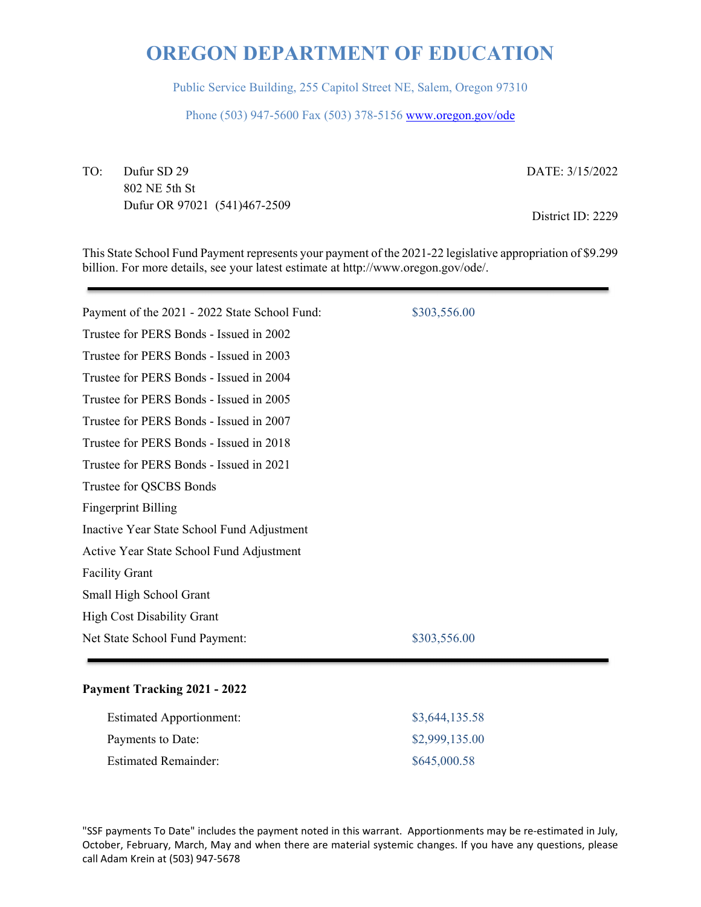Public Service Building, 255 Capitol Street NE, Salem, Oregon 97310

Phone (503) 947-5600 Fax (503) 378-5156 www.oregon.gov/ode

TO: Dufur SD 29 802 NE 5th St Dufur OR 97021 (541)467-2509 DATE: 3/15/2022

District ID: 2229

This State School Fund Payment represents your payment of the 2021-22 legislative appropriation of \$9.299 billion. For more details, see your latest estimate at http://www.oregon.gov/ode/.

| Payment of the 2021 - 2022 State School Fund: | \$303,556.00 |
|-----------------------------------------------|--------------|
| Trustee for PERS Bonds - Issued in 2002       |              |
| Trustee for PERS Bonds - Issued in 2003       |              |
| Trustee for PERS Bonds - Issued in 2004       |              |
| Trustee for PERS Bonds - Issued in 2005       |              |
| Trustee for PERS Bonds - Issued in 2007       |              |
| Trustee for PERS Bonds - Issued in 2018       |              |
| Trustee for PERS Bonds - Issued in 2021       |              |
| Trustee for QSCBS Bonds                       |              |
| <b>Fingerprint Billing</b>                    |              |
| Inactive Year State School Fund Adjustment    |              |
| Active Year State School Fund Adjustment      |              |
| <b>Facility Grant</b>                         |              |
| Small High School Grant                       |              |
| <b>High Cost Disability Grant</b>             |              |
| Net State School Fund Payment:                | \$303,556.00 |
|                                               |              |

### **Payment Tracking 2021 - 2022**

| <b>Estimated Apportionment:</b> | \$3,644,135.58 |
|---------------------------------|----------------|
| Payments to Date:               | \$2,999,135.00 |
| <b>Estimated Remainder:</b>     | \$645,000.58   |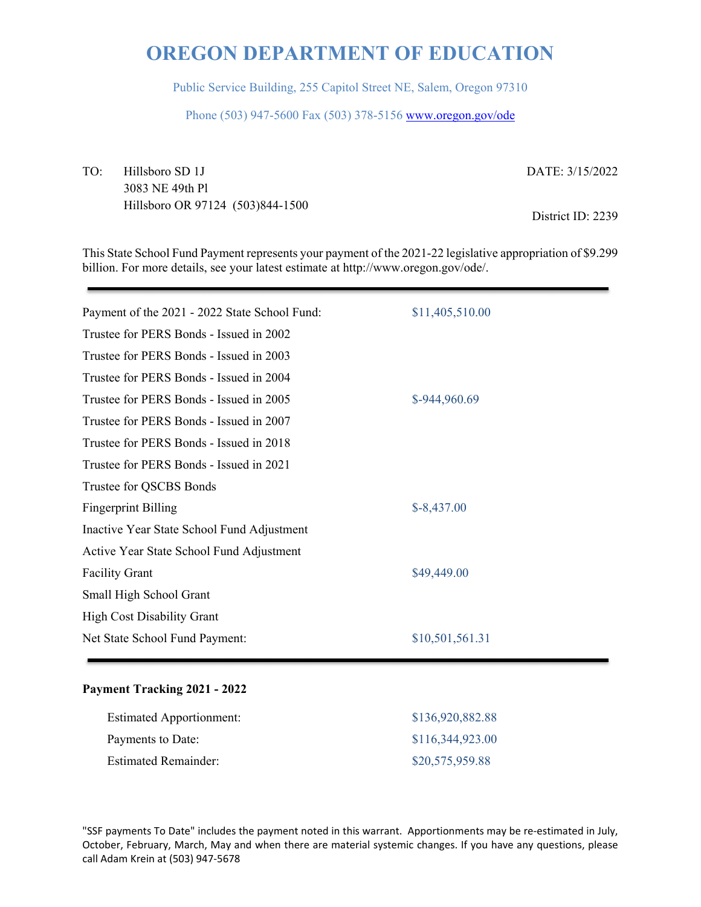Public Service Building, 255 Capitol Street NE, Salem, Oregon 97310

Phone (503) 947-5600 Fax (503) 378-5156 www.oregon.gov/ode

TO: Hillsboro SD 1J 3083 NE 49th Pl Hillsboro OR 97124 (503)844-1500 DATE: 3/15/2022

District ID: 2239

This State School Fund Payment represents your payment of the 2021-22 legislative appropriation of \$9.299 billion. For more details, see your latest estimate at http://www.oregon.gov/ode/.

| Payment of the 2021 - 2022 State School Fund: | \$11,405,510.00 |
|-----------------------------------------------|-----------------|
| Trustee for PERS Bonds - Issued in 2002       |                 |
| Trustee for PERS Bonds - Issued in 2003       |                 |
| Trustee for PERS Bonds - Issued in 2004       |                 |
| Trustee for PERS Bonds - Issued in 2005       | \$-944,960.69   |
| Trustee for PERS Bonds - Issued in 2007       |                 |
| Trustee for PERS Bonds - Issued in 2018       |                 |
| Trustee for PERS Bonds - Issued in 2021       |                 |
| Trustee for QSCBS Bonds                       |                 |
| <b>Fingerprint Billing</b>                    | $$-8,437.00$    |
| Inactive Year State School Fund Adjustment    |                 |
| Active Year State School Fund Adjustment      |                 |
| <b>Facility Grant</b>                         | \$49,449.00     |
| Small High School Grant                       |                 |
| <b>High Cost Disability Grant</b>             |                 |
| Net State School Fund Payment:                | \$10,501,561.31 |
|                                               |                 |

### **Payment Tracking 2021 - 2022**

| <b>Estimated Apportionment:</b> | \$136,920,882.88 |
|---------------------------------|------------------|
| Payments to Date:               | \$116,344,923.00 |
| <b>Estimated Remainder:</b>     | \$20,575,959.88  |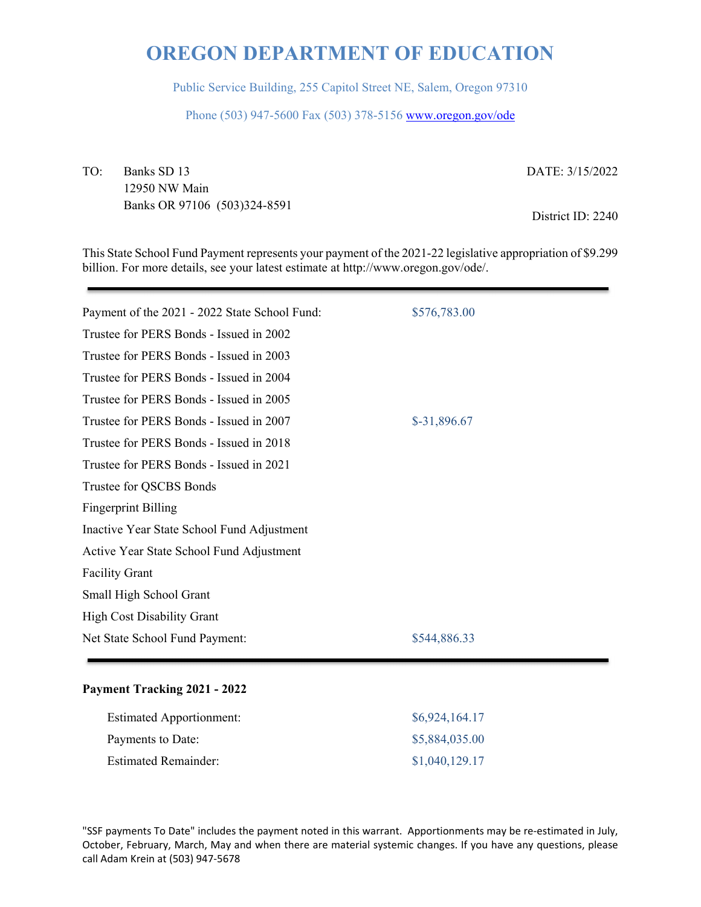Public Service Building, 255 Capitol Street NE, Salem, Oregon 97310

Phone (503) 947-5600 Fax (503) 378-5156 www.oregon.gov/ode

TO: Banks SD 13 12950 NW Main Banks OR 97106 (503)324-8591 DATE: 3/15/2022

District ID: 2240

This State School Fund Payment represents your payment of the 2021-22 legislative appropriation of \$9.299 billion. For more details, see your latest estimate at http://www.oregon.gov/ode/.

| Payment of the 2021 - 2022 State School Fund: | \$576,783.00  |
|-----------------------------------------------|---------------|
| Trustee for PERS Bonds - Issued in 2002       |               |
| Trustee for PERS Bonds - Issued in 2003       |               |
| Trustee for PERS Bonds - Issued in 2004       |               |
| Trustee for PERS Bonds - Issued in 2005       |               |
| Trustee for PERS Bonds - Issued in 2007       | $$-31,896.67$ |
| Trustee for PERS Bonds - Issued in 2018       |               |
| Trustee for PERS Bonds - Issued in 2021       |               |
| Trustee for QSCBS Bonds                       |               |
| <b>Fingerprint Billing</b>                    |               |
| Inactive Year State School Fund Adjustment    |               |
| Active Year State School Fund Adjustment      |               |
| <b>Facility Grant</b>                         |               |
| Small High School Grant                       |               |
| <b>High Cost Disability Grant</b>             |               |
| Net State School Fund Payment:                | \$544,886.33  |
|                                               |               |

### **Payment Tracking 2021 - 2022**

| <b>Estimated Apportionment:</b> | \$6,924,164.17 |
|---------------------------------|----------------|
| Payments to Date:               | \$5,884,035.00 |
| <b>Estimated Remainder:</b>     | \$1,040,129.17 |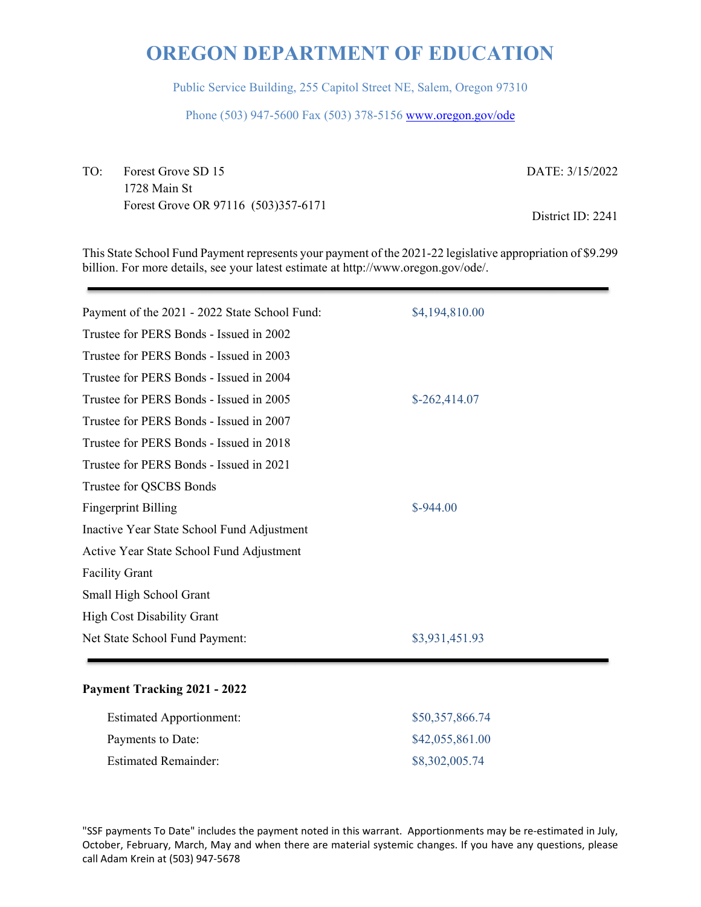Public Service Building, 255 Capitol Street NE, Salem, Oregon 97310

Phone (503) 947-5600 Fax (503) 378-5156 www.oregon.gov/ode

TO: Forest Grove SD 15 1728 Main St Forest Grove OR 97116 (503)357-6171 DATE: 3/15/2022

District ID: 2241

This State School Fund Payment represents your payment of the 2021-22 legislative appropriation of \$9.299 billion. For more details, see your latest estimate at http://www.oregon.gov/ode/.

| Payment of the 2021 - 2022 State School Fund: | \$4,194,810.00 |
|-----------------------------------------------|----------------|
| Trustee for PERS Bonds - Issued in 2002       |                |
| Trustee for PERS Bonds - Issued in 2003       |                |
| Trustee for PERS Bonds - Issued in 2004       |                |
| Trustee for PERS Bonds - Issued in 2005       | $$-262,414.07$ |
| Trustee for PERS Bonds - Issued in 2007       |                |
| Trustee for PERS Bonds - Issued in 2018       |                |
| Trustee for PERS Bonds - Issued in 2021       |                |
| Trustee for QSCBS Bonds                       |                |
| <b>Fingerprint Billing</b>                    | $$-944.00$     |
| Inactive Year State School Fund Adjustment    |                |
| Active Year State School Fund Adjustment      |                |
| <b>Facility Grant</b>                         |                |
| Small High School Grant                       |                |
| <b>High Cost Disability Grant</b>             |                |
| Net State School Fund Payment:                | \$3,931,451.93 |
|                                               |                |

### **Payment Tracking 2021 - 2022**

| <b>Estimated Apportionment:</b> | \$50,357,866.74 |
|---------------------------------|-----------------|
| Payments to Date:               | \$42,055,861.00 |
| <b>Estimated Remainder:</b>     | \$8,302,005.74  |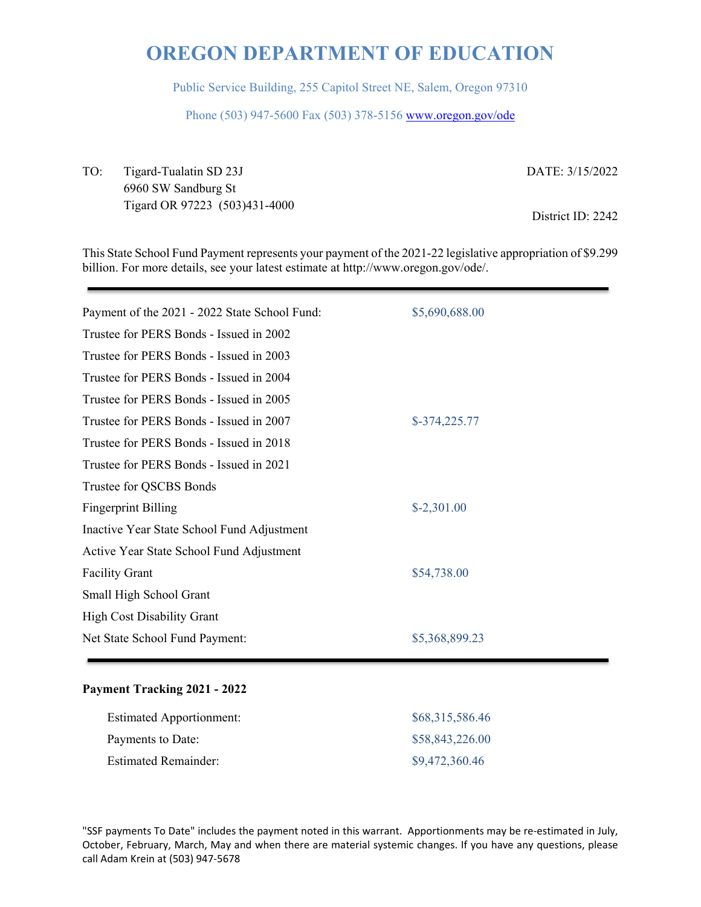Public Service Building, 255 Capitol Street NE, Salem, Oregon 97310

Phone (503) 947-5600 Fax (503) 378-5156 www.oregon.gov/ode

TO: Tigard-Tualatin SD 23J 6960 SW Sandburg St Tigard OR 97223 (503)431-4000 DATE: 3/15/2022

District ID: 2242

This State School Fund Payment represents your payment of the 2021-22 legislative appropriation of \$9.299 billion. For more details, see your latest estimate at http://www.oregon.gov/ode/.

| Payment of the 2021 - 2022 State School Fund: | \$5,690,688.00 |
|-----------------------------------------------|----------------|
| Trustee for PERS Bonds - Issued in 2002       |                |
| Trustee for PERS Bonds - Issued in 2003       |                |
| Trustee for PERS Bonds - Issued in 2004       |                |
| Trustee for PERS Bonds - Issued in 2005       |                |
| Trustee for PERS Bonds - Issued in 2007       | \$-374,225.77  |
| Trustee for PERS Bonds - Issued in 2018       |                |
| Trustee for PERS Bonds - Issued in 2021       |                |
| Trustee for QSCBS Bonds                       |                |
| <b>Fingerprint Billing</b>                    | $$-2,301.00$   |
| Inactive Year State School Fund Adjustment    |                |
| Active Year State School Fund Adjustment      |                |
| <b>Facility Grant</b>                         | \$54,738.00    |
| Small High School Grant                       |                |
| <b>High Cost Disability Grant</b>             |                |
| Net State School Fund Payment:                | \$5,368,899.23 |
|                                               |                |

### **Payment Tracking 2021 - 2022**

| <b>Estimated Apportionment:</b> | \$68,315,586.46 |
|---------------------------------|-----------------|
| Payments to Date:               | \$58,843,226.00 |
| <b>Estimated Remainder:</b>     | \$9,472,360.46  |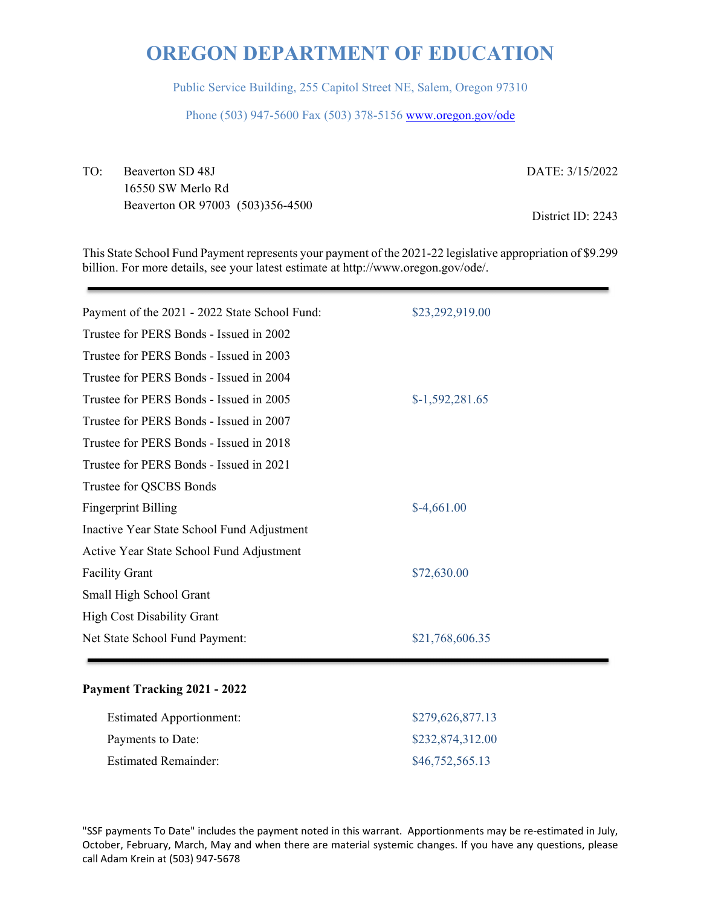Public Service Building, 255 Capitol Street NE, Salem, Oregon 97310

Phone (503) 947-5600 Fax (503) 378-5156 www.oregon.gov/ode

TO: Beaverton SD 48J 16550 SW Merlo Rd Beaverton OR 97003 (503)356-4500 DATE: 3/15/2022

District ID: 2243

This State School Fund Payment represents your payment of the 2021-22 legislative appropriation of \$9.299 billion. For more details, see your latest estimate at http://www.oregon.gov/ode/.

| Payment of the 2021 - 2022 State School Fund: | \$23,292,919.00  |
|-----------------------------------------------|------------------|
| Trustee for PERS Bonds - Issued in 2002       |                  |
| Trustee for PERS Bonds - Issued in 2003       |                  |
| Trustee for PERS Bonds - Issued in 2004       |                  |
| Trustee for PERS Bonds - Issued in 2005       | $$-1,592,281.65$ |
| Trustee for PERS Bonds - Issued in 2007       |                  |
| Trustee for PERS Bonds - Issued in 2018       |                  |
| Trustee for PERS Bonds - Issued in 2021       |                  |
| Trustee for QSCBS Bonds                       |                  |
| <b>Fingerprint Billing</b>                    | $$-4,661.00$     |
| Inactive Year State School Fund Adjustment    |                  |
| Active Year State School Fund Adjustment      |                  |
| <b>Facility Grant</b>                         | \$72,630.00      |
| Small High School Grant                       |                  |
| <b>High Cost Disability Grant</b>             |                  |
| Net State School Fund Payment:                | \$21,768,606.35  |
|                                               |                  |

### **Payment Tracking 2021 - 2022**

| <b>Estimated Apportionment:</b> | \$279,626,877.13 |
|---------------------------------|------------------|
| Payments to Date:               | \$232,874,312.00 |
| <b>Estimated Remainder:</b>     | \$46,752,565.13  |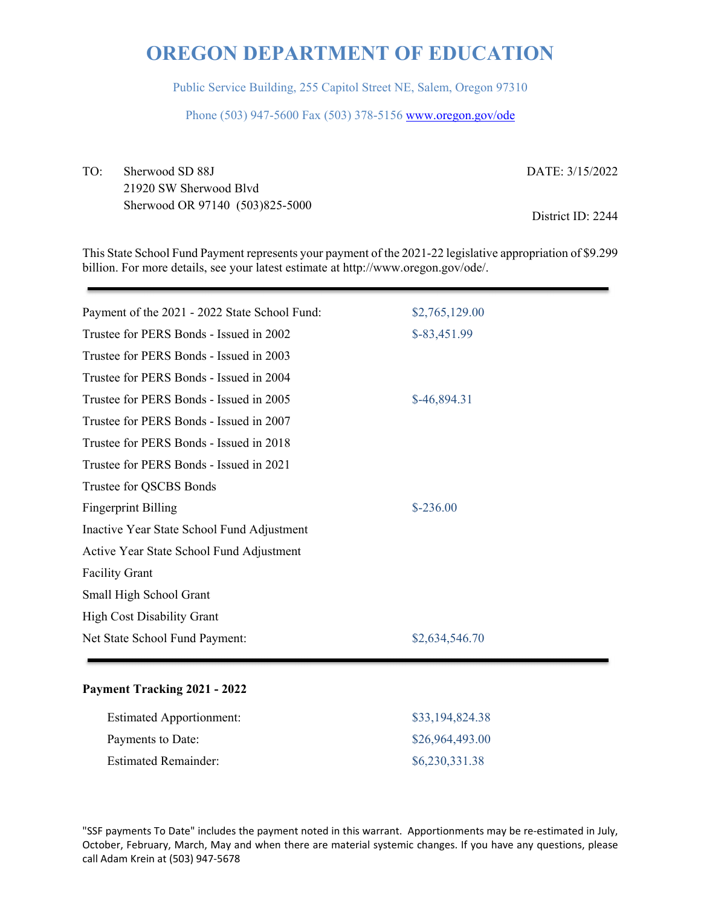Public Service Building, 255 Capitol Street NE, Salem, Oregon 97310

Phone (503) 947-5600 Fax (503) 378-5156 www.oregon.gov/ode

TO: Sherwood SD 88J 21920 SW Sherwood Blvd Sherwood OR 97140 (503)825-5000 DATE: 3/15/2022

District ID: 2244

This State School Fund Payment represents your payment of the 2021-22 legislative appropriation of \$9.299 billion. For more details, see your latest estimate at http://www.oregon.gov/ode/.

| Payment of the 2021 - 2022 State School Fund: | \$2,765,129.00 |
|-----------------------------------------------|----------------|
| Trustee for PERS Bonds - Issued in 2002       | $$-83,451.99$  |
| Trustee for PERS Bonds - Issued in 2003       |                |
| Trustee for PERS Bonds - Issued in 2004       |                |
| Trustee for PERS Bonds - Issued in 2005       | \$-46,894.31   |
| Trustee for PERS Bonds - Issued in 2007       |                |
| Trustee for PERS Bonds - Issued in 2018       |                |
| Trustee for PERS Bonds - Issued in 2021       |                |
| Trustee for QSCBS Bonds                       |                |
| <b>Fingerprint Billing</b>                    | $$-236.00$     |
| Inactive Year State School Fund Adjustment    |                |
| Active Year State School Fund Adjustment      |                |
| <b>Facility Grant</b>                         |                |
| Small High School Grant                       |                |
| <b>High Cost Disability Grant</b>             |                |
| Net State School Fund Payment:                | \$2,634,546.70 |
|                                               |                |

#### **Payment Tracking 2021 - 2022**

| <b>Estimated Apportionment:</b> | \$33,194,824.38 |
|---------------------------------|-----------------|
| Payments to Date:               | \$26,964,493.00 |
| <b>Estimated Remainder:</b>     | \$6,230,331.38  |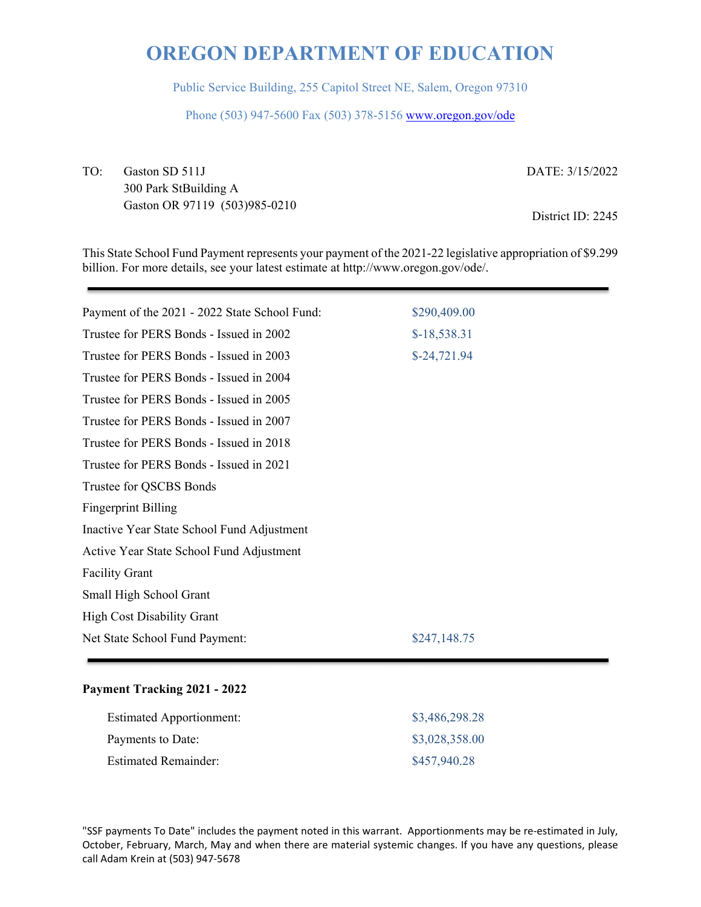Public Service Building, 255 Capitol Street NE, Salem, Oregon 97310

Phone (503) 947-5600 Fax (503) 378-5156 www.oregon.gov/ode

TO: Gaston SD 511J 300 Park StBuilding A Gaston OR 97119 (503)985-0210 DATE: 3/15/2022

District ID: 2245

This State School Fund Payment represents your payment of the 2021-22 legislative appropriation of \$9.299 billion. For more details, see your latest estimate at http://www.oregon.gov/ode/.

| Payment of the 2021 - 2022 State School Fund: | \$290,409.00  |
|-----------------------------------------------|---------------|
| Trustee for PERS Bonds - Issued in 2002       | $$-18,538.31$ |
| Trustee for PERS Bonds - Issued in 2003       | $$-24,721.94$ |
| Trustee for PERS Bonds - Issued in 2004       |               |
| Trustee for PERS Bonds - Issued in 2005       |               |
| Trustee for PERS Bonds - Issued in 2007       |               |
| Trustee for PERS Bonds - Issued in 2018       |               |
| Trustee for PERS Bonds - Issued in 2021       |               |
| Trustee for QSCBS Bonds                       |               |
| <b>Fingerprint Billing</b>                    |               |
| Inactive Year State School Fund Adjustment    |               |
| Active Year State School Fund Adjustment      |               |
| <b>Facility Grant</b>                         |               |
| Small High School Grant                       |               |
| <b>High Cost Disability Grant</b>             |               |
| Net State School Fund Payment:                | \$247,148.75  |
|                                               |               |

### **Payment Tracking 2021 - 2022**

| <b>Estimated Apportionment:</b> | \$3,486,298.28 |
|---------------------------------|----------------|
| Payments to Date:               | \$3,028,358.00 |
| <b>Estimated Remainder:</b>     | \$457,940.28   |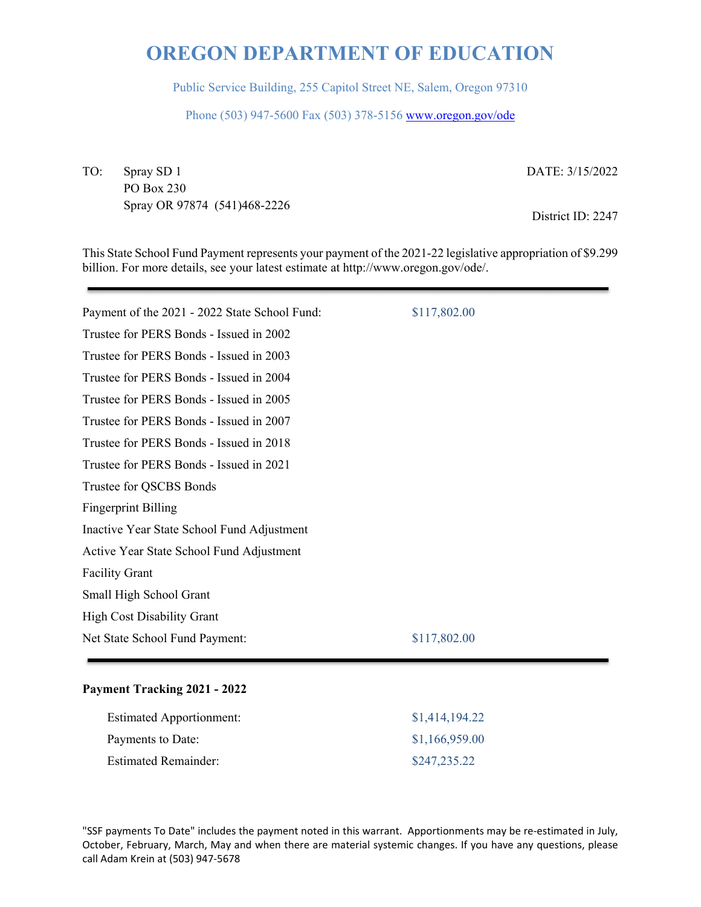Public Service Building, 255 Capitol Street NE, Salem, Oregon 97310

Phone (503) 947-5600 Fax (503) 378-5156 www.oregon.gov/ode

TO: Spray SD 1 PO Box 230 Spray OR 97874 (541)468-2226 DATE: 3/15/2022

District ID: 2247

This State School Fund Payment represents your payment of the 2021-22 legislative appropriation of \$9.299 billion. For more details, see your latest estimate at http://www.oregon.gov/ode/.

| Payment of the 2021 - 2022 State School Fund: | \$117,802.00 |
|-----------------------------------------------|--------------|
| Trustee for PERS Bonds - Issued in 2002       |              |
| Trustee for PERS Bonds - Issued in 2003       |              |
| Trustee for PERS Bonds - Issued in 2004       |              |
| Trustee for PERS Bonds - Issued in 2005       |              |
| Trustee for PERS Bonds - Issued in 2007       |              |
| Trustee for PERS Bonds - Issued in 2018       |              |
| Trustee for PERS Bonds - Issued in 2021       |              |
| Trustee for QSCBS Bonds                       |              |
| <b>Fingerprint Billing</b>                    |              |
| Inactive Year State School Fund Adjustment    |              |
| Active Year State School Fund Adjustment      |              |
| <b>Facility Grant</b>                         |              |
| Small High School Grant                       |              |
| <b>High Cost Disability Grant</b>             |              |
| Net State School Fund Payment:                | \$117,802.00 |
|                                               |              |

### **Payment Tracking 2021 - 2022**

| <b>Estimated Apportionment:</b> | \$1,414,194.22 |
|---------------------------------|----------------|
| Payments to Date:               | \$1,166,959.00 |
| <b>Estimated Remainder:</b>     | \$247,235.22   |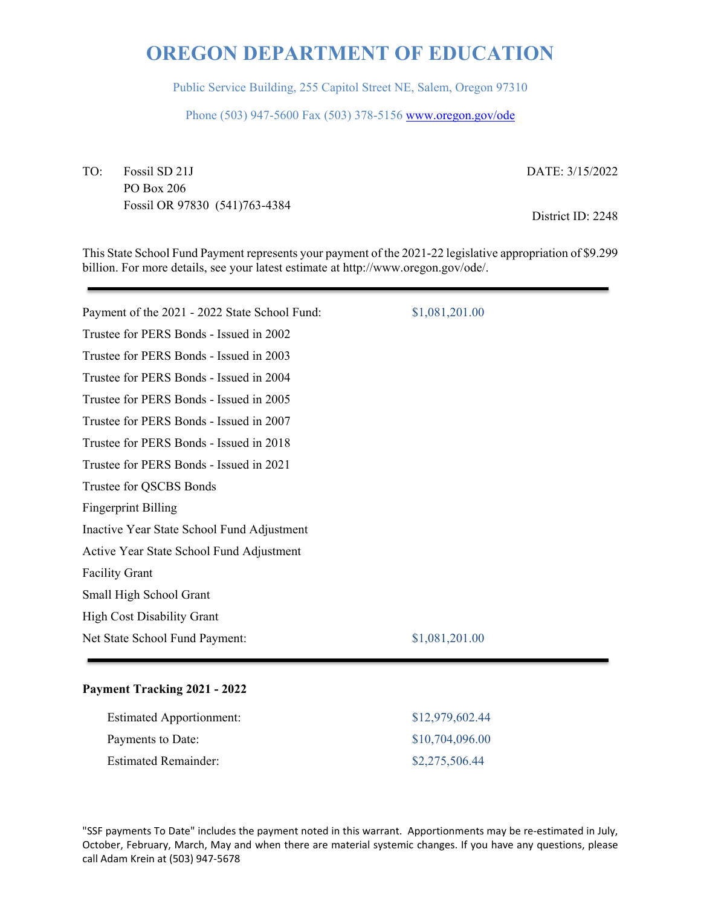Public Service Building, 255 Capitol Street NE, Salem, Oregon 97310

Phone (503) 947-5600 Fax (503) 378-5156 www.oregon.gov/ode

TO: Fossil SD 21J PO Box 206 Fossil OR 97830 (541)763-4384 DATE: 3/15/2022

District ID: 2248

This State School Fund Payment represents your payment of the 2021-22 legislative appropriation of \$9.299 billion. For more details, see your latest estimate at http://www.oregon.gov/ode/.

| Payment of the 2021 - 2022 State School Fund: | \$1,081,201.00 |
|-----------------------------------------------|----------------|
| Trustee for PERS Bonds - Issued in 2002       |                |
| Trustee for PERS Bonds - Issued in 2003       |                |
| Trustee for PERS Bonds - Issued in 2004       |                |
| Trustee for PERS Bonds - Issued in 2005       |                |
| Trustee for PERS Bonds - Issued in 2007       |                |
| Trustee for PERS Bonds - Issued in 2018       |                |
| Trustee for PERS Bonds - Issued in 2021       |                |
| Trustee for QSCBS Bonds                       |                |
| <b>Fingerprint Billing</b>                    |                |
| Inactive Year State School Fund Adjustment    |                |
| Active Year State School Fund Adjustment      |                |
| <b>Facility Grant</b>                         |                |
| Small High School Grant                       |                |
| <b>High Cost Disability Grant</b>             |                |
| Net State School Fund Payment:                | \$1,081,201.00 |
|                                               |                |

### **Payment Tracking 2021 - 2022**

| <b>Estimated Apportionment:</b> | \$12,979,602.44 |
|---------------------------------|-----------------|
| Payments to Date:               | \$10,704,096.00 |
| <b>Estimated Remainder:</b>     | \$2,275,506.44  |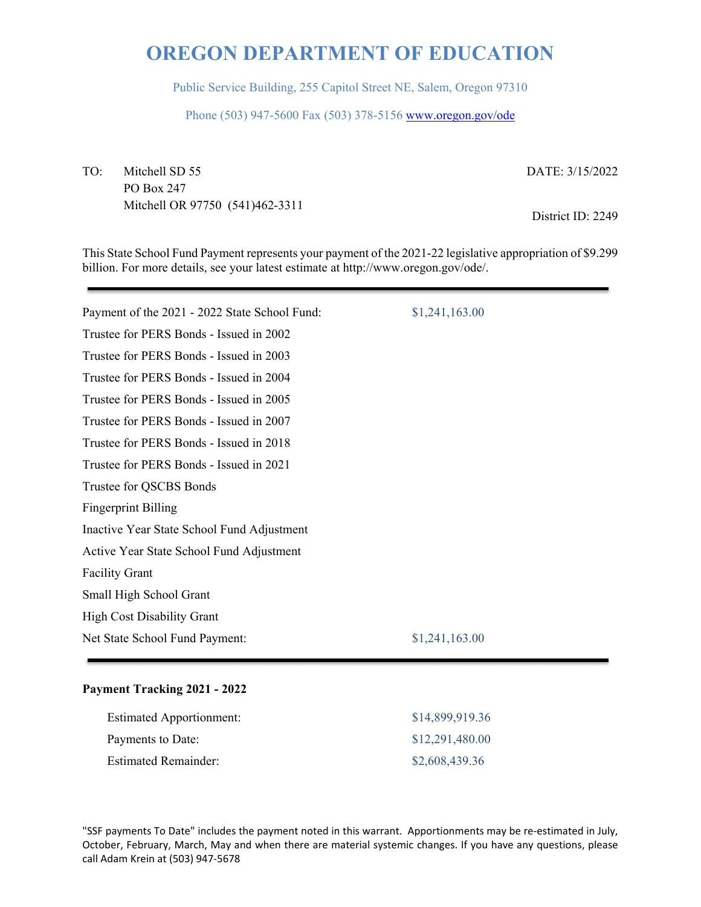Public Service Building, 255 Capitol Street NE, Salem, Oregon 97310

Phone (503) 947-5600 Fax (503) 378-5156 www.oregon.gov/ode

TO: Mitchell SD 55 PO Box 247 Mitchell OR 97750 (541)462-3311 DATE: 3/15/2022

District ID: 2249

This State School Fund Payment represents your payment of the 2021-22 legislative appropriation of \$9.299 billion. For more details, see your latest estimate at http://www.oregon.gov/ode/.

| Payment of the 2021 - 2022 State School Fund: | \$1,241,163.00 |
|-----------------------------------------------|----------------|
| Trustee for PERS Bonds - Issued in 2002       |                |
| Trustee for PERS Bonds - Issued in 2003       |                |
| Trustee for PERS Bonds - Issued in 2004       |                |
| Trustee for PERS Bonds - Issued in 2005       |                |
| Trustee for PERS Bonds - Issued in 2007       |                |
| Trustee for PERS Bonds - Issued in 2018       |                |
| Trustee for PERS Bonds - Issued in 2021       |                |
| Trustee for QSCBS Bonds                       |                |
| <b>Fingerprint Billing</b>                    |                |
| Inactive Year State School Fund Adjustment    |                |
| Active Year State School Fund Adjustment      |                |
| <b>Facility Grant</b>                         |                |
| Small High School Grant                       |                |
| <b>High Cost Disability Grant</b>             |                |
| Net State School Fund Payment:                | \$1,241,163.00 |
|                                               |                |

### **Payment Tracking 2021 - 2022**

| <b>Estimated Apportionment:</b> | \$14,899,919.36 |
|---------------------------------|-----------------|
| Payments to Date:               | \$12,291,480.00 |
| <b>Estimated Remainder:</b>     | \$2,608,439.36  |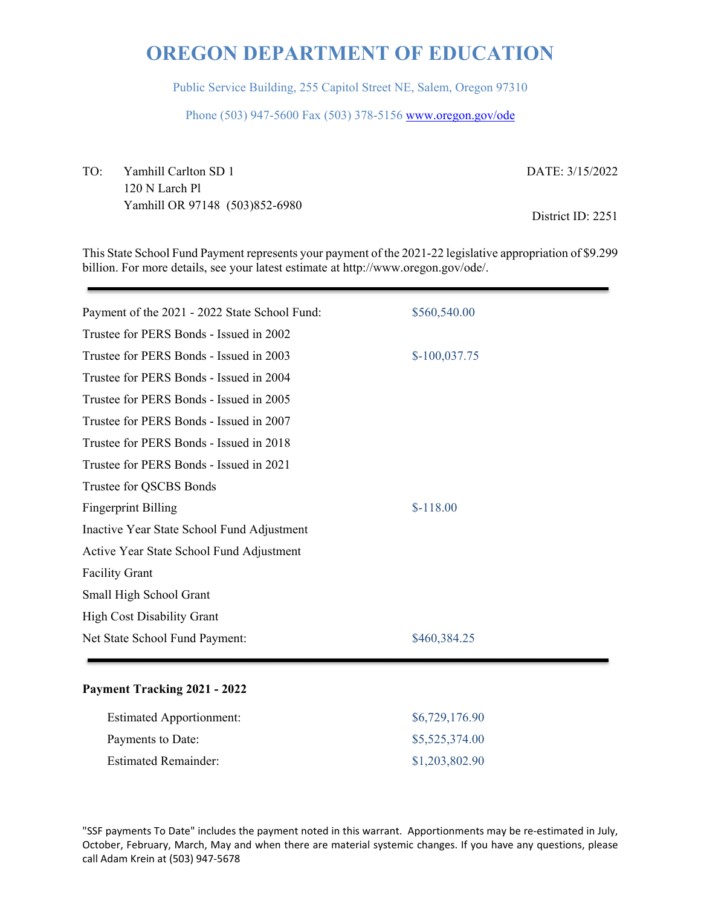Public Service Building, 255 Capitol Street NE, Salem, Oregon 97310

Phone (503) 947-5600 Fax (503) 378-5156 www.oregon.gov/ode

TO: Yamhill Carlton SD 1 120 N Larch Pl Yamhill OR 97148 (503)852-6980 DATE: 3/15/2022 District ID: 2251

This State School Fund Payment represents your payment of the 2021-22 legislative appropriation of \$9.299 billion. For more details, see your latest estimate at http://www.oregon.gov/ode/.

| Payment of the 2021 - 2022 State School Fund: | \$560,540.00   |
|-----------------------------------------------|----------------|
| Trustee for PERS Bonds - Issued in 2002       |                |
| Trustee for PERS Bonds - Issued in 2003       | $$-100,037.75$ |
| Trustee for PERS Bonds - Issued in 2004       |                |
| Trustee for PERS Bonds - Issued in 2005       |                |
| Trustee for PERS Bonds - Issued in 2007       |                |
| Trustee for PERS Bonds - Issued in 2018       |                |
| Trustee for PERS Bonds - Issued in 2021       |                |
| Trustee for QSCBS Bonds                       |                |
| <b>Fingerprint Billing</b>                    | $$-118.00$     |
| Inactive Year State School Fund Adjustment    |                |
| Active Year State School Fund Adjustment      |                |
| <b>Facility Grant</b>                         |                |
| Small High School Grant                       |                |
| <b>High Cost Disability Grant</b>             |                |
| Net State School Fund Payment:                | \$460,384.25   |
|                                               |                |

### **Payment Tracking 2021 - 2022**

| <b>Estimated Apportionment:</b> | \$6,729,176.90 |
|---------------------------------|----------------|
| Payments to Date:               | \$5,525,374.00 |
| <b>Estimated Remainder:</b>     | \$1,203,802.90 |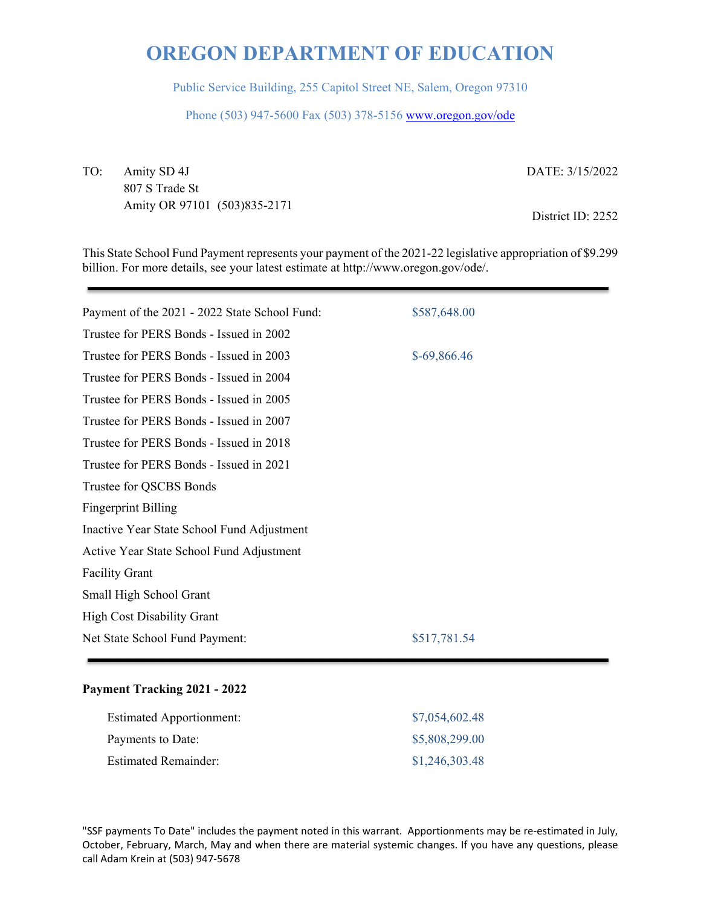Public Service Building, 255 Capitol Street NE, Salem, Oregon 97310

Phone (503) 947-5600 Fax (503) 378-5156 www.oregon.gov/ode

TO: Amity SD 4J 807 S Trade St Amity OR 97101 (503)835-2171 DATE: 3/15/2022

District ID: 2252

This State School Fund Payment represents your payment of the 2021-22 legislative appropriation of \$9.299 billion. For more details, see your latest estimate at http://www.oregon.gov/ode/.

| Payment of the 2021 - 2022 State School Fund: | \$587,648.00 |
|-----------------------------------------------|--------------|
| Trustee for PERS Bonds - Issued in 2002       |              |
| Trustee for PERS Bonds - Issued in 2003       | \$-69,866.46 |
| Trustee for PERS Bonds - Issued in 2004       |              |
| Trustee for PERS Bonds - Issued in 2005       |              |
| Trustee for PERS Bonds - Issued in 2007       |              |
| Trustee for PERS Bonds - Issued in 2018       |              |
| Trustee for PERS Bonds - Issued in 2021       |              |
| Trustee for QSCBS Bonds                       |              |
| <b>Fingerprint Billing</b>                    |              |
| Inactive Year State School Fund Adjustment    |              |
| Active Year State School Fund Adjustment      |              |
| <b>Facility Grant</b>                         |              |
| Small High School Grant                       |              |
| <b>High Cost Disability Grant</b>             |              |
| Net State School Fund Payment:                | \$517,781.54 |
|                                               |              |

### **Payment Tracking 2021 - 2022**

| <b>Estimated Apportionment:</b> | \$7,054,602.48 |
|---------------------------------|----------------|
| Payments to Date:               | \$5,808,299.00 |
| <b>Estimated Remainder:</b>     | \$1,246,303.48 |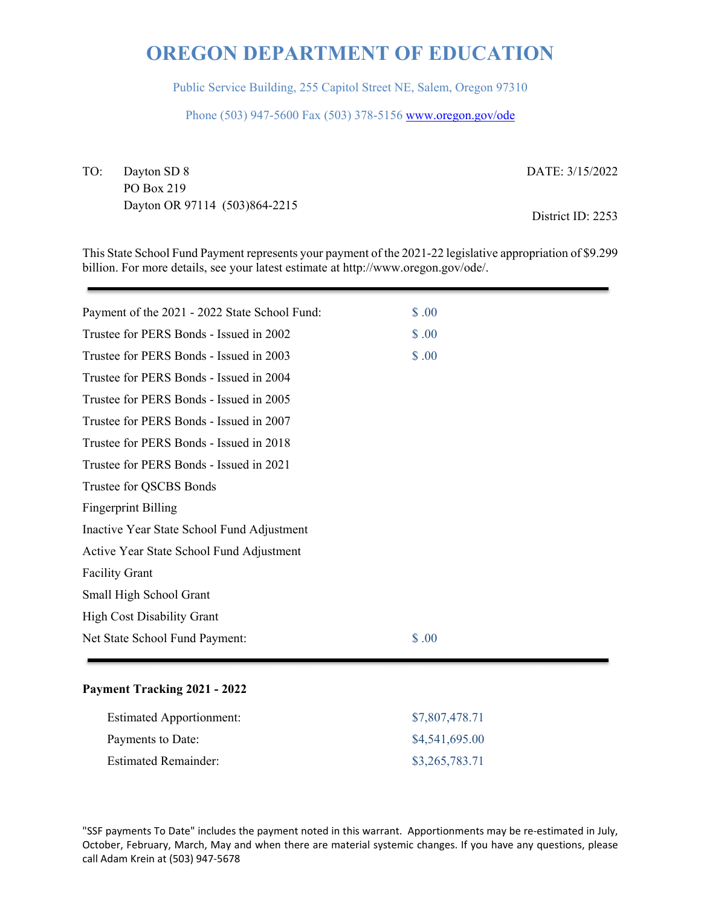Public Service Building, 255 Capitol Street NE, Salem, Oregon 97310

Phone (503) 947-5600 Fax (503) 378-5156 www.oregon.gov/ode

TO: Dayton SD 8 PO Box 219 Dayton OR 97114 (503)864-2215 DATE: 3/15/2022

District ID: 2253

This State School Fund Payment represents your payment of the 2021-22 legislative appropriation of \$9.299 billion. For more details, see your latest estimate at http://www.oregon.gov/ode/.

| Payment of the 2021 - 2022 State School Fund: | \$.00  |
|-----------------------------------------------|--------|
| Trustee for PERS Bonds - Issued in 2002       | \$.00  |
| Trustee for PERS Bonds - Issued in 2003       | \$.00  |
| Trustee for PERS Bonds - Issued in 2004       |        |
| Trustee for PERS Bonds - Issued in 2005       |        |
| Trustee for PERS Bonds - Issued in 2007       |        |
| Trustee for PERS Bonds - Issued in 2018       |        |
| Trustee for PERS Bonds - Issued in 2021       |        |
| Trustee for QSCBS Bonds                       |        |
| <b>Fingerprint Billing</b>                    |        |
| Inactive Year State School Fund Adjustment    |        |
| Active Year State School Fund Adjustment      |        |
| <b>Facility Grant</b>                         |        |
| Small High School Grant                       |        |
| <b>High Cost Disability Grant</b>             |        |
| Net State School Fund Payment:                | \$ .00 |
|                                               |        |

### **Payment Tracking 2021 - 2022**

| <b>Estimated Apportionment:</b> | \$7,807,478.71 |
|---------------------------------|----------------|
| Payments to Date:               | \$4,541,695.00 |
| <b>Estimated Remainder:</b>     | \$3,265,783.71 |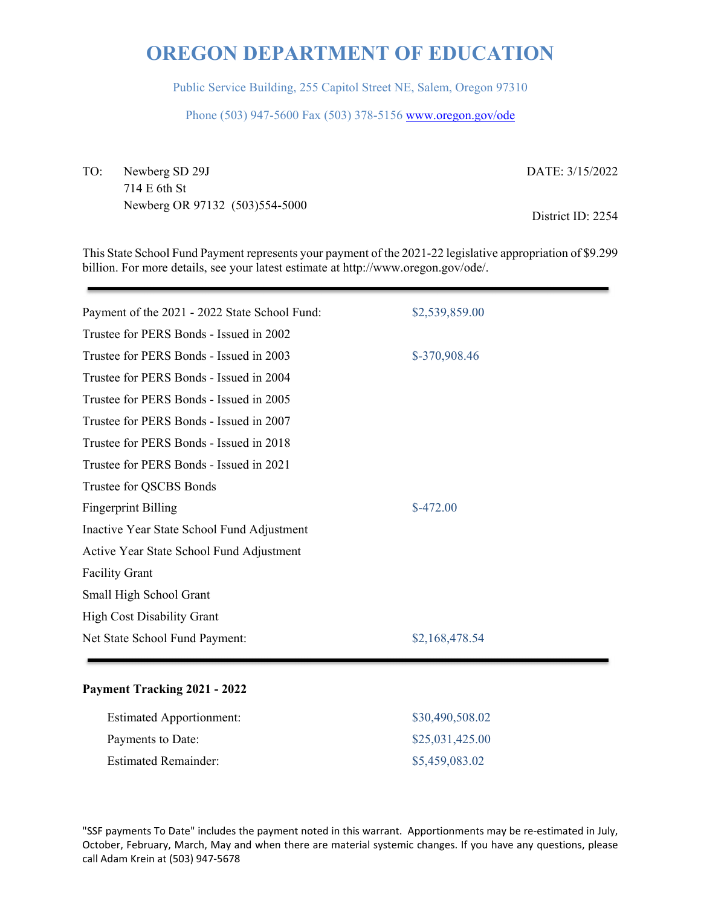Public Service Building, 255 Capitol Street NE, Salem, Oregon 97310

Phone (503) 947-5600 Fax (503) 378-5156 www.oregon.gov/ode

TO: Newberg SD 29J 714 E 6th St Newberg OR 97132 (503)554-5000 DATE: 3/15/2022

District ID: 2254

This State School Fund Payment represents your payment of the 2021-22 legislative appropriation of \$9.299 billion. For more details, see your latest estimate at http://www.oregon.gov/ode/.

| Payment of the 2021 - 2022 State School Fund: | \$2,539,859.00 |
|-----------------------------------------------|----------------|
| Trustee for PERS Bonds - Issued in 2002       |                |
| Trustee for PERS Bonds - Issued in 2003       | \$-370,908.46  |
| Trustee for PERS Bonds - Issued in 2004       |                |
| Trustee for PERS Bonds - Issued in 2005       |                |
| Trustee for PERS Bonds - Issued in 2007       |                |
| Trustee for PERS Bonds - Issued in 2018       |                |
| Trustee for PERS Bonds - Issued in 2021       |                |
| Trustee for QSCBS Bonds                       |                |
| <b>Fingerprint Billing</b>                    | $$-472.00$     |
| Inactive Year State School Fund Adjustment    |                |
| Active Year State School Fund Adjustment      |                |
| <b>Facility Grant</b>                         |                |
| Small High School Grant                       |                |
| <b>High Cost Disability Grant</b>             |                |
| Net State School Fund Payment:                | \$2,168,478.54 |
|                                               |                |

### **Payment Tracking 2021 - 2022**

| <b>Estimated Apportionment:</b> | \$30,490,508.02 |
|---------------------------------|-----------------|
| Payments to Date:               | \$25,031,425.00 |
| <b>Estimated Remainder:</b>     | \$5,459,083.02  |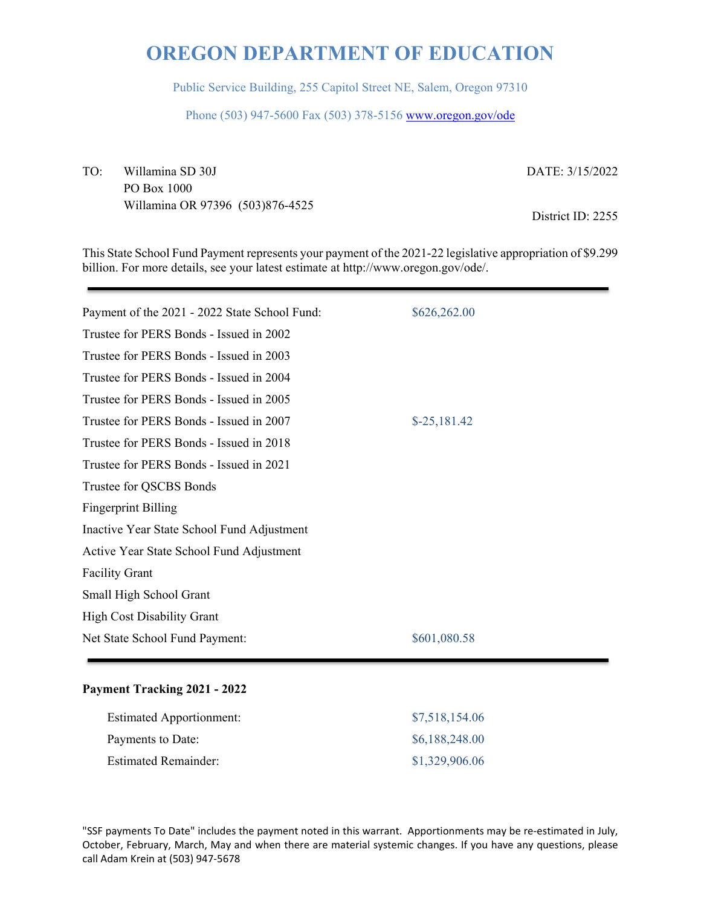Public Service Building, 255 Capitol Street NE, Salem, Oregon 97310

Phone (503) 947-5600 Fax (503) 378-5156 www.oregon.gov/ode

TO: Willamina SD 30J PO Box 1000 Willamina OR 97396 (503)876-4525 DATE: 3/15/2022

District ID: 2255

This State School Fund Payment represents your payment of the 2021-22 legislative appropriation of \$9.299 billion. For more details, see your latest estimate at http://www.oregon.gov/ode/.

| Payment of the 2021 - 2022 State School Fund: | \$626,262.00  |
|-----------------------------------------------|---------------|
| Trustee for PERS Bonds - Issued in 2002       |               |
| Trustee for PERS Bonds - Issued in 2003       |               |
| Trustee for PERS Bonds - Issued in 2004       |               |
| Trustee for PERS Bonds - Issued in 2005       |               |
| Trustee for PERS Bonds - Issued in 2007       | $$-25,181.42$ |
| Trustee for PERS Bonds - Issued in 2018       |               |
| Trustee for PERS Bonds - Issued in 2021       |               |
| Trustee for QSCBS Bonds                       |               |
| <b>Fingerprint Billing</b>                    |               |
| Inactive Year State School Fund Adjustment    |               |
| Active Year State School Fund Adjustment      |               |
| <b>Facility Grant</b>                         |               |
| Small High School Grant                       |               |
| <b>High Cost Disability Grant</b>             |               |
| Net State School Fund Payment:                | \$601,080.58  |
|                                               |               |

### **Payment Tracking 2021 - 2022**

| <b>Estimated Apportionment:</b> | \$7,518,154.06 |
|---------------------------------|----------------|
| Payments to Date:               | \$6,188,248.00 |
| <b>Estimated Remainder:</b>     | \$1,329,906.06 |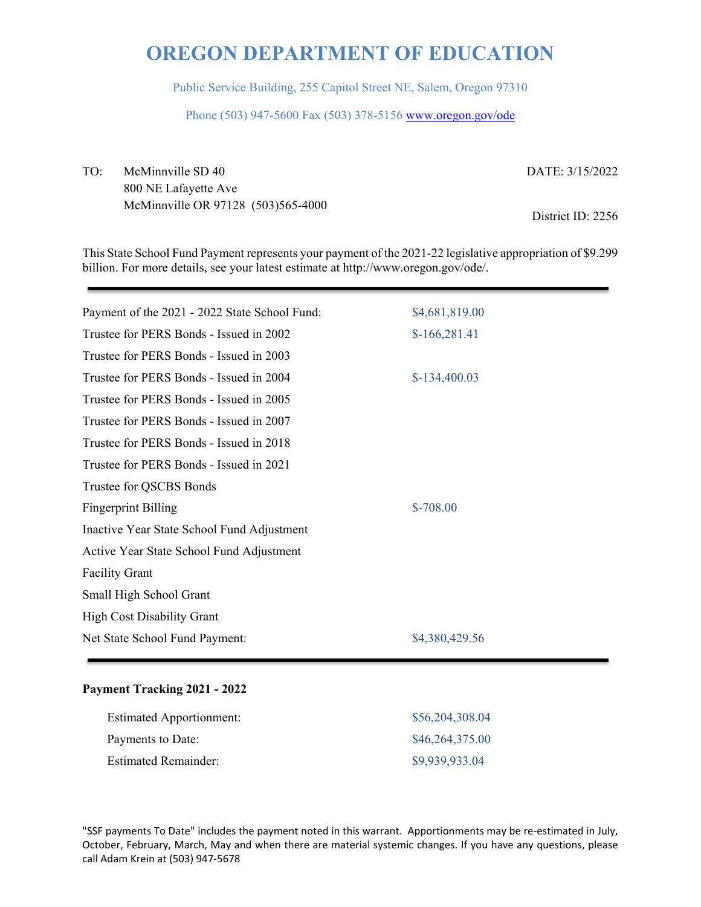Public Service Building, 255 Capitol Street NE, Salem, Oregon 97310

Phone (503) 947-5600 Fax (503) 378-5156 www.oregon.gov/ode

TO: McMinnville SD 40 800 NE Lafayette Ave McMinnville OR 97128 (503)565-4000 DATE: 3/15/2022

District ID: 2256

This State School Fund Payment represents your payment of the 2021-22 legislative appropriation of \$9.299 billion. For more details, see your latest estimate at http://www.oregon.gov/ode/.

| \$4,681,819.00 |
|----------------|
| $$-166,281.41$ |
|                |
| $$-134,400.03$ |
|                |
|                |
|                |
|                |
|                |
| $$-708.00$     |
|                |
|                |
|                |
|                |
|                |
| \$4,380,429.56 |
|                |

#### **Payment Tracking 2021 - 2022**

| <b>Estimated Apportionment:</b> | \$56,204,308.04 |
|---------------------------------|-----------------|
| Payments to Date:               | \$46,264,375.00 |
| <b>Estimated Remainder:</b>     | \$9,939,933.04  |